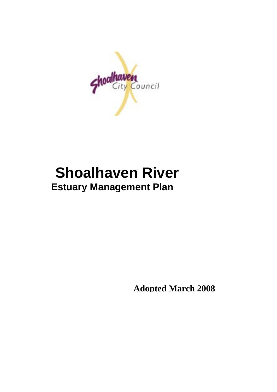

# **Shoalhaven River Estuary Management Plan**

**Adopted March 2008**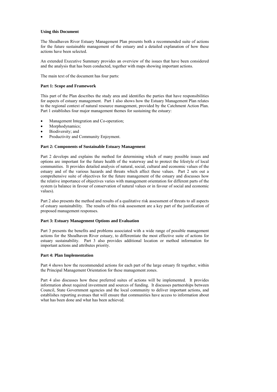#### **Using this Document**

The Shoalhaven River Estuary Management Plan presents both a recommended suite of actions for the future sustainable management of the estuary and a detailed explanation of how these actions have been selected.

An extended Executive Summary provides an overview of the issues that have been considered and the analysis that has been conducted, together with maps showing important actions.

The main text of the document has four parts:

#### **Part 1: Scope and Framework**

This part of the Plan describes the study area and identifies the parties that have responsibilities for aspects of estuary management. Part 1 also shows how the Estuary Management Plan relates to the regional context of natural resource management, provided by the Catchment Action Plan. Part 1 establishes four major management themes for sustaining the estuary:

- Management Integration and Co-operation;
- Morphodynamics;
- Biodiversity; and
- Productivity and Community Enjoyment.

#### **Part 2: Components of Sustainable Estuary Management**

Part 2 develops and explains the method for determining which of many possible issues and options are important for the future health of the waterway and to protect the lifestyle of local communities. It provides detailed analysis of natural, social, cultural and economic values of the estuary and of the various hazards and threats which affect these values. Part 2 sets out a comprehensive suite of objectives for the future management of the estuary and discusses how the relative importance of objectives varies with management orientation for different parts of the system (a balance in favour of conservation of natural values or in favour of social and economic values).

Part 2 also presents the method and results of a qualitative risk assessment of threats to all aspects of estuary sustainability. The results of this risk assessment are a key part of the justification of proposed management responses.

#### **Part 3: Estuary Management Options and Evaluation**

Part 3 presents the benefits and problems associated with a wide range of possible management actions for the Shoalhaven River estuary, to differentiate the most effective suite of actions for estuary sustainability. Part 3 also provides additional location or method information for important actions and attributes priority.

#### **Part 4: Plan Implementation**

Part 4 shows how the recommended actions for each part of the large estuary fit together, within the Principal Management Orientation for these management zones.

Part 4 also discusses how these preferred suites of actions will be implemented. It provides information about required investment and sources of funding. It discusses partnerships between Council, State Government agencies and the local community to deliver important actions, and establishes reporting avenues that will ensure that communities have access to information about what has been done and what has been achieved.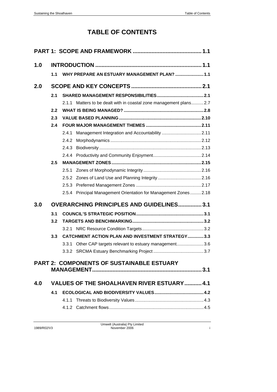# **TABLE OF CONTENTS**

| 1.0 |     |                                                                    |  |
|-----|-----|--------------------------------------------------------------------|--|
|     | 1.1 | WHY PREPARE AN ESTUARY MANAGEMENT PLAN?  1.1                       |  |
| 2.0 |     |                                                                    |  |
|     | 2.1 |                                                                    |  |
|     |     | 2.1.1 Matters to be dealt with in coastal zone management plans2.7 |  |
|     | 2.2 |                                                                    |  |
|     | 2.3 |                                                                    |  |
|     | 2.4 |                                                                    |  |
|     |     | 2.4.1                                                              |  |
|     |     | 2.4.2                                                              |  |
|     |     | 2.4.3                                                              |  |
|     |     |                                                                    |  |
|     | 2.5 |                                                                    |  |
|     |     | 2.5.1                                                              |  |
|     |     | 2.5.2 Zones of Land Use and Planning Integrity  2.16               |  |
|     |     |                                                                    |  |
|     |     | 2.5.4 Principal Management Orientation for Management Zones2.18    |  |
| 3.0 |     | <b>OVERARCHING PRINCIPLES AND GUIDELINES3.1</b>                    |  |
|     | 3.1 |                                                                    |  |
|     | 3.2 |                                                                    |  |
|     |     |                                                                    |  |
|     | 3.3 | <b>CATCHMENT ACTION PLAN AND INVESTMENT STRATEGY3.3</b>            |  |
|     |     | 3.3.1 Other CAP targets relevant to estuary management3.6          |  |
|     |     |                                                                    |  |
|     |     | <b>PART 2: COMPONENTS OF SUSTAINABLE ESTUARY</b>                   |  |
|     |     |                                                                    |  |
| 4.0 |     | VALUES OF THE SHOALHAVEN RIVER ESTUARY 4.1                         |  |
|     | 4.1 |                                                                    |  |
|     |     |                                                                    |  |
|     |     |                                                                    |  |

| 1989/R02/V3 |
|-------------|
|-------------|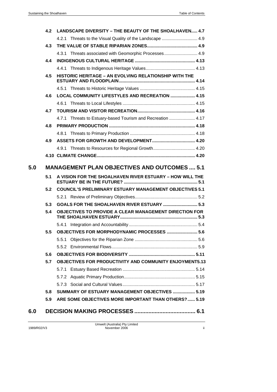|     | 4.2                                                 | LANDSCAPE DIVERSITY - THE BEAUTY OF THE SHOALHAVEN 4.7         |  |
|-----|-----------------------------------------------------|----------------------------------------------------------------|--|
|     |                                                     |                                                                |  |
|     | 4.3                                                 |                                                                |  |
|     |                                                     | 4.3.1 Threats associated with Geomorphic Processes 4.9         |  |
|     | 4.4                                                 |                                                                |  |
|     |                                                     |                                                                |  |
|     | 4.5                                                 | HISTORIC HERITAGE - AN EVOLVING RELATIONSHIP WITH THE          |  |
|     |                                                     |                                                                |  |
|     | 4.6                                                 | LOCAL COMMUNITY LIFESTYLES AND RECREATION  4.15                |  |
|     |                                                     |                                                                |  |
|     | 4.7                                                 |                                                                |  |
|     |                                                     | 4.7.1 Threats to Estuary-based Tourism and Recreation  4.17    |  |
|     | 4.8                                                 |                                                                |  |
|     |                                                     |                                                                |  |
|     | 4.9                                                 |                                                                |  |
|     |                                                     | 4.9.1 Threats to Resources for Regional Growth 4.20            |  |
|     |                                                     |                                                                |  |
| 5.0 | <b>MANAGEMENT PLAN OBJECTIVES AND OUTCOMES  5.1</b> |                                                                |  |
|     | 5.1                                                 | A VISION FOR THE SHOALHAVEN RIVER ESTUARY - HOW WILL THE       |  |
|     | 5.2                                                 | <b>COUNCIL'S PRELIMINARY ESTUARY MANAGEMENT OBJECTIVES 5.1</b> |  |
|     |                                                     |                                                                |  |
|     | 5.3                                                 |                                                                |  |
|     | 5.4                                                 | OBJECTIVES TO PROVIDE A CLEAR MANAGEMENT DIRECTION FOR         |  |
|     |                                                     |                                                                |  |
|     | 5.5                                                 | OBJECTIVES FOR MORPHODYNAMIC PROCESSES  5.6                    |  |
|     |                                                     | 5.5.1                                                          |  |
|     |                                                     |                                                                |  |
|     | 5.6                                                 |                                                                |  |
|     | 5.7                                                 | OBJECTIVES FOR PRODUCTIVITY AND COMMUNITY ENJOYMENT5.13        |  |
|     |                                                     |                                                                |  |
|     |                                                     |                                                                |  |
|     |                                                     | 5.7.2                                                          |  |
|     |                                                     |                                                                |  |
|     | 5.8                                                 | SUMMARY OF ESTUARY MANAGEMENT OBJECTIVES  5.19                 |  |
|     | 5.9                                                 | ARE SOME OBJECTIVES MORE IMPORTANT THAN OTHERS?  5.19          |  |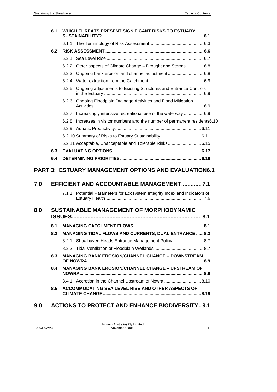| 6.1                                            |     | WHICH THREATS PRESENT SIGNIFICANT RISKS TO ESTUARY                                                     |  |
|------------------------------------------------|-----|--------------------------------------------------------------------------------------------------------|--|
|                                                |     |                                                                                                        |  |
|                                                | 6.2 |                                                                                                        |  |
|                                                |     | 6.2.1                                                                                                  |  |
|                                                |     | Other aspects of Climate Change - Drought and Storms  6.8<br>6.2.2                                     |  |
|                                                |     | 6.2.3                                                                                                  |  |
|                                                |     |                                                                                                        |  |
|                                                |     | 6.2.5 Ongoing adjustments to Existing Structures and Entrance Controls                                 |  |
|                                                |     | Ongoing Floodplain Drainage Activities and Flood Mitigation<br>6.2.6                                   |  |
|                                                |     | Increasingly intensive recreational use of the waterway  6.9<br>6.2.7                                  |  |
|                                                |     | 6.2.8<br>Increases in visitor numbers and the number of permanent residents6.10                        |  |
|                                                |     |                                                                                                        |  |
|                                                |     |                                                                                                        |  |
|                                                |     | 6.2.11 Acceptable, Unacceptable and Tolerable Risks6.15                                                |  |
|                                                | 6.3 |                                                                                                        |  |
|                                                | 6.4 |                                                                                                        |  |
| 7.0                                            |     | <b>PART 3: ESTUARY MANAGEMENT OPTIONS AND EVALUATION6.1</b><br>EFFICIENT AND ACCOUNTABLE MANAGEMENT7.1 |  |
|                                                |     | Potential Parameters for Ecosystem Integrity Index and Indicators of<br>7.1.1                          |  |
| 8.0<br>SUSTAINABLE MANAGEMENT OF MORPHODYNAMIC |     |                                                                                                        |  |
|                                                | 8.1 |                                                                                                        |  |
|                                                | 8.2 | MANAGING TIDAL FLOWS AND CURRENTS, DUAL ENTRANCE  8.3                                                  |  |
|                                                |     | 8.2.1 Shoalhaven Heads Entrance Management Policy8.7                                                   |  |
|                                                |     |                                                                                                        |  |
|                                                | 8.3 | <b>MANAGING BANK EROSION/CHANNEL CHANGE - DOWNSTREAM</b>                                               |  |
|                                                | 8.4 | <b>MANAGING BANK EROSION/CHANNEL CHANGE - UPSTREAM OF</b>                                              |  |
|                                                |     | 8.4.1 Accretion in the Channel Upstream of Nowra  8.10                                                 |  |
|                                                | 8.5 | ACCOMMODATING SEA LEVEL RISE AND OTHER ASPECTS OF                                                      |  |
|                                                |     | 0.0 ACTIONS TO DROTECT AND FNUANCE DIODIVERSITY 0.4                                                    |  |

**9.0 ACTIONS TO PROTECT AND ENHANCE BIODIVERSITY..[9.1](#page-146-0)**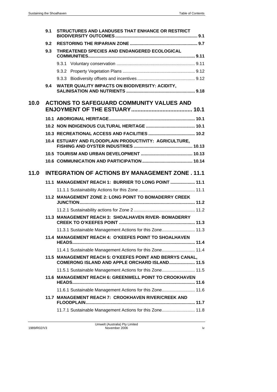|      | 9.1 | STRUCTURES AND LANDUSES THAT ENHANCE OR RESTRICT          |  |
|------|-----|-----------------------------------------------------------|--|
|      | 9.2 |                                                           |  |
|      | 9.3 | THREATENED SPECIES AND ENDANGERED ECOLOGICAL              |  |
|      |     |                                                           |  |
|      |     |                                                           |  |
|      |     |                                                           |  |
|      | 9.4 | WATER QUALITY IMPACTS ON BIODIVERSITY: ACIDITY,           |  |
| 10.0 |     | <b>ACTIONS TO SAFEGUARD COMMUNITY VALUES AND</b>          |  |
|      |     |                                                           |  |
|      |     |                                                           |  |
|      |     |                                                           |  |
|      |     | 10.4 ESTUARY AND FLOODPLAIN PRODUCTIVITY: AGRICULTURE,    |  |
|      |     |                                                           |  |
|      |     |                                                           |  |
| 11.0 |     | <b>INTEGRATION OF ACTIONS BY MANAGEMENT ZONE, 11.1</b>    |  |
|      |     | 11.1 MANAGEMENT REACH 1: BURRIER TO LONG POINT  11.1      |  |
|      |     |                                                           |  |
|      |     | 11.2 MANAGEMENT ZONE 2: LONG POINT TO BOMADERRY CREEK     |  |
|      |     |                                                           |  |
|      |     | 11.3 MANAGEMENT REACH 3: SHOALHAVEN RIVER- BOMADERRY      |  |
|      |     | 11.3.1 Sustainable Management Actions for this Zone 11.3  |  |
|      |     | 11.4 MANAGEMENT REACH 4: O'KEEFES POINT TO SHOALHAVEN     |  |
|      |     | 11.4.1 Sustainable Management Actions for this Zone 11.4  |  |
|      |     | 11.5 MANAGEMENT REACH 5: O'KEEFES POINT AND BERRYS CANAL, |  |
|      |     | COMERONG ISLAND AND APPLE ORCHARD ISLAND 11.5             |  |
|      |     | 11.5.1 Sustainable Management Actions for this Zone 11.5  |  |
|      |     | 11.6 MANAGEMENT REACH 6: GREENWELL POINT TO CROOKHAVEN    |  |
|      |     | 11.6.1 Sustainable Management Actions for this Zone 11.6  |  |
|      |     | 11.7 MANAGEMENT REACH 7: CROOKHAVEN RIVER/CREEK AND       |  |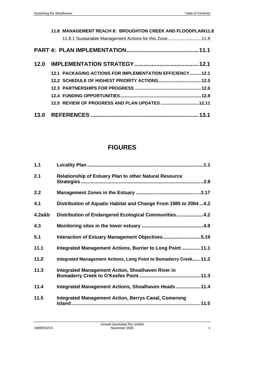|      | 11.8 MANAGEMENT REACH 8: BROUGHTON CREEK AND FLOODPLAIN11.8 |  |
|------|-------------------------------------------------------------|--|
|      | 11.8.1 Sustainable Management Actions for this Zone11.9     |  |
|      |                                                             |  |
| 12.0 |                                                             |  |
|      | 12.1 PACKAGING ACTIONS FOR IMPLEMENTATION EFFICIENCY  12.1  |  |
|      |                                                             |  |
|      |                                                             |  |
|      |                                                             |  |
|      | 12.5 REVIEW OF PROGRESS AND PLAN UPDATES  12.11             |  |
|      |                                                             |  |

# **FIGURES**

| $1.1$     |                                                                   |
|-----------|-------------------------------------------------------------------|
| 2.1       | <b>Relationship of Estuary Plan to other Natural Resource</b>     |
| 2.2       |                                                                   |
| 4.1       | Distribution of Aquatic Habitat and Change From 1985 to 20044.2   |
| $4.2a$ &b | Distribution of Endangered Ecological Communities4.2              |
| 4.3       |                                                                   |
| 5.1       | Interaction of Estuary Management Objectives5.19                  |
| 11.1      | Integrated Management Actions, Burrier to Long Point  11.1        |
| 11.2      | Integrated Management Actions, Long Point to Bomaderry Creek 11.2 |
| 11.3      | <b>Integrated Management Action, Shoalhaven River in</b>          |
| 11.4      | Integrated Management Actions, Shoalhaven Heads 11.4              |
| 11.5      | <b>Integrated Management Action, Berrys Canal, Comerong</b>       |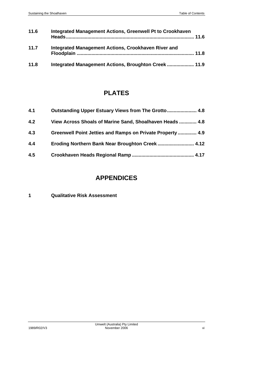| 11.6 | Integrated Management Actions, Greenwell Pt to Crookhaven |  |
|------|-----------------------------------------------------------|--|
| 11.7 | Integrated Management Actions, Crookhaven River and       |  |
| 11.8 | Integrated Management Actions, Broughton Creek  11.9      |  |

# **PLATES**

| 4.1 |                                                           |
|-----|-----------------------------------------------------------|
| 4.2 | View Across Shoals of Marine Sand, Shoalhaven Heads  4.8  |
| 4.3 | Greenwell Point Jetties and Ramps on Private Property 4.9 |
| 4.4 | Eroding Northern Bank Near Broughton Creek 4.12           |
| 4.5 |                                                           |

# **APPENDICES**

# **1 Qualitative Risk Assessment**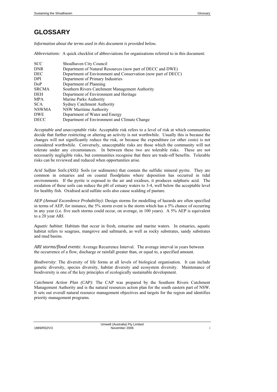# **GLOSSARY**

*Information about the terms used in this document is provided below.* 

*Abbreviations:* A quick checklist of abbreviations for organisations referred to in this document:

| <b>SCC</b>   | Shoalhaven City Council                                       |
|--------------|---------------------------------------------------------------|
| <b>DNR</b>   | Department of Natural Resources (now part of DECC and DWE)    |
| <b>DEC</b>   | Department of Environment and Conservation (now part of DECC) |
| DPI          | Department of Primary Industries                              |
| DoP          | Department of Planning                                        |
| <b>SRCMA</b> | Southern Rivers Catchment Management Authority                |
| DEH          | Department of Environment and Heritage                        |
| <b>MPA</b>   | Marine Parks Authority                                        |
| <b>SCA</b>   | <b>Sydney Catchment Authority</b>                             |
| <b>NSWMA</b> | <b>NSW Maritime Authority</b>                                 |
| <b>DWE</b>   | Department of Water and Energy                                |
| <b>DECC</b>  | Department of Environment and Climate Change                  |

*Acceptable and unacceptable risks*: Acceptable risk refers to a level of risk at which communities decide that further restricting or altering an activity is not worthwhile. Usually this is because the changes will not significantly reduce the risk, or because the expenditure (or other costs) is not considered worthwhile. Conversely, unacceptable risks are those which the community will not tolerate under any circumstances. In between these two are tolerable risks. These are not necessarily negligible risks, but communities recognise that there are trade-off benefits. Tolerable risks can be reviewed and reduced when opportunities arise.

*Acid Sulfate Soils:(ASS)*: Soils (or sediments) that contain the sulfidic mineral pyrite. They are common in estuaries and on coastal floodplains where deposition has occurred in tidal environments. If the pyrite is exposed to the air and oxidises, it produces sulphuric acid. The oxidation of these soils can reduce the pH of estuary waters to 3-4, well below the acceptable level for healthy fish. Oxidised acid sulfate soils also cause scalding of pasture.

*AEP (Annual Exceedence Probability)*: Design storms for modelling of hazards are often specified in terms of AEP, for instance, the 5% storm event is the storm which has a 5% chance of occurring in any year (i.e. five such storms could occur, on average, in 100 years). A 5% AEP is equivalent to a 20 year ARI.

*Aquatic habitat*: Habitats that occur in fresh, estuarine and marine waters. In estuaries, aquatic habitat refers to seagrass, mangrove and saltmarsh, as well as rocky substrates, sandy substrates and mud basins.

*ARI storms/flood events*: Average Recurrence Interval. The average interval in years between the occurrence of a flow, discharge or rainfall greater than, or equal to, a specified amount.

*Biodiversity*: The diversity of life forms at all levels of biological organisation. It can include genetic diversity, species diversity, habitat diversity and ecosystem diversity. Maintenance of biodiversity is one of the key principles of ecologically sustainable development.

*Catchment Action Plan (CAP)*: The CAP was prepared by the Southern Rivers Catchment Management Authority and is the natural resources action plan for the south eastern part of NSW. It sets out overall natural resource management objectives and targets for the region and identifies priority management programs.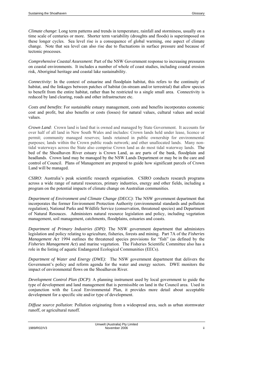*Climate change*: Long term patterns and trends in temperature, rainfall and storminess, usually on a time scale of centuries or more. Shorter term variability (droughts and floods) is superimposed on these longer cycles. Sea level rise is a consequence of global warming, one aspect of climate change. Note that sea level can also rise due to fluctuations in surface pressure and because of tectonic processes.

*Comprehensive Coastal Assessment*: Part of the NSW Government response to increasing pressures on coastal environments. It includes a number of whole of coast studies, including coastal erosion risk, Aboriginal heritage and coastal lake sustainability.

*Connectivity*: In the context of estuarine and floodplain habitat, this refers to the continuity of habitat, and the linkages between patches of habitat (in-stream and/or terrestrial) that allow species to benefit from the entire habitat, rather than be restricted to a single small area. Connectivity is reduced by land clearing, roads and other infrastructure etc.

*Costs and benefits*: For sustainable estuary management, costs and benefits incorporates economic cost and profit, but also benefits or costs (losses) for natural values, cultural values and social values.

*Crown Land*: Crown land is land that is owned and managed by State Government. It accounts for over half of all land in New South Wales and includes: Crown lands held under lease, licence or permit; community managed reserves; lands retained in public ownership for environmental purposes; lands within the Crown public roads network; and other unallocated lands. Many nontidal waterways across the State also comprise Crown land as do most tidal waterway lands. The bed of the Shoalhaven River estuary is Crown Land, as are parts of the bank, floodplain and headlands. Crown land may be managed by the NSW Lands Department or may be in the care and control of Council. Plans of Management are prepared to guide how significant parcels of Crown Land will be managed.

*CSIRO*: Australia's peak scientific research organisation. CSIRO conducts research programs across a wide range of natural resources, primary industries, energy and other fields, including a program on the potential impacts of climate change on Australian communities.

*Department of Environment and Climate Change (DECC)*: The NSW government department that incorporates the former Environment Protection Authority (environmental standards and pollution regulation), National Parks and Wildlife Service (conservation, threatened species) and Department of Natural Resouces. Administers natural resource legislation and policy, including vegetation management, soil management, catchments, floodplains, estuaries and coasts.

*Department of Primary Industries (DPI)*: The NSW government department that administers legislation and policy relating to agriculture, fisheries, forests and mining. Part 7A of the *Fisheries Management Act* 1994 outlines the threatened species provisions for "fish" (as defined by the *Fisheries Management Act*) and marine vegetation. The Fisheries Scientific Committee also has a role in the listing of aquatic Endangered Ecological Communities (EECs).

*Department of Water and Energy (DWE):* The NSW government department that delivers the Government's policy and reform agenda for the water and energy sectors. DWE monitors the impact of environmental flows on the Shoalhaven River.

*Development Control Plan (DCP)*: A planning instrument used by local government to guide the type of development and land management that is permissible on land in the Council area. Used in conjunction with the Local Environmental Plan, it provides more detail about acceptable development for a specific site and/or type of development.

*Diffuse source pollution*: Pollution originating from a widespread area, such as urban stormwater runoff, or agricultural runoff.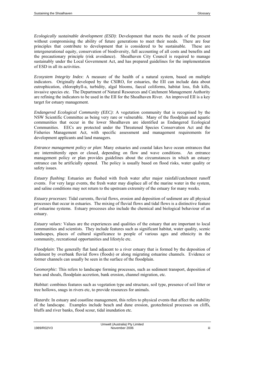*Ecologically sustainable development (ESD)*: Development that meets the needs of the present without compromising the ability of future generations to meet their needs. There are four principles that contribute to development that is considered to be sustainable. These are intergenerational equity, conservation of biodiversity, full accounting of all costs and benefits and the precautionary principle (risk avoidance). Shoalhaven City Council is required to manage sustainably under the Local Government Act, and has prepared guidelines for the implementation of ESD in all its activities.

*Ecosystem Integrity Index*: A measure of the health of a natural system, based on multiple indicators. Originally developed by the CSIRO, for estuaries, the EII can include data about eutrophication, chlorophyll-a, turbidity, algal blooms, faecal coliforms, habitat loss, fish kills, invasive species etc. The Department of Natural Resources and Catchment Management Authority are refining the indicators to be used in the EII for the Shoalhaven River. An improved EII is a key target for estuary management.

*Endangered Ecological Community (EEC)*: A vegetation community that is recognised by the NSW Scientific Committee as being very rare or vulnerable. Many of the floodplain and aquatic communities that occur in the lower Shoalhaven are identified as Endangered Ecological Communities. EECs are protected under the Threatened Species Conservation Act and the Fisheries Management Act, with specific assessment and management requirements for development applicants and land managers.

*Entrance management policy or plan*: Many estuaries and coastal lakes have ocean entrances that are intermittently open or closed, depending on flow and wave conditions. An entrance management policy or plan provides guidelines about the circumstances in which an estuary entrance can be artificially opened. The policy is usually based on flood risks, water quality or safety issues.

*Estuary flushing*: Estuaries are flushed with fresh water after major rainfall/catchment runoff events. For very large events, the fresh water may displace all of the marine water in the system, and saline conditions may not return to the upstream extremity of the estuary for many weeks.

*Estuary processes*: Tidal currents, fluvial flows, erosion and deposition of sediment are all physical processes that occur in estuaries. The mixing of fluvial flows and tidal flows is a distinctive feature of estuarine systems. Estuary processes also include the chemical and biological behaviour of an estuary.

*Estuary values:* Values are the experiences and qualities of the estuary that are important to local communities and scientists. They include features such as significant habitat, water quality, scenic landscapes, places of cultural significance to people of various ages and ethnicity in the community, recreational opportunities and lifestyle etc.

*Floodplain*: The generally flat land adjacent to a river estuary that is formed by the deposition of sediment by overbank fluvial flows (floods) or along migrating estuarine channels. Evidence or former channels can usually be seen in the surface of the floodplain.

*Geomorphic*: This refers to landscape forming processes, such as sediment transport, deposition of bars and shoals, floodplain accretion, bank erosion, channel migration, etc.

*Habitat*: combines features such as vegetation type and structure, soil type, presence of soil litter or tree hollows, snags in rivers etc, to provide resources for animals.

*Hazards*: In estuary and coastline management, this refers to physical events that affect the stability of the landscape. Examples include beach and dune erosion, geotechnical processes on cliffs, bluffs and river banks, flood scour, tidal inundation etc.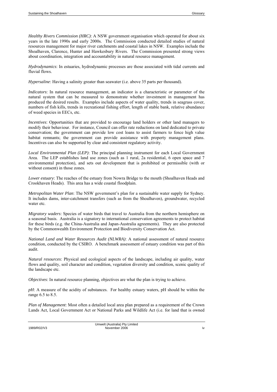*Healthy Rivers Commission (HRC)*: A NSW government organisation which operated for about six years in the late 1990s and early 2000s. The Commission conducted detailed studies of natural resources management for major river catchments and coastal lakes in NSW. Examples include the Shoalhaven, Clarence, Hunter and Hawkesbury Rivers. The Commission presented strong views about coordination, integration and accountability in natural resource management.

*Hydrodynamics*: In estuaries, hydrodynamic processes are those associated with tidal currents and fluvial flows.

*Hypersaline*: Having a salinity greater than seawater (i.e. above 35 parts per thousand).

*Indicators*: In natural resource management, an indicator is a characteristic or parameter of the natural system that can be measured to demonstrate whether investment in management has produced the desired results. Examples include aspects of water quality, trends in seagrass cover, numbers of fish kills, trends in recreational fishing effort, length of stable bank, relative abundance of weed species in EECs, etc.

*Incentives*: Opportunities that are provided to encourage land holders or other land managers to modify their behaviour. For instance, Council can offer rate reductions on land dedicated to private conservation; the government can provide low cost loans to assist farmers to fence high value habitat remnants; the government can provide assistance with property management plans. Incentives can also be supported by clear and consistent regulatory activity.

*Local Environmental Plan (LEP)*: The principal planning instrument for each Local Government Area. The LEP establishes land use zones (such as 1 rural, 2a residential, 6 open space and 7 environmental protection), and sets out development that is prohibited or permissible (with or without consent) in those zones.

*Lower estuary*: The reaches of the estuary from Nowra Bridge to the mouth (Shoalhaven Heads and Crookhaven Heads). This area has a wide coastal floodplain.

*Metropolitan Water Plan*: The NSW government's plan for a sustainable water supply for Sydney. It includes dams, inter-catchment transfers (such as from the Shoalhaven), groundwater, recycled water etc.

*Migratory waders*: Species of water birds that travel to Australia from the northern hemisphere on a seasonal basis. Australia is a signatory to international conservation agreements to protect habitat for these birds (e.g. the China-Australia and Japan-Australia agreements). They are also protected by the Commonwealth Environment Protection and Biodiversity Conservation Act.

*National Land and Water Resources Audit (NLWRA)*: A national assessment of natural resource condition, conducted by the CSIRO. A benchmark assessment of estuary condition was part of this audit.

*Natural resources*: Physical and ecological aspects of the landscape, including air quality, water flows and quality, soil character and condition, vegetation diversity and condition, scenic quality of the landscape etc.

*Objectives*: In natural resource planning, objectives are what the plan is trying to achieve.

*pH*: A measure of the acidity of substances. For healthy estuary waters, pH should be within the range 6.5 to 8.5.

*Plan of Management*: Most often a detailed local area plan prepared as a requirement of the Crown Lands Act, Local Government Act or National Parks and Wildlife Act (i.e. for land that is owned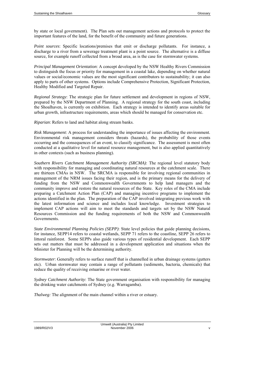by state or local government). The Plan sets out management actions and protocols to protect the important features of the land, for the benefit of the community and future generations.

*Point sources*: Specific locations/premises that emit or discharge pollutants. For instance, a discharge to a river from a sewerage treatment plant is a point source. The alternative is a diffuse source, for example runoff collected from a broad area, as is the case for stormwater systems.

*Principal Management Orientation*: A concept developed by the NSW Healthy Rivers Commission to distinguish the focus or priority for management in a coastal lake, depending on whether natural values or social/economic values are the most significant contributors to sustainability; it can also apply to parts of other systems. Options include Comprehensive Protection, Significant Protection, Healthy Modified and Targeted Repair.

*Regional Strategy*: The strategic plan for future settlement and development in regions of NSW, prepared by the NSW Department of Planning. A regional strategy for the south coast, including the Shoalhaven, is currently on exhibition. Each strategy is intended to identify areas suitable for urban growth, infrastructure requirements, areas which should be managed for conservation etc.

*Riparian*: Refers to land and habitat along stream banks.

*Risk Management*: A process for understanding the importance of issues affecting the environment. Environmental risk management considers threats (hazards), the probability of those events occurring and the consequences of an event, to classify significance. The assessment is most often conducted at a qualitative level for natural resource management, but is also applied quantitatively in other contexts (such as business planning).

*Southern Rivers Catchment Management Authority (SRCMA)*: The regional level statutory body with responsibility for managing and coordinating natural resources at the catchment scale. There are thirteen CMAs in NSW. The SRCMA is responsible for involving regional communities in management of the NRM issues facing their region, and is the primary means for the delivery of funding from the NSW and Commonwealth Governments to help land managers and the community improve and restore the natural resources of the State. Key roles of the CMA include preparing a Catchment Action Plan (CAP) and managing incentive programs to implement the actions identified in the plan. The preparation of the CAP involved integrating previous work with the latest information and science and includes local knowledge. Investment strategies to implement CAP actions will aim to meet the standards and targets set by the NSW Natural Resources Commission and the funding requirements of both the NSW and Commonwealth Governments.

*State Environmental Planning Policies (SEPP)*: State level policies that guide planning decisions, for instance, SEPP14 refers to coastal wetlands, SEPP 71 refers to the coastline, SEPP 26 refers to littoral rainforest. Some SEPPs also guide various types of residential development. Each SEPP sets out matters that must be addressed in a development application and situations when the Minister for Planning will be the determining authority.

*Stormwater*: Generally refers to surface runoff that is channelled in urban drainage systems (gutters etc). Urban stormwater may contain a range of pollutants (sediments, bacteria, chemicals) that reduce the quality of receiving estuarine or river water.

*Sydney Catchment Authority*: The State government organisation with responsibility for managing the drinking water catchments of Sydney (e.g. Warragamba).

*Thalweg:* The alignment of the main channel within a river or estuary.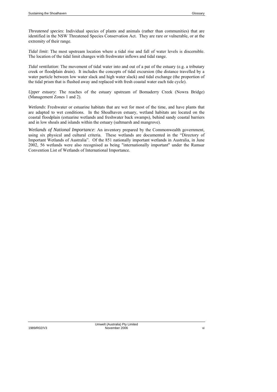*Threatened species*: Individual species of plants and animals (rather than communities) that are identified in the NSW Threatened Species Conservation Act. They are rare or vulnerable, or at the extremity of their range.

*Tidal limit*: The most upstream location where a tidal rise and fall of water levels is discernible. The location of the tidal limit changes with freshwater inflows and tidal range.

*Tidal ventilation*: The movement of tidal water into and out of a pat of the estuary (e.g. a tributary creek or floodplain drain). It includes the concepts of tidal excursion (the distance travelled by a water particle between low water slack and high water slack) and tidal exchange (the proportion of the tidal prism that is flushed away and replaced with fresh coastal water each tide cycle).

*Upper estuary*: The reaches of the estuary upstream of Bomaderry Creek (Nowra Bridge) (Management Zones 1 and 2).

*Wetlands*: Freshwater or estuarine habitats that are wet for most of the time, and have plants that are adapted to wet conditions. In the Shoalhaven estuary, wetland habitats are located on the coastal floodplain (estuarine wetlands and freshwater back swamps), behind sandy coastal barriers and in low shoals and islands within the estuary (saltmarsh and mangrove).

*Wetlands of National Importance*: An inventory prepared by the Commonwealth government, using six physical and cultural criteria. These wetlands are documented in the "Directory of Important Wetlands of Australia". Of the 851 nationally important wetlands in Australia, in June 2002, 56 wetlands were also recognised as being "internationally important" under the Ramsar Convention List of Wetlands of International Importance.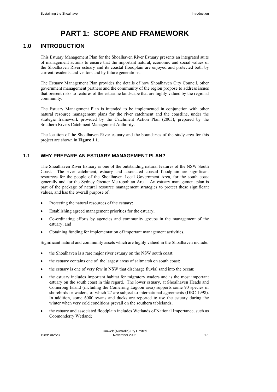# **PART 1: SCOPE AND FRAMEWORK**

# <span id="page-16-1"></span><span id="page-16-0"></span>**1.0 INTRODUCTION**

This Estuary Management Plan for the Shoalhaven River Estuary presents an integrated suite of management actions to ensure that the important natural, economic and social values of the Shoalhaven River estuary and its coastal floodplain are enjoyed and protected both by current residents and visitors and by future generations.

The Estuary Management Plan provides the details of how Shoalhaven City Council, other government management partners and the community of the region propose to address issues that present risks to features of the estuarine landscape that are highly valued by the regional community.

The Estuary Management Plan is intended to be implemented in conjunction with other natural resource management plans for the river catchment and the coastline, under the strategic framework provided by the Catchment Action Plan (2005), prepared by the Southern Rivers Catchment Management Authority.

The location of the Shoalhaven River estuary and the boundaries of the study area for this project are shown in **Figure 1.1**.

# <span id="page-16-2"></span>**1.1 WHY PREPARE AN ESTUARY MANAGEMENT PLAN?**

The Shoalhaven River Estuary is one of the outstanding natural features of the NSW South Coast. The river catchment, estuary and associated coastal floodplain are significant resources for the people of the Shoalhaven Local Government Area, for the south coast generally and for the Sydney Greater Metropolitan Area. An estuary management plan is part of the package of natural resource management strategies to protect these significant values, and has the overall purpose of:

- Protecting the natural resources of the estuary;
- Establishing agreed management priorities for the estuary;
- Co-ordinating efforts by agencies and community groups in the management of the estuary; and
- Obtaining funding for implementation of important management activities.

Significant natural and community assets which are highly valued in the Shoalhaven include:

- the Shoalhaven is a rare major river estuary on the NSW south coast;
- the estuary contains one of the largest areas of saltmarsh on south coast;
- the estuary is one of very few in NSW that discharge fluvial sand into the ocean;
- the estuary includes important habitat for migratory waders and is the most important estuary on the south coast in this regard. The lower estuary, at Shoalhaven Heads and Comerong Island (including the Comerong Lagoon area) supports some 90 species of shorebirds or waders, of which 27 are subject to international agreements (DEC 1998). In addition, some 6000 swans and ducks are reported to use the estuary during the winter when very cold conditions prevail on the southern tablelands;
- the estuary and associated floodplain includes Wetlands of National Importance, such as Coomonderry Wetland;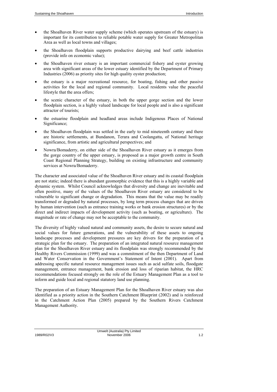- the Shoalhaven River water supply scheme (which operates upstream of the estuary) is important for its contribution to reliable potable water supply for Greater Metropolitan Area as well as local towns and villages;
- the Shoalhaven floodplain supports productive dairying and beef cattle industries (provide info on economic value);
- the Shoalhaven river estuary is an important commercial fishery and oyster growing area with significant areas of the lower estuary identified by the Department of Primary Industries (2006) as priority sites for high quality oyster production;
- the estuary is a major recreational resource, for boating, fishing and other passive activities for the local and regional community. Local residents value the peaceful lifestyle that the area offers;
- the scenic character of the estuary, in both the upper gorge section and the lower floodplain section, is a highly valued landscape for local people and is also a significant attractor of tourists;
- the estuarine floodplain and headland areas include Indigenous Places of National Significance;
- the Shoalhaven floodplain was settled in the early to mid nineteenth century and there are historic settlements, at Bundanon, Terara and Coolangatta, of National heritage significance, from artistic and agricultural perspectives; and
- Nowra/Bomaderry, on either side of the Shoalhaven River estuary as it emerges from the gorge country of the upper estuary, is proposed as a major growth centre in South Coast Regional Planning Strategy, building on existing infrastructure and community services at Nowra/Bomaderry.

The character and associated value of the Shoalhaven River estuary and its coastal floodplain are not static; indeed there is abundant geomorphic evidence that this is a highly variable and dynamic system. Whilst Council acknowledges that diversity and change are inevitable and often positive, many of the values of the Shoalhaven River estuary are considered to be vulnerable to significant change or degradation. This means that the value may be readily transformed or degraded by natural processes, by long term process changes that are driven by human intervention (such as entrance training works or bank erosion structures) or by the direct and indirect impacts of development activity (such as boating, or agriculture). The magnitude or rate of change may not be acceptable to the community.

The diversity of highly valued natural and community assets, the desire to secure natural and social values for future generations, and the vulnerability of these assets to ongoing landscape processes and development pressures are key drivers for the preparation of a strategic plan for the estuary. The preparation of an integrated natural resource management plan for the Shoalhaven River estuary and its floodplain was strongly recommended by the Healthy Rivers Commission (1999) and was a commitment of the then Department of Land and Water Conservation in the Government's Statement of Intent (2001). Apart from addressing specific natural resource management issues such as acid sulfate soils, floodgate management, entrance management, bank erosion and loss of riparian habitat, the HRC recommendations focused strongly on the role of the Estuary Management Plan as a tool to inform and guide local and regional statutory land use planning.

The preparation of an Estuary Management Plan for the Shoalhaven River estuary was also identified as a priority action in the Southern Catchment Blueprint (2002) and is reinforced in the Catchment Action Plan (2005) prepared by the Southern Rivers Catchment Management Authority.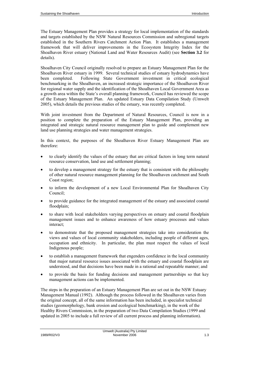The Estuary Management Plan provides a strategy for local implementation of the standards and targets established by the NSW Natural Resources Commission and subregional targets established in the Southern Rivers Catchment Action Plan. It establishes a management framework that will deliver improvements in the Ecosystem Integrity Index for the Shoalhaven River estuary (National Land and Water Resources Audit) (see **Section 3.2** for details).

Shoalhaven City Council originally resolved to prepare an Estuary Management Plan for the Shoalhaven River estuary in 1999. Several technical studies of estuary hydrodynamics have been completed. Following State Government investment in critical ecological benchmarking in the Shoalhaven, an increased strategic importance of the Shoalhaven River for regional water supply and the identification of the Shoalhaven Local Government Area as a growth area within the State's overall planning framework, Council has reviewed the scope of the Estuary Management Plan. An updated Estuary Data Compilation Study (Umwelt 2005), which details the previous studies of the estuary, was recently completed.

With joint investment from the Department of Natural Resources, Council is now in a position to complete the preparation of the Estuary Management Plan, providing an integrated and strategic natural resource management plan to guide and complement new land use planning strategies and water management strategies.

In this context, the purposes of the Shoalhaven River Estuary Management Plan are therefore:

- to clearly identify the values of the estuary that are critical factors in long term natural resource conservation, land use and settlement planning;
- to develop a management strategy for the estuary that is consistent with the philosophy of other natural resource management planning for the Shoalhaven catchment and South Coast region;
- to inform the development of a new Local Environmental Plan for Shoalhaven City Council;
- to provide guidance for the integrated management of the estuary and associated coastal floodplain;
- to share with local stakeholders varying perspectives on estuary and coastal floodplain management issues and to enhance awareness of how estuary processes and values interact;
- to demonstrate that the proposed management strategies take into consideration the views and values of local community stakeholders, including people of different ages, occupation and ethnicity. In particular, the plan must respect the values of local Indigenous people;
- to establish a management framework that engenders confidence in the local community that major natural resource issues associated with the estuary and coastal floodplain are understood, and that decisions have been made in a rational and repeatable manner; and
- to provide the basis for funding decisions and management partnerships so that key management actions can be implemented.

The steps in the preparation of an Estuary Management Plan are set out in the NSW Estuary Management Manual (1992). Although the process followed in the Shoalhaven varies from the original concept, all of the same information has been included, in specialist technical studies (geomorphology, bank erosion and ecological benchmarking), in the work of the Healthy Rivers Commission, in the preparation of two Data Compilation Studies (1999 and updated in 2005 to include a full review of all current process and planning information).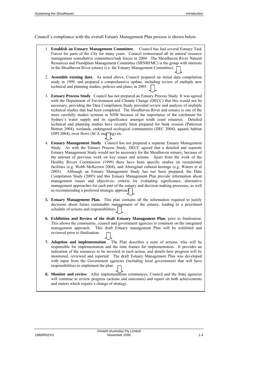Council's compliance with the overall Estuary Management Plan process is shown below.

- 1. **Establish an Estuary Management Committee**. Council has had several Estuary Task Forces for parts of the City for many years. Council restructured all its natural resource management consultative committees/task forces in 2004. The Shoalhaven River Natural Resources and Floodplain Management Committee (SRNRFMC) is the group with interests in the Shoalhaven River estuary (i.e. the Estuary Management Committee).
- 2. **Assemble existing data**. As noted above, Council prepared an initial data compilation study in 1999, and prepared a comprehensive update, including review of multiple new technical and planning studies, policies and plans, in 2005.
- 3. **Estuary Process Study**. Council has not prepared an Estuary Process Study. It was agreed with the Department of Environment and Climate Change (DECC) that this would not be necessary, providing the Data Compilation Study provided review and analysis of multiple technical studies that had been completed. The Shoalhaven River and estuary is one of the more carefully studies systems in NSW because of the importance of the catchment for Sydney's water supply and its significance amongst south coast estuaries. Detailed technical and planning studies have recently been prepared for bank erosion (Patterson Britton 2004), wetlands, endangered ecological communities (DEC 2004), aquatic habitat (DPI 2004), river flows (SCA ong $\overline{\phantom{a}}$ ng) etc.
- 4. **Estuary Management Study**. Council has not prepared a separate Estuary Management Study. As with the Estuary Process Study, DECC agreed that a detailed and separate Estuary Management Study would not be necessary for the Shoalhaven estuary, because of the amount of previous work on key issues and actions. Apart from the work of the Healthy Rivers Commission (1999) there have been specific studies on recreational facilities (e.g. Webb McKeown 2004), and Aboriginal cultural heritage (e.g. Waters et al 2005). Although an Estuary Management Study has not been prepared, the Data Compilation Study (2005) and this Estuary Management Plan provide information about management issues and objectives; criteria for evaluating significance, alternative management approaches for each part of the estuary and decision making processes, as well as recommending a preferred strategic approacher
- **5. Estuary Management Plan.** This plan contains all the information required to justify decisions about future sustainable management of the estuary, leading to a prioritised schedule of actions and responsibilities.
- **6. Exhibition and Review of the draft Estuary Management Plan**, prior to finalisation. This allows the community, council and government agencies to comment on the integrated management approach. This draft Estuary management Plan will be exhibited and reviewed prior to finalisation.
- **7. Adoption and implementation**. The Plan describes a suite of actions, who will be responsible for implementation and the time frames for implementation. It provides an indication of the resources to be invested in each action, and details how progress will be monitored, reviewed and reported. The draft Estuary Management Plan was developed with input from the Government agencies (including local government) that will have responsibilities to implement the plan.
- **8. Monitor and review**. After implementation commences, Council and the State agencies will continue to review progress (actions and outcomes) and report on both achievements and maters which require a change of strategy.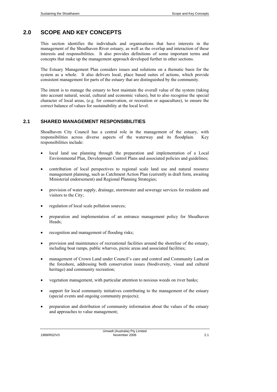# <span id="page-20-0"></span>**2.0 SCOPE AND KEY CONCEPTS**

This section identifies the individuals and organisations that have interests in the management of the Shoalhaven River estuary, as well as the overlap and interaction of these interests and responsibilities. It also provides definitions of some important terms and concepts that make up the management approach developed further in other sections.

The Estuary Management Plan considers issues and solutions on a thematic basis for the system as a whole. It also delivers local, place based suites of actions, which provide consistent management for parts of the estuary that are distinguished by the community.

The intent is to manage the estuary to best maintain the overall value of the system (taking into account natural, social, cultural and economic values), but to also recognise the special character of local areas, (e.g. for conservation, or recreation or aquaculture), to ensure the correct balance of values for sustainability at the local level.

## <span id="page-20-1"></span>**2.1 SHARED MANAGEMENT RESPONSIBILITIES**

Shoalhaven City Council has a central role in the management of the estuary, with responsibilities across diverse aspects of the waterway and its floodplain. Key responsibilities include:

- local land use planning through the preparation and implementation of a Local Environmental Plan, Development Control Plans and associated policies and guidelines;
- contribution of local perspectives to regional scale land use and natural resource management planning, such as Catchment Action Plan (currently in draft form, awaiting Ministerial endorsement) and Regional Planning Strategies;
- provision of water supply, drainage, stormwater and sewerage services for residents and visitors to the City;
- regulation of local scale pollution sources;
- preparation and implementation of an entrance management policy for Shoalhaven Heads;
- recognition and management of flooding risks;
- provision and maintenance of recreational facilities around the shoreline of the estuary, including boat ramps, public wharves, picnic areas and associated facilities;
- management of Crown Land under Council's care and control and Community Land on the foreshore, addressing both conservation issues (biodiversity, visual and cultural heritage) and community recreation;
- vegetation management, with particular attention to noxious weeds on river banks;
- support for local community initiatives contributing to the management of the estuary (special events and ongoing community projects);
- preparation and distribution of community information about the values of the estuary and approaches to value management;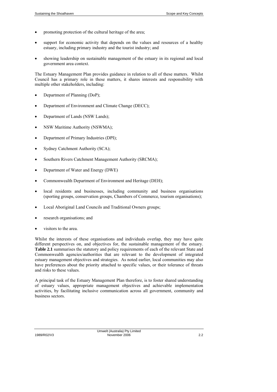- promoting protection of the cultural heritage of the area;
- support for economic activity that depends on the values and resources of a healthy estuary, including primary industry and the tourist industry; and
- showing leadership on sustainable management of the estuary in its regional and local government area context.

The Estuary Management Plan provides guidance in relation to all of these matters. Whilst Council has a primary role in these matters, it shares interests and responsibility with multiple other stakeholders, including:

- Department of Planning (DoP);
- Department of Environment and Climate Change (DECC);
- Department of Lands (NSW Lands);
- NSW Maritime Authority (NSWMA);
- Department of Primary Industries (DPI);
- Sydney Catchment Authority (SCA);
- Southern Rivers Catchment Management Authority (SRCMA);
- Department of Water and Energy (DWE)
- Commonwealth Department of Environment and Heritage (DEH);
- local residents and businesses, including community and business organisations (sporting groups, conservation groups, Chambers of Commerce, tourism organisations);
- Local Aboriginal Land Councils and Traditional Owners groups;
- research organisations; and
- visitors to the area.

Whilst the interests of these organisations and individuals overlap, they may have quite different perspectives on, and objectives for, the sustainable management of the estuary. **Table 2.1** summarises the statutory and policy requirements of each of the relevant State and Commonwealth agencies/authorities that are relevant to the development of integrated estuary management objectives and strategies. As noted earlier, local communities may also have preferences about the priority attached to specific values, or their tolerance of threats and risks to these values.

A principal task of the Estuary Management Plan therefore, is to foster shared understanding of estuary values, appropriate management objectives and achievable implementation activities, by facilitating inclusive communication across all government, community and business sectors.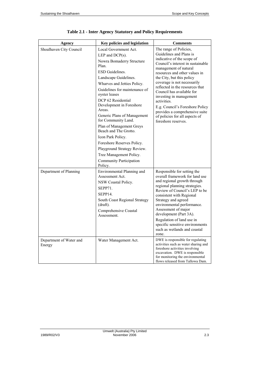| Agency                            | Key policies and legislation                                                                                                                                                                                                                                                                                                                                                                                                                                                                                                         | <b>Comments</b>                                                                                                                                                                                                                                                                                                                                                                                                                                                                    |
|-----------------------------------|--------------------------------------------------------------------------------------------------------------------------------------------------------------------------------------------------------------------------------------------------------------------------------------------------------------------------------------------------------------------------------------------------------------------------------------------------------------------------------------------------------------------------------------|------------------------------------------------------------------------------------------------------------------------------------------------------------------------------------------------------------------------------------------------------------------------------------------------------------------------------------------------------------------------------------------------------------------------------------------------------------------------------------|
| Shoalhaven City Council           | Local Government Act.<br>LEP and $DCP(s)$ .<br>Nowra Bomaderry Structure<br>Plan.<br><b>ESD</b> Guidelines.<br>Landscape Guidelines.<br>Wharves and Jetties Policy.<br>Guidelines for maintenance of<br>oyster leases<br>DCP 62 Residential<br>Development in Foreshore<br>Areas.<br>Generic Plans of Management<br>for Community Land.<br>Plan of Management Greys<br>Beach and The Grotto.<br>Icon Park Policy.<br>Foreshore Reserves Policy.<br>Playground Strategy Review.<br>Tree Management Policy.<br>Community Participation | The range of Policies,<br>Guidelines and Plans is<br>indicative of the scope of<br>Council's interest in sustainable<br>management of natural<br>resources and other values in<br>the City, but this policy<br>coverage is not necessarily<br>reflected in the resources that<br>Council has available for<br>investing in management<br>activities.<br>E.g. Council's Foreshore Policy<br>provides a comprehensive suite<br>of policies for all aspects of<br>foreshore reserves. |
| Department of Planning            | Policy.<br>Environmental Planning and<br>Assessment Act.<br>NSW Coastal Policy.<br>SEPP71.<br>SEPP14.<br>South Coast Regional Strategy<br>$draff$ ).<br>Comprehensive Coastal<br>Assessment.                                                                                                                                                                                                                                                                                                                                         | Responsible for setting the<br>overall framework for land use<br>and regional growth through<br>regional planning strategies.<br>Review of Council's LEP to be<br>consistent with Regional<br>Strategy and agreed<br>environmental performance.<br>Assessment of major<br>development (Part 3A).<br>Regulation of land use in<br>specific sensitive environments<br>such as wetlands and coastal<br>zone.                                                                          |
| Department of Water and<br>Energy | Water Management Act.                                                                                                                                                                                                                                                                                                                                                                                                                                                                                                                | DWE is responsible for regulating<br>activities such as water sharing and<br>foreshore activities involving<br>excavation. DWE is responsible<br>for monitoring the environmental<br>flows released from Tallowa Dam.                                                                                                                                                                                                                                                              |

**Table 2.1 - Inter Agency Statutory and Policy Requirements**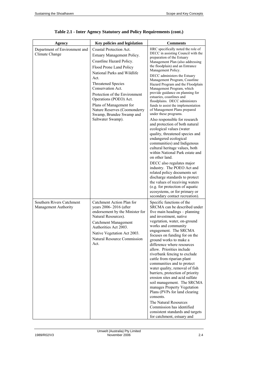| Agency                                            | Key policies and legislation                                                                                                                                                                                                                                                                                                                                          | Comments                                                                                                                                                                                                                                                                                                                                                                                                                                                                                                                                                                                                                                                                                                                                                                                                                                                                                                                                                                                                                                                                                      |
|---------------------------------------------------|-----------------------------------------------------------------------------------------------------------------------------------------------------------------------------------------------------------------------------------------------------------------------------------------------------------------------------------------------------------------------|-----------------------------------------------------------------------------------------------------------------------------------------------------------------------------------------------------------------------------------------------------------------------------------------------------------------------------------------------------------------------------------------------------------------------------------------------------------------------------------------------------------------------------------------------------------------------------------------------------------------------------------------------------------------------------------------------------------------------------------------------------------------------------------------------------------------------------------------------------------------------------------------------------------------------------------------------------------------------------------------------------------------------------------------------------------------------------------------------|
| Department of Environment and<br>Climate Change   | Coastal Protection Act.<br>Estuary Management Policy.<br>Coastline Hazard Policy.<br>Flood Prone Land Policy<br>National Parks and Wildlife<br>Act.<br>Threatened Species<br>Conservation Act.<br>Protection of the Environment<br>Operations (POEO) Act.<br>Plans of Management for<br>Nature Reserves (Coomonderry<br>Swamp, Brundee Swamp and<br>Saltwater Swamp). | HRC specifically noted the role of<br>DECC in assisting Council with the<br>preparation of the Estuary<br>Management Plan (also addressing<br>the floodplain) and an Entrance<br>Management Policy.<br>DECC administers the Estuary<br>Management Program, Coastline<br>Hazard Program and the Floodplain<br>Management Program, which<br>provide guidance on planning for<br>estuaries, coastlines and<br>floodplains. DECC administers<br>funds to assist the implementation<br>of Management Plans prepared<br>under these programs.<br>Also responsible for research<br>and protection of both natural<br>ecological values (water<br>quality, threatened species and<br>endangered ecological<br>communities) and Indigenous<br>cultural heritage values, both<br>within National Park estate and<br>on other land.<br>DECC also regulates major<br>industry. The POEO Act and<br>related policy documents set<br>discharge standards to protect<br>the values of receiving waters<br>(e.g. for protection of aquatic<br>ecosystems, or for primary or<br>secondary contact recreation). |
| Southern Rivers Catchment<br>Management Authority | Catchment Action Plan for<br>years 2006-2016 (after<br>endorsement by the Minister for<br>Natural Resources).<br>Catchment Management<br>Authorities Act 2003.<br>Native Vegetation Act 2003.<br>Natural Resource Commission<br>Act.                                                                                                                                  | Specific functions of the<br>SRCMA can be described under<br>five main headings – planning<br>and investment, native<br>vegetation, water, on-ground<br>works and community<br>engagement. The SRCMA<br>focuses on funding for on the<br>ground works to make a<br>difference where resources<br>allow. Priorities include<br>riverbank fencing to exclude<br>cattle from riparian plant<br>communities and to protect<br>water quality, removal of fish<br>barriers, protection of priority<br>erosion sites and acid sulfate<br>soil management. The SRCMA<br>manages Property Vegetation<br>Plans (PVPs for land clearing<br>consents.<br>The Natural Resources<br>Commission has identified<br>consistent standards and targets<br>for catchment, estuary and                                                                                                                                                                                                                                                                                                                             |

# **Table 2.1 - Inter Agency Statutory and Policy Requirements (cont.)**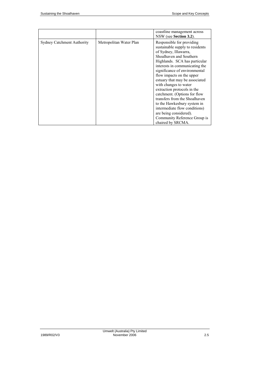|                                   |                         | coastline management across<br>NSW (see Section 3.2).                                                                                                                                                                                                                                                                                                                                                                                                                                                                                                       |
|-----------------------------------|-------------------------|-------------------------------------------------------------------------------------------------------------------------------------------------------------------------------------------------------------------------------------------------------------------------------------------------------------------------------------------------------------------------------------------------------------------------------------------------------------------------------------------------------------------------------------------------------------|
| <b>Sydney Catchment Authority</b> | Metropolitan Water Plan | Responsible for providing<br>sustainable supply to residents<br>of Sydney, Illawarra,<br>Shoalhaven and Southern<br>Highlands. SCA has particular<br>interests in communicating the<br>significance of environmental<br>flow impacts on the upper<br>estuary that may be associated<br>with changes to water<br>extraction protocols in the<br>catchment. (Options for flow<br>transfers from the Shoalhaven<br>to the Hawkesbury system in<br>intermediate flow conditions)<br>are being considered).<br>Community Reference Group is<br>chaired by SRCMA. |

Umwelt (Australia) Pty Limited 1989/R02/V3 November 2006 2.5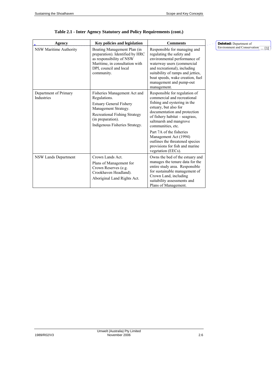| Agency                              | <b>Key policies and legislation</b>                                                                                                                                                            | <b>Comments</b>                                                                                                                                                                                                                                                                                                                                                                        | Deleted: Department of             |
|-------------------------------------|------------------------------------------------------------------------------------------------------------------------------------------------------------------------------------------------|----------------------------------------------------------------------------------------------------------------------------------------------------------------------------------------------------------------------------------------------------------------------------------------------------------------------------------------------------------------------------------------|------------------------------------|
| NSW Maritime Authority              | Boating Management Plan (in<br>preparation). Identified by HRC<br>as responsibility of NSW<br>Maritime, in consultation with<br>DPI, council and local<br>community.                           | Responsible for managing and<br>regulating the safety and<br>environmental performance of<br>waterway users (commercial<br>and recreational), including<br>suitability of ramps and jetties.<br>boat speeds, wake creation, fuel<br>management and pump-out<br>management.                                                                                                             | Environment and Conservation [ [1] |
| Department of Primary<br>Industries | Fisheries Management Act and<br>Regulations.<br><b>Estuary General Fishery</b><br>Management Strategy.<br>Recreational Fishing Strategy<br>(in preparation).<br>Indigenous Fisheries Strategy. | Responsible for regulation of<br>commercial and recreational<br>fishing and oystering in the<br>estuary, but also for<br>documentation and protection<br>of fishery habitat – seagrass,<br>saltmarsh and mangrove<br>communities, etc.<br>Part 7A of the fisheries<br>Management Act (1994)<br>outlines the threatened species<br>provisions for fish and marine<br>vegetation (EECs). |                                    |
| NSW Lands Department                | Crown Lands Act.<br>Plans of Management for<br>Crown Reserves (e.g.<br>Crookhaven Headland).<br>Aboriginal Land Rights Act.                                                                    | Owns the bed of the estuary and<br>manages the tenure data for the<br>entire study area. Responsible<br>for sustainable management of<br>Crown Land, including<br>suitability assessments and<br>Plans of Management.                                                                                                                                                                  |                                    |

**Table 2.1 - Inter Agency Statutory and Policy Requirements (cont.)**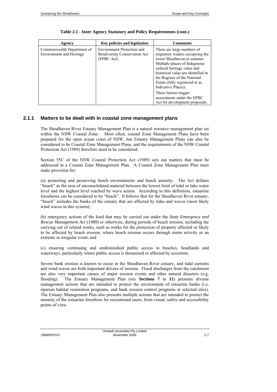| Agency                                                        | <b>Key policies and legislation</b>                                               | <b>Comments</b>                                                                                                                                                                                                                                                                            |
|---------------------------------------------------------------|-----------------------------------------------------------------------------------|--------------------------------------------------------------------------------------------------------------------------------------------------------------------------------------------------------------------------------------------------------------------------------------------|
| Commonwealth Department of<br><b>Environment</b> and Heritage | Environment Protection and<br><b>Biodiversity Conservation Act</b><br>(EPBC Act). | There are large numbers of<br>migratory waders occupying the<br>lower Shoalhaven in summer.<br>Multiple places of Indigenous<br>cultural heritage value and<br>historical value are identified in<br>the Register of the National<br>Estate (fully registered or as<br>Indicative Places). |
|                                                               |                                                                                   | These factors trigger<br>assessments under the EPBC<br>Act for development proposals.                                                                                                                                                                                                      |

#### <span id="page-26-0"></span>**2.1.1 Matters to be dealt with in coastal zone management plans**

The Shoalhaven River Estuary Management Plan is a natural resource management plan set within the NSW Coastal Zone. Most often, coastal Zone Management Plans have been prepared for the open ocean coast of NSW, but Estuary Management Plans can also be considered to be Coastal Zone Management Plans, and the requirements of the NSW Coastal Protection Act (1989) therefore need to be considered.

Section 55C of the NSW Coastal Protection Act (1989) sets out matters that must be addressed in a Coastal Zone Management Plan. A Coastal Zone Management Plan must make provision for:

(a) protecting and preserving beach environments and beach amenity. The Act defines "beach" as the area of unconsolidated material between the lowest limit of tidal or lake water level and the highest level reached by wave action. According to this definition, estuarine foreshores can be considered to be "beach". It follows that for the Shoalhaven River estuary, "beach" includes the banks of the estuary that are affected by tides and waves (most likely wind waves in this system);

(b) emergency actions of the kind that may be carried out under the *State Emergency and Rescue Management Act (1989)* or otherwise, during periods of beach erosion, including the carrying out of related works, such as works for the protection of property affected or likely to be affected by beach erosion, where beach erosion occurs through storm activity or an extreme or irregular event; and

(c) ensuring continuing and undiminished public access to beaches, headlands and waterways, particularly where public access is threatened or affected by accretion.

Severe bank erosion is known to occur in the Shoalhaven River estuary, and tidal currents and wind waves are both important drivers of erosion. Flood discharges from the catchment are also very important causes of major erosion events and other natural disasters (e.g. flooding). The Estuary Management Plan (see **Sections 7** to **11**) presents diverse management actions that are intended to protect the environment of estuarine banks (i.e. riparian habitat restoration programs, and bank erosion control programs at selected sites). The Estuary Management Plan also presents multiple actions that are intended to protect the amenity of the estuarine foreshore for recreational users, from visual, safety and accessibility points of view.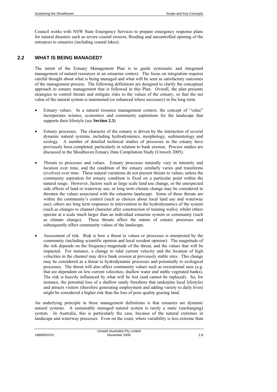Council works with NSW State Emergency Services to prepare emergency response plans for natural disasters such as severe coastal erosion, flooding and uncontrolled opening of the entrances to estuaries (including coastal lakes).

### <span id="page-27-0"></span>**2.2 WHAT IS BEING MANAGED?**

The intent of the Estuary Management Plan is to guide systematic and integrated management of natural resources in an estuarine context. The focus on integration requires careful thought about what is being managed and what will be seen as satisfactory outcomes of the management process. The following definitions are designed to clarify the conceptual approach to estuary management that is followed in this Plan. Overall, the plan presents strategies to control threats and mitigate risks to the values of the estuary, so that the net value of the natural system is maintained (or enhanced where necessary) in the long term.

- Estuary values. In a natural resource management context, the concept of "value" incorporates science, economics and community aspirations for the landscape that supports their lifestyle (see **Section 2.3**).
- Estuary processes. The character of the estuary is driven by the interaction of several dynamic natural systems, including hydrodynamics, morphology, sedimentology and ecology. A number of detailed technical studies of processes in the estuary have previously been completed, particularly in relation to bank erosion. Process studies are discussed in the Shoalhaven Estuary Data Compilation Study (Umwelt 2005).
- Threats to processes and values. Estuary processes naturally vary in intensity and location over time, and the condition of the estuary similarly varies and transforms (evolves) over time. These natural variations do not present threats to values, unless the community aspiration for estuary condition is fixed on a particular point within the natural range. However, factors such as large scale land use change, or the unexpected side effects of land or waterway use, or long term climate change may be considered to threaten the values associated with the estuarine landscape. Some of these threats are within the community's control (such as choices about local land use and waterway use); others are long term responses to intervention in the hydrodynamics of the system (such as changes to channel character after construction of training walls); whilst others operate at a scale much larger than an individual estuarine system or community (such as climate change). These threats affect the nature of estuary processes and subsequently affect community values of the landscape.
- Assessment of risk. Risk is how a threat to values or processes is interpreted by the community (including scientific opinion and local resident opinion). The magnitude of the risk depends on the frequency/magnitude of the threat, and the values that will be impacted. For instance, a change to tidal current velocity and the location of high velocities in the channel may drive bank erosion at previously stable sites. This change may be considered as a threat to hydrodynamic processes and potentially to ecological processes. The threat will also affect community values such as recreational uses (e.g. that are dependent on low current velocities, shallow water and stable vegetated banks). The risk is heavily influenced by what will be lost (and cannot be replaced). So, for instance, the potential loss of a shallow sandy foreshore that underpins local lifestyles and attracts visitors (therefore generating employment and adding variety to daily lives) might be considered a higher risk than the loss of poor quality grazing land.

An underlying principle in these management definitions is that estuaries are dynamic natural systems. A sustainably managed natural system is rarely a static (unchanging) system. In Australia, this is particularly the case, because of the natural extremes in landscape and waterway processes. Even on the coast, where variability is less extreme than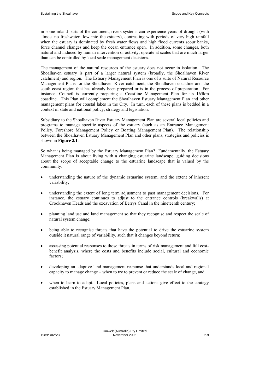in some inland parts of the continent, rivers systems can experience years of drought (with almost no freshwater flow into the estuary), contrasting with periods of very high rainfall when the estuary is dominated by fresh water flows and high flood currents scour banks, force channel changes and keep the ocean entrance open. In addition, some changes, both natural and induced by human intervention or activity, operate at scales that are much larger than can be controlled by local scale management decisions.

The management of the natural resources of the estuary does not occur in isolation. The Shoalhaven estuary is part of a larger natural system (broadly, the Shoalhaven River catchment) and region. The Estuary Management Plan is one of a suite of Natural Resource Management Plans for the Shoalhaven River catchment, the Shoalhaven coastline and the south coast region that has already been prepared or is in the process of preparation. For instance, Council is currently preparing a Coastline Management Plan for its 165km coastline. This Plan will complement the Shoalhaven Estuary Management Plan and other management plans for coastal lakes in the City. In turn, each of these plans is bedded in a context of state and national policy, strategy and legislation.

Subsidiary to the Shoalhaven River Estuary Management Plan are several local policies and programs to manage specific aspects of the estuary (such as an Entrance Management Policy, Foreshore Management Policy or Boating Management Plan). The relationship between the Shoalhaven Estuary Management Plan and other plans, strategies and policies is shown in **Figure 2.1**.

So what is being managed by the Estuary Management Plan? Fundamentally, the Estuary Management Plan is about living with a changing estuarine landscape, guiding decisions about the scope of acceptable change to the estuarine landscape that is valued by the community:

- understanding the nature of the dynamic estuarine system, and the extent of inherent variability;
- understanding the extent of long term adjustment to past management decisions. For instance, the estuary continues to adjust to the entrance controls (breakwalls) at Crookhaven Heads and the excavation of Berrys Canal in the nineteenth century;
- planning land use and land management so that they recognise and respect the scale of natural system change;
- being able to recognise threats that have the potential to drive the estuarine system outside it natural range of variability, such that it changes beyond return;
- assessing potential responses to those threats in terms of risk management and full costbenefit analysis, where the costs and benefits include social, cultural and economic factors;
- developing an adaptive land management response that understands local and regional capacity to manage change – when to try to prevent or reduce the scale of change, and
- when to learn to adapt. Local policies, plans and actions give effect to the strategy established in the Estuary Management Plan.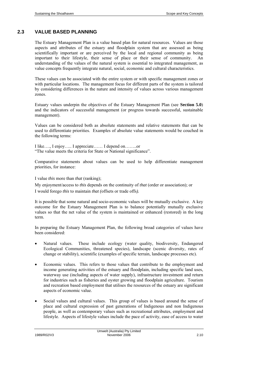### <span id="page-29-0"></span>**2.3 VALUE BASED PLANNING**

The Estuary Management Plan is a value based plan for natural resources. Values are those aspects and attributes of the estuary and floodplain system that are assessed as being scientifically important or are perceived by the local and regional community as being important to their lifestyle, their sense of place or their sense of community. An understanding of the values of the natural system is essential to integrated management, as value concepts frequently integrate natural, social, economic and cultural characteristics.

These values can be associated with the entire system or with specific management zones or with particular locations. The management focus for different parts of the system is tailored by considering differences in the nature and intensity of values across various management zones.

Estuary values underpin the objectives of the Estuary Management Plan (see **Section 5.0**) and the indicators of successful management (or progress towards successful, sustainable management).

Values can be considered both as absolute statements and relative statements that can be used to differentiate priorities. Examples of absolute value statements would be couched in the following terms:

I like…., I enjoy….. I appreciate…… I depend on……..or "The value meets the criteria for State or National significance".

Comparative statements about values can be used to help differentiate management priorities, for instance:

I value *this* more than *that* (ranking);

My enjoyment/access to *this* depends on the continuity of *that* (order or association); or I would forego *this* to maintain *that (*offsets or trade offs*).*

It is possible that some natural and socio-economic values will be mutually exclusive. A key outcome for the Estuary Management Plan is to balance potentially mutually exclusive values so that the net value of the system is maintained or enhanced (restored) in the long term.

In preparing the Estuary Management Plan, the following broad categories of values have been considered:

- Natural values. These include ecology (water quality, biodiversity, Endangered Ecological Communities, threatened species), landscape (scenic diversity, rates of change or stability), scientific (examples of specific terrain, landscape processes etc).
- Economic values. This refers to those values that contribute to the employment and income generating activities of the estuary and floodplain, including specific land uses, waterway use (including aspects of water supply), infrastructure investment and return for industries such as fisheries and oyster growing and floodplain agriculture. Tourism and recreation based employment that utilises the resources of the estuary are significant aspects of economic value.
- Social values and cultural values. This group of values is based around the sense of place and cultural expression of past generations of Indigenous and non Indigenous people, as well as contemporary values such as recreational attributes, employment and lifestyle. Aspects of lifestyle values include the pace of activity, ease of access to water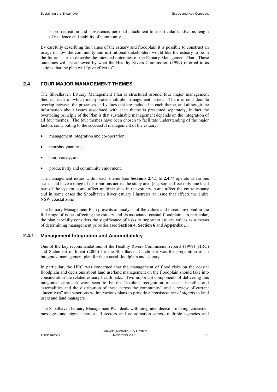based recreation and subsistence, personal attachment to a particular landscape, length of residence and stability of community.

By carefully describing the values of the estuary and floodplain it is possible to construct an image of how the community and institutional stakeholders would like the estuary to be in the future  $-$  i.e. to describe the intended outcomes of the Estuary Management Plan. These outcomes will be achieved by what the Healthy Rivers Commission (1999) referred to as actions that the plan will "give effect to".

### <span id="page-30-0"></span>**2.4 FOUR MAJOR MANAGEMENT THEMES**

The Shoalhaven Estuary Management Plan is structured around four major management themes, each of which incorporates multiple management issues. There is considerable overlap between the processes and values that are included in each theme, and although the information about issues associated with each theme is presented separately, in fact the overriding principle of the Plan is that sustainable management depends on the integration of all four themes. The four themes have been chosen to facilitate understanding of the major factors contributing to the successful management of the estuary:

- management integration and co-operation;
- morphodynamics;
- biodiversity; and
- productivity and community enjoyment.

The management issues within each theme (see **Sections 2.4.1** to **2.4.4**) operate at various scales and have a range of distributions across the study area (e.g. some affect only one local part of the system, some affect multiple sites in the estuary, some affect the entire estuary and in some cases the Shoalhaven River estuary illustrates an issue that affects the entire NSW coastal zone).

The Estuary Management Plan presents an analysis of the values and threats involved in the full range of issues affecting the estuary and its associated coastal floodplain. In particular, the plan carefully considers the significance of risks to important estuary values as a means of determining management priorities (see **Section 4**, **Section 6** and **Appendix 1**).

### <span id="page-30-1"></span>**2.4.1 Management Integration and Accountability**

One of the key recommendations of the Healthy Rivers Commission reports (1999) (HRC) and Statement of Intent (2000) for the Shoalhaven Catchment was the preparation of an integrated management plan for the coastal floodplain and estuary.

In particular, the HRC was concerned that the management of flood risks on the coastal floodplain and decisions about land use/land management on the floodplain should take into consideration the related estuary health risks. Two important components of delivering this integrated approach were seen to be the "explicit recognition of costs, benefits and externalities and the distribution of these across the community" and a review of current "incentives" and sanctions within various plans to provide a *consistent set of signals* to land users and land managers.

The Shoalhaven Estuary Management Plan deals with integrated decision making, consistent messages and signals across all sectors and coordination across multiple agencies and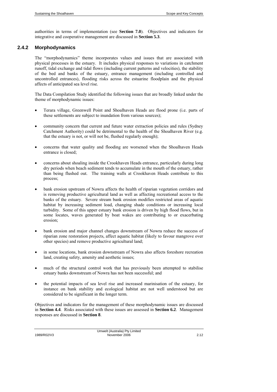authorities in terms of implementation (see **Section 7.0**). Objectives and indicators for integrative and cooperative management are discussed in **Section 5.3**.

### <span id="page-31-0"></span>**2.4.2 Morphodynamics**

The "morphodynamics" theme incorporates values and issues that are associated with physical processes in the estuary. It includes physical responses to variations in catchment runoff, tidal exchange and tidal flows (including current patterns and velocities), the stability of the bed and banks of the estuary, entrance management (including controlled and uncontrolled entrances), flooding risks across the estuarine floodplain and the physical affects of anticipated sea level rise.

The Data Compilation Study identified the following issues that are broadly linked under the theme of morphodynamic issues:

- Terara village, Greenwell Point and Shoalhaven Heads are flood prone (i.e. parts of these settlements are subject to inundation from various sources);
- community concern that current and future water extraction policies and rules (Sydney Catchment Authority) could be detrimental to the health of the Shoalhaven River (e.g. that the estuary is not, or will not be, flushed regularly enough);
- concerns that water quality and flooding are worsened when the Shoalhaven Heads entrance is closed;
- concerns about shoaling inside the Crookhaven Heads entrance, particularly during long dry periods when beach sediment tends to accumulate in the mouth of the estuary, rather than being flushed out. The training walls at Crookhaven Heads contribute to this process;
- bank erosion upstream of Nowra affects the health of riparian vegetation corridors and is removing productive agricultural land as well as affecting recreational access to the banks of the estuary. Severe stream bank erosion modifies restricted areas of aquatic habitat by increasing sediment load, changing shade conditions or increasing local turbidity. Some of this upper estuary bank erosion is driven by high flood flows, but in some locates, waves generated by boat wakes are contributing to or exacerbating erosion;
- bank erosion and major channel changes downstream of Nowra reduce the success of riparian zone restoration projects, affect aquatic habitat (likely to favour mangrove over other species) and remove productive agricultural land;
- in some locations, bank erosion downstream of Nowra also affects foreshore recreation land, creating safety, amenity and aesthetic issues;
- much of the structural control work that has previously been attempted to stabilise estuary banks downstream of Nowra has not been successful; and
- the potential impacts of sea level rise and increased marinisation of the estuary, for instance on bank stability and ecological habitat are not well understood but are considered to be significant in the longer term.

Objectives and indicators for the management of these morphodynamic issues are discussed in **Section 4.4**. Risks associated with these issues are assessed in **Section 6.2**. Management responses are discussed in **Section 8**.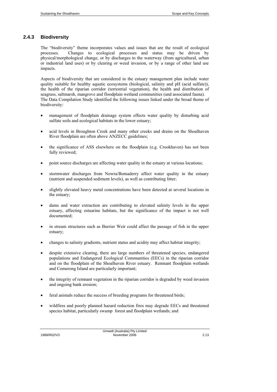# <span id="page-32-0"></span>**2.4.3 Biodiversity**

The "biodiversity" theme incorporates values and issues that are the result of ecological processes. Changes to ecological processes and status may be driven by physical/morphological change, or by discharges to the waterway (from agricultural, urban or industrial land uses) or by clearing or weed invasion, or by a range of other land use impacts.

Aspects of biodiversity that are considered in the estuary management plan include water quality suitable for healthy aquatic ecosystems (biological, salinity and pH (acid sulfate)), the health of the riparian corridor (terrestrial vegetation), the health and distribution of seagrass, saltmarsh, mangrove and floodplain wetland communities (and associated fauna). The Data Compilation Study identified the following issues linked under the broad theme of biodiversity:

- management of floodplain drainage system effects water quality by disturbing acid sulfate soils and ecological habitats in the lower estuary;
- acid levels in Broughton Creek and many other creeks and drains on the Shoalhaven River floodplain are often above ANZECC guidelines;
- the significance of ASS elsewhere on the floodplain (e.g. Crookhaven) has not been fully reviewed;
- point source discharges are affecting water quality in the estuary at various locations;
- stormwater discharges from Nowra/Bomaderry affect water quality in the estuary (nutrient and suspended sediment levels), as well as contributing litter;
- slightly elevated heavy metal concentrations have been detected at several locations in the estuary;
- dams and water extraction are contributing to elevated salinity levels in the upper estuary, affecting estuarine habitats, but the significance of the impact is not well documented;
- in stream structures such as Burrier Weir could affect the passage of fish in the upper estuary;
- changes to salinity gradients, nutrient status and acidity may affect habitat integrity;
- despite extensive clearing, there are large numbers of threatened species, endangered populations and Endangered Ecological Communities (EECs) in the riparian corridor and on the floodplain of the Shoalhaven River estuary. Remnant floodplain wetlands and Comerong Island are particularly important;
- the integrity of remnant vegetation in the riparian corridor is degraded by weed invasion and ongoing bank erosion;
- feral animals reduce the success of breeding programs for threatened birds;
- wildfires and poorly planned hazard reduction fires may degrade EECs and threatened species habitat, particularly swamp forest and floodplain wetlands; and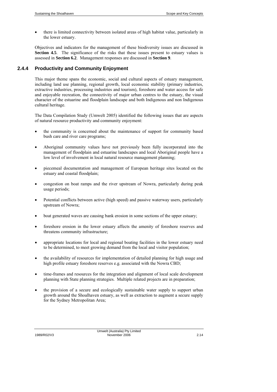• there is limited connectivity between isolated areas of high habitat value, particularly in the lower estuary.

Objectives and indicators for the management of these biodiversity issues are discussed in **Section 4.5**. The significance of the risks that these issues present to estuary values is assessed in **Section 6.2**. Management responses are discussed in **Section 9**.

### <span id="page-33-0"></span>**2.4.4 Productivity and Community Enjoyment**

This major theme spans the economic, social and cultural aspects of estuary management, including land use planning, regional growth, local economic stability (primary industries, extractive industries, processing industries and tourism), foreshore and water access for safe and enjoyable recreation, the connectivity of major urban centres to the estuary, the visual character of the estuarine and floodplain landscape and both Indigenous and non Indigenous cultural heritage.

The Data Compilation Study (Umwelt 2005) identified the following issues that are aspects of natural resource productivity and community enjoyment:

- the community is concerned about the maintenance of support for community based bush care and river care programs;
- Aboriginal community values have not previously been fully incorporated into the management of floodplain and estuarine landscapes and local Aboriginal people have a low level of involvement in local natural resource management planning;
- piecemeal documentation and management of European heritage sites located on the estuary and coastal floodplain;
- congestion on boat ramps and the river upstream of Nowra, particularly during peak usage periods;
- Potential conflicts between active (high speed) and passive waterway users, particularly upstream of Nowra;
- boat generated waves are causing bank erosion in some sections of the upper estuary;
- foreshore erosion in the lower estuary affects the amenity of foreshore reserves and threatens community infrastructure;
- appropriate locations for local and regional boating facilities in the lower estuary need to be determined, to meet growing demand from the local and visitor population;
- the availability of resources for implementation of detailed planning for high usage and high profile estuary foreshore reserves e.g. associated with the Nowra CBD;
- time-frames and resources for the integration and alignment of local scale development planning with State planning strategies. Multiple related projects are in preparation;
- the provision of a secure and ecologically sustainable water supply to support urban growth around the Shoalhaven estuary, as well as extraction to augment a secure supply for the Sydney Metropolitan Area;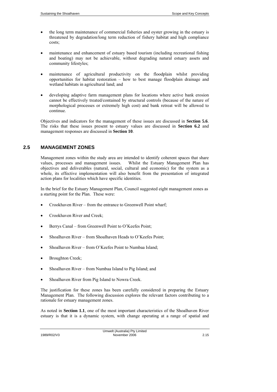- the long term maintenance of commercial fisheries and oyster growing in the estuary is threatened by degradation/long term reduction of fishery habitat and high compliance costs;
- maintenance and enhancement of estuary based tourism (including recreational fishing and boating) may not be achievable, without degrading natural estuary assets and community lifestyles;
- maintenance of agricultural productivity on the floodplain whilst providing opportunities for habitat restoration – how to best manage floodplain drainage and wetland habitats in agricultural land; and
- developing adaptive farm management plans for locations where active bank erosion cannot be effectively treated/contained by structural controls (because of the nature of morphological processes or extremely high cost) and bank retreat will be allowed to continue.

Objectives and indicators for the management of these issues are discussed in **Section 5.6**. The risks that these issues present to estuary values are discussed in **Section 6.2** and management responses are discussed in **Section 10**.

### <span id="page-34-0"></span>**2.5 MANAGEMENT ZONES**

Management zones within the study area are intended to identify coherent spaces that share values, processes and management issues. Whilst the Estuary Management Plan has objectives and deliverables (natural, social, cultural and economic) for the system as a whole, its effective implementation will also benefit from the presentation of integrated action plans for localities which have specific identities.

In the brief for the Estuary Management Plan, Council suggested eight management zones as a starting point for the Plan. These were:

- Crookhaven River from the entrance to Greenwell Point wharf;
- Crookhaven River and Creek;
- Berrys Canal from Greenwell Point to O'Keefes Point;
- Shoalhaven River from Shoalhaven Heads to O'Keefes Point;
- Shoalhaven River from O'Keefes Point to Numbaa Island;
- Broughton Creek;
- Shoalhaven River from Numbaa Island to Pig Island; and
- Shoalhaven River from Pig Island to Nowra Creek.

The justification for these zones has been carefully considered in preparing the Estuary Management Plan. The following discussion explores the relevant factors contributing to a rationale for estuary management zones.

As noted in **Section 1.1**, one of the most important characteristics of the Shoalhaven River estuary is that it is a dynamic system, with change operating at a range of spatial and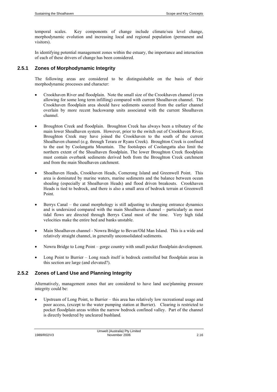temporal scales. Key components of change include climate/sea level change, morphodynamic evolution and increasing local and regional population (permanent and visitors).

In identifying potential management zones within the estuary, the importance and interaction of each of these drivers of change has been considered.

### <span id="page-35-0"></span>**2.5.1 Zones of Morphodynamic Integrity**

The following areas are considered to be distinguishable on the basis of their morphodynamic processes and character:

- Crookhaven River and floodplain. Note the small size of the Crookhaven channel (even allowing for some long term infilling) compared with current Shoalhaven channel. The Crookhaven floodplain area should have sediments sourced from the earlier channel overlain by more recent backswamp units associated with the current Shoalhaven channel.
- Broughton Creek and floodplain. Broughton Creek has always been a tributary of the main lower Shoalhaven system. However, prior to the switch out of Crookhaven River, Broughton Creek may have joined the Crookhaven to the south of the current Shoalhaven channel (e.g. through Terara or Ryans Creek). Broughton Creek is confined to the east by Coolangatta Mountain. The footslopes of Coolangatta also limit the northern extent of the Shoalhaven floodplain. The lower Broughton Creek floodplain must contain overbank sediments derived both from the Broughton Creek catchment and from the main Shoalhaven catchment.
- Shoalhaven Heads, Crookhaven Heads, Comerong Island and Greenwell Point. This area is dominated by marine waters, marine sediments and the balance between ocean shoaling (especially at Shoalhaven Heads) and flood driven breakouts. Crookhaven Heads is tied to bedrock, and there is also a small area of bedrock terrain at Greenwell Point.
- Berrys Canal the canal morphology is still adjusting to changing entrance dynamics and is undersized compared with the main Shoalhaven channel – particularly as most tidal flows are directed through Berrys Canal most of the time. Very high tidal velocities make the entire bed and banks unstable.
- Main Shoalhaven channel Nowra Bridge to Bevan/Old Man Island. This is a wide and relatively straight channel, in generally unconsolidated sediments.
- Nowra Bridge to Long Point gorge country with small pocket floodplain development.
- Long Point to Burrier Long reach itself is bedrock controlled but floodplain areas in this section are large (and elevated?).

### **2.5.2 Zones of Land Use and Planning Integrity**

Alternatively, management zones that are considered to have land use/planning pressure integrity could be:

<span id="page-35-1"></span>• Upstream of Long Point, to Burrier – this area has relatively low recreational usage and poor access, (except to the water pumping station at Burrier). Clearing is restricted to pocket floodplain areas within the narrow bedrock confined valley. Part of the channel is directly bordered by uncleared bushland.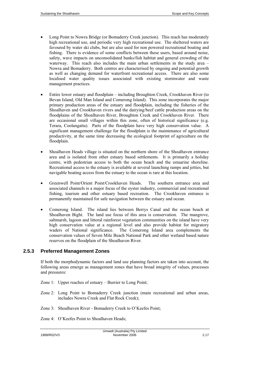- Long Point to Nowra Bridge (or Bomaderry Creek junction). This reach has moderately high recreational use, and periodic very high recreational use. The sheltered waters are favoured by water ski clubs, but are also used for non powered recreational boating and fishing. There is evidence of some conflicts between these users, based around noise, safety, wave impacts on unconsolidated banks/fish habitat and general crowding of the waterway. This reach also includes the main urban settlements in the study area – Nowra and Bomaderry. Both centres are characterised by ongoing and potential growth as well as changing demand for waterfront recreational access. There are also some localised water quality issues associated with existing stormwater and waste management practices.
- Entire lower estuary and floodplain including Broughton Creek, Crookhaven River (to Bevan Island, Old Man Island and Comerong Island). This zone incorporates the major primary production areas of the estuary and floodplain, including the fisheries of the Shoalhaven and Crookhaven rivers and the dairying/beef cattle production areas on the floodplains of the Shoalhaven River, Broughton Creek and Crookhaven River. There are occasional small villages within this zone, often of historical significance (e.g. Terara, Coolangatta). Parts of the floodplain have very high conservation value. A significant management challenge for the floodplain is the maintenance of agricultural productivity, at the same time decreasing the ecological footprint of agriculture on the floodplain.
- Shoalhaven Heads village is situated on the northern shore of the Shoalhaven entrance area and is isolated from other estuary based settlements. It is primarily a holiday centre, with pedestrian access to both the ocean beach and the estuarine shoreline. Recreational access to the estuary is available at several launching ramps and jetties, but navigable boating access from the estuary to the ocean is rare at this location.
- Greenwell Point/Orient Point/Crookhaven Heads. The southern entrance area and associated channels is a major focus of the oyster industry, commercial and recreational fishing, tourism and other estuary based recreation. The Crookhaven entrance is permanently maintained for safe navigation between the estuary and ocean.
- Comerong Island. The island lies between Berrys Canal and the ocean beach at Shoalhaven Bight. The land use focus of this area is conservation. The mangrove, saltmarsh, lagoon and littoral rainforest vegetation communities on the island have very high conservation value at a regional level and also provide habitat for migratory waders of National significance. The Comerong Island area complements the conservation values of Seven Mile Beach National Park and other wetland based nature reserves on the floodplain of the Shoalhaven River.

## **2.5.3 Preferred Management Zones**

If both the morphodynamic factors and land use planning factors are taken into account, the following areas emerge as management zones that have broad integrity of values, processes and pressures:

- Zone 1: Upper reaches of estuary Burrier to Long Point;
- Zone 2: Long Point to Bomaderry Creek junction (main recreational and urban areas, includes Nowra Creek and Flat Rock Creek);
- Zone 3: Shoalhaven River Bomaderry Creek to O'Keefes Point;
- Zone 4: O'Keefes Point to Shoalhaven Heads;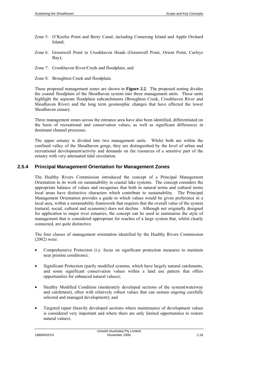- Zone 5: O'Keefes Point and Berry Canal, including Comerong Island and Apple Orchard Island;
- Zone 6: Greenwell Point to Crookhaven Heads (Greenwell Point, Orient Point, Curleys Bay);
- Zone 7: Crookhaven River/Creek and floodplain; and
- Zone 8: Broughton Creek and floodplain.

These proposed management zones are shown in **Figure 2.2**. The proposed zoning divides the coastal floodplain of the Shoalhaven system into three management units. These units highlight the separate floodplain subcatchments (Broughton Creek, Crookhaven River and Shoalhaven River) and the long term geomorphic changes that have affected the lower Shoalhaven estuary.

Three management zones across the entrance area have also been identified, differentiated on the basis of recreational and conservation values, as well as significant differences in dominant channel processes.

The upper estuary is divided into two management units. Whilst both are within the confined valley of the Shoalhaven gorge, they are distinguished by the level of urban and recreational development/activity and demands on the resources of a sensitive part of the estuary with very attenuated tidal circulation.

## **2.5.4 Principal Management Orientation for Management Zones**

The Healthy Rivers Commission introduced the concept of a Principal Management Orientation in its work on sustainability in coastal lake systems. The concept considers the appropriate balance of values and recognises that both in natural terms and cultural terms local areas have distinctive characters which contribute to sustainability. The Principal Management Orientation provides a guide to which values would be given preference in a local area, within a sustainability framework that requires that the overall value of the system (natural, social, cultural and economic) does not decline. Although not originally designed for application to major river estuaries, the concept can be used to summarise the style of management that is considered appropriate for reaches of a large system that, whilst clearly connected, are quite distinctive.

The four classes of management orientation identified by the Healthy Rivers Commission (2002) were:

- Comprehensive Protection (i.e. focus on significant protection measures to maintain near pristine conditions);
- Significant Protection (partly modified systems, which have largely natural catchments, and some significant conservation values within a land use pattern that offers opportunities for enhanced natural values);
- Healthy Modified Condition (moderately developed sections of the system(waterway and catchment), often with relatively robust values that can sustain ongoing carefully selected and managed development); and
- Targeted repair (heavily developed sections where maintenance of development values is considered very important and where there are only limited opportunities to restore natural values).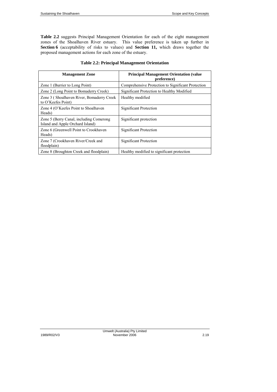**Table 2.2** suggests Principal Management Orientation for each of the eight management zones of the Shoalhaven River estuary. This value preference is taken up further in **Section 6** (acceptability of risks to values) and **Section 11,** which draws together the proposed management actions for each zone of the estuary.

| <b>Management Zone</b>                                                      | <b>Principal Management Orientation (value)</b><br>preference) |
|-----------------------------------------------------------------------------|----------------------------------------------------------------|
| Zone 1 (Burrier to Long Point)                                              | Comprehensive Protection to Significant Protection             |
| Zone 2 (Long Point to Bomaderry Creek)                                      | Significant Protection to Healthy Modified                     |
| Zone 3 (Shoalhaven River, Bomaderry Creek<br>to O'Keefes Point)             | Healthy modified                                               |
| Zone 4 (O'Keefes Point to Shoalhaven<br>Heads)                              | Significant Protection                                         |
| Zone 5 (Berry Canal, including Comerong<br>Island and Apple Orchard Island) | Significant protection                                         |
| Zone 6 (Greenwell Point to Crookhaven)<br>Heads)                            | Significant Protection                                         |
| Zone 7 (Crookhaven River/Creek and<br>floodplain)                           | Significant Protection                                         |
| Zone 8 (Broughton Creek and floodplain)                                     | Healthy modified to significant protection                     |

#### **Table 2.2: Principal Management Orientation**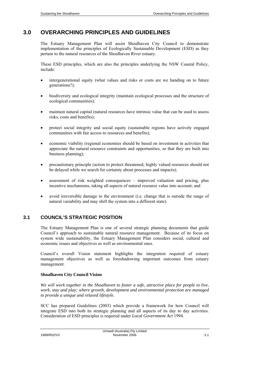## **3.0 OVERARCHING PRINCIPLES AND GUIDELINES**

The Estuary Management Plan will assist Shoalhaven City Council to demonstrate implementation of the principles of Ecologically Sustainable Development (ESD) as they pertain to the natural resources of the Shoalhaven River estuary.

These ESD principles, which are also the principles underlying the NSW Coastal Policy, include:

- intergenerational equity (what values and risks or costs are we handing on to future generations?);
- biodiversity and ecological integrity (maintain ecological processes and the structure of ecological communities);
- maintain natural capital (natural resources have intrinsic value that can be used to assess risks, costs and benefits);
- protect social integrity and social equity (sustainable regions have actively engaged communities with fair access to resources and benefits);
- economic viability (regional economies should be based on investment in activities that appreciate the natural resource constraints and opportunities, so that they are built into business planning);
- precautionary principle (action to protect threatened, highly valued resources should not be delayed while we search for certainty about processes and impacts);
- assessment of risk weighted consequences improved valuation and pricing, plus incentive mechanisms, taking all aspects of natural resource value into account; and
- avoid irreversible damage to the environment (i.e. change that is outside the range of natural variability and may shift the system into a different state).

## **3.1 COUNCIL'S STRATEGIC POSITION**

The Estuary Management Plan is one of several strategic planning documents that guide Council's approach to sustainable natural resource management. Because of its focus on system wide sustainability, the Estuary Management Plan considers social, cultural and economic issues and objectives as well as environmental ones.

Council's overall Vision statement highlights the integration required of estuary management objectives as well as foreshadowing important outcomes from estuary management.

## **Shoalhaven City Council Vision**

*We will work together in the Shoalhaven to foster a safe, attractive place for people to live, work, stay and play; where growth, development and environmental protection are managed to provide a unique and relaxed lifestyle.* 

SCC has prepared Guidelines (2003) which provide a framework for how Council will integrate ESD into both its strategic planning and all aspects of its day to day activities. Consideration of ESD principles is required under *Local Government Act* 1994.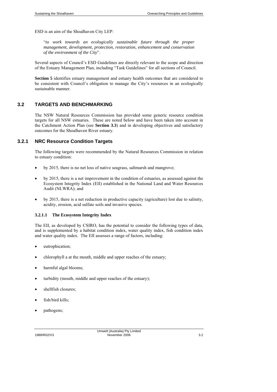ESD is an aim of the Shoalhaven City LEP:

"*to work towards an ecologically sustainable future through the proper management, development, protection, restoration, enhancement and conservation of the environment of the City*".

Several aspects of Council's ESD Guidelines are directly relevant to the scope and direction of the Estuary Management Plan, including "Task Guidelines" for all sections of Council.

**Section 5** identifies estuary management and estuary health outcomes that are considered to be consistent with Council's obligation to manage the City's resources in an ecologically sustainable manner.

## **3.2 TARGETS AND BENCHMARKING**

The NSW Natural Resources Commission has provided some generic resource condition targets for all NSW estuaries. These are noted below and have been taken into account in the Catchment Action Plan (see **Section 3.3**) and in developing objectives and satisfactory outcomes for the Shoalhaven River estuary.

## **3.2.1 NRC Resource Condition Targets**

The following targets were recommended by the Natural Resources Commission in relation to estuary condition:

- by 2015, there is no net loss of native seagrass, saltmarsh and mangrove;
- by 2015, there is a net improvement in the condition of estuaries, as assessed against the Ecosystem Integrity Index (EII) established in the National Land and Water Resources Audit (NLWRA); and
- by 2015, there is a net reduction in productive capacity (agriculture) lost due to salinity, acidity, erosion, acid sulfate soils and invasive species.

## **3.2.1.1 The Ecosystem Integrity Index**

The EII, as developed by CSIRO, has the potential to consider the following types of data, and is supplemented by a habitat condition index, water quality index, fish condition index and water quality index. The EII assesses a range of factors, including:

- eutrophication;
- chlorophyll a at the mouth, middle and upper reaches of the estuary;
- harmful algal blooms;
- turbidity (mouth, middle and upper reaches of the estuary);
- shellfish closures;
- fish/bird kills;
- pathogens;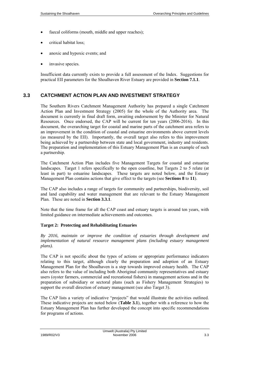- faecal coliforms (mouth, middle and upper reaches);
- critical habitat loss;
- anoxic and hypoxic events; and
- invasive species.

Insufficient data currently exists to provide a full assessment of the Index. Suggestions for practical EII parameters for the Shoalhaven River Estuary are provided in **Section 7.1.1**.

## **3.3 CATCHMENT ACTION PLAN AND INVESTMENT STRATEGY**

The Southern Rivers Catchment Management Authority has prepared a single Catchment Action Plan and Investment Strategy (2005) for the whole of the Authority area. The document is currently in final draft form, awaiting endorsement by the Minister for Natural Resources. Once endorsed, the CAP will be current for ten years (2006-2016). In this document, the overarching target for coastal and marine parts of the catchment area refers to an improvement in the condition of coastal and estuarine environments above current levels (as measured by the EII). Importantly, the overall target also refers to this improvement being achieved by a partnership between state and local government, industry and residents. The preparation and implementation of this Estuary Management Plan is an example of such a partnership.

The Catchment Action Plan includes five Management Targets for coastal and estuarine landscapes. Target 1 refers specifically to the open coastline, but Targets 2 to 5 relate (at least in part) to estuarine landscapes. These targets are noted below, and the Estuary Management Plan contains actions that give effect to the targets (see **Sections 8** to **11**).

The CAP also includes a range of targets for community and partnerships, biodiversity, soil and land capability and water management that are relevant to the Estuary Management Plan. These are noted in **Section 3.3.1**.

Note that the time frame for all the CAP coast and estuary targets is around ten years, with limited guidance on intermediate achievements and outcomes.

#### **Target 2: Protecting and Rehabilitating Estuaries**

*By 2016, maintain or improve the condition of estuaries through development and implementation of natural resource management plans (including estuary management plans).* 

The CAP is not specific about the types of actions or appropriate performance indicators relating to this target, although clearly the preparation and adoption of an Estuary Management Plan for the Shoalhaven is a step towards improved estuary health. The CAP also refers to the value of including both Aboriginal community representatives and estuary users (oyster farmers, commercial and recreational fishers) in management actions and in the preparation of subsidiary or sectoral plans (such as Fishery Management Strategies) to support the overall direction of estuary management (see also Target 3).

The CAP lists a variety of indicative "projects" that would illustrate the activities outlined. These indicative projects are noted below (**Table 3.1**), together with a reference to how the Estuary Management Plan has further developed the concept into specific recommendations for programs of actions.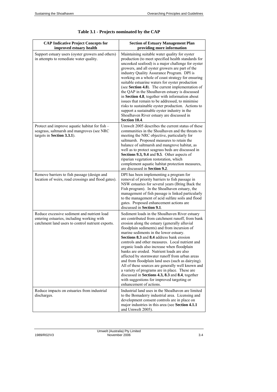| <b>CAP Indicative Project Concepts for</b><br>improved estuary health                                                                          | <b>Section of Estuary Management Plan</b><br>providing more information                                                                                                                                                                                                                                                                                                                                                                                                                                                                                                                                                                                                                                                                                                            |
|------------------------------------------------------------------------------------------------------------------------------------------------|------------------------------------------------------------------------------------------------------------------------------------------------------------------------------------------------------------------------------------------------------------------------------------------------------------------------------------------------------------------------------------------------------------------------------------------------------------------------------------------------------------------------------------------------------------------------------------------------------------------------------------------------------------------------------------------------------------------------------------------------------------------------------------|
| Support estuary users (oyster growers and others)<br>in attempts to remediate water quality.                                                   | Maintaining suitable water quality for oyster<br>production (to meet specified health standards for<br>uncooked seafood) is a major challenge for oyster<br>growers, and all oyster growers are part of the<br>industry Quality Assurance Program. DPI is<br>working on a whole of coast strategy for ensuring<br>suitable estuarine waters for oyster production<br>(see Section 4.8). The current implementation of<br>the QAP in the Shoalhaven estuary is discussed<br>in Section 4.8, together with information about<br>issues that remain to be addressed, to minimise<br>risks to sustainable oyster production. Actions to<br>support a sustainable oyster industry in the<br>Shoalhaven River estuary are discussed in<br>Section 10.4.                                  |
| Protect and improve aquatic habitat for fish -<br>seagrass, saltmarsh and mangroves (see NRC<br>targets in Section 3.3.1).                     | Umwelt 2005 describes the current status of these<br>communities in the Shoalhaven and the threats to<br>meeting the NRC objective, particularly for<br>saltmarsh. Proposed measures to retain the<br>balance of saltmarsh and mangrove habitat, as<br>well as to protect seagrass beds are discussed in<br>Sections 9.3, 9.4 and 9.5. Other aspects of<br>riparian vegetation restoration, which<br>complement aquatic habitat protection measures,<br>are discussed in Section 9.2.                                                                                                                                                                                                                                                                                              |
| Remove barriers to fish passage (design and<br>location of weirs, road crossings and flood gates).                                             | DPI has been implementing a program for<br>removal of priority barriers to fish passage in<br>NSW estuaries for several years (Bring Back the<br>Fish program). In the Shoalhaven estuary, the<br>management of fish passage is linked particularly<br>to the management of acid sulfate soils and flood<br>gates. Proposed enhancement actions are<br>discussed in Section 9.1.                                                                                                                                                                                                                                                                                                                                                                                                   |
| Reduce excessive sediment and nutrient load<br>entering estuaries, including working with<br>catchment land users to control nutrient exports. | Sediment loads in the Shoalhaven River estuary<br>are contributed from catchment runoff, from bank<br>erosion along the estuary (generally alluvial<br>floodplain sediments) and from incursion of<br>marine sediments in the lower estuary.<br>Sections 8.3 and 8.4 address bank erosion<br>controls and other measures. Local nutrient and<br>organic loads also increase when floodplain<br>banks are eroded. Nutrient loads are also<br>affected by stormwater runoff from urban areas<br>and from floodplain land uses (such as dairying).<br>All of these sources are generally well known and<br>a variety of programs are in place. These are<br>discussed in Sections 4.3, 8.3 and 8.4, together<br>with suggestions for improved targeting or<br>enhancement of actions. |
| Reduce impacts on estuaries from industrial<br>discharges.                                                                                     | Industrial land uses in the Shoalhaven are limited<br>to the Bomaderry industrial area. Licensing and<br>development consent controls are in place on<br>major industries in this area (see Section 4.1.1<br>and Umwelt 2005).                                                                                                                                                                                                                                                                                                                                                                                                                                                                                                                                                     |

|  | Table 3.1 - Projects nominated by the CAP |  |  |
|--|-------------------------------------------|--|--|
|  |                                           |  |  |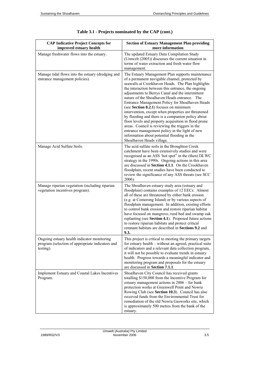| <b>CAP Indicative Project Concepts for</b><br>improved estuary health                                        | <b>Section of Estuary Management Plan providing</b><br>more information                                                                                                                                                                                                                                                                                                                                                                                                                                                                                                                                                                                                                                                                                             |
|--------------------------------------------------------------------------------------------------------------|---------------------------------------------------------------------------------------------------------------------------------------------------------------------------------------------------------------------------------------------------------------------------------------------------------------------------------------------------------------------------------------------------------------------------------------------------------------------------------------------------------------------------------------------------------------------------------------------------------------------------------------------------------------------------------------------------------------------------------------------------------------------|
| Manage freshwater flows into the estuary.                                                                    | The updated Estuary Data Compilation Study<br>(Umwelt (2005)) discusses the current situation in<br>terms of water extraction and fresh water flow<br>management.                                                                                                                                                                                                                                                                                                                                                                                                                                                                                                                                                                                                   |
| Manage tidal flows into the estuary (dredging and<br>entrance management policies).                          | The Estuary Management Plan supports maintenance<br>of a permanent navigable channel, protected by<br>seawalls at Crookhaven Heads. The Plan highlights<br>the interaction between this entrance, the ongoing<br>adjustments to Berrys Canal and the intermittent<br>nature of the Shoalhaven Heads entrance. The<br>Entrance Management Policy for Shoalhaven Heads<br>(see Section 8.2.1) focuses on minimum<br>intervention, except when properties are threatened<br>by flooding and there is a companion policy about<br>floor levels and property acquisition in flood prone<br>areas. Council is reviewing the triggers in the<br>entrance management policy in the light of new<br>information about potential flooding in the<br>Shoalhaven Heads village. |
| Manage Acid Sulfate Soils.                                                                                   | The acid sulfate soils in the Broughton Creek<br>catchment have been extensively studies and were<br>recognised as an ASS 'hot spot" in the (then) DLWC<br>strategy in the 1990s. Ongoing actions in this area<br>are discussed in <b>Section 4.1.1</b> . On the Crookhaven<br>floodplain, recent studies have been conducted to<br>review the significance of any ASS threats (see SCC<br>2006).                                                                                                                                                                                                                                                                                                                                                                   |
| Manage riparian vegetation (including riparian<br>vegetation incentives program).                            | The Shoalhaven estuary study area (estuary and<br>floodplain) contains examples of 12 EECs. Almost<br>all of these are threatened by either bank erosion<br>(e.g. at Comerong Island) or by various aspects of<br>floodplain management. In addition, existing efforts<br>to control bank erosion and restore riparian habitat<br>have focused on mangrove, reed bed and swamp oak<br>replanting (see Section 4.1). Proposed future actions<br>to restore riparian habitats and protect critical<br>remnant habitats are described in <b>Sections 9.2</b> and<br>9.3.                                                                                                                                                                                               |
| Ongoing estuary health indicator monitoring<br>program (selection of appropriate indicators and<br>testing). | This project is critical to meeting the primary targets<br>for estuary health – without an agreed, practical suite<br>of indicators and a relevant data collection program,<br>it will not be possible to evaluate trends in estuary<br>health. Progress towards a meaningful indicator and<br>monitoring program and proposals for the estuary<br>are discussed in Section 7.1.1.                                                                                                                                                                                                                                                                                                                                                                                  |
| Implement Estuary and Coastal Lakes Incentives<br>Program.                                                   | Shoalhaven City Council has received grants<br>totalling \$150,000 from the Incentive Program for<br>estuary management actions in 2006 - for bank<br>protection works at Greenwell Point and Nowra<br>Rowing Club (see Section 10.3). Council has also<br>received funds from the Environmental Trust for<br>remediation of the old Nowra Gasworks site, which<br>is approximately 500 metres from the bank of the<br>estuary.                                                                                                                                                                                                                                                                                                                                     |

| Table 3.1 - Projects nominated by the CAP (cont.) |  |  |  |  |  |  |
|---------------------------------------------------|--|--|--|--|--|--|
|---------------------------------------------------|--|--|--|--|--|--|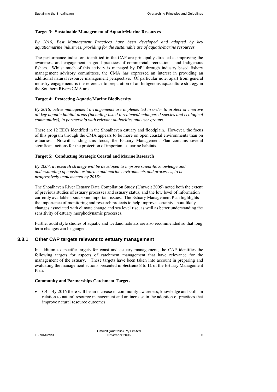#### **Target 3: Sustainable Management of Aquatic/Marine Resources**

*By 2016, Best Management Practices have been developed and adopted by key aquatic/marine industries, providing for the sustainable use of aquatic/marine resources.* 

The performance indicators identified in the CAP are principally directed at improving the awareness and engagement in good practices of commercial, recreational and Indigenous fishers. Whilst much of this activity is managed by DPI through industry based fishery management advisory committees, the CMA has expressed an interest in providing an additional natural resource management perspective. Of particular note, apart from general industry engagement, is the reference to preparation of an Indigenous aquaculture strategy in the Southern Rivers CMA area.

#### **Target 4: Protecting Aquatic/Marine Biodiversity**

*By 2016, active management arrangements are implemented in order to protect or improve all key aquatic habitat areas (including listed threatened/endangered species and ecological communities), in partnership with relevant authorities and user groups.* 

There are 12 EECs identified in the Shoalhaven estuary and floodplain. However, the focus of this program through the CMA appears to be more on open coastal environments than on estuaries. Notwithstanding this focus, the Estuary Management Plan contains several significant actions for the protection of important estuarine habitats.

#### **Target 5: Conducting Strategic Coastal and Marine Research**

*By 2007, a research strategy will be developed to improve scientific knowledge and understanding of coastal, estuarine and marine environments and processes, to be progressively implemented by 2016s.*

The Shoalhaven River Estuary Data Compilation Study (Umwelt 2005) noted both the extent of previous studies of estuary processes and estuary status, and the low level of information currently available about some important issues. The Estuary Management Plan highlights the importance of monitoring and research projects to help improve certainty about likely changes associated with climate change and sea level rise, as well as better understanding the sensitivity of estuary morphodynamic processes.

Further audit style studies of aquatic and wetland habitats are also recommended so that long term changes can be gauged.

## **3.3.1 Other CAP targets relevant to estuary management**

In addition to specific targets for coast and estuary management, the CAP identifies the following targets for aspects of catchment management that have relevance for the management of the estuary. These targets have been taken into account in preparing and evaluating the management actions presented in **Sections 8** to **11** of the Estuary Management Plan.

#### **Community and Partnerships Catchment Targets**

• C4 - By 2016 there will be an increase in community awareness, knowledge and skills in relation to natural resource management and an increase in the adoption of practices that improve natural resource outcomes.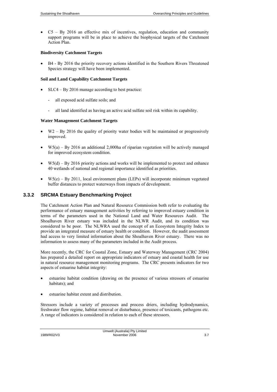• C5 – By 2016 an effective mix of incentives, regulation, education and community support programs will be in place to achieve the biophysical targets of the Catchment Action Plan.

#### **Biodiversity Catchment Targets**

• B4 - By 2016 the priority recovery actions identified in the Southern Rivers Threatened Species strategy will have been implemented.

#### **Soil and Land Capability Catchment Targets**

- SLC4 By 2016 manage according to best practice:
	- all exposed acid sulfate soils; and
	- all land identified as having an active acid sulfate soil risk within its capability.

#### **Water Management Catchment Targets**

- $W2 By 2016$  the quality of priority water bodies will be maintained or progressively improved.
- $W_5(a) By 2016$  an additional 2,000ha of riparian vegetation will be actively managed for improved ecosystem condition.
- $W_5(d) By 2016$  priority actions and works will be implemented to protect and enhance 40 wetlands of national and regional importance identified as priorities.
- $W_5(e) By 2011$ , local environment plans (LEPs) will incorporate minimum vegetated buffer distances to protect waterways from impacts of development.

## **3.3.2 SRCMA Estuary Benchmarking Project**

The Catchment Action Plan and Natural Resource Commission both refer to evaluating the performance of estuary management activities by referring to improved estuary condition in terms of the parameters used in the National Land and Water Resources Audit. The Shoalhaven River estuary was included in the NLWR Audit, and its condition was considered to be poor. The NLWRA used the concept of an Ecosystem Integrity Index to provide an integrated measure of estuary health or condition. However, the audit assessment had access to very limited information about the Shoalhaven River estuary. There was no information to assess many of the parameters included in the Audit process.

More recently, the CRC for Coastal Zone, Estuary and Waterway Management (CRC 2004) has prepared a detailed report on appropriate indicators of estuary and coastal health for use in natural resource management monitoring programs. The CRC presents indicators for two aspects of estuarine habitat integrity:

- estuarine habitat condition (drawing on the presence of various stressors of estuarine habitats); and
- estuarine habitat extent and distribution.

Stressors include a variety of processes and process driers, including hydrodynamics, freshwater flow regime, habitat removal or disturbance, presence of toxicants, pathogens etc. A range of indicators is considered in relation to each of these stressors.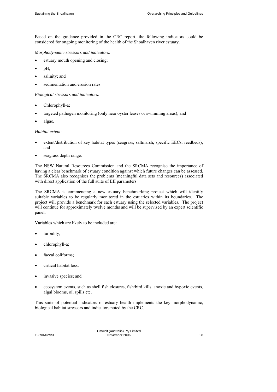Based on the guidance provided in the CRC report, the following indicators could be considered for ongoing monitoring of the health of the Shoalhaven river estuary.

*Morphodynamic stressors and indicators*:

- estuary mouth opening and closing;
- pH;
- salinity; and
- sedimentation and erosion rates.

*Biological stressors and indicators*:

- Chlorophyll-a;
- targeted pathogen monitoring (only near oyster leases or swimming areas); and
- algae.

*Habitat extent*:

- extent/distribution of key habitat types (seagrass, saltmarsh, specific EECs, reedbeds); and
- seagrass depth range.

The NSW Natural Resources Commission and the SRCMA recognise the importance of having a clear benchmark of estuary condition against which future changes can be assessed. The SRCMA also recognises the problems (meaningful data sets and resources) associated with direct application of the full suite of EII parameters.

The SRCMA is commencing a new estuary benchmarking project which will identify suitable variables to be regularly monitored in the estuaries within its boundaries. The project will provide a benchmark for each estuary using the selected variables. The project will continue for approximately twelve months and will be supervised by an expert scientific panel.

Variables which are likely to be included are:

- turbidity;
- chlorophyll-a;
- faecal coliforms;
- critical habitat loss;
- invasive species; and
- ecosystem events, such as shell fish closures, fish/bird kills, anoxic and hypoxic events, algal blooms, oil spills etc.

This suite of potential indicators of estuary health implements the key morphodynamic, biological habitat stressors and indicators noted by the CRC.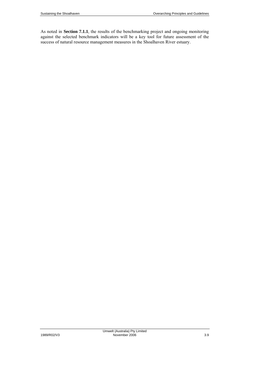As noted in **Section 7.1.1**, the results of the benchmarking project and ongoing monitoring against the selected benchmark indicators will be a key tool for future assessment of the success of natural resource management measures in the Shoalhaven River estuary.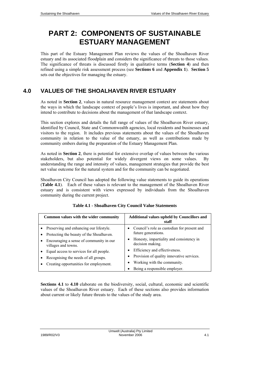# **PART 2: COMPONENTS OF SUSTAINABLE ESTUARY MANAGEMENT**

This part of the Estuary Management Plan reviews the values of the Shoalhaven River estuary and its associated floodplain and considers the significance of threats to those values. The significance of threats is discussed firstly in qualitative terms (**Section 4**) and then refined using a simple risk assessment process (see **Sections 6** and **Appendix 1**). **Section 5** sets out the objectives for managing the estuary.

## **4.0 VALUES OF THE SHOALHAVEN RIVER ESTUARY**

As noted in **Section 2**, values in natural resource management context are statements about the ways in which the landscape context of people's lives is important, and about how they intend to contribute to decisions about the management of that landscape context.

This section explores and details the full range of values of the Shoalhaven River estuary, identified by Council, State and Commonwealth agencies, local residents and businesses and visitors to the region. It includes previous statements about the values of the Shoalhaven community in relation to the value of the estuary, as well as contributions made by community embers during the preparation of the Estuary Management Plan.

As noted in **Section 2**, there is potential for extensive overlap of values between the various stakeholders, but also potential for widely divergent views on some values. By understanding the range and intensity of values, management strategies that provide the best net value outcome for the natural system and for the community can be negotiated.

Shoalhaven City Council has adopted the following value statements to guide its operations (**Table 4.1**). Each of these values is relevant to the management of the Shoalhaven River estuary and is consistent with views expressed by individuals from the Shoalhaven community during the current project.

| Common values with the wider community                                                | Additional values upheld by Councillors and<br>staff               |
|---------------------------------------------------------------------------------------|--------------------------------------------------------------------|
| • Preserving and enhancing our lifestyle.<br>Protecting the beauty of the Shoalhaven. | Council's role as custodian for present and<br>future generations. |
| Encouraging a sense of community in our<br>villages and towns.                        | Honesty, impartiality and consistency in<br>decision making.       |
| Equal access to services for all people.                                              | Efficiency and effectiveness.                                      |
| Recognising the needs of all groups.                                                  | Provision of quality innovative services.                          |
| Creating opportunities for employment.                                                | Working with the community.                                        |
|                                                                                       | Being a responsible employer.                                      |

## **Table 4.1 - Shoalhaven City Council Value Statements**

**Sections 4.1** to **4.10** elaborate on the biodiversity, social, cultural, economic and scientific values of the Shoalhaven River estuary. Each of these sections also provides information about current or likely future threats to the values of the study area.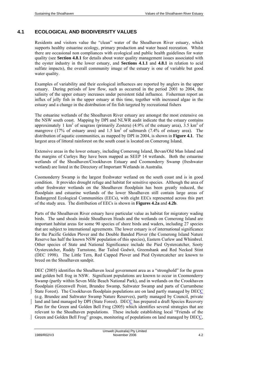## **4.1 ECOLOGICAL AND BIODIVERSITY VALUES**

Residents and visitors value the "clean" water of the Shoalhaven River estuary, which supports healthy estuarine ecology, primary production and water based recreation. Whilst there are occasional non compliances with ecological and public health guidelines for water quality (see **Section 4.8.1** for details about water quality management issues associated with the oyster industry in the lower estuary, and **Sections 4.1.1** and **4.8.1** in relation to acid sulfate impacts), the overall community image of the estuary is one of variable but good water quality.

Examples of variability and their ecological influences are reported by anglers in the upper estuary. During periods of low flow, such as occurred in the period 2001 to 2004, the salinity of the upper estuary increases under persistent tidal influence. Fisherman report an influx of jelly fish in the upper estuary at this time, together with increased algae in the estuary and a change in the distribution of fin fish targeted by recreational fishers

The estuarine wetlands of the Shoalhaven River estuary are amongst the most extensive on the NSW south coast. Mapping by DPI and NLWR audit indicate that the estuary contains approximately 1 km<sup>2</sup> of seagrass (primarily Zostera) (4.9% of the estuary area),  $3.5 \text{ km}^2$  of mangrove (17% of estuary area) and  $1.5 \text{ km}^2$  of saltmarsh (7.4% of estuary area). The distribution of aquatic communities, as mapped by DPI in 2004, is shown in **Figure 4.1**. The largest area of littoral rainforest on the south coast is located on Comerong Island.

Extensive areas in the lower estuary, including Comerong Island, Bevan/Old Man Island and the margins of Curleys Bay have been mapped as SEEP 14 wetlands. Both the estuarine wetlands of the Shoalhaven/Crookhaven Estuary and Coomonderry Swamp (freshwater wetland) are listed in the Directory of Important Wetlands in Australia.

Coomonderry Swamp is the largest freshwater wetland on the south coast and is in good condition. It provides drought refuge and habitat for sensitive species. Although the area of other freshwater wetlands on the Shoalhaven floodplain has been greatly reduced, the floodplain and estuarine wetlands of the lower Shoalhaven still contain large areas of Endangered Ecological Communities (EECs), with eight EECs represented across this part of the study area. The distribution of EECs is shown in **Figures 4.2a** and **4.2b**.

Parts of the Shoalhaven River estuary have particular value as habitat for migratory wading birds. The sand shoals inside Shoalhaven Heads and the wetlands on Comerong Island are important habitat areas for some 90 species of shore birds and waders, including 27 species that are subject to international agreements. The lower estuary is of international significance for the Pacific Golden Plover and the Double Banded Plover (the Comerong Island Nature Reserve has half the known NSW population of this species), Eastern Curlew and Whimbrel. Other species of State and National Significance include the Pied Oystercatcher, Sooty Oystercatcher, Ruddy Turnstone, Bar Tailed Godwit, Greenshank and Red Necked Stint (DEC 1998). The Little Tern, Red Capped Plover and Pied Oystercatcher are known to breed on the Shoalhaven sandpit.

DEC (2005) identifies the Shoalhaven local government area as a "stronghold" for the green and golden bell frog in NSW. Significant populations are known to occur in Coomonderry Swamp (partly within Seven Mile Beach National Park), and in wetlands on the Crookhaven floodplain (Greenwell Point, Brundee Swamp, Saltwater Swamp and parts of Currumbene State Forest). The Crookhaven floodplain populations are on land partly managed by DECC (e.g. Brundee and Saltwater Swamp Nature Reserves), partly managed by Council, private land and land managed by DPI (State Forest). DECC has prepared a draft Species Recovery Plan for the Green and Golden Bell Frog (2005) which identifies several strategies that are relevant to the Shoalhaven populations. These include establishing local "Friends of the Green and Golden Bell Frog" groups, monitoring of populations on land managed by DECC,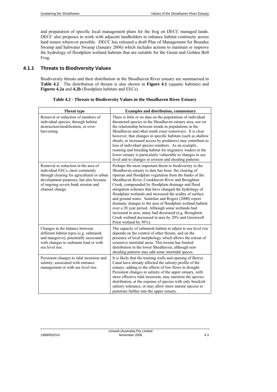and preparation of specific local management plans for the frog on DECC managed lands. DECC also proposes to work with adjacent landholders to enhance habitat continuity across land tenure wherever possible. DECC has released a draft Plan of Management for Brundee Swamp and Saltwater Swamp (January 2006) which includes actions to maintain or improve the hydrology of floodplain wetland habitats that are suitable for the Green and Golden Bell Frog.

## **4.1.1 Threats to Biodiversity Values**

Biodiversity threats and their distribution in the Shoalhaven River estuary are summarised in **Table 4.2**. The distribution of threats is also shown in **Figure 4.1** (aquatic habitats) and **Figures 4.2a** and **4.2b** (floodplain habitats and EECs).

| <b>Threat type</b>                                                                                                                                                                                                     | <b>Examples and distribution, commentary</b>                                                                                                                                                                                                                                                                                                                                                                                                                                                                                                                                                                                                                                                                                     |
|------------------------------------------------------------------------------------------------------------------------------------------------------------------------------------------------------------------------|----------------------------------------------------------------------------------------------------------------------------------------------------------------------------------------------------------------------------------------------------------------------------------------------------------------------------------------------------------------------------------------------------------------------------------------------------------------------------------------------------------------------------------------------------------------------------------------------------------------------------------------------------------------------------------------------------------------------------------|
| Removal or reduction of numbers of<br>individual species, through habitat<br>destruction/modification, or over-<br>harvesting.                                                                                         | There is little or no data on the populations of individual<br>threatened species in the Shoalhaven estuary area, nor on<br>the relationship between trends in populations in the<br>Shoalhaven and other south coast waterways. It is clear<br>however, that changes in specific habitats (such as shallow<br>shoals, or increased access by predators) may contribute to<br>loss of individual species numbers. As an example,<br>roosting and breeding habitat for migratory waders in the<br>lower estuary is particularly vulnerable to changes in sea<br>level and to changes in erosion and shoaling patterns.                                                                                                            |
| Removal or reduction in the area of<br>individual EECs, most commonly<br>through clearing for agricultural or urban<br>development purposes, but also because<br>of ongoing severe bank erosion and<br>channel change. | Perhaps the most important threat to biodiversity in the<br>Shoalhaven estuary to date has been the clearing of<br>riparian and floodplain vegetation from the banks of the<br>Shoalhaven River, Crookhaven River and Broughton<br>Creek, compounded by floodplain drainage and flood<br>mitigation schemes that have changed the hydrology of<br>floodplain wetlands and increased the acidity of surface<br>and ground water. Saintilan and Rogers (2000) report<br>dramatic changes to the area of floodplain wetland habitat<br>over a 20 year period. Although some wetlands had<br>increased in area, many had decreased (e.g. Broughton<br>Creek wetland decreased in area by 20% and Greenwell<br>Point wetland by 50%). |
| Changes in the balance between<br>different habitat types (e.g. saltmarsh<br>and mangrove), potentially associated<br>with changes to sediment load or with<br>sea level rise.                                         | The capacity of saltmarsh habitat to adjust to sea level rise<br>depends on the control of other threats, and on the<br>presence of local morphology which allows the retreat of<br>extensive intertidal areas. This terrain has limited<br>distribution in the lower Shoalhaven, although new<br>shoaling patterns may add some intertidal spaces.                                                                                                                                                                                                                                                                                                                                                                              |
| Persistent changes to tidal incursion and<br>salinity, associated with entrance<br>management or with sea level rise.                                                                                                  | It is likely that the training walls and opening of Berrys<br>Canal have already affected the salinity profile of the<br>estuary, adding to the effects of low flows in drought.<br>Persistent changes in salinity of the upper estuary, with<br>more effective tidal incursion, may marinise the species<br>distribution, at the expense of species with only brackish<br>salinity tolerance, or may allow more marine species to<br>penetrate further into the upper estuary.                                                                                                                                                                                                                                                  |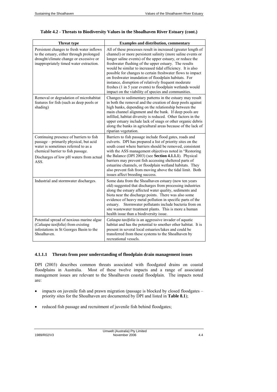| <b>Threat type</b>                                                                                                                                                                                               | <b>Examples and distribution, commentary</b>                                                                                                                                                                                                                                                                                                                                                                                                                                                                                                                                                                       |
|------------------------------------------------------------------------------------------------------------------------------------------------------------------------------------------------------------------|--------------------------------------------------------------------------------------------------------------------------------------------------------------------------------------------------------------------------------------------------------------------------------------------------------------------------------------------------------------------------------------------------------------------------------------------------------------------------------------------------------------------------------------------------------------------------------------------------------------------|
| Persistent changes to fresh water inflows<br>to the estuary, either through prolonged<br>drought/climate change or excessive or<br>inappropriately timed water extraction.                                       | All of these processes result in increased (greater length of<br>channel) or more persistent salinity (more saline events or<br>longer saline events) of the upper estuary, or reduce the<br>freshwater flushing of the upper estuary. The results<br>would be similar to increased tidal efficiency. It is also<br>possible for changes to certain freshwater flows to impact<br>on freshwater inundation of floodplain habitats. For<br>instance, disruption of relatively frequent moderate<br>freshes (1 in 5 year events) to floodplain wetlands would<br>impact on the viability of species and communities. |
| Removal or degradation of microhabitat<br>features for fish (such as deep pools or<br>shading)                                                                                                                   | Changes to sedimentary patterns in the estuary may result<br>in both the removal and the creation of deep pools against<br>high banks, depending on the relationship between the<br>main channel alignment and the bank. If deep pools are<br>infilled, habitat diversity is reduced. Other factors in the<br>upper estuary include lack of snags or other organic debris<br>along the banks in agricultural areas because of the lack of<br>riparian vegetation.                                                                                                                                                  |
| Continuing presence of barriers to fish<br>passage – primarily physical, but acid<br>water is sometimes referred to as a<br>chemical barrier to fish passage.<br>Discharges of low pH waters from actual<br>ASS. | Barriers to fish passage include flood gates, roads and<br>culverts. DPI has prepared a list of priority sites on the<br>south coast where barriers should be removed, consistent<br>with the ASS management objectives noted in "Restoring<br>the Balance (DPI 2003) (see Section 4.1.1.1). Physical<br>barriers may prevent fish accessing sheltered parts of<br>estuarine channels, or floodplain wetland habitats. They<br>also prevent fish from moving above the tidal limit. Both<br>issues affect breeding success.                                                                                        |
| Industrial and stormwater discharges.                                                                                                                                                                            | Some data from the Shoalhaven estuary (now ten years<br>old) suggested that discharges from processing industries<br>along the estuary affected water quality, sediments and<br>biota near the discharge points. There was also some<br>evidence of heavy metal pollution in specific parts of the<br>Stormwater pollutants include bacteria from on<br>estuary.<br>site wastewater treatment plants. This is more a human<br>health issue than a biodiversity issue.                                                                                                                                              |
| Potential spread of noxious marine algae<br>(Caluapa taxifolia) from existing<br>infestations in St Georges Basin to the<br>Shoalhaven.                                                                          | Calaupa taxifolia is an aggressive invader of aquatic<br>habitat and has the potential to smother other habitat. It is<br>present in several local estuaries/lakes and could be<br>transferred from these systems to the Shoalhaven by<br>recreational vessels.                                                                                                                                                                                                                                                                                                                                                    |

## **Table 4.2 - Threats to Biodiversity Values in the Shoalhaven River Estuary (cont.)**

#### **4.1.1.1 Threats from poor understanding of floodplain drain management issues**

DPI (2003) describes common threats associated with floodgated drains on coastal floodplains in Australia. Most of these twelve impacts and a range of associated management issues are relevant to the Shoalhaven coastal floodplain. The impacts noted are:

- impacts on juvenile fish and prawn migration (passage is blocked by closed floodgates priority sites for the Shoalhaven are documented by DPI and listed in **Table 8.1**);
- reduced fish passage and recruitment of juvenile fish behind floodgates;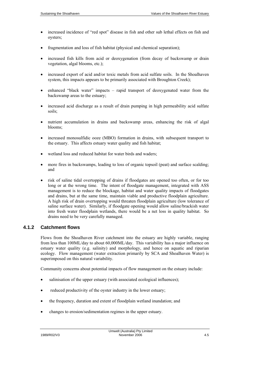- increased incidence of "red spot" disease in fish and other sub lethal effects on fish and oysters;
- fragmentation and loss of fish habitat (physical and chemical separation);
- increased fish kills from acid or deoxygenation (from decay of backswamp or drain vegetation, algal blooms, etc.);
- increased export of acid and/or toxic metals from acid sulfate soils. In the Shoalhaven system, this impacts appears to be primarily associated with Broughton Creek);
- enhanced "black water" impacts rapid transport of deoxygenated water from the backswamp areas to the estuary;
- increased acid discharge as a result of drain pumping in high permeability acid sulfate soils;
- nutrient accumulation in drains and backswamp areas, enhancing the risk of algal blooms;
- increased monosulfidic ooze (MBO) formation in drains, with subsequent transport to the estuary. This affects estuary water quality and fish habitat;
- wetland loss and reduced habitat for water birds and waders;
- more fires in backswamps, leading to loss of organic topsoil (peat) and surface scalding; and
- risk of saline tidal overtopping of drains if floodgates are opened too often, or for too long or at the wrong time. The intent of floodgate management, integrated with ASS management is to reduce the blockage, habitat and water quality impacts of floodgates and drains, but at the same time, maintain viable and productive floodplain agriculture. A high risk of drain overtopping would threaten floodplain agriculture (low tolerance of saline surface water). Similarly, if floodgate opening would allow saline/brackish water into fresh water floodplain wetlands, there would be a net loss in quality habitat. So drains need to be very carefully managed.

## **4.1.2 Catchment flows**

Flows from the Shoalhaven River catchment into the estuary are highly variable, ranging from less than 100ML/day to about 60,000ML/day. This variability has a major influence on estuary water quality (e.g. salinity) and morphology, and hence on aquatic and riparian ecology. Flow management (water extraction primarily by SCA and Shoalhaven Water) is superimposed on this natural variability.

Community concerns about potential impacts of flow management on the estuary include:

- salinisation of the upper estuary (with associated ecological influences);
- reduced productivity of the oyster industry in the lower estuary;
- the frequency, duration and extent of floodplain wetland inundation; and
- changes to erosion/sedimentation regimes in the upper estuary.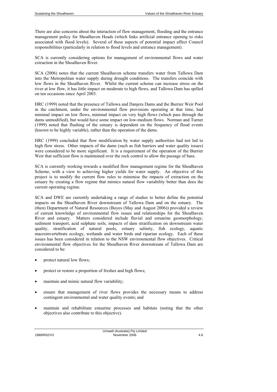There are also concerns about the interaction of flow management, flooding and the entrance management policy for Shoalhaven Heads (which links artificial entrance opening to risks associated with flood levels). Several of these aspects of potential impact affect Council responsibilities (particularly in relation to flood levels and entrance management).

SCA is currently considering options for management of environmental flows and water extraction in the Shoalhaven River.

SCA (2006) notes that the current Shoalhaven scheme transfers water from Tallowa Dam into the Metropolitan water supply during drought conditions. The transfers coincide with low flows in the Shoalhaven River. Whilst the current scheme can increase stress on the river at low flow, it has little impact on moderate to high flows, and Tallowa Dam has spilled on ten occasions since April 2003.

HRC (1999) noted that the presence of Tallowa and Danjera Dams and the Burrier Weir Pool in the catchment, under the environmental flow provisions operating at that time, had minimal impact on low flows, minimal impact on very high flows (which pass through the dams unmodified), but would have some impact on low-medium flows. Norman and Turner (1999) noted that flushing of the estuary is dependent on the frequency of flood events (known to be highly variable), rather than the operation of the dams.

HRC (1999) concluded that flow modification by water supply authorities had not led to high flow stress. Other impacts of the dams (such as fish barriers and water quality issues) were considered to be more significant. It is a requirement of the operation of the Burrier Weir that sufficient flow is maintained over the rock control to allow the passage of bass.

SCA is currently working towards a modified flow management regime for the Shoalhaven Scheme, with a view to achieving higher yields for water supply. An objective of this project is to modify the current flow rules to minimise the impacts of extraction on the estuary by creating a flow regime that mimics natural flow variability better than does the current operating regime.

SCA and DWE are currently undertaking a range of studies to better define the potential impacts on the Shoalhaven River downstream of Tallowa Dam and on the estuary. The (then) Department of Natural Resources (Boyes (May and August 2006)) provided a review of current knowledge of environmental flow issues and relationships for the Shoalhaven River and estuary. Matters considered include fluvial and estuarine geomorphology, sediment transport, acid sulphate soils, impacts of dam stratification on downstream water quality, stratification of natural pools, estuary salinity, fish ecology, aquatic macroinvertebrate ecology, wetlands and water birds and riparian ecology. Each of these issues has been considered in relation to the NSW environmental flow objectives. Critical environmental flow objectives for the Shoalhaven River downstream of Tallowa Dam are considered to be:

- protect natural low flows;
- protect or restore a proportion of freshes and high flows;
- maintain and mimic natural flow variability;
- ensure that management of river flows provides the necessary means to address contingent environmental and water quality events; and
- maintain and rehabilitate estuarine processes and habitats (noting that the other objectives also contribute to this objective).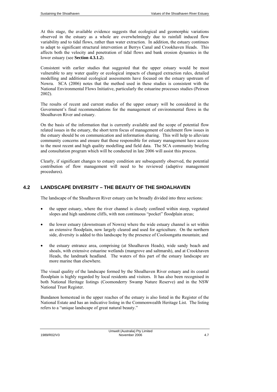At this stage, the available evidence suggests that ecological and geomorphic variations observed in the estuary as a whole are overwhelmingly due to rainfall induced flow variability and to tidal flows, rather than water extraction. In addition, the estuary continues to adapt to significant structural intervention at Berrys Canal and Crookhaven Heads. This affects both the velocity and penetration of tidal flows and bank erosion dynamics in the lower estuary (see **Section 4.3.1.2**).

Consistent with earlier studies that suggested that the upper estuary would be most vulnerable to any water quality or ecological impacts of changed extraction rules, detailed modelling and additional ecological assessments have focused on the estuary upstream of Nowra. SCA (2006) notes that the method used in these studies is consistent with the National Environmental Flows Initiative, particularly the estuarine processes studies (Peirson 2002).

The results of recent and current studies of the upper estuary will be considered in the Government's final recommendations for the management of environmental flows in the Shoalhaven River and estuary.

On the basis of the information that is currently available and the scope of potential flow related issues in the estuary, the short term focus of management of catchment flow issues in the estuary should be on communication and information sharing. This will help to alleviate community concerns and ensure that those responsible for estuary management have access to the most recent and high quality modelling and field data. The SCA community briefing and consultation program which will be conducted in late 2006 will assist this process.

Clearly, if significant changes to estuary condition are subsequently observed, the potential contribution of flow management will need to be reviewed (adaptive management procedures).

## **4.2 LANDSCAPE DIVERSITY – THE BEAUTY OF THE SHOALHAVEN**

The landscape of the Shoalhaven River estuary can be broadly divided into three sections:

- the upper estuary, where the river channel is closely confined within steep, vegetated slopes and high sandstone cliffs, with non continuous "pocket" floodplain areas;
- the lower estuary (downstream of Nowra) where the wide estuary channel is set within an extensive floodplain, now largely cleared and used for agriculture. On the northern side, diversity is added to this landscape by the presence of Cooloongatta mountain; and
- the estuary entrance area, comprising (at Shoalhaven Heads), wide sandy beach and shoals, with extensive estuarine wetlands (mangrove and saltmarsh), and at Crookhaven Heads, the landmark headland. The waters of this part of the estuary landscape are more marine than elsewhere.

The visual quality of the landscape formed by the Shoalhaven River estuary and its coastal floodplain is highly regarded by local residents and visitors. It has also been recognised in both National Heritage listings (Coomonderry Swamp Nature Reserve) and in the NSW National Trust Register.

Bundanon homestead in the upper reaches of the estuary is also listed in the Register of the National Estate and has an indicative listing in the Commonwealth Heritage List. The listing refers to a "unique landscape of great natural beauty."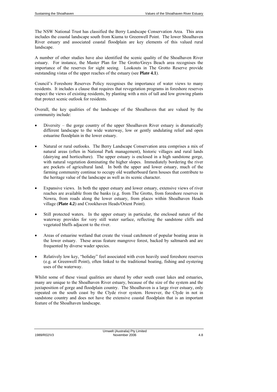The NSW National Trust has classified the Berry Landscape Conservation Area. This area includes the coastal landscape south from Kiama to Greenwell Point. The lower Shoalhaven River estuary and associated coastal floodplain are key elements of this valued rural landscape.

A number of other studies have also identified the scenic quality of the Shoalhaven River estuary. For instance, the Master Plan for The Grotto/Greys Beach area recognises the importance of the reserves for sight seeing. Lookouts in The Grotto Reserve provide outstanding vistas of the upper reaches of the estuary (see **Plate 4.1**).

Council's Foreshore Reserves Policy recognises the importance of water views to many residents. It includes a clause that requires that revegetation programs in foreshore reserves respect the views of existing residents, by planting with a mix of tall and low growing plants that protect scenic outlook for residents.

Overall, the key qualities of the landscape of the Shoalhaven that are valued by the community include:

- Diversity the gorge country of the upper Shoalhaven River estuary is dramatically different landscape to the wide waterway, low or gently undulating relief and open estuarine floodplain in the lower estuary.
- Natural or rural outlooks. The Berry Landscape Conservation area comprises a mix of natural areas (often in National Park management), historic villages and rural lands (dairying and horticulture). The upper estuary is enclosed in a high sandstone gorge, with natural vegetation dominating the higher slopes. Immediately bordering the river are pockets of agricultural land. In both the upper and lower estuary, much of the farming community continue to occupy old weatherboard farm houses that contribute to the heritage value of the landscape as well as its scenic character.
- Expansive views. In both the upper estuary and lower estuary, extensive views of river reaches are available from the banks (e.g. from The Grotto, from foreshore reserves in Nowra, from roads along the lower estuary, from places within Shoalhaven Heads village (**Plate 4.2**) and Crookhaven Heads/Orient Point).
- Still protected waters. In the upper estuary in particular, the enclosed nature of the waterway provides for very still water surface, reflecting the sandstone cliffs and vegetated bluffs adjacent to the river.
- Areas of estuarine wetland that create the visual catchment of popular boating areas in the lower estuary. These areas feature mangrove forest, backed by saltmarsh and are frequented by diverse wader species.
- Relatively low key, "holiday" feel associated with even heavily used foreshore reserves (e.g. at Greenwell Point), often linked to the traditional boating, fishing and oystering uses of the waterway.

Whilst some of these visual qualities are shared by other south coast lakes and estuaries, many are unique to the Shoalhaven River estuary, because of the size of the system and the juxtaposition of gorge and floodplain country. The Shoalhaven is a large river estuary, only repeated on the south coast by the Clyde river system. However, the Clyde in not in sandstone country and does not have the extensive coastal floodplain that is an important feature of the Shoalhaven landscape.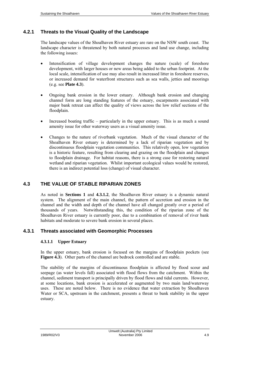## **4.2.1 Threats to the Visual Quality of the Landscape**

The landscape values of the Shoalhaven River estuary are rare on the NSW south coast. The landscape character is threatened by both natural processes and land use change, including the following issues:

- Intensification of village development changes the nature (scale) of foreshore development, with larger houses or new areas being added to the urban footprint. At the local scale, intensification of use may also result in increased litter in foreshore reserves, or increased demand for waterfront structures such as sea walls, jetties and moorings (e.g. see **Plate 4.3**).
- Ongoing bank erosion in the lower estuary. Although bank erosion and changing channel form are long standing features of the estuary, escarpments associated with major bank retreat can affect the quality of views across the low relief sections of the floodplain.
- Increased boating traffic particularly in the upper estuary. This is as much a sound amenity issue for other waterway users as a visual amenity issue.
- Changes to the nature of riverbank vegetation. Much of the visual character of the Shoalhaven River estuary is determined by a lack of riparian vegetation and by discontinuous floodplain vegetation communities. This relatively open, low vegetation is a historic feature, resulting from clearing and grazing on the floodplain and changes to floodplain drainage. For habitat reasons, there is a strong case for restoring natural wetland and riparian vegetation. Whilst important ecological values would be restored, there is an indirect potential loss (change) of visual character.

## **4.3 THE VALUE OF STABLE RIPARIAN ZONES**

As noted in **Sections 1** and **4.3.1.2**, the Shoalhaven River estuary is a dynamic natural system. The alignment of the main channel, the pattern of accretion and erosion in the channel and the width and depth of the channel have all changed greatly over a period of thousands of years. Notwithstanding this, the condition of the riparian zone of the Shoalhaven River estuary is currently poor, due to a combination of removal of river bank habitats and moderate to severe bank erosion in several places.

## **4.3.1 Threats associated with Geomorphic Processes**

#### **4.3.1.1 Upper Estuary**

In the upper estuary, bank erosion is focused on the margins of floodplain pockets (see **Figure 4.3**). Other parts of the channel are bedrock controlled and are stable.

The stability of the margins of discontinuous floodplain is affected by flood scour and seepage (as water levels fall) associated with flood flows from the catchment. Within the channel, sediment transport is principally driven by flood flows and tidal currents. However, at some locations, bank erosion is accelerated or augmented by two main land/waterway uses. These are noted below. There is no evidence that water extraction by Shoalhaven Water or SCA, upstream in the catchment, presents a threat to bank stability in the upper estuary.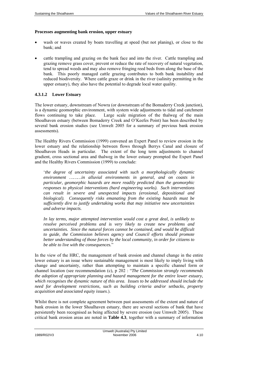#### **Processes augmenting bank erosion, upper estuary**

- wash or waves created by boats travelling at speed (but not planing), or close to the bank; and
- cattle trampling and grazing on the bank face and into the river. Cattle trampling and grazing remove grass cover, prevent or reduce the rate of recovery of natural vegetation, tend to spread weeds and may also remove fringing reed beds from along the base of the bank. This poorly managed cattle grazing contributes to both bank instability and reduced biodiversity. Where cattle graze or drink in the river (salinity permitting in the upper estuary), they also have the potential to degrade local water quality.

#### **4.3.1.2 Lower Estuary**

The lower estuary, downstream of Nowra (or downstream of the Bomaderry Creek junction), is a dynamic geomorphic environment, with system wide adjustments to tidal and catchment flows continuing to take place. Large scale migration of the thalweg of the main Shoalhaven estuary (between Bomaderry Creek and O'Keefes Point) has been described by several bank erosion studies (see Umwelt 2005 for a summary of previous bank erosion assessments).

The Healthy Rivers Commission (1999) convened an Expert Panel to review erosion in the lower estuary and the relationship between flows through Berrys Canal and closure of Shoalhaven Heads in particular. The extent of the long term adjustments to channel gradient, cross sectional area and thalweg in the lower estuary prompted the Expert Panel and the Healthy Rivers Commission (1999) to conclude:

'*the degree of uncertainty associated with such a morphologically dynamic environment ………in alluvial environments in general, and on coasts in particular, geomorphic hazards are more readily predicted than the geomorphic responses to physical interventions (hard engineering works). Such interventions can result in severe and unexpected impacts (erosional, depositional and biological). Consequently risks emanating from the existing hazards must be sufficiently dire to justify undertaking works that may initiative new uncertainties and adverse impacts.* 

*In lay terms, major attempted intervention would cost a great deal, is unlikely to resolve perceived problems and is very likely to create new problems and uncertainties. Since the natural forces cannot be contained, and would be difficult to guide, the Commission believes agency and Council efforts should promote better understanding of those forces by the local community, in order for citizens to be able to live with the consequences.*"

In the view of the HRC, the management of bank erosion and channel change in the entire lower estuary is an issue where sustainable management is most likely to imply living with change and uncertainty, rather than attempting to maintain a specific channel form or channel location (see recommendation (c), p 202 : "*The Commission strongly recommends the adoption of appropriate planning and hazard management for the entire lower estuary, which recognises the dynamic nature of this area. Issues to be addressed should include the need for development restrictions, such as building criteria and/or setbacks, property acquisition and associated equity issues*.).

Whilst there is not complete agreement between past assessments of the extent and nature of bank erosion in the lower Shoalhaven estuary, there are several sections of bank that have persistently been recognised as being affected by severe erosion (see Umwelt 2005). These critical bank erosion areas are noted in **Table 4.3**, together with a summary of information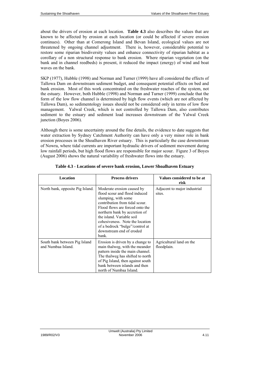about the drivers of erosion at each location. **Table 4.3** also describes the values that are known to be affected by erosion at each location (or could be affected if severe erosion continues). Other than at Comerong Island and Bevan Island, ecological values are not threatened by ongoing channel adjustment. There is, however, considerable potential to restore some riparian biodiversity values and enhance connectivity of riparian habitat as a corollary of a non structural response to bank erosion. Where riparian vegetation (on the bank and in channel reedbeds) is present, it reduced the impact (energy) of wind and boat waves on the bank.

SKP (1977), Hubble (1998) and Norman and Turner (1999) have all considered the effects of Tallowa Dam on downstream sediment budget, and consequent potential effects on bed and bank erosion. Most of this work concentrated on the freshwater reaches of the system, not the estuary. However, both Hubble (1998) and Norman and Turner (1999) conclude that the form of the low flow channel is determined by high flow events (which are not affected by Tallowa Dam), so sedimentology issues should not be considered only in terms of low flow management. Yalwal Creek, which is not controlled by Tallowa Dam, also contributes sediment to the estuary and sediment load increases downstream of the Yalwal Creek junction (Boyes 2006).

Although there is some uncertainty around the fine details, the evidence to date suggests that water extraction by Sydney Catchment Authority can have only a very minor role in bank erosion processes in the Shoalhaven River estuary. This is particularly the case downstream of Nowra, where tidal currents are important hydraulic drivers of sediment movement during low rainfall periods, but high flood flows are responsible for major scour. Figure 3 of Boyes (August 2006) shows the natural variability of freshwater flows into the estuary.

| Location                                            | <b>Process drivers</b>                                                                                                                                                                                                                                                                                                           | Values considered to be at<br>risk      |
|-----------------------------------------------------|----------------------------------------------------------------------------------------------------------------------------------------------------------------------------------------------------------------------------------------------------------------------------------------------------------------------------------|-----------------------------------------|
| North bank, opposite Pig Island.                    | Moderate erosion caused by<br>flood scour and flood induced<br>slumping, with some<br>contribution from tidal scour.<br>Flood flows are forced onto the<br>northern bank by accretion of<br>the island. Variable soil<br>cohesiveness. Note the location<br>of a bedrock "bulge"/control at<br>downstream end of eroded<br>bank. | Adjacent to major industrial<br>sites.  |
| South bank between Pig Island<br>and Numbaa Island. | Erosion is driven by a change to<br>main thalweg, with the meander<br>pattern inside the main channel.<br>The thalweg has shifted to north<br>of Pig Island, then against south<br>bank between islands and then<br>north of Numbaa Island.                                                                                      | Agricultural land on the<br>floodplain. |

**Table 4.3 - Locations of severe bank erosion, Lower Shoalhaven Estuary**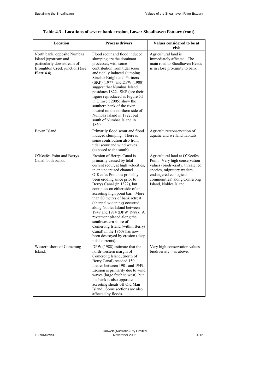| Location                                                                                                                                   | <b>Process drivers</b>                                                                                                                                                                                                                                                                                                                                                                                                                                                                                                                                                                                   | Values considered to be at<br>risk                                                                                                                                                                                 |
|--------------------------------------------------------------------------------------------------------------------------------------------|----------------------------------------------------------------------------------------------------------------------------------------------------------------------------------------------------------------------------------------------------------------------------------------------------------------------------------------------------------------------------------------------------------------------------------------------------------------------------------------------------------------------------------------------------------------------------------------------------------|--------------------------------------------------------------------------------------------------------------------------------------------------------------------------------------------------------------------|
| North bank, opposite Numbaa<br>Island (upstream and<br>particularly downstream of<br>Broughton Creek junction) (see<br><b>Plate 4.4</b> ). | Flood scour and flood induced<br>slumping are the dominant<br>processes, with some<br>contribution from tidal scour<br>and tidally induced slumping.<br>Sinclair Knight and Partners<br>(SKP) (1977) and DPW (1988)<br>suggest that Numbaa Island<br>postdates 1822. SKP (see their<br>figure reproduced as Figure 5.1<br>in Umwelt 2005) show the<br>southern bank of the river<br>located on the northern side of<br>Numbaa Island in 1822, but<br>south of Numbaa Island in<br>1860.                                                                                                                  | Agricultural land is<br>immediately affected. The<br>main road to Shoalhaven Heads<br>is in close proximity to bank.                                                                                               |
| Bevan Island.                                                                                                                              | Primarily flood scour and flood<br>induced slumping. There is<br>some contribution also from<br>tidal scour and wind waves<br>(exposed to the south).                                                                                                                                                                                                                                                                                                                                                                                                                                                    | Agriculture/conservation of<br>aquatic and wetland habitats.                                                                                                                                                       |
| O'Keefes Point and Berrys<br>Canal, both banks.                                                                                            | Erosion of Berrys Canal is<br>primarily caused by tidal<br>current scour, at high velocities,<br>in an undersized channel.<br>O'Keefes Pont has probably<br>been eroding since prior to<br>Berrys Canal (in 1822), but<br>continues on either side of an<br>accreting high point bar. More<br>than 80 metres of bank retreat<br>(channel widening) occurred<br>along Nobles Island between<br>1949 and 1984 (DPW 1988). A<br>revetment placed along the<br>southwestern shore of<br>Comerong Island (within Berrys<br>Canal) in the 1960s has now<br>been destroyed by erosion (deep<br>tidal currents). | Agricultural land at O'Keefes<br>Point. Very high conservation<br>values (biodiversity, threatened<br>species, migratory waders,<br>endangered ecological<br>communities) along Comerong<br>Island, Nobles Island. |
| Western shore of Comerong<br>Island.                                                                                                       | DPW (1988) estimate that the<br>north-western margin of<br>Comerong Island, (north of<br>Berry Canal) receded 150<br>metres between 1901 and 1949.<br>Erosion is primarily due to wind<br>waves (large fetch to west), but<br>the bank is also opposite<br>accreting shoals off Old Man<br>Island. Some sections are also<br>affected by floods.                                                                                                                                                                                                                                                         | Very high conservation values -<br>biodiversity - as above.                                                                                                                                                        |

## **Table 4.3 - Locations of severe bank erosion, Lower Shoalhaven Estuary (cont)**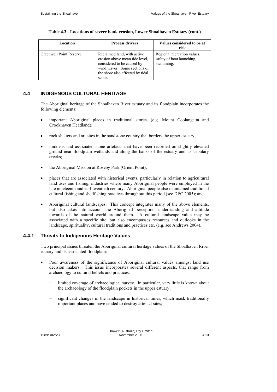| Table 4.3 - Locations of severe bank erosion, Lower Shoalhaven Estuary (cont.) |  |
|--------------------------------------------------------------------------------|--|
|--------------------------------------------------------------------------------|--|

| Location                 | <b>Process drivers</b>                                                                                                                                                    | Values considered to be at<br>risk                                    |
|--------------------------|---------------------------------------------------------------------------------------------------------------------------------------------------------------------------|-----------------------------------------------------------------------|
| Greenwell Point Reserve. | Reclaimed land, with active<br>erosion above mean tide level,<br>considered to be caused by<br>wind waves. Some sections of<br>the shore also affected by tidal<br>scour. | Regional recreation values,<br>safety of boat launching,<br>swimming. |

## **4.4 INDIGENOUS CULTURAL HERITAGE**

The Aboriginal heritage of the Shoalhaven River estuary and its floodplain incorporates the following elements:

- important Aboriginal places in traditional stories (e.g. Mount Coolangatta and Crookhaven Headland);
- rock shelters and art sites in the sandstone country that borders the upper estuary;
- middens and associated stone artefacts that have been recorded on slightly elevated ground near floodplain wetlands and along the banks of the estuary and its tributary creeks;
- the Aboriginal Mission at Roseby Park (Orient Point);
- places that are associated with historical events, particularly in relation to agricultural land uses and fishing, industries where many Aboriginal people were employed in the late nineteenth and earl twentieth century. Aboriginal people also maintained traditional cultural fishing and shellfishing practices throughout this period (see DEC 2005); and
- Aboriginal cultural landscapes. This concept integrates many of the above elements, but also takes into account the Aboriginal perception, understanding and attitude towards of the natural world around them. A cultural landscape value may be associated with a specific site, but also encompasses resources and outlooks in the landscape, spirituality, cultural traditions and practices etc. (e.g. see Andrews 2004).

## **4.4.1 Threats to Indigenous Heritage Values**

Two principal issues threaten the Aboriginal cultural heritage values of the Shoalhaven River estuary and its associated floodplain:

- Poor awareness of the significance of Aboriginal cultural values amongst land use decision makers. This issue incorporates several different aspects, that range from archaeology to cultural beliefs and practices:
	- limited coverage of archaeological survey. In particular, very little is known about the archaeology of the floodplain pockets in the upper estuary;
	- significant changes in the landscape in historical times, which mask traditionally important places and have tended to destroy artefact sites;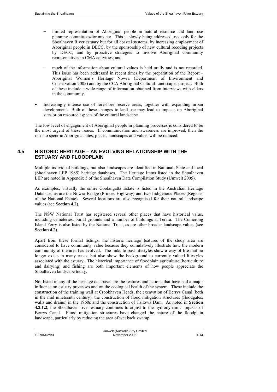- limited representation of Aboriginal people in natural resource and land use planning committees/forums etc. This is slowly being addressed, not only for the Shoalhaven River estuary but for all coastal systems, by increasing employment of Aboriginal people in DECC, by the sponsorship of new cultural recoding projects by DECC, and by proactive strategies to involve Aboriginal community representatives in CMA activities; and
- much of the information about cultural values is held orally and is not recorded. This issue has been addressed in recent times by the preparation of the Report – Aboriginal Women's Heritage Nowra (Department of Environment and Conservation 2005) and by the CCA Aboriginal Cultural Landscapes project. Both of these include a wide range of information obtained from interviews with elders in the community.
- Increasingly intense use of foreshore reserve areas, together with expanding urban development. Both of these changes to land use may lead to impacts on Aboriginal sites or on resource aspects of the cultural landscape.

The low level of engagement of Aboriginal people in planning processes is considered to be the most urgent of these issues. If communication and awareness are improved, then the risks to specific Aboriginal sites, places, landscapes and values will be reduced.

## **4.5 HISTORIC HERITAGE – AN EVOLVING RELATIONSHIP WITH THE ESTUARY AND FLOODPLAIN**

Multiple individual buildings, but also landscapes are identified in National, State and local (Shoalhaven LEP 1985) heritage databases. The Heritage Items listed in the Shoalhaven LEP are noted in Appendix 5 of the Shoalhaven Data Compilation Study (Umwelt 2005).

As examples, virtually the entire Coolangatta Estate is listed in the Australian Heritage Database, as are the Nowra Bridge (Princes Highway) and two Indigenous Places (Register of the National Estate). Several locations are also recognised for their natural landscape values (see **Section 4.2**).

The NSW National Trust has registered several other places that have historical value, including cemeteries, burial grounds and a number of buildings at Terara. The Comerong Island Ferry is also listed by the National Trust, as are other broader landscape values (see **Section 4.2**).

Apart from these formal listings, the historic heritage features of the study area are considered to have community value because they cumulatively illustrate how the modern community of the area has evolved. The links to past lifestyles show a way of life that no longer exists in many cases, but also show the background to currently valued lifestyles associated with the estuary. The historical importance of floodplain agriculture (horticulture and dairying) and fishing are both important elements of how people appreciate the Shoalhaven landscape today.

Not listed in any of the heritage databases are the features and actions that have had a major influence on estuary processes and on the ecological health of the system. These include the construction of the training wall at Crookhaven Heads, the excavation of Berrys Canal (both in the mid nineteenth century), the construction of flood mitigation structures (floodgates, walls and drains) in the 1960s and the construction of Tallowa Dam. As noted in **Section 4.3.1.2**, the Shoalhaven river estuary continues to adjust to the hydrodynamic impacts of Berrys Canal. Flood mitigation structures have changed the nature of the floodplain landscape, particularly by reducing the area of wet back swamp.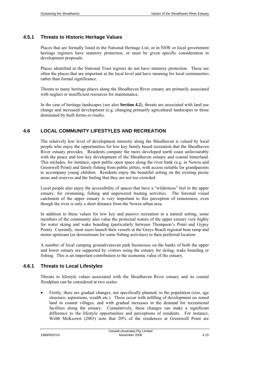## **4.5.1 Threats to Historic Heritage Values**

Places that are formally listed in the National Heritage List, or in NSW or local government heritage registers have statutory protection, or must be given specific consideration in development proposals.

Places identified in the National Trust register do not have statutory protection. These are often the places that are important at the local level and have meaning for local communities rather than formal significance.

Threats to many heritage places along the Shoalhaven River estuary are primarily associated with neglect or insufficient resources for maintenance.

In the case of heritage landscapes (see also **Section 4.2**), threats are associated with land use change and increased development (e.g. changing primarily agricultural landscapes to those dominated by built forms or roads).

## **4.6 LOCAL COMMUNITY LIFESTYLES AND RECREATION**

The relatively low level of development intensity along the Shoalhaven is valued by local people who enjoy the opportunities for low key family based recreation that the Shoalhaven River estuary provides. Residents compare the more developed north coast unfavourably with the peace and low key development of the Shoalhaven estuary and coastal hinterland. This includes, for instance, open public open space along the river bank (e.g. in Nowra and Greenwell Point) and family fishing from public jetties, with access suitable for grandparents to accompany young children. Residents enjoy the beautiful setting on the existing picnic areas and reserves and the feeling that they are not too crowded.

Local people also enjoy the accessibility of spaces that have a "wilderness" feel in the upper estuary, for swimming, fishing and unpowered boating activities. The forested visual catchment of the upper estuary is very important to this perception of remoteness, even though the river is only a short distance from the Nowra urban area.

In addition to these values for low key and passive recreation in a natural setting, some members of the community also value the protected waters of the upper estuary very highly for water skiing and wake boarding (particularly between Thompson's Point and Gypsy Point). Currently, most users launch their vessels at the Greys Beach regional boat ramp and motor upstream (or downstream for some fishing activities) to their preferred location.

A number of local camping ground/caravan park businesses on the banks of both the upper and lower estuary are supported by visitors using the estuary for skiing, wake boarding or fishing. This is an important contribution to the economic value of the estuary.

## **4.6.1 Threats to Local Lifestyles**

Threats to lifestyle values associated with the Shoalhaven River estuary and its coastal floodplain can be considered at two scales:

• Firstly, there are gradual changes, not specifically planned, to the population (size, age structure, aspirations, wealth etc.). These occur with infilling of development on zoned land in coastal villages, and with gradual increases in the demand for recreational facilities along the estuary. Cumulatively, these changes can make a significant difference to the lifestyle opportunities and perceptions of residents. For instance, Webb McKeown (2003) note that 20% of the residences at Greenwell Point are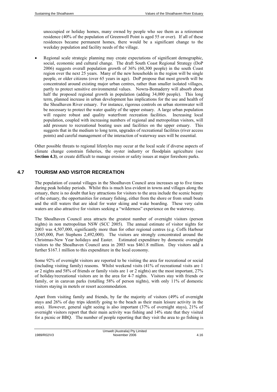unoccupied or holiday homes, many owned by people who see them as a retirement residence (40% of the population of Greenwell Point is aged 55 or over). If all of these residences became permanent homes, there would be a significant change to the weekday population and facility needs of the village.

• Regional scale strategic planning may create expectations of significant demographic, social, economic and cultural change. The draft South Coast Regional Strategy (DoP 2006) suggests overall population growth of 36% (60,300 people) in the south Coast region over the next 25 years. Many of the new households in the region will be single people, or older citizens (over 65 years in age). DoP propose that most growth will be concentrated around existing major urban centres, rather than smaller isolated villages, partly to protect sensitive environmental values. Nowra-Bomaderry will absorb about half the proposed regional growth in population (adding 34,000 people). This long term, planned increase in urban development has implications for the use and health of the Shoalhaven River estuary. For instance, rigorous controls on urban stormwater will be necessary to protect the water quality of the upper estuary. A large urban population will require robust and quality waterfront recreation facilities. Increasing local population, coupled with increasing numbers of regional and metropolitan visitors, will add pressure to recreational boating uses and facilities on the upper estuary. This suggests that in the medium to long term, upgrades of recreational facilities (river access points) and careful management of the interaction of waterway uses will be essential.

Other possible threats to regional lifestyles may occur at the local scale if diverse aspects of climate change constrain fisheries, the oyster industry or floodplain agriculture (see **Section 4.3**), or create difficult to manage erosion or safety issues at major foreshore parks.

## **4.7 TOURISM AND VISITOR RECREATION**

The population of coastal villages in the Shoalhaven Council area increases up to five times during peak holiday periods. Whilst this is much less evident in towns and villages along the estuary, there is no doubt that key attractions for visitors to the area include the scenic beauty of the estuary, the opportunities for estuary fishing, either from the shore or from small boats and the still waters that are ideal for water skiing and wake boarding. These very calm waters are also attractive for visitors seeking a "wilderness" experience on the waterway.

The Shoalhaven Council area attracts the greatest number of overnight visitors (person nights) in non metropolitan NSW (SCC 2005). The annual estimate of visitor nights for 2003 was 4,507,000, significantly more than for other regional centres (e.g. Coffs Harbour 3,045,000, Port Stephens 2,492,000). The visitors are strongly concentrated around the Christmas-New Year holidays and Easter. Estimated expenditure by domestic overnight visitors to the Shoalhaven Council area in 2003 was \$461.8 million. Day visitors add a further \$167.1 million to this expenditure in the local economy.

Some 92% of overnight visitors are reported to be visiting the area for recreational or social (including visiting family) reasons. Whilst weekend visits (41% of recreational visits are 1 or 2 nights and 58% of friends or family visits are 1 or 2 nights) are the most important, 27% of holiday/recreational visitors are in the area for 4-7 nights. Visitors stay with friends or family, or in caravan parks (totalling 58% of person nights), with only 11% of domestic visitors staying in motels or resort accommodation.

Apart from visiting family and friends, by far the majority of visitors (49% of overnight stays and 26% of day trips identify going to the beach as their main leisure activity in the area). However, general sight seeing is also important (37% of overnight stays), 21% of overnight visitors report that their main activity was fishing and 14% state that they visited for a picnic or BBQ. The number of people reporting that they visit the area to go fishing is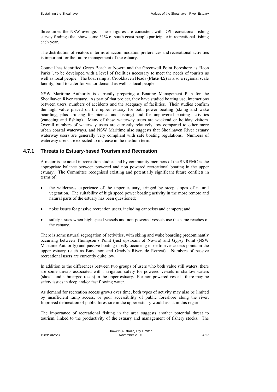three times the NSW average. These figures are consistent with DPI recreational fishing survey findings that show some 31% of south coast people participate in recreational fishing each year.

The distribution of visitors in terms of accommodation preferences and recreational activities is important for the future management of the estuary.

Council has identified Greys Beach at Nowra and the Greenwell Point Foreshore as "Icon Parks", to be developed with a level of facilities necessary to meet the needs of tourists as well as local people. The boat ramp at Crookhaven Heads (**Plate 4.5**) is also a regional scale facility, built to cater for visitor demand as well as local people.

NSW Maritime Authority is currently preparing a Boating Management Plan for the Shoalhaven River estuary. As part of that project, they have studied boating use, interactions between users, numbers of accidents and the adequacy of facilities. Their studies confirm the high value placed on the upper estuary for both power boating (skiing and wake boarding, plus cruising for picnics and fishing) and for unpowered boating activities (canoeing and fishing). Many of these waterway users are weekend or holiday visitors. Overall numbers of waterway users are currently relatively low compared to other more urban coastal waterways, and NSW Maritime also suggests that Shoalhaven River estuary waterway users are generally very compliant with safe boating regulations. Numbers of waterway users are expected to increase in the medium term.

## **4.7.1 Threats to Estuary-based Tourism and Recreation**

A major issue noted in recreation studies and by community members of the SNRFMC is the appropriate balance between powered and non powered recreational boating in the upper estuary. The Committee recognised existing and potentially significant future conflicts in terms of:

- the wilderness experience of the upper estuary, fringed by steep slopes of natural vegetation. The suitability of high speed power boating activity in the more remote and natural parts of the estuary has been questioned;
- noise issues for passive recreation users, including canoeists and campers; and
- safety issues when high speed vessels and non-powered vessels use the same reaches of the estuary.

There is some natural segregation of activities, with skiing and wake boarding predominantly occurring between Thompson's Point (just upstream of Nowra) and Gypsy Point (NSW Maritime Authority) and passive boating mostly occurring close to river access points in the upper estuary (such as Bundanon and Grady's Riverside Retreat). Numbers of passive recreational users are currently quite low.

In addition to the differences between two groups of users who both value still waters, there are some threats associated with navigation safety for powered vessels in shallow waters (shoals and submerged rocks) in the upper estuary. For non powered vessels, there may be safety issues in deep and/or fast flowing water.

As demand for recreation access grows over time, both types of activity may also be limited by insufficient ramp access, or poor accessibility of public foreshore along the river. Improved delineation of public foreshore in the upper estuary would assist in this regard.

The importance of recreational fishing in the area suggests another potential threat to tourism, linked to the productivity of the estuary and management of fishery stocks. The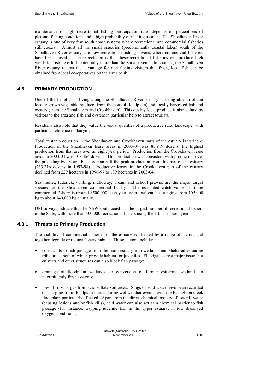maintenance of high recreational fishing participation rates depends on perceptions of pleasant fishing conditions and a high probability of making a catch. The Shoalhaven River estuary is one of very few south coast systems where recreational and commercial fisheries still coexist. Almost all the small estuaries (predominantly coastal lakes) south of the Shoalhaven River estuary, are now recreational fishing havens, where commercial fisheries have been closed. The expectation is that these recreational fisheries will produce high yields for fishing effort, potentially more than the Shoalhaven. In contrast, the Shoalhaven River estuary retains the advantage for non fishing visitors that fresh, local fish can be obtained from local co-operatives on the river bank.

## **4.8 PRIMARY PRODUCTION**

One of the benefits of living along the Shoalhaven River estuary is being able to obtain locally grown vegetable produce (from the coastal floodplain) and locally harvested fish and oysters (from the Shoalhaven and Crookhaven). This quality local produce is also valued by visitors to the area and fish and oysters in particular help to attract tourists.

Residents also note that they value the visual qualities of a productive rural landscape, with particular reference to dairying.

Total oyster production in the Shoalhaven and Crookhaven parts of the estuary is variable. Production in the Shoalhaven lease areas in 2003-04 was 85,919 dozens, the highest production from that area over an eight year period. Production from the Crookhaven lease areas in 2003-04 was 103,454 dozens. This production was consistent with production over the preceding two years, but less than half the peak production from this part of the estuary (233,216 dozens in 1997-98). Productive leases in the Crookhaven part of the estuary declined from 229 hectares in 1996-97 to 139 hectares in 2003-04.

Sea mullet, luderick, whiting, mulloway, bream and school prawns are the major target species for the Shoalhaven commercial fishery. The estimated catch value from the commercial fishery is around \$500,000 each year, with total catches ranging from 105,000 kg to about 140,000 kg annually.

DPI surveys indicate that the NSW south coast has the largest number of recreational fishers in the State, with more than 500,000 recreational fishers using the estuaries each year.

## **4.8.1 Threats to Primary Production**

The viability of commercial fisheries of the estuary is affected by a range of factors that together degrade or reduce fishery habitat. These factors include:

- constraints to fish passage from the main estuary into wetlands and sheltered estuarine tributaries, both of which provide habitat for juveniles. Floodgates are a major issue, but culverts and other structures can also block fish passage;
- drainage of floodplain wetlands, or conversion of former estuarine wetlands to intermittently fresh systems;
- low pH discharges from acid sulfate soil areas. Slugs of acid water have been recorded discharging from floodplain drains during wet weather events, with the Broughton creek floodplain particularly affected. Apart from the direct chemical toxicity of low pH water (causing lesions and/or fish kills), acid water can also act as a chemical barrier to fish passage (for instance, trapping juvenile fish in the upper estuary, in low dissolved oxygen conditions;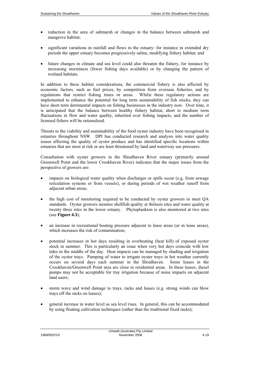- reduction in the area of saltmarsh or changes in the balance between saltmarsh and mangrove habitat;
- significant variations in rainfall and flows in the estuary: for instance in extended dry periods the upper estuary becomes progressively saline, modifying fishery habitat; and
- future changes in climate and sea level could also threaten the fishery, for instance by increasing storminess (fewer fishing days available) or by changing the pattern of wetland habitats.

In addition to these habitat considerations, the commercial fishery is also affected by economic factors, such as fuel prices, by competition from overseas fisheries, and by regulations that restrict fishing times or areas. Whilst these regulatory actions are implemented to enhance the potential for long term sustainability of fish stocks, they can have short term detrimental impacts on fishing businesses in the industry now. Over time, it is anticipated that the balance between healthy fishery habitat, short to medium term fluctuations in flow and water quality, inherited over fishing impacts, and the number of licensed fishers will be rationalised.

Threats to the viability and sustainability of the food oyster industry have been recognised in estuaries throughout NSW. DPI has conducted research and analysis into water quality issues affecting the quality of oyster produce and has identified specific locations within estuaries that are most at risk or are least threatened by land and waterway use pressures.

Consultation with oyster growers in the Shoalhaven River estuary (primarily around Greenwell Point and the lower Crookhaven River) indicates that the major issues from the perspective of growers are:

- impacts on biological water quality when discharges or spills occur (e.g. from sewage reticulation systems or from vessels), or during periods of wet weather runoff from adjacent urban areas;
- the high cost of monitoring required to be conducted by oyster growers to meet QA standards. Oyster growers monitor shellfish quality at thirteen sites and water quality at twenty three sites in the lower estuary. Phytoplankton is also monitored at two sites (see **Figure 4.3**);
- an increase in recreational boating pressure adjacent to lease areas (or in lease areas), which increases the risk of contamination;
- potential increases in hot days resulting in overheating (heat kill) of exposed oyster stock in summer. This is particularly an issue when very hot days coincide with low tides in the middle of the day. Heat impacts can be managed by shading and irrigation of the oyster trays. Pumping of water to irrigate oyster trays in hot weather currently occurs on several days each summer in the Shoalhaven. Some leases in the Crookhaven/Greenwell Point area are close to residential areas. In these leases, diesel pumps may not be acceptable for tray irrigation because of noise impacts on adjacent land users;
- storm wave and wind damage to trays, racks and leases (e.g. strong winds can blow trays off the racks on leases);
- general increase in water level as sea level rises. In general, this can be accommodated by using floating cultivation techniques (rather than the traditional fixed racks);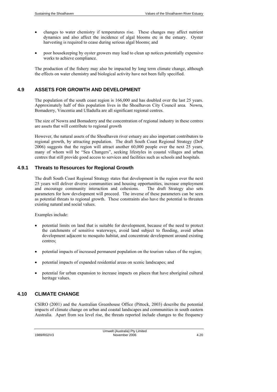- changes to water chemistry if temperatures rise. These changes may affect nutrient dynamics and also affect the incidence of algal blooms etc in the estuary. Oyster harvesting is required to cease during serious algal blooms; and
- poor house keeping by oyster growers may lead to clean up notices potentially expensive works to achieve compliance.

The production of the fishery may also be impacted by long term climate change, although the effects on water chemistry and biological activity have not been fully specified.

#### **4.9 ASSETS FOR GROWTH AND DEVELOPMENT**

The population of the south coast region is 166,000 and has doubled over the last 25 years. Approximately half of this population lives in the Shoalhaven City Council area. Nowra, Bomaderry, Vincentia and Ulladulla are all significant regional centres.

The size of Nowra and Bomaderry and the concentration of regional industry in these centres are assets that will contribute to regional growth

However, the natural assets of the Shoalhaven river estuary are also important contributors to regional growth, by attracting population. The draft South Coast Regional Strategy (DoP 2006) suggests that the region will attract another 60,000 people over the next 25 years, many of whom will be "Sea Changers", seeking lifestyles in coastal villages and urban centres that still provide good access to services and facilities such as schools and hospitals.

#### **4.9.1 Threats to Resources for Regional Growth**

The draft South Coast Regional Strategy states that development in the region over the next 25 years will deliver diverse communities and housing opportunities, increase employment and encourage community interaction and cohesions. The draft Strategy also sets parameters for how development will proceed. The inverse of these parameters can be seen as potential threats to regional growth. These constraints also have the potential to threaten existing natural and social values.

Examples include:

- potential limits on land that is suitable for development, because of the need to protect the catchments of sensitive waterways, avoid land subject to flooding, avoid urban development adjacent to mosquito habitat, and concentrate development around existing centres;
- potential impacts of increased permanent population on the tourism values of the region;
- potential impacts of expanded residential areas on scenic landscapes; and
- potential for urban expansion to increase impacts on places that have aboriginal cultural heritage values.

## **4.10 CLIMATE CHANGE**

CSIRO (2001) and the Australian Greenhouse Office (Pittock, 2003) describe the potential impacts of climate change on urban and coastal landscapes and communities in south eastern Australia. Apart from sea level rise, the threats reported include changes to the frequency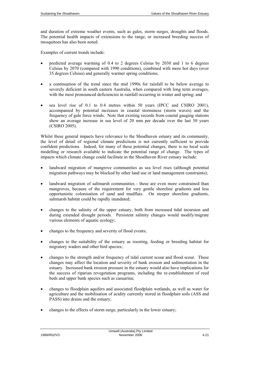and duration of extreme weather events, such as gales, storm surges, droughts and floods. The potential health impacts of extensions to the range, or increased breeding success of mosquitoes has also been noted.

Examples of current trends include:

- predicted average warming of 0.4 to 2 degrees Celsius by 2030 and 1 to 6 degrees Celsius by 2070 (compared with 1990 conditions), combined with more hot days (over 35 degrees Celsius) and generally warmer spring conditions;
- a continuation of the trend since the mid 1990s for rainfall to be below average to severely deficient in south eastern Australia, when compared with long term averages, with the most pronounced deficiencies in rainfall occurring in winter and spring; and
- sea level rise of 0.1 to 0.4 metres within 50 years (IPCC and CSIRO 2001), accompanied by potential increases in coastal storminess (storm waves) and the frequency of gale force winds. Note that existing records from coastal gauging stations show an average increase in sea level of 20 mm per decade over the last 50 years (CSIRO 2005).

Whilst these general impacts have relevance to the Shoalhaven estuary and its community, the level of detail of regional climate predictions is not currently sufficient to provide confident predictions. Indeed, for many of these potential changes, there is no local scale modelling or research available to indicate the potential range of change. The types of impacts which climate change could facilitate in the Shoalhaven River estuary include:

- landward migration of mangrove communities as sea level rises (although potential migration pathways may be blocked by other land use or land management constraints);
- landward migration of saltmarsh communities these are even more constrained than mangroves, because of the requirement for very gentle shoreline gradients and less opportunistic colonisation of sand and mudflats. On steeper shoreline gradients, saltmarsh habitat could be rapidly inundated;
- changes to the salinity of the upper estuary, both from increased tidal incursion and during extended drought periods. Persistent salinity changes would modify/migrate various elements of aquatic ecology;
- changes to the frequency and severity of flood events;
- changes to the suitability of the estuary as roosting, feeding or breeding habitat for migratory waders and other bird species;
- changes to the strength and/or frequency of tidal current scour and flood scour. These changes may affect the location and severity of bank erosion and sedimentation in the estuary. Increased bank erosion pressure in the estuary would also have implications for the success of riparian revegetation programs, including the re-establishment of reed beds and upper bank species such as casuarina;
- changes to floodplain aquifers and associated floodplain wetlands, as well as water for agriculture and the mobilisation of acidity currently stored in floodplain soils (ASS and PASS) into drains and the estuary;
- changes to the effects of storm surge, particularly in the lower estuary;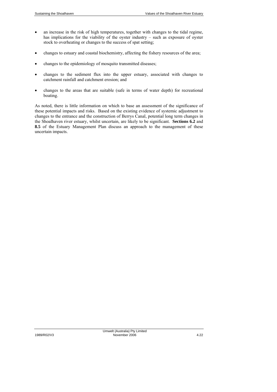- an increase in the risk of high temperatures, together with changes to the tidal regime, has implications for the viability of the oyster industry – such as exposure of oyster stock to overheating or changes to the success of spat setting;
- changes to estuary and coastal biochemistry, affecting the fishery resources of the area;
- changes to the epidemiology of mosquito transmitted diseases;
- changes to the sediment flux into the upper estuary, associated with changes to catchment rainfall and catchment erosion; and
- changes to the areas that are suitable (safe in terms of water depth) for recreational boating.

As noted, there is little information on which to base an assessment of the significance of these potential impacts and risks. Based on the existing evidence of systemic adjustment to changes to the entrance and the construction of Berrys Canal, potential long term changes in the Shoalhaven river estuary, whilst uncertain, are likely to be significant. **Sections 6.2** and **8.5** of the Estuary Management Plan discuss an approach to the management of these uncertain impacts.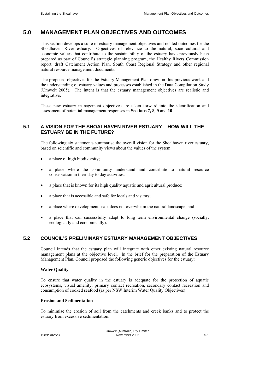# **5.0 MANAGEMENT PLAN OBJECTIVES AND OUTCOMES**

This section develops a suite of estuary management objectives and related outcomes for the Shoalhaven River estuary. Objectives of relevance to the natural, socio-cultural and economic values that contribute to the sustainability of the estuary have previously been prepared as part of Council's strategic planning program, the Healthy Rivers Commission report, draft Catchment Action Plan, South Coast Regional Strategy and other regional natural resource management documents.

The proposed objectives for the Estuary Management Plan draw on this previous work and the understanding of estuary values and processes established in the Data Compilation Study (Umwelt 2005). The intent is that the estuary management objectives are realistic and integrative.

These new estuary management objectives are taken forward into the identification and assessment of potential management responses in **Sections 7, 8, 9** and **10**.

# **5.1 A VISION FOR THE SHOALHAVEN RIVER ESTUARY – HOW WILL THE ESTUARY BE IN THE FUTURE?**

The following six statements summarise the overall vision for the Shoalhaven river estuary, based on scientific and community views about the values of the system:

- a place of high biodiversity;
- a place where the community understand and contribute to natural resource conservation in their day to day activities;
- a place that is known for its high quality aquatic and agricultural produce;
- a place that is accessible and safe for locals and visitors;
- a place where development scale does not overwhelm the natural landscape; and
- a place that can successfully adapt to long term environmental change (socially, ecologically and economically).

# **5.2 COUNCIL'S PRELIMINARY ESTUARY MANAGEMENT OBJECTIVES**

Council intends that the estuary plan will integrate with other existing natural resource management plans at the objective level. In the brief for the preparation of the Estuary Management Plan, Council proposed the following generic objectives for the estuary:

#### **Water Quality**

To ensure that water quality in the estuary is adequate for the protection of aquatic ecosystems, visual amenity, primary contact recreation, secondary contact recreation and consumption of cooked seafood (as per NSW Interim Water Quality Objectives).

#### **Erosion and Sedimentation**

To minimise the erosion of soil from the catchments and creek banks and to protect the estuary from excessive sedimentation.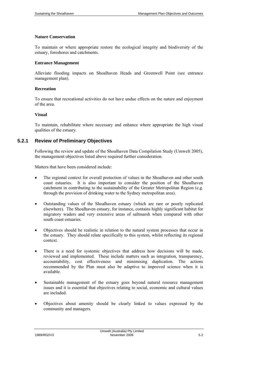#### **Nature Conservation**

To maintain or where appropriate restore the ecological integrity and biodiversity of the estuary, foreshores and catchments.

#### **Entrance Management**

Alleviate flooding impacts on Shoalhaven Heads and Greenwell Point (see entrance management plan).

#### **Recreation**

To ensure that recreational activities do not have undue effects on the nature and enjoyment of the area.

#### **Visual**

To maintain, rehabilitate where necessary and enhance where appropriate the high visual qualities of the estuary.

# **5.2.1 Review of Preliminary Objectives**

Following the review and update of the Shoalhaven Data Compilation Study (Umwelt 2005), the management objectives listed above required further consideration.

Matters that have been considered include:

- The regional context for overall protection of values in the Shoalhaven and other south coast estuaries. It is also important to consider the position of the Shoalhaven catchment in contributing to the sustainability of the Greater Metropolitan Region (e.g. through the provision of drinking water to the Sydney metropolitan area).
- Outstanding values of the Shoalhaven estuary (which are rare or poorly replicated elsewhere). The Shoalhaven estuary, for instance, contains highly significant habitat for migratory waders and very extensive areas of saltmarsh when compared with other south coast estuaries.
- Objectives should be realistic in relation to the natural system processes that occur in the estuary. They should relate specifically to this system, whilst reflecting its regional context.
- There is a need for systemic objectives that address how decisions will be made, reviewed and implemented. These include matters such as integration, transparency, accountability, cost effectiveness and minimising duplication. The actions recommended by the Plan must also be adaptive to improved science when it is available.
- Sustainable management of the estuary goes beyond natural resource management issues and it is essential that objectives relating to social, economic and cultural values are included.
- Objectives about amenity should be clearly linked to values expressed by the community and managers.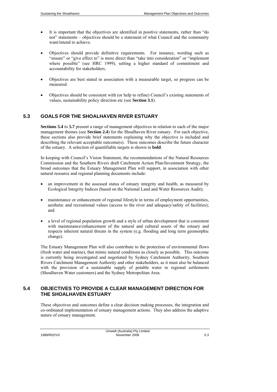- It is important that the objectives are identified in positive statements, rather than "do not" statements – objectives should be a statement of what Council and the community want/intend to achieve.
- Objectives should provide definitive requirements. For instance, wording such as "ensure" or "give effect to" is more direct than "take into consideration" or "implement where possible" (see HRC 1999), setting a higher standard of commitment and accountability for stakeholders.
- Objectives are best stated in association with a measurable target, so progress can be measured.
- Objectives should be consistent with (or help to refine) Council's existing statements of values, sustainability policy direction etc (see **Section 3.1**).

# **5.3 GOALS FOR THE SHOALHAVEN RIVER ESTUARY**

**Sections 5.4** to **5.7** present a range of management objectives in relation to each of the major management themes (see **Section 2.4**) for the Shoalhaven River estuary. For each objective, these sections also provide brief statements explaining why the objective is included and describing the relevant acceptable outcome(s). These outcomes describe the future character of the estuary. A selection of quantifiable targets is shown in **bold**.

In keeping with Council's Vision Statement, the recommendations of the Natural Resources Commission and the Southern Rivers draft Catchment Action Plan/Investment Strategy, the broad outcomes that the Estuary Management Plan will support, in association with other natural resource and regional planning documents include:

- an improvement in the assessed status of estuary integrity and health, as measured by Ecological Integrity Indices (based on the National Land and Water Resources Audit);
- maintenance or enhancement of regional lifestyle in terms of employment opportunities, aesthetic and recreational values (access to the river and adequacy/safety of facilities); and
- a level of regional population growth and a style of urban development that is consistent with maintenance/enhancement of the natural and cultural assets of the estuary and respects inherent natural threats in the system (e.g. flooding and long term geomorphic change).

The Estuary Management Plan will also contribute to the protection of environmental flows (fresh water and marine), that mimic natural conditions as closely as possible. This outcome is currently being investigated and negotiated by Sydney Catchment Authority, Southern Rivers Catchment Management Authority and other stakeholders, as it must also be balanced with the provision of a sustainable supply of potable water to regional settlements (Shoalhaven Water customers) and the Sydney Metropolitan Area.

# **5.4 OBJECTIVES TO PROVIDE A CLEAR MANAGEMENT DIRECTION FOR THE SHOALHAVEN ESTUARY**

These objectives and outcomes define a clear decision making processes, the integration and co-ordinated implementation of estuary management actions. They also address the adaptive nature of estuary management.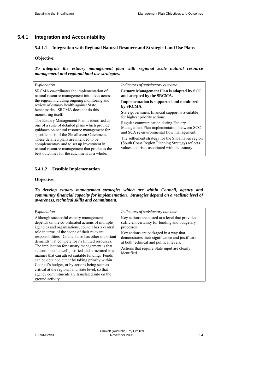# **5.4.1 Integration and Accountability**

## **5.4.1.1 Integration with Regional Natural Resource and Strategic Land Use Plans**

## **Objective:**

*To integrate the estuary management plan with regional scale natural resource management and regional land use strategies.* 

| Explanation                                                                                                                                                                                  | Indicators of satisfactory outcome                                                                                                                    |
|----------------------------------------------------------------------------------------------------------------------------------------------------------------------------------------------|-------------------------------------------------------------------------------------------------------------------------------------------------------|
| SRCMA co-ordinates the implementation of                                                                                                                                                     | <b>Estuary Management Plan is adopted by SCC</b>                                                                                                      |
| natural resource management initiatives across                                                                                                                                               | and accepted by the SRCMA.                                                                                                                            |
| the region, including ongoing monitoring and                                                                                                                                                 | <b>Implementation is supported and monitored</b>                                                                                                      |
| review of estuary health against State                                                                                                                                                       | by SRCMA.                                                                                                                                             |
| benchmarks. SRCMA does not do this                                                                                                                                                           | State government financial support is available                                                                                                       |
| monitoring itself.                                                                                                                                                                           | for highest priority actions.                                                                                                                         |
| The Estuary Management Plan is identified as<br>one of a suite of detailed plans which provide<br>guidance on natural resource management for<br>specific parts of the Shoalhaven Catchment. | Regular communication during Estuary<br>Management Plan implementation between SCC<br>and SCA re environmental flow management.                       |
| These detailed plans are intended to be<br>complementary and to set up investment in<br>natural resource management that produces the<br>best outcomes for the catchment as a whole.         | The settlement strategy for the Shoalhaven region<br>(South Coast Region Planning Strategy) reflects<br>values and risks associated with the estuary. |

## **5.4.1.2 Feasible Implementation**

#### **Objective:**

*To develop estuary management strategies which are within Council, agency and community financial capacity for implementation. Strategies depend on a realistic level of awareness, technical skills and commitment.* 

| Explanation                                                                                                                                                                                                                                                                                                                                                                                                                                                                                                                                                                                                                                                                                       | Indicators of satisfactory outcome                                                                                                                                                                                                                                                                                        |
|---------------------------------------------------------------------------------------------------------------------------------------------------------------------------------------------------------------------------------------------------------------------------------------------------------------------------------------------------------------------------------------------------------------------------------------------------------------------------------------------------------------------------------------------------------------------------------------------------------------------------------------------------------------------------------------------------|---------------------------------------------------------------------------------------------------------------------------------------------------------------------------------------------------------------------------------------------------------------------------------------------------------------------------|
| Although successful estuary management<br>depends on the co-ordinated actions of multiple<br>agencies and organisations, council has a central<br>role in terms of the scope of their relevant<br>responsibilities. Council also has other important<br>demands that compete for its limited resources.<br>The implication for estuary management is that<br>actions must be well justified and structured in a<br>manner that can attract suitable funding. Funds<br>can be obtained either by taking priority within<br>Council's budget, or by actions being seen as<br>critical at the regional and state level, so that<br>agency commitments are translated into on the<br>ground activity. | Key actions are costed at a level that provides<br>sufficient certainty for funding and budgetary<br>processes.<br>Key actions are packaged in a way that<br>demonstrates their significance and justification.<br>at both technical and political levels.<br>Actions that require State input are clearly<br>identified. |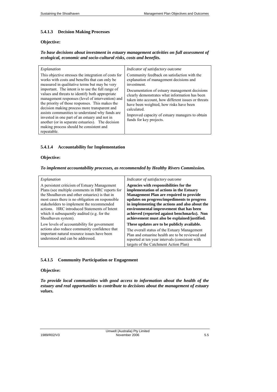## **5.4.1.3 Decision Making Processes**

### **Objective:**

### *To base decisions about investment in estuary management activities on full assessment of ecological, economic and socio-cultural risks, costs and benefits.*

| Explanation                                                                                                                                                                                                                                                                                                                                                                                                                                                                                                                                                                                                                              | Indicator of satisfactory outcome                                                                                                                                                                                                                                                                                                                                                                       |
|------------------------------------------------------------------------------------------------------------------------------------------------------------------------------------------------------------------------------------------------------------------------------------------------------------------------------------------------------------------------------------------------------------------------------------------------------------------------------------------------------------------------------------------------------------------------------------------------------------------------------------------|---------------------------------------------------------------------------------------------------------------------------------------------------------------------------------------------------------------------------------------------------------------------------------------------------------------------------------------------------------------------------------------------------------|
| This objective stresses the integration of costs for<br>works with costs and benefits that can only be<br>measured in qualitative terms but may be very<br>important. The intent is to use the full range of<br>values and threats to identify both appropriate<br>management responses (level of intervention) and<br>the priority of those responses. This makes the<br>decision making process more transparent and<br>assists communities to understand why funds are<br>invested in one part of an estuary and not in<br>another (or in separate estuaries). The decision<br>making process should be consistent and<br>repeatable. | Community feedback on satisfaction with the<br>explanation of management decisions and<br>investment.<br>Documentation of estuary management decisions<br>clearly demonstrates what information has been<br>taken into account, how different issues or threats<br>have been weighted, how risks have been<br>calculated.<br>Improved capacity of estuary managers to obtain<br>funds for key projects. |

## **5.4.1.4 Accountability for Implementation**

## **Objective:**

## *To implement accountability processes, as recommended by Healthy Rivers Commission.*

| Explanation                                                                                                                                                                                                                                                                                                                                                               | Indicator of satisfactory outcome                                                                                                                                                                                                                                                                                                                                                |
|---------------------------------------------------------------------------------------------------------------------------------------------------------------------------------------------------------------------------------------------------------------------------------------------------------------------------------------------------------------------------|----------------------------------------------------------------------------------------------------------------------------------------------------------------------------------------------------------------------------------------------------------------------------------------------------------------------------------------------------------------------------------|
| A persistent criticism of Estuary Management<br>Plans (see multiple comments in HRC reports for<br>the Shoalhaven and other estuaries) is that in<br>most cases there is no obligation on responsible.<br>stakeholders to implement the recommended<br>actions. HRC introduced Statements of Intent<br>which it subsequently audited (e.g. for the<br>Shoalhaven system). | Agencies with responsibilities for the<br>implementation of actions in the Estuary<br><b>Management Plan are required to provide</b><br>updates on progress/impediments to progress<br>in implementing the actions and also about the<br>environmental improvement that has been<br>achieved (reported against benchmarks). Non<br>achievement must also be explained/justified. |
| Low levels of accountability for government<br>actions also reduce community confidence that<br>important natural resource issues have been<br>understood and can be addressed.                                                                                                                                                                                           | These updates are to be publicly available.<br>The overall status of the Estuary Management<br>Plan and estuarine health are to be reviewed and<br>reported at ten year intervals (consistent with<br>targets of the Catchment Action Plan)                                                                                                                                      |

## **5.4.1.5 Community Participation or Engagement**

#### **Objective:**

*To provide local communities with good access to information about the health of the estuary and real opportunities to contribute to decisions about the management of estuary values.*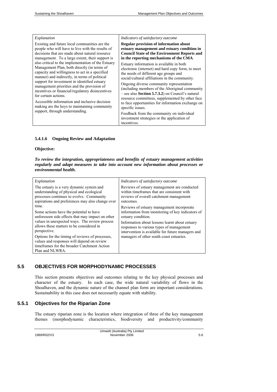| Explanation                                                                                                                                                                                                                                                                                                                                                                                                                                                                                                                                                                                                                                                                                                                  | Indicators of satisfactory outcome                                                                                                                                                                                                                                                                                                                                                                                                                                                                                                                                                                                                                                                                                                                                                             |
|------------------------------------------------------------------------------------------------------------------------------------------------------------------------------------------------------------------------------------------------------------------------------------------------------------------------------------------------------------------------------------------------------------------------------------------------------------------------------------------------------------------------------------------------------------------------------------------------------------------------------------------------------------------------------------------------------------------------------|------------------------------------------------------------------------------------------------------------------------------------------------------------------------------------------------------------------------------------------------------------------------------------------------------------------------------------------------------------------------------------------------------------------------------------------------------------------------------------------------------------------------------------------------------------------------------------------------------------------------------------------------------------------------------------------------------------------------------------------------------------------------------------------------|
| Existing and future local communities are the<br>people who will have to live with the results of<br>decisions that are made about natural resource<br>management. To a large extent, their support is<br>also critical to the implementation of the Estuary<br>Management Plan, both directly (in terms of<br>capacity and willingness to act in a specified<br>manner) and indirectly, in terms of political<br>support for investment in identified estuary<br>management priorities and the provision of<br>incentives or financial/regulatory disincentives<br>for certain actions.<br>Accessible information and inclusive decision<br>making are the keys to maintaining community<br>support, through understanding. | <b>Regular provision of information about</b><br>estuary management and estuary condition in<br><b>Council State of the Environment Reports and</b><br>in the reporting mechanisms of the CMA.<br>Estuary information is available in both<br>electronic (internet) and hard copy form, to meet<br>the needs of different age groups and<br>social/cultural affiliations in the community.<br>Ongoing diverse community representation<br>(including members of the Aboriginal community)<br>$-$ see also <b>Section 5.7.3.2</b> ) on Council's natural<br>resource committees, supplemented by other face<br>to face opportunities for information exchange on<br>specific issues.<br>Feedback from the community on individual<br>investment strategies or the application of<br>incentives. |

#### **5.4.1.6 Ongoing Review and Adaptation**

#### **Objective:**

*To review the integration, appropriateness and benefits of estuary management activities regularly and adapt measures to take into account new information about processes or environmental health.* 

| Explanation                                                                                                                                                      | Indicators of satisfactory outcome                |
|------------------------------------------------------------------------------------------------------------------------------------------------------------------|---------------------------------------------------|
| The estuary is a very dynamic system and                                                                                                                         | Reviews of estuary management are conducted       |
| understanding of physical and ecological                                                                                                                         | within timeframes that are consistent with        |
| processes continues to evolve. Community                                                                                                                         | reviews of overall catchment management           |
| aspirations and preferences may also change over                                                                                                                 | outcomes.                                         |
| time.                                                                                                                                                            | Reviews of estuary management incorporate.        |
| Some actions have the potential to have                                                                                                                          | information from monitoring of key indicators of  |
| unforeseen side effects that may impact on other                                                                                                                 | estuary condition.                                |
| values in unexpected ways. The review process                                                                                                                    | Information about lessons learnt about estuary    |
| allows these matters to be considered in                                                                                                                         | responses to various types of management          |
| perspective.                                                                                                                                                     | intervention is available for future managers and |
| Options for the timing of reviews of processes,<br>values and responses will depend on review<br>time frames for the broader Catchment Action<br>Plan and NLWRA. | managers of other south coast estuaries.          |

## **5.5 OBJECTIVES FOR MORPHODYNAMIC PROCESSES**

This section presents objectives and outcomes relating to the key physical processes and character of the estuary. In each case, the wide natural variability of flows in the Shoalhaven, and the dynamic nature of the channel plan form are important considerations. Sustainability in this case does not necessarily equate with stability.

# **5.5.1 Objectives for the Riparian Zone**

The estuary riparian zone is the location where integration of three of the key management themes (morphodynamic characteristics, biodiversity and productivity/community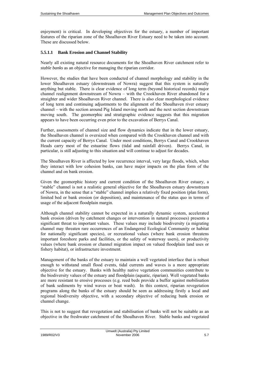enjoyment) is critical. In developing objectives for the estuary, a number of important features of the riparian zone of the Shoalhaven River Estuary need to be taken into account. These are discussed below.

#### **5.5.1.1 Bank Erosion and Channel Stability**

Nearly all existing natural resource documents for the Shoalhaven River catchment refer to *stable banks* as an objective for managing the riparian corridor.

However, the studies that have been conducted of channel morphology and stability in the lower Shoalhaven estuary (downstream of Nowra) suggest that this system is naturally anything but stable. There is clear evidence of long term (beyond historical records) major channel realignment downstream of Nowra – with the Crookhaven River abandoned for a straighter and wider Shoalhaven River channel. There is also clear morphological evidence of long term and continuing adjustments to the alignment of the Shoalhaven river estuary channel – with the section around Pig Island moving north and the next section downstream moving south. The geomorphic and stratigraphic evidence suggests that this migration appears to have been occurring even prior to the excavation of Berrys Canal.

Further, assessments of channel size and flow dynamics indicate that in the lower estuary, the Shoalhaven channel is oversized when compared with the Crookhaven channel and with the current capacity of Berrys Canal. Under most conditions, Berrys Canal and Crookhaven Heads carry most of the estuarine flows (tidal and rainfall driven). Berrys Canal, in particular, is still adjusting to this situation and will continue to adjust for decades.

The Shoalhaven River is affected by low recurrence interval, very large floods, which, when they interact with low cohesion banks, can have major impacts on the plan form of the channel and on bank erosion.

Given the geomorphic history and current condition of the Shoalhaven River estuary, a "stable" channel is not a realistic general objective for the Shoalhaven estuary downstream of Nowra, in the sense that a "stable" channel implies a relatively fixed position (plan form), limited bed or bank erosion (or deposition), and maintenance of the status quo in terms of usage of the adjacent floodplain margin.

Although channel stability cannot be expected in a naturally dynamic system, accelerated bank erosion (driven by catchment changes or intervention in natural processes) presents a significant threat to important values. These values may include biodiversity (a migrating channel may threaten rare occurrences of an Endangered Ecological Community or habitat for nationally significant species), or recreational values (where bank erosion threatens important foreshore parks and facilities, or the safety of waterway users), or productivity values (where bank erosion or channel migration impact on valued floodplain land uses or fishery habitat), or infrastructure investment.

Management of the banks of the estuary to maintain a well vegetated interface that is robust enough to withstand small flood events, tidal currents and waves is a more appropriate objective for the estuary. Banks with healthy native vegetation communities contribute to the biodiversity values of the estuary and floodplain (aquatic, riparian). Well vegetated banks are more resistant to erosive processes (e.g. reed beds provide a buffer against mobilisation of bank sediments by wind waves or boat wash). In this context, riparian revegetation programs along the banks of the estuary should be seen as addressing firstly a local and regional biodiversity objective, with a secondary objective of reducing bank erosion or channel change.

This is not to suggest that revegetation and stabilisation of banks will not be suitable as an objective in the freshwater catchment of the Shoalhaven River. Stable banks and vegetated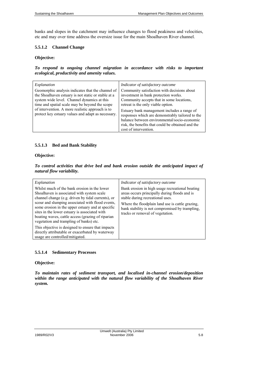banks and slopes in the catchment may influence changes to flood peakiness and velocities, etc and may over time address the oversize issue for the main Shoalhaven River channel.

### **5.5.1.2 Channel Change**

#### **Objective:**

*To respond to ongoing channel migration in accordance with risks to important ecological, productivity and amenity values.* 

| Explanation                                                                                                                                                                                                                                                                                                         | Indicator of satisfactory outcome                                                                                                                                                                                                                                                                                                                                                                       |
|---------------------------------------------------------------------------------------------------------------------------------------------------------------------------------------------------------------------------------------------------------------------------------------------------------------------|---------------------------------------------------------------------------------------------------------------------------------------------------------------------------------------------------------------------------------------------------------------------------------------------------------------------------------------------------------------------------------------------------------|
| Geomorphic analysis indicates that the channel of<br>the Shoalhaven estuary is not static or stable at a<br>system wide level. Channel dynamics at this<br>time and spatial scale may be beyond the scope<br>of intervention. A more realistic approach is to<br>protect key estuary values and adapt as necessary. | Community satisfaction with decisions about<br>investment in bank protection works.<br>Community accepts that in some locations,<br>retreat is the only viable option.<br>Estuary bank management includes a range of<br>responses which are demonstrably tailored to the<br>balance between environmental/socio-economic<br>risk, the benefits that could be obtained and the<br>cost of intervention. |

### **5.5.1.3 Bed and Bank Stability**

## **Objective:**

*To control activities that drive bed and bank erosion outside the anticipated impact of natural flow variability.* 

| Explanation                                                                                                                                                                                                                                                                                                                                                                                                | Indicator of satisfactory outcome                                                                                                                                                                                                                                               |
|------------------------------------------------------------------------------------------------------------------------------------------------------------------------------------------------------------------------------------------------------------------------------------------------------------------------------------------------------------------------------------------------------------|---------------------------------------------------------------------------------------------------------------------------------------------------------------------------------------------------------------------------------------------------------------------------------|
| Whilst much of the bank erosion in the lower<br>Shoalhaven is associated with system scale<br>channel change (e.g. driven by tidal currents), or<br>scour and slumping associated with flood events,<br>some erosion in the upper estuary and at specific<br>sites in the lower estuary is associated with<br>boating waves, cattle access (grazing of riparian<br>vegetation and trampling of banks) etc. | Bank erosion in high usage recreational boating<br>areas occurs principally during floods and is<br>stable during recreational uses.<br>Where the floodplain land use is cattle grazing.<br>bank stability is not compromised by trampling,<br>tracks or removal of vegetation. |
| This objective is designed to ensure that impacts<br>directly attributable or exacerbated by waterway<br>usage are controlled/mitigated.                                                                                                                                                                                                                                                                   |                                                                                                                                                                                                                                                                                 |

### **5.5.1.4 Sedimentary Processes**

## **Objective:**

*To maintain rates of sediment transport, and localised in-channel erosion/deposition within the range anticipated with the natural flow variability of the Shoalhaven River system.*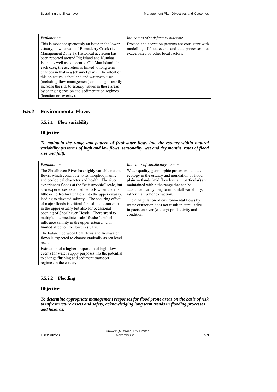## *Explanation*

This is most conspicuously an issue in the lower estuary, downstream of Bomaderry Creek (i.e. Management Zone 3). Historical accretion has been reported around Pig Island and Numbaa Island as well as adjacent to Old Man Island. In each case, the accretion is linked to long term changes in thalweg (channel plan). The intent of this objective is that land and waterway uses (including flow management) do not significantly increase the risk to estuary values in these areas by changing erosion and sedimentation regimes (location or severity).

*Indicators of satisfactory outcome*

Erosion and accretion patterns are consistent with modelling of flood events and tidal processes, not exacerbated by other local factors.

# **5.5.2 Environmental Flows**

#### **5.5.2.1 Flow variability**

#### **Objective:**

*To maintain the range and pattern of freshwater flows into the estuary within natural variability (in terms of high and low flows, seasonality, wet and dry months, rates of flood rise and fall).* 

| Explanation                                                                                                                                                                                                                                                                                                                                                                                                                                                                                                                                                                                                                                                             | Indicator of satisfactory outcome                                                                                                                                                                                                                                                                                                                                                                                                                 |
|-------------------------------------------------------------------------------------------------------------------------------------------------------------------------------------------------------------------------------------------------------------------------------------------------------------------------------------------------------------------------------------------------------------------------------------------------------------------------------------------------------------------------------------------------------------------------------------------------------------------------------------------------------------------------|---------------------------------------------------------------------------------------------------------------------------------------------------------------------------------------------------------------------------------------------------------------------------------------------------------------------------------------------------------------------------------------------------------------------------------------------------|
| The Shoalhaven River has highly variable natural<br>flows, which contribute to its morphodynamic<br>and ecological character and health. The river<br>experiences floods at the "catastrophic" scale, but<br>also experiences extended periods when there is<br>little or no freshwater flow into the upper estuary,<br>leading to elevated salinity. The scouring effect<br>of major floods is critical for sediment transport<br>in the upper estuary but also for occasional<br>opening of Shoalhaven Heads. There are also<br>multiple intermediate scale "freshes", which<br>influence salinity in the upper estuary, with<br>limited affect on the lower estuary. | Water quality, geomorphic processes, aquatic<br>ecology in the estuary and inundation of flood<br>plain wetlands (mid flow levels in particular) are<br>maintained within the range that can be<br>accounted for by long term rainfall variability,<br>rather than water extraction.<br>The manipulation of environmental flows by<br>water extraction does not result in cumulative<br>impacts on river (estuary) productivity and<br>condition. |
| The balance between tidal flows and freshwater<br>flows is expected to change gradually as sea level<br>rises.                                                                                                                                                                                                                                                                                                                                                                                                                                                                                                                                                          |                                                                                                                                                                                                                                                                                                                                                                                                                                                   |
| Extraction of a higher proportion of high flow<br>events for water supply purposes has the potential<br>to change flushing and sediment transport<br>regimes in the estuary.                                                                                                                                                                                                                                                                                                                                                                                                                                                                                            |                                                                                                                                                                                                                                                                                                                                                                                                                                                   |

### **5.5.2.2 Flooding**

#### **Objective:**

*To determine appropriate management responses for flood prone areas on the basis of risk to infrastructure assets and safety, acknowledging long term trends in flooding processes and hazards.*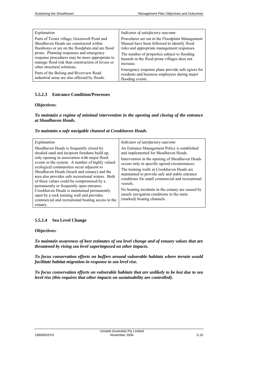| Explanation                                                                                                                                                                                                                                                                                  | Indicator of satisfactory outcome                                                                                                                                                                                                             |
|----------------------------------------------------------------------------------------------------------------------------------------------------------------------------------------------------------------------------------------------------------------------------------------------|-----------------------------------------------------------------------------------------------------------------------------------------------------------------------------------------------------------------------------------------------|
| Parts of Terara village, Greenwell Point and<br>Shoalhaven Heads are constructed within<br>floodways or are on the floodplain and are flood<br>prone. Planning responses and emergency<br>response procedures may be more appropriate to<br>manage flood risk than construction of levees or | Procedures set out in the Floodplain Management<br>Manual have been followed to identify flood<br>risks and appropriate management responses.<br>The number of properties subject to flooding<br>hazards in the flood prone villages does not |
| other structural solutions.                                                                                                                                                                                                                                                                  | increase.<br>Emergency response plans provide safe egress for                                                                                                                                                                                 |
| Parts of the Bolong and Riverview Road<br>industrial areas are also affected by floods.                                                                                                                                                                                                      | residents and business employees during major<br>flooding events.                                                                                                                                                                             |

# **5.5.2.3 Entrance Condition/Processes**

## **Objectives:**

### *To maintain a regime of minimal intervention in the opening and closing of the entrance at Shoalhaven Heads.*

#### *To maintain a safe navigable channel at Crookhaven Heads.*

| Explanation                                                                                                                                                                                                                                                                                                                                                                                                                                                                                                                                                                                        | Indicator of satisfactory outcome                                                                                                                                                                                                                                                                                                                                                                                                                                                        |
|----------------------------------------------------------------------------------------------------------------------------------------------------------------------------------------------------------------------------------------------------------------------------------------------------------------------------------------------------------------------------------------------------------------------------------------------------------------------------------------------------------------------------------------------------------------------------------------------------|------------------------------------------------------------------------------------------------------------------------------------------------------------------------------------------------------------------------------------------------------------------------------------------------------------------------------------------------------------------------------------------------------------------------------------------------------------------------------------------|
| Shoalhaven Heads is frequently closed by<br>shoaled sand and incipient foredune build up,<br>only opening in association with major flood<br>events in the system. A number of highly valued<br>ecological communities occur adjacent to<br>Shoalhaven Heads (beach and estuary) and the<br>area also provides safe recreational waters. Both<br>of these values could be compromised by a<br>permanently or frequently open entrance.<br>Crookhaven Heads is maintained permanently<br>open by a rock training wall and provides<br>commercial and recreational boating access to the<br>estuary. | An Entrance Management Policy is established<br>and implemented for Shoalhaven Heads.<br>Intervention in the opening of Shoalhaven Heads<br>occurs only in specific agreed circumstances.<br>The training walls at Crookhaven Heads are<br>maintained to provide safe and stable entrance<br>conditions for small commercial and recreational<br>vessels.<br>No boating incidents in the estuary are caused by<br>unsafe navigation conditions in the main<br>(marked) boating channels. |

### **5.5.2.4 Sea Level Change**

#### **Objectives:**

*To maintain awareness of best estimates of sea level change and of estuary values that are threatened by rising sea level superimposed on other impacts.* 

*To focus conservation efforts on buffers around vulnerable habitats where terrain would facilitate habitat migration in response to sea level rise.* 

*To focus conservation efforts on vulnerable habitats that are unlikely to be lost due to sea level rise (this requires that other impacts on sustainability are controlled).*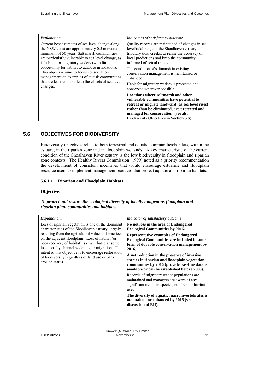| Explanation                                                                                                                                                                                                                                                                                                                                                                                                                                                                   | Indicators of satisfactory outcome                                                                                                                                                                                                                                                                                                                                                                                   |
|-------------------------------------------------------------------------------------------------------------------------------------------------------------------------------------------------------------------------------------------------------------------------------------------------------------------------------------------------------------------------------------------------------------------------------------------------------------------------------|----------------------------------------------------------------------------------------------------------------------------------------------------------------------------------------------------------------------------------------------------------------------------------------------------------------------------------------------------------------------------------------------------------------------|
| Current best estimates of sea level change along<br>the NSW coast are approximately 0.5 m over a<br>minimum of 50 years. Salt marsh communities<br>are particularly vulnerable to sea level change, as<br>is habitat for migratory waders (with little<br>opportunity for habitat to adapt to inundation).<br>This objective aims to focus conservation<br>management on examples of at-risk communities<br>that are least vulnerable to the effects of sea level<br>changes. | Quality records are maintained of changes in sea<br>level/tidal range in the Shoalhaven estuary and<br>tributary tidal creeks, to refine the accuracy of<br>local predictions and keep the community<br>informed of actual trends.<br>The condition of saltmarsh in existing<br>conservation management is maintained or<br>enhanced.<br>Habit for migratory waders is protected and<br>conserved wherever possible. |
|                                                                                                                                                                                                                                                                                                                                                                                                                                                                               | Locations where saltmarsh and other<br>vulnerable communities have potential to<br>retreat or migrate landward (as sea level rises)<br>rather than be eliminated, are protected and<br>managed for conservation. (see also<br>Biodiversity Objectives in Section 5.6).                                                                                                                                               |

# **5.6 OBJECTIVES FOR BIODIVERSITY**

Biodiversity objectives relate to both terrestrial and aquatic communities/habitats, within the estuary, in the riparian zone and in floodplain wetlands. A key characteristic of the current condition of the Shoalhaven River estuary is the low biodiversity in floodplain and riparian zone contexts. The Healthy Rivers Commission (1999) noted as a priority recommendation the development of consistent incentives that would encourage estuarine and floodplain resource users to implement management practices that protect aquatic and riparian habitats.

# **5.6.1.1 Riparian and Floodplain Habitats**

## **Objective:**

## *To protect and restore the ecological diversity of locally indigenous floodplain and riparian plant communities and habitats.*

| Explanation:<br>Loss of riparian vegetation is one of the dominant<br>characteristics of the Shoalhaven estuary, largely<br>resulting from the agricultural value and practices<br>on the adjacent floodplain. Loss of habitat (or<br>poor recovery of habitat) is exacerbated at some | Indicator of satisfactory outcome<br>No net loss in the area of Endangered<br><b>Ecological Communities by 2016.</b><br><b>Representative examples of Endangered</b><br><b>Ecological Communities are included in some</b><br>form of durable conservation management by |
|----------------------------------------------------------------------------------------------------------------------------------------------------------------------------------------------------------------------------------------------------------------------------------------|--------------------------------------------------------------------------------------------------------------------------------------------------------------------------------------------------------------------------------------------------------------------------|
| locations by channel widening or migration. The<br>intent of this objective is to encourage restoration<br>of biodiversity regardless of land use or bank<br>erosion status.                                                                                                           | 2016.<br>A net reduction in the presence of invasive<br>species in riparian and floodplain vegetation<br>communities by 2016 (provide baseline data is<br>available or can be established before 2008).                                                                  |
|                                                                                                                                                                                                                                                                                        | Records of migratory wader populations are.<br>maintained and managers are aware of any<br>significant trends in species, numbers or habitat<br>used.                                                                                                                    |
|                                                                                                                                                                                                                                                                                        | The diversity of aquatic macroinvertebrates is<br>maintained or enhanced by 2016 (see<br>discussion of EII).                                                                                                                                                             |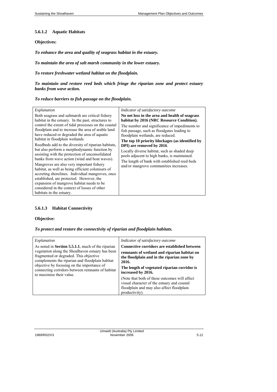## **5.6.1.2 Aquatic Habitats**

## **Objectives:**

*To enhance the area and quality of seagrass habitat in the estuary.* 

*To maintain the area of salt marsh community in the lower estuary.* 

*To restore freshwater wetland habitat on the floodplain.* 

*To maintain and restore reed beds which fringe the riparian zone and protect estuary banks from wave action.* 

# *To reduce barriers to fish passage on the floodplain.*

| Explanation<br>Both seagrass and saltmarsh are critical fishery<br>habitat in the estuary. In the past, structures to<br>control the extent of tidal processes on the coastal<br>floodplain and to increase the area of arable land<br>have reduced or degraded the area of aquatic<br>habitat in floodplain wetlands.<br>Reedbeds add to the diversity of riparian habitats,<br>but also perform a morphodynamic function by<br>assisting with the protection of unconsolidated<br>banks from wave action (wind and boat waves).<br>Mangroves are also very important fishery<br>habitat, as well as being efficient colonisers of<br>accreting shorelines. Individual mangroves, once<br>established, are protected. However, the<br>expansion of mangrove habitat needs to be<br>considered in the context of losses of other<br>habitats in the estuary. | Indicator of satisfactory outcome<br>No net loss in the area and health of seagrass<br>habitat by 2016 (NRC Resource Condition).<br>The number and significance of impediments to<br>fish passage, such as floodgates leading to<br>floodplain wetlands, are reduced.<br>The top 10 priority blockages (as identified by<br>DPI) are removed by 2016.<br>Locally diverse habitat, such as shaded deep<br>pools adjacent to high banks, is maintained.<br>The length of bank with established reed beds<br>and/or mangrove communities increases. |
|--------------------------------------------------------------------------------------------------------------------------------------------------------------------------------------------------------------------------------------------------------------------------------------------------------------------------------------------------------------------------------------------------------------------------------------------------------------------------------------------------------------------------------------------------------------------------------------------------------------------------------------------------------------------------------------------------------------------------------------------------------------------------------------------------------------------------------------------------------------|--------------------------------------------------------------------------------------------------------------------------------------------------------------------------------------------------------------------------------------------------------------------------------------------------------------------------------------------------------------------------------------------------------------------------------------------------------------------------------------------------------------------------------------------------|
|--------------------------------------------------------------------------------------------------------------------------------------------------------------------------------------------------------------------------------------------------------------------------------------------------------------------------------------------------------------------------------------------------------------------------------------------------------------------------------------------------------------------------------------------------------------------------------------------------------------------------------------------------------------------------------------------------------------------------------------------------------------------------------------------------------------------------------------------------------------|--------------------------------------------------------------------------------------------------------------------------------------------------------------------------------------------------------------------------------------------------------------------------------------------------------------------------------------------------------------------------------------------------------------------------------------------------------------------------------------------------------------------------------------------------|

## **5.6.1.3 Habitat Connectivity**

## **Objective:**

*To protect and restore the connectivity of riparian and floodplain habitats.* 

| Explanation                                                                                                                                                                                                                                                                                                                              | Indicator of satisfactory outcome                                                                                                                                                                                                                                                                                                                                                              |
|------------------------------------------------------------------------------------------------------------------------------------------------------------------------------------------------------------------------------------------------------------------------------------------------------------------------------------------|------------------------------------------------------------------------------------------------------------------------------------------------------------------------------------------------------------------------------------------------------------------------------------------------------------------------------------------------------------------------------------------------|
| As noted in <b>Section 5.5.1.1</b> , much of the riparian<br>vegetation along the Shoalhaven estuary has been<br>fragmented or degraded. This objective<br>complements the riparian and floodplain habitat<br>objective by focusing on the importance of<br>connecting corridors between remnants of habitat<br>to maximise their value. | <b>Connective corridors are established between</b><br>remnants of wetland and riparian habitat on<br>the floodplain and in the riparian zone by<br>2016.<br>The length of vegetated riparian corridor is<br>increased by 2016.<br>(Note that both of these outcomes will affect<br>visual character of the estuary and coastal<br>floodplain and may also affect floodplain<br>productivity). |

| 1989/R02/V3 |  |
|-------------|--|
|             |  |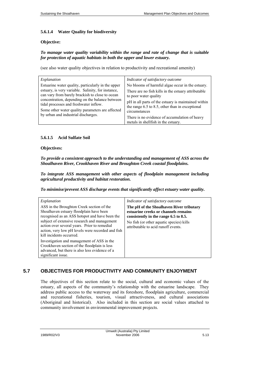### **5.6.1.4 Water Quality for biodiversity**

#### **Objective:**

#### *To manage water quality variability within the range and rate of change that is suitable for protection of aquatic habitats in both the upper and lower estuary.*

(see also water quality objectives in relation to productivity and recreational amenity)

| Explanation                                                                                                                                                                                                                                                                                                                                         | Indicator of satisfactory outcome                                                                                                                                                                                                                                                                            |
|-----------------------------------------------------------------------------------------------------------------------------------------------------------------------------------------------------------------------------------------------------------------------------------------------------------------------------------------------------|--------------------------------------------------------------------------------------------------------------------------------------------------------------------------------------------------------------------------------------------------------------------------------------------------------------|
| Estuarine water quality, particularly in the upper<br>estuary, is very variable. Salinity, for instance,<br>can vary from barely brackish to close to ocean<br>concentration, depending on the balance between<br>tidal processes and freshwater inflow.<br>Some other water quality parameters are affected<br>by urban and industrial discharges. | No blooms of harmful algae occur in the estuary.<br>There are no fish kills in the estuary attributable<br>to poor water quality<br>pH in all parts of the estuary is maintained within<br>the range 6.5 to 8.5, other than in exceptional<br>circumstances<br>There is no evidence of accumulation of heavy |
|                                                                                                                                                                                                                                                                                                                                                     | metals in shell fish in the estuary.                                                                                                                                                                                                                                                                         |

# **5.6.1.5 Acid Sulfate Soil**

#### **Objectives:**

*To provide a consistent approach to the understanding and management of ASS across the Shoalhaven River, Crookhaven River and Broughton Creek coastal floodplains.* 

*To integrate ASS management with other aspects of floodplain management including agricultural productivity and habitat restoration.* 

*To minimise/prevent ASS discharge events that significantly affect estuary water quality.* 

| Explanation                                                                                                                                                                                                                                                                                                             | Indicator of satisfactory outcome                                                                                                                                                                            |
|-------------------------------------------------------------------------------------------------------------------------------------------------------------------------------------------------------------------------------------------------------------------------------------------------------------------------|--------------------------------------------------------------------------------------------------------------------------------------------------------------------------------------------------------------|
| ASS in the Broughton Creek section of the<br>Shoalhaven estuary floodplain have been<br>recognised as an ASS hotspot and have been the<br>subject of extensive research and management<br>action over several years. Prior to remedial<br>action, very low pH levels were recorded and fish<br>kill incidents occurred. | The pH of the Shoalhaven River tributary<br>estuarine creeks or channels remains<br>consistently in the range 6.5 to 8.5.<br>No fish (or other aquatic species) kills<br>attributable to acid runoff events. |
| Investigation and management of ASS in the<br>Crookhaven section of the floodplain is less<br>advanced, but there is also less evidence of a<br>significant issue.                                                                                                                                                      |                                                                                                                                                                                                              |

# **5.7 OBJECTIVES FOR PRODUCTIVITY AND COMMUNITY ENJOYMENT**

The objectives of this section relate to the social, cultural and economic values of the estuary, all aspects of the community's relationship with the estuarine landscape. They address public access to the waterway and its foreshore, floodplain agriculture, commercial and recreational fisheries, tourism, visual attractiveness, and cultural associations (Aboriginal and historical). Also included in this section are social values attached to community involvement in environmental improvement projects.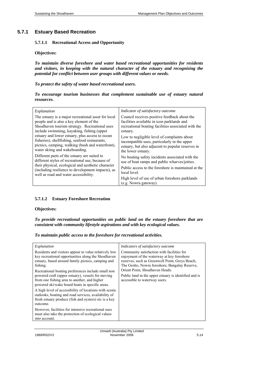# **5.7.1 Estuary Based Recreation**

#### **5.7.1.1 Recreational Access and Opportunity**

## **Objectives:**

*To maintain diverse foreshore and water based recreational opportunities for residents and visitors, in keeping with the natural character of the estuary and recognising the potential for conflict between user groups with different values or needs.* 

*To protect the safety of water based recreational users.* 

|                   |  | To encourage tourism businesses that complement sustainable use of estuary natural |  |  |  |
|-------------------|--|------------------------------------------------------------------------------------|--|--|--|
| <i>resources.</i> |  |                                                                                    |  |  |  |

| Explanation                                                                                                                                      | Indicator of satisfactory outcome                                       |
|--------------------------------------------------------------------------------------------------------------------------------------------------|-------------------------------------------------------------------------|
| The estuary is a major recreational asset for local                                                                                              | Council receives positive feedback about the                            |
| people and is also a key element of the                                                                                                          | facilities available in icon parklands and                              |
| Shoalhaven tourism strategy. Recreational uses                                                                                                   | recreational boating facilities associated with the                     |
| include swimming, kayaking, fishing (upper                                                                                                       | estuary.                                                                |
| estuary and lower estuary, plus access to ocean                                                                                                  | Low to negligible level of complaints about                             |
| fisheries), shellfishing, seafood restaurants,                                                                                                   | incompatible uses, particularly in the upper                            |
| picnics, camping, walking (bush and waterfront),                                                                                                 | estuary, but also adjacent to popular reserves in                       |
| water skiing and wakeboarding.                                                                                                                   | the lower estuary.                                                      |
| Different parts of the estuary are suited to                                                                                                     | No boating safety incidents associated with the                         |
| different styles of recreational use, because of                                                                                                 | use of boat ramps and public wharves/jetties.                           |
| their physical, ecological and aesthetic character<br>(including resilience to development impacts), as<br>well as road and water accessibility. | Public access to the foreshore is maintained at the<br>local level.     |
|                                                                                                                                                  | High level of use of urban foreshore parklands<br>(e.g. Nowra gateway). |

# **5.7.1.2 Estuary Foreshore Recreation**

#### **Objectives:**

*To provide recreational opportunities on public land on the estuary foreshore that are consistent with community lifestyle aspirations and with key ecological values.* 

*To maintain public access to the foreshore for recreational activities.* 

| Explanation                                                                                                                                                                                                                                                                                                                              | Indicators of satisfactory outcome                                                                                                                                                                                                                                                                                         |  |  |
|------------------------------------------------------------------------------------------------------------------------------------------------------------------------------------------------------------------------------------------------------------------------------------------------------------------------------------------|----------------------------------------------------------------------------------------------------------------------------------------------------------------------------------------------------------------------------------------------------------------------------------------------------------------------------|--|--|
| Residents and visitors appear to value relatively low<br>key recreational opportunities along the Shoalhaven<br>estuary, based around family picnics, camping and<br>fishing.<br>Recreational boating preferences include small non<br>powered craft (upper estuary), vessels for moving<br>from one fishing area to another, and higher | Community satisfaction with facilities for<br>enjoyment of the waterway at key foreshore<br>reserves, such as Greenwell Point, Greys Beach,<br>The Grotto, Nowra foreshore, Bangalay Reserve,<br>Orient Point, Shoalhaven Heads.<br>Public land in the upper estuary is identified and is<br>accessible to waterway users. |  |  |
| powered ski/wake board boats in specific areas.                                                                                                                                                                                                                                                                                          |                                                                                                                                                                                                                                                                                                                            |  |  |
| A high level of accessibility of locations with scenic<br>outlooks, boating and road services, availability of<br>fresh estuary produce (fish and oysters) etc is a key<br>outcome.                                                                                                                                                      |                                                                                                                                                                                                                                                                                                                            |  |  |
| However, facilities for intensive recreational uses<br>must also take the protection of ecological values<br>into account.                                                                                                                                                                                                               |                                                                                                                                                                                                                                                                                                                            |  |  |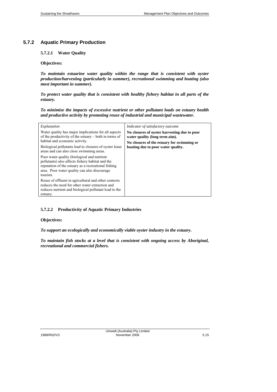# **5.7.2 Aquatic Primary Production**

## **5.7.2.1 Water Quality**

#### **Objectives:**

*To maintain estuarine water quality within the range that is consistent with oyster production/harvesting (particularly in summer), recreational swimming and boating (also most important in summer).* 

*To protect water quality that is consistent with healthy fishery habitat in all parts of the estuary.* 

*To minimise the impacts of excessive nutrient or other pollutant loads on estuary health and productive activity by promoting reuse of industrial and municipal wastewater.* 

| Explanation                                                                                                                                                                                                         | Indicator of satisfactory outcome                                              |  |  |  |
|---------------------------------------------------------------------------------------------------------------------------------------------------------------------------------------------------------------------|--------------------------------------------------------------------------------|--|--|--|
| Water quality has major implications for all aspects<br>of the productivity of the estuary – both in terms of                                                                                                       | No closures of oyster harvesting due to poor<br>water quality (long term aim). |  |  |  |
| habitat and economic activity.                                                                                                                                                                                      | No closures of the estuary for swimming or                                     |  |  |  |
| Biological pollutants lead to closures of oyster lease<br>areas and can also close swimming areas.                                                                                                                  | boating due to poor water quality.                                             |  |  |  |
| Poor water quality (biological and nutrient<br>pollutants) also affects fishery habitat and the<br>reputation of the estuary as a recreational fishing<br>area. Poor water quality can also discourage<br>tourists. |                                                                                |  |  |  |
| Reuse of effluent in agricultural and other contexts<br>reduces the need for other water extraction and<br>reduces nutrient and biological pollutant load to the<br>estuary.                                        |                                                                                |  |  |  |

# **5.7.2.2 Productivity of Aquatic Primary Industries**

### **Objectives:**

*To support an ecologically and economically viable oyster industry in the estuary.* 

*To maintain fish stocks at a level that is consistent with ongoing access by Aboriginal, recreational and commercial fishers.*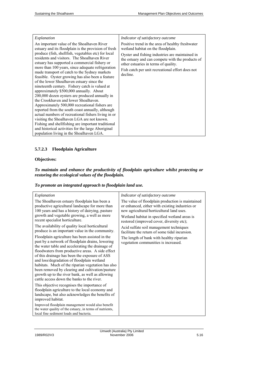| Explanation                                                                                                                                                                                                                                                                                                                                                                                                                                                                                                                                                                                                                                                                                                                                                                                                                                                                                                                                                                                                                  | Indicator of satisfactory outcome                                                                                                                                                                                                                                                                     |
|------------------------------------------------------------------------------------------------------------------------------------------------------------------------------------------------------------------------------------------------------------------------------------------------------------------------------------------------------------------------------------------------------------------------------------------------------------------------------------------------------------------------------------------------------------------------------------------------------------------------------------------------------------------------------------------------------------------------------------------------------------------------------------------------------------------------------------------------------------------------------------------------------------------------------------------------------------------------------------------------------------------------------|-------------------------------------------------------------------------------------------------------------------------------------------------------------------------------------------------------------------------------------------------------------------------------------------------------|
| An important value of the Shoalhaven River<br>estuary and its floodplain is the provision of fresh<br>produce (fish, shellfish, vegetables etc) for local<br>residents and visitors. The Shoalhaven River<br>estuary has supported a commercial fishery or<br>more than 100 years, since adequate refrigeration<br>made transport of catch to the Sydney markets<br>feasible. Oyster growing has also been a feature<br>of the lower Shoalhaven estuary since the<br>nineteenth century. Fishery catch is valued at<br>approximately \$500,000 annually. About<br>200,000 dozen oysters are produced annually in<br>the Crookhaven and lower Shoalhaven.<br>Approximately 500,000 recreational fishers are<br>reported from the south coast annually, although<br>actual numbers of recreational fishers living in or<br>visiting the Shoalhaven LGA are not known.<br>Fishing and shell fishing are important traditional<br>and historical activities for the large Aboriginal<br>population living in the Shoalhaven LGA. | Positive trend in the area of healthy freshwater<br>wetland habitat on the floodplain.<br>Oyster and fishing industries are maintained in<br>the estuary and can compete with the products of<br>other estuaries in terms of quality.<br>Fish catch per unit recreational effort does not<br>decline. |

# **5.7.2.3 Floodplain Agriculture**

# **Objectives:**

*To maintain and enhance the productivity of floodplain agriculture whilst protecting or restoring the ecological values of the floodplain.* 

# *To promote an integrated approach to floodplain land use.*

| Explanation                                                                                                                                                                                                                                                                                                                                                                                                                                                                                                            | Indicator of satisfactory outcome                                                                                                                                                                                                              |
|------------------------------------------------------------------------------------------------------------------------------------------------------------------------------------------------------------------------------------------------------------------------------------------------------------------------------------------------------------------------------------------------------------------------------------------------------------------------------------------------------------------------|------------------------------------------------------------------------------------------------------------------------------------------------------------------------------------------------------------------------------------------------|
| The Shoalhaven estuary floodplain has been a<br>productive agricultural landscape for more than<br>100 years and has a history of dairying, pasture<br>growth and vegetable growing, a well as more<br>recent specialist horticulture.                                                                                                                                                                                                                                                                                 | The value of floodplain production is maintained<br>or enhanced, either with existing industries or<br>new agricultural/horticultural land uses.<br>Wetland habitat in specified wetland areas is<br>restored (improved cover, diversity etc); |
| The availability of quality local horticultural<br>produce is an important value in the community.                                                                                                                                                                                                                                                                                                                                                                                                                     | Acid sulfate soil management techniques<br>facilitate the return of some tidal incursion.                                                                                                                                                      |
| Floodplain agriculture has been assisted in the<br>past by a network of floodplain drains, lowering<br>the water table and accelerating the drainage of<br>floodwaters from productive areas. A side effect<br>of this drainage has been the exposure of ASS<br>and loss/degradation of floodplain wetland<br>habitats. Much of the riparian vegetation has also<br>been removed by clearing and cultivation/pasture<br>growth up to the river bank, as well as allowing<br>cattle access down the banks to the river. | The length of bank with healthy riparian<br>vegetation communities is increased.                                                                                                                                                               |
| This objective recognises the importance of<br>floodplain agriculture to the local economy and<br>landscape, but also acknowledges the benefits of<br>improved habitat.                                                                                                                                                                                                                                                                                                                                                |                                                                                                                                                                                                                                                |
| Improved floodplain management would also benefit<br>the water quality of the estuary, in terms of nutrients,<br>local fine sediment loads and bacteria.                                                                                                                                                                                                                                                                                                                                                               |                                                                                                                                                                                                                                                |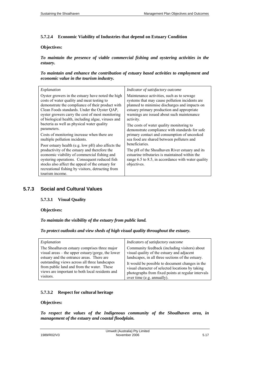## **5.7.2.4 Economic Viability of Industries that depend on Estuary Condition**

# **Objectives:**

*To maintain the presence of viable commercial fishing and oystering activities in the estuary.* 

*To maintain and enhance the contribution of estuary based activities to employment and economic value in the tourism industry.* 

| Explanation                                                                                                                                                                                                                                                                                                                      | Indicator of satisfactory outcome                                                                                                                                                       |
|----------------------------------------------------------------------------------------------------------------------------------------------------------------------------------------------------------------------------------------------------------------------------------------------------------------------------------|-----------------------------------------------------------------------------------------------------------------------------------------------------------------------------------------|
| Oyster growers in the estuary have noted the high                                                                                                                                                                                                                                                                                | Maintenance activities, such as to sewage                                                                                                                                               |
| costs of water quality and meat testing to                                                                                                                                                                                                                                                                                       | systems that may cause pollution incidents are                                                                                                                                          |
| demonstrate the compliance of their product with                                                                                                                                                                                                                                                                                 | planned to minimise discharges and impacts on                                                                                                                                           |
| Clean Foods standards. Under the Oyster QAP,                                                                                                                                                                                                                                                                                     | estuary primary production and appropriate                                                                                                                                              |
| oyster growers carry the cost of most monitoring                                                                                                                                                                                                                                                                                 | warnings are issued about such maintenance                                                                                                                                              |
| of biological health, including algae, viruses and                                                                                                                                                                                                                                                                               | activity.                                                                                                                                                                               |
| bacteria as well as physical water quality                                                                                                                                                                                                                                                                                       | The costs of water quality monitoring to                                                                                                                                                |
| parameters.                                                                                                                                                                                                                                                                                                                      | demonstrate compliance with standards for safe                                                                                                                                          |
| Costs of monitoring increase when there are                                                                                                                                                                                                                                                                                      | primary contact and consumption of uncooked                                                                                                                                             |
| multiple pollution incidents.                                                                                                                                                                                                                                                                                                    | sea food are shared between polluters and                                                                                                                                               |
| Poor estuary health (e.g. low pH) also affects the<br>productivity of the estuary and therefore the<br>economic viability of commercial fishing and<br>oystering operations. Consequent reduced fish<br>stocks also affect the appeal of the estuary for<br>recreational fishing by visitors, detracting from<br>tourism income. | beneficiaries.<br>The pH of the Shoalhaven River estuary and its<br>estuarine tributaries is maintained within the<br>range 6.5 to 8.5, in accordance with water quality<br>objectives. |

# **5.7.3 Social and Cultural Values**

#### **5.7.3.1 Visual Quality**

## **Objectives:**

*To maintain the visibility of the estuary from public land.* 

## *To protect outlooks and view sheds of high visual quality throughout the estuary.*

| Explanation                                       | Indicators of satisfactory outcome                 |
|---------------------------------------------------|----------------------------------------------------|
| The Shoalhaven estuary comprises three major      | Community feedback (including visitors) about      |
| visual areas – the upper estuary/gorge, the lower | visual quality of the estuary and adjacent         |
| estuary and the entrance areas. There are         | landscapes, in all three sections of the estuary.  |
| outstanding views across all three landscapes     | It would be possible to document changes in the    |
| from public land and from the water. These        | visual character of selected locations by taking   |
| views are important to both local residents and   | photographs from fixed points at regular intervals |
| visitors.                                         | over time (e.g. annually).                         |

# **5.7.3.2 Respect for cultural heritage**

# **Objectives:**

*To respect the values of the Indigenous community of the Shoalhaven area, in management of the estuary and coastal floodplain.*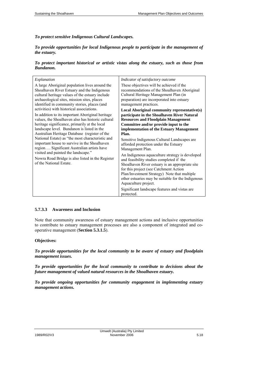*To protect sensitive Indigenous Cultural Landscapes.* 

*To provide opportunities for local Indigenous people to participate in the management of the estuary.* 

*To protect important historical or artistic vistas along the estuary, such as those from Bundanon.* 

| Explanation                                                                                                                                                                                                                                                                                                                                                                                                                                                                                                                                                                | Indicator of satisfactory outcome                                                                                                                                                                                                                                                                                                                                                                                                                                                                                                                                                                                                                                              |
|----------------------------------------------------------------------------------------------------------------------------------------------------------------------------------------------------------------------------------------------------------------------------------------------------------------------------------------------------------------------------------------------------------------------------------------------------------------------------------------------------------------------------------------------------------------------------|--------------------------------------------------------------------------------------------------------------------------------------------------------------------------------------------------------------------------------------------------------------------------------------------------------------------------------------------------------------------------------------------------------------------------------------------------------------------------------------------------------------------------------------------------------------------------------------------------------------------------------------------------------------------------------|
| A large Aboriginal population lives around the<br>Shoalhaven River Estuary and the Indigenous<br>cultural heritage values of the estuary include<br>archaeological sites, mission sites, places<br>identified in community stories, places (and                                                                                                                                                                                                                                                                                                                            | These objectives will be achieved if the<br>recommendations of the Shoalhaven Aboriginal<br>Cultural Heritage Management Plan (in<br>preparation) are incorporated into estuary<br>management practices.                                                                                                                                                                                                                                                                                                                                                                                                                                                                       |
| activities) with historical associations.<br>In addition to its important Aboriginal heritage<br>values, the Shoalhaven also has historic cultural<br>heritage significance, primarily at the local<br>landscape level. Bundanon is listed in the<br>Australian Heritage Database (register of the<br>National Estate) as "the most characteristic and<br>important house to survive in the Shoalhaven<br>region Significant Australian artists have<br>visited and painted the landscape."<br>Nowra Road Bridge is also listed in the Register<br>of the National Estate. | Local Aboriginal community representative(s)<br>participate in the Shoalhaven River Natural<br><b>Resources and Floodplain Management</b><br>Committee and/or provide input to the<br>implementation of the Estuary Management<br>Plan.<br>Sensitive Indigenous Cultural Landscapes are<br>afforded protection under the Estuary<br>Management Plan.<br>An Indigenous aquaculture strategy is developed<br>and feasibility studies completed if the<br>Shoalhaven River estuary is an appropriate site<br>for this project (see Catchment Action<br>Plan/Investment Strategy) Note that multiple<br>other estuaries may be suitable for the Indigenous<br>Aquaculture project. |
|                                                                                                                                                                                                                                                                                                                                                                                                                                                                                                                                                                            | Significant landscape features and vistas are.<br>protected.                                                                                                                                                                                                                                                                                                                                                                                                                                                                                                                                                                                                                   |

# **5.7.3.3 Awareness and Inclusion**

Note that community awareness of estuary management actions and inclusive opportunities to contribute to estuary management processes are also a component of integrated and cooperative management (**Section 5.3.1.5**).

### **Objectives:**

*To provide opportunities for the local community to be aware of estuary and floodplain management issues.* 

*To provide opportunities for the local community to contribute to decisions about the future management of valued natural resources in the Shoalhaven estuary.* 

*To provide ongoing opportunities for community engagement in implementing estuary management actions.*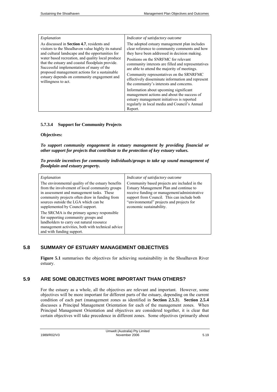| Explanation                                                                                                                                                                                                                                                                                                                                                                                                                               | Indicator of satisfactory outcome                                                                                                                                                                                                                                                                                                                                                                                                       |
|-------------------------------------------------------------------------------------------------------------------------------------------------------------------------------------------------------------------------------------------------------------------------------------------------------------------------------------------------------------------------------------------------------------------------------------------|-----------------------------------------------------------------------------------------------------------------------------------------------------------------------------------------------------------------------------------------------------------------------------------------------------------------------------------------------------------------------------------------------------------------------------------------|
| As discussed in <b>Section 4.7</b> , residents and<br>visitors to the Shoalhaven value highly its natural<br>and cultural landscape and the opportunities for<br>water based recreation, and quality local produce<br>that the estuary and coastal floodplain provide.<br>Successful implementation of many of the<br>proposed management actions for a sustainable<br>estuary depends on community engagement and<br>willingness to act. | The adopted estuary management plan includes<br>clear reference to community comments and how<br>they have been addressed in decision making.<br>Positions on the SNRFMC for relevant<br>community interests are filled and representatives<br>are able to attend the majority of meetings.<br>Community representatives on the SRNRFMC<br>effectively disseminate information and represent<br>the community's interests and concerns. |
|                                                                                                                                                                                                                                                                                                                                                                                                                                           | Information about upcoming significant<br>management actions and about the success of<br>estuary management initiatives is reported<br>regularly in local media and Council's Annual<br>Report.                                                                                                                                                                                                                                         |

## **5.7.3.4 Support for Community Projects**

#### **Objectives:**

*To support community engagement in estuary management by providing financial or other support for projects that contribute to the protection of key estuary values.* 

| To provide incentives for community individuals/groups to take up sound management of |  |  |
|---------------------------------------------------------------------------------------|--|--|
| floodplain and estuary property.                                                      |  |  |

| Explanation                                                                                                                                                                                                                                                                   | Indicator of satisfactory outcome                                                                                                                                                                                                                               |
|-------------------------------------------------------------------------------------------------------------------------------------------------------------------------------------------------------------------------------------------------------------------------------|-----------------------------------------------------------------------------------------------------------------------------------------------------------------------------------------------------------------------------------------------------------------|
| The environmental quality of the estuary benefits<br>from the involvement of local community groups<br>in assessment and management tasks. These<br>community projects often draw in funding from<br>sources outside the LGA which can be<br>supplemented by Council support. | Community based projects are included in the<br>Estuary Management Plan and continue to<br>receive funding or management/administrative<br>support from Council. This can include both<br>"environmental" projects and projects for<br>economic sustainability. |
| The SRCMA is the primary agency responsible<br>for supporting community groups and<br>landholders to carry out natural resource<br>management activities, both with technical advice<br>and with funding support.                                                             |                                                                                                                                                                                                                                                                 |

# **5.8 SUMMARY OF ESTUARY MANAGEMENT OBJECTIVES**

**Figure 5.1** summarises the objectives for achieving sustainability in the Shoalhaven River estuary.

# **5.9 ARE SOME OBJECTIVES MORE IMPORTANT THAN OTHERS?**

For the estuary as a whole, all the objectives are relevant and important. However, some objectives will be more important for different parts of the estuary, depending on the current condition of each part (management zones as identified in **Section 2.5.3**). **Section 2.5.4** discusses a Principal Management Orientation for each of the management zones. When Principal Management Orientation and objectives are considered together, it is clear that certain objectives will take precedence in different zones. Some objectives (primarily about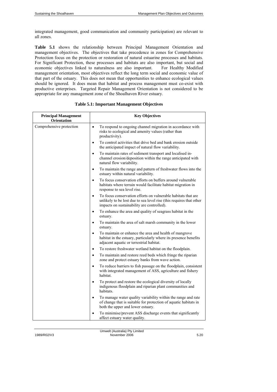integrated management, good communication and community participation) are relevant to all zones.

**Table 5.1** shows the relationship between Principal Management Orientation and management objectives. The objectives that take precedence in zones for Comprehensive Protection focus on the protection or restoration of natural estuarine processes and habitats. For Significant Protection, these processes and habitats are also important, but social and economic objectives linked to naturalness are also important. For Healthy Modified management orientation, most objectives reflect the long term social and economic value of that part of the estuary. This does not mean that opportunities to enhance ecological values should be ignored. It does mean that habitat and process management must co-exist with productive enterprises. Targeted Repair Management Orientation is not considered to be appropriate for any management zone of the Shoalhaven River estuary.

| <b>Principal Management</b><br>Orientation | <b>Key Objectives</b>                                                                                                                                                                           |
|--------------------------------------------|-------------------------------------------------------------------------------------------------------------------------------------------------------------------------------------------------|
| Comprehensive protection                   | To respond to ongoing channel migration in accordance with<br>$\bullet$<br>risks to ecological and amenity values (rather than<br>productivity).                                                |
|                                            | To control activities that drive bed and bank erosion outside<br>$\bullet$<br>the anticipated impact of natural flow variability.                                                               |
|                                            | To maintain rates of sediment transport and localised in-<br>$\bullet$<br>channel erosion/deposition within the range anticipated with<br>natural flow variability.                             |
|                                            | To maintain the range and pattern of freshwater flows into the<br>$\bullet$<br>estuary within natural variability.                                                                              |
|                                            | To focus conservation efforts on buffers around vulnerable<br>$\bullet$<br>habitats where terrain would facilitate habitat migration in<br>response to sea level rise.                          |
|                                            | To focus conservation efforts on vulnerable habitats that are<br>$\bullet$<br>unlikely to be lost due to sea level rise (this requires that other<br>impacts on sustainability are controlled). |
|                                            | To enhance the area and quality of seagrass habitat in the<br>$\bullet$<br>estuary.                                                                                                             |
|                                            | To maintain the area of salt marsh community in the lower<br>$\bullet$<br>estuary.                                                                                                              |
|                                            | To maintain or enhance the area and health of mangrove<br>$\bullet$<br>habitat in the estuary, particularly where its presence benefits<br>adjacent aquatic or terrestrial habitat.             |
|                                            | To restore freshwater wetland habitat on the floodplain.<br>$\bullet$                                                                                                                           |
|                                            | To maintain and restore reed beds which fringe the riparian<br>$\bullet$<br>zone and protect estuary banks from wave action.                                                                    |
|                                            | To reduce barriers to fish passage on the floodplain, consistent<br>with integrated management of ASS, agriculture and fishery<br>habitat.                                                      |
|                                            | To protect and restore the ecological diversity of locally<br>$\bullet$<br>indigenous floodplain and riparian plant communities and<br>habitats.                                                |
|                                            | To manage water quality variability within the range and rate<br>$\bullet$<br>of change that is suitable for protection of aquatic habitats in<br>both the upper and lower estuary.             |
|                                            | To minimise/prevent ASS discharge events that significantly<br>affect estuary water quality.                                                                                                    |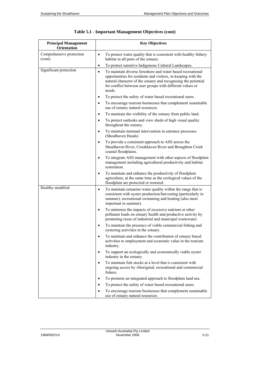| <b>Principal Management</b><br><b>Orientation</b> | <b>Key Objectives</b>                                                                                                                                                                                                                                                             |
|---------------------------------------------------|-----------------------------------------------------------------------------------------------------------------------------------------------------------------------------------------------------------------------------------------------------------------------------------|
| Comprehensive protection<br>(cont)                | To protect water quality that is consistent with healthy fishery<br>$\bullet$<br>habitat in all parts of the estuary.                                                                                                                                                             |
|                                                   | To protect sensitive Indigenous Cultural Landscapes.<br>$\bullet$                                                                                                                                                                                                                 |
| Significant protection                            | To maintain diverse foreshore and water based recreational<br>$\bullet$<br>opportunities for residents and visitors, in keeping with the<br>natural character of the estuary and recognising the potential<br>for conflict between user groups with different values or<br>needs. |
|                                                   | To protect the safety of water based recreational users.<br>٠                                                                                                                                                                                                                     |
|                                                   | To encourage tourism businesses that complement sustainable<br>use of estuary natural resources.                                                                                                                                                                                  |
|                                                   | To maintain the visibility of the estuary from public land.<br>$\bullet$                                                                                                                                                                                                          |
|                                                   | To protect outlooks and view sheds of high visual quality<br>$\bullet$<br>throughout the estuary.                                                                                                                                                                                 |
|                                                   | To maintain minimal intervention in entrance processes<br>(Shoalhaven Heads)                                                                                                                                                                                                      |
|                                                   | To provide a consistent approach to ASS across the<br>Shoalhaven River, Crookhaven River and Broughton Creek<br>coastal floodplains.                                                                                                                                              |
|                                                   | To integrate ASS management with other aspects of floodplain<br>$\bullet$<br>management including agricultural productivity and habitat<br>restoration.                                                                                                                           |
|                                                   | To maintain and enhance the productivity of floodplain<br>$\bullet$<br>agriculture, at the same time as the ecological values of the<br>floodplain are protected or restored.                                                                                                     |
| Healthy modified                                  | To maintain estuarine water quality within the range that is<br>$\bullet$<br>consistent with oyster production/harvesting (particularly in<br>summer), recreational swimming and boating (also most<br>important in summer).                                                      |
|                                                   | To minimise the impacts of excessive nutrient or other<br>$\bullet$<br>pollutant loads on estuary health and productive activity by<br>promoting reuse of industrial and municipal wastewater.                                                                                    |
|                                                   | To maintain the presence of viable commercial fishing and<br>$\bullet$<br>oystering activities in the estuary.                                                                                                                                                                    |
|                                                   | To maintain and enhance the contribution of estuary based<br>$\bullet$<br>activities to employment and economic value in the tourism<br>industry.                                                                                                                                 |
|                                                   | To support an ecologically and economically viable oyster<br>$\bullet$<br>industry in the estuary.                                                                                                                                                                                |
|                                                   | To maintain fish stocks at a level that is consistent with<br>ongoing access by Aboriginal, recreational and commercial<br>fishers.                                                                                                                                               |
|                                                   | To promote an integrated approach to floodplain land use.                                                                                                                                                                                                                         |
|                                                   | To protect the safety of water based recreational users.                                                                                                                                                                                                                          |
|                                                   | To encourage tourism businesses that complement sustainable<br>use of estuary natural resources.                                                                                                                                                                                  |

| Table 5.1 - Important Management Objectives (cont) |  |
|----------------------------------------------------|--|
|----------------------------------------------------|--|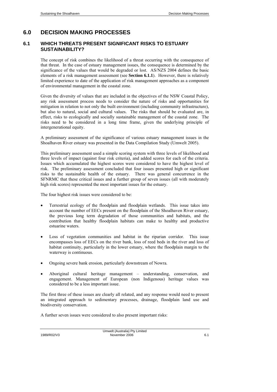# **6.0 DECISION MAKING PROCESSES**

# **6.1 WHICH THREATS PRESENT SIGNIFICANT RISKS TO ESTUARY SUSTAINABILITY?**

The concept of risk combines the likelihood of a threat occurring with the consequence of that threat. In the case of estuary management issues, the consequence is determined by the significance of the values that would be degraded or lost. AS/NZS 2004 defines the basic elements of a risk management assessment (see **Section 6.1.1**). However, there is relatively limited experience to date of the application of risk management approaches as a component of environmental management in the coastal zone.

Given the diversity of values that are included in the objectives of the NSW Coastal Policy, any risk assessment process needs to consider the nature of risks and opportunities for mitigation in relation to not only the built environment (including community infrastructure), but also to natural, social and cultural values. The risks that should be evaluated are, in effect, risks to ecologically and socially sustainable management of the coastal zone. The risks need to be considered in a long time frame, given the underlying principle of intergenerational equity.

A preliminary assessment of the significance of various estuary management issues in the Shoalhaven River estuary was presented in the Data Compilation Study (Umwelt 2005).

This preliminary assessment used a simple scoring system with three levels of likelihood and three levels of impact (against four risk criteria), and added scores for each of the criteria. Issues which accumulated the highest scores were considered to have the highest level of risk. The preliminary assessment concluded that four issues presented high or significant risks to the sustainable health of the estuary. There was general concurrence in the SFNRMC that these critical issues and a further group of seven issues (all with moderately high risk scores) represented the most important issues for the estuary.

The four highest risk issues were considered to be:

- Terrestrial ecology of the floodplain and floodplain wetlands. This issue takes into account the number of EECs present on the floodplain of the Shoalhaven River estuary, the previous long term degradation of those communities and habitats, and the contribution that healthy floodplain habitats can make to healthy and productive estuarine waters.
- Loss of vegetation communities and habitat in the riparian corridor. This issue encompasses loss of EECs on the river bank, loss of reed beds in the river and loss of habitat continuity, particularly in the lower estuary, where the floodplain margin to the waterway is continuous.
- Ongoing severe bank erosion, particularly downstream of Nowra.
- Aboriginal cultural heritage management understanding, conservation, and engagement. Management of European (non Indigenous) heritage values was considered to be a less important issue.

The first three of these issues are clearly all related, and any response would need to present an integrated approach to sedimentary processes, drainage, floodplain land use and biodiversity conservation.

A further seven issues were considered to also present important risks: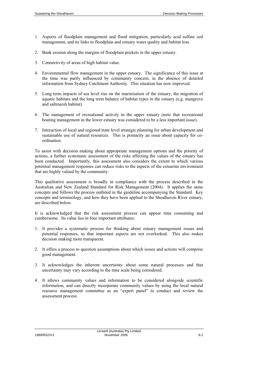- 1. Aspects of floodplain management and flood mitigation, particularly acid sulfate soil management, and its links to floodplain and estuary water quality and habitat loss.
- 2. Bank erosion along the margins of floodplain pockets in the upper estuary.
- 3. Connectivity of areas of high habitat value.
- 4. Environmental flow management in the upper estuary. The significance of this issue at the time was partly influenced by community concern, in the absence of detailed information from Sydney Catchment Authority. This situation has now improved.
- 5. Long term impacts of sea level rise on the marinisation of the estuary, the migration of aquatic habitats and the long term balance of habitat types in the estuary (e.g. mangrove and saltmarsh habitat).
- 6. The management of recreational activity in the upper estuary (note that recreational boating management in the lower estuary was considered to be a less important issue).
- 7. Interaction of local and regional/state level strategic planning for urban development and sustainable use of natural resources. This is primarily an issue about capacity for coordination.

To assist with decision making about appropriate management options and the priority of actions, a further systematic assessment of the risks affecting the values of the estuary has been conducted. Importantly, this assessment also considers the extent to which various potential management responses can reduce risks to the aspects of the estuarine environment that are highly valued by the community.

This qualitative assessment is broadly in compliance with the process described in the Australian and New Zealand Standard for Risk Management (2004). It applies the same concepts and follows the process outlined in the guideline accompanying the Standard. Key concepts and terminology, and how they have been applied to the Shoalhaven River estuary, are described below.

It is acknowledged that the risk assessment process can appear time consuming and cumbersome. Its value lies in four important attributes:

- 1. It provides a systematic process for thinking about estuary management issues and potential responses, so that important aspects are not overlooked. This also makes decision making more transparent.
- 2. It offers a process to question assumptions about which issues and actions will comprise good management.
- 3. It acknowledges the inherent uncertainty about some natural processes and that uncertainty may vary according to the time scale being considered.
- 4. It allows community values and information to be considered alongside scientific information, and can directly incorporate community values by using the local natural resource management committee as an "expert panel" to conduct and review the assessment process.

Umwelt (Australia) Pty Limited 1989/R02/V3 November 2006 6.2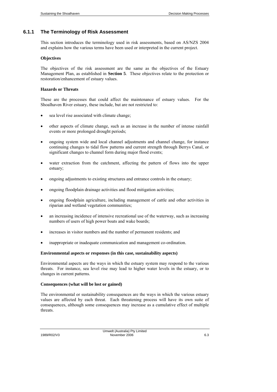# **6.1.1 The Terminology of Risk Assessment**

This section introduces the terminology used in risk assessments, based on AS/NZS 2004 and explains how the various terms have been used or interpreted in the current project.

#### **Objectives**

The objectives of the risk assessment are the same as the objectives of the Estuary Management Plan, as established in **Section 5**. These objectives relate to the protection or restoration/enhancement of estuary values.

# **Hazards or Threats**

These are the processes that could affect the maintenance of estuary values. For the Shoalhaven River estuary, these include, but are not restricted to:

- sea level rise associated with climate change;
- other aspects of climate change, such as an increase in the number of intense rainfall events or more prolonged drought periods;
- ongoing system wide and local channel adjustments and channel change, for instance continuing changes to tidal flow patterns and current strength through Berrys Canal, or significant changes to channel form during major flood events;
- water extraction from the catchment, affecting the pattern of flows into the upper estuary;
- ongoing adjustments to existing structures and entrance controls in the estuary;
- ongoing floodplain drainage activities and flood mitigation activities;
- ongoing floodplain agriculture, including management of cattle and other activities in riparian and wetland vegetation communities;
- an increasing incidence of intensive recreational use of the waterway, such as increasing numbers of users of high power boats and wake boards;
- increases in visitor numbers and the number of permanent residents; and
- inappropriate or inadequate communication and management co-ordination.

#### **Environmental aspects or responses (in this case, sustainability aspects)**

Environmental aspects are the ways in which the estuary system may respond to the various threats. For instance, sea level rise may lead to higher water levels in the estuary, or to changes in current patterns.

#### **Consequences (what will be lost or gained)**

The environmental or sustainability consequences are the ways in which the various estuary values are affected by each threat. Each threatening process will have its own suite of consequences, although some consequences may increase as a cumulative effect of multiple threats.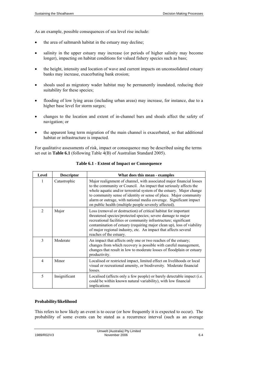As an example, possible consequences of sea level rise include:

- the area of saltmarsh habitat in the estuary may decline;
- salinity in the upper estuary may increase (or periods of higher salinity may become longer), impacting on habitat conditions for valued fishery species such as bass;
- the height, intensity and location of wave and current impacts on unconsolidated estuary banks may increase, exacerbating bank erosion;
- shoals used as migratory wader habitat may be permanently inundated, reducing their suitability for these species;
- flooding of low lying areas (including urban areas) may increase, for instance, due to a higher base level for storm surges;
- changes to the location and extent of in-channel bars and shoals affect the safety of navigation; or
- the apparent long term migration of the main channel is exacerbated, so that additional habitat or infrastructure is impacted.

For qualitative assessments of risk, impact or consequence may be described using the terms set out in **Table 6.1** (following Table 4(B) of Australian Standard 2005).

| Level          | <b>Descriptor</b> | What does this mean - examples                                                                                                                                                                                                                                                                                                                                                                                        |
|----------------|-------------------|-----------------------------------------------------------------------------------------------------------------------------------------------------------------------------------------------------------------------------------------------------------------------------------------------------------------------------------------------------------------------------------------------------------------------|
| 1              | Catastrophic      | Major realignment of channel, with associated major financial losses<br>to the community or Council. An impact that seriously affects the<br>whole aquatic and/or terrestrial system of the estuary. Major change<br>to community sense of identity or sense of place. Major community<br>alarm or outrage, with national media coverage. Significant impact<br>on public health (multiple people severely affected). |
| $\overline{c}$ | Major             | Loss (removal or destruction) of critical habitat for important<br>threatened species/protected species; severe damage to major<br>recreational facilities or community infrastructure; significant<br>contamination of estuary (requiring major clean up), loss of viability<br>of major regional industry, etc. An impact that affects several<br>reaches of the estuary.                                           |
| 3              | Moderate          | An impact that affects only one or two reaches of the estuary,<br>changes from which recovery is possible with careful management,<br>changes that result in low to moderate losses of floodplain or estuary<br>productivity.                                                                                                                                                                                         |
| 4              | Minor             | Localised or restricted impact, limited effect on livelihoods or local<br>visual or recreational amenity, or biodiversity. Moderate financial<br>losses.                                                                                                                                                                                                                                                              |
| 5              | Insignificant     | Localised (affects only a few people) or barely detectable impact (i.e.<br>could be within known natural variability), with low financial<br>implications                                                                                                                                                                                                                                                             |

**Table 6.1 - Extent of Impact or Consequence** 

## **Probability/likelihood**

This refers to how likely an event is to occur (or how frequently it is expected to occur). The probability of some events can be stated as a recurrence interval (such as an average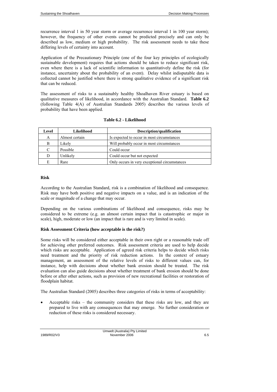recurrence interval 1 in 50 year storm or average recurrence interval 1 in 100 year storm); however, the frequency of other events cannot be predicted precisely and can only be described as low, medium or high probability. The risk assessment needs to take these differing levels of certainty into account.

Application of the Precautionary Principle (one of the four key principles of ecologically sustainable development) requires that actions should be taken to reduce significant risk, even where there is a lack of scientific information to quantitatively define the risk (for instance, uncertainty about the probability of an event). Delay whilst indisputable data is collected cannot be justified where there is strong qualitative evidence of a significant risk that can be reduced.

The assessment of risks to a sustainably healthy Shoalhaven River estuary is based on qualitative measures of likelihood, in accordance with the Australian Standard. **Table 6.2** (following Table 4(A) of Australian Standards 2005) describes the various levels of probability that have been applied.

| Level | Likelihood     | Description/qualification                     |
|-------|----------------|-----------------------------------------------|
| А     | Almost certain | Is expected to occur in most circumstances    |
| В     | Likely         | Will probably occur in most circumstances     |
| C     | Possible       | Could occur                                   |
| D     | Unlikely       | Could occur but not expected                  |
| Е     | Rare           | Only occurs in very exceptional circumstances |

### **Table 6.2 - Likelihood**

#### **Risk**

According to the Australian Standard, risk is a combination of likelihood and consequence. Risk may have both positive and negative impacts on a value, and is an indication of the scale or magnitude of a change that may occur.

Depending on the various combinations of likelihood and consequence, risks may be considered to be extreme (e.g. an almost certain impact that is catastrophic or major in scale), high, moderate or low (an impact that is rare and is very limited in scale).

#### **Risk Assessment Criteria (how acceptable is the risk?)**

Some risks will be considered either acceptable in their own right or a reasonable trade off for achieving other preferred outcomes. Risk assessment criteria are used to help decide which risks are acceptable. Application of agreed risk criteria helps to decide which risks need treatment and the priority of risk reduction actions. In the context of estuary management, an assessment of the relative levels of risks to different values can, for instance, help with decisions about whether bank erosion should be treated. The risk evaluation can also guide decisions about whether treatment of bank erosion should be done before or after other actions, such as provision of new recreational facilities or restoration of floodplain habitat.

The Australian Standard (2005) describes three categories of risks in terms of acceptability:

• Acceptable risks – the community considers that these risks are low, and they are prepared to live with any consequences that may emerge. No further consideration or reduction of these risks is considered necessary.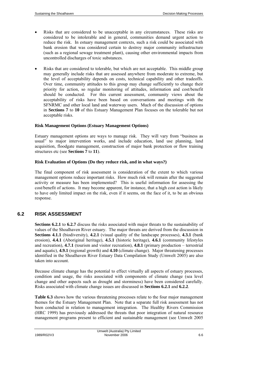- Risks that are considered to be unacceptable in any circumstances. These risks are considered to be intolerable and in general, communities demand urgent action to reduce the risk. In estuary management contexts, such a risk could be associated with bank erosion that was considered certain to destroy major community infrastructure (such as a regional sewage treatment plant), causing other environmental impacts from uncontrolled discharges of toxic substances.
- Risks that are considered to tolerable, but which are not acceptable. This middle group may generally include risks that are assessed anywhere from moderate to extreme, but the level of acceptability depends on costs, technical capability and other tradeoffs. Over time, community attitudes to this group may change sufficiently to change their priority for action, so regular monitoring of attitudes, information and cost/benefit should be conducted. For this current assessment, community views about the acceptability of risks have been based on conversations and meetings with the SFNRMC and other local land and waterway users. Much of the discussion of options in **Sections 7** to **10** of this Estuary Management Plan focuses on the tolerable but not acceptable risks.

#### **Risk Management Options (Estuary Management Options)**

Estuary management options are ways to manage risk. They will vary from "business as usual" to major intervention works, and include education, land use planning, land acquisition, floodgate management, construction of major bank protection or flow training structures etc (see **Sections 7** to **11**).

#### **Risk Evaluation of Options (Do they reduce risk, and in what ways?)**

The final component of risk assessment is consideration of the extent to which various management options reduce important risks. How much risk will remain after the suggested activity or measure has been implemented? This is useful information for assessing the cost/benefit of actions. It may become apparent, for instance, that a high cost action is likely to have only limited impact on the risk, even if it seems, on the face of it, to be an obvious response.

## **6.2 RISK ASSESSMENT**

**Sections 6.2.1** to **6.2.7** discuss the risks associated with major threats to the sustainability of values of the Shoalhaven River estuary. The major threats are derived from the discussion in **Sections 4.1.1** (biodiversity), **4.2.1** (visual quality of the landscape processes), **4.3.1** (bank erosion), **4.4.1** (Aboriginal heritage), **4.5.1** (historic heritage), **4.6.1** (community lifestyles and recreation), **4.7.1** (tourism and visitor recreation), **4.8.1** (primary production – terrestrial and aquatic), **4.9.1** (regional growth) and **4.10** (climate change). Major threatening processes identified in the Shoalhaven River Estuary Data Compilation Study (Umwelt 2005) are also taken into account.

Because climate change has the potential to effect virtually all aspects of estuary processes, condition and usage, the risks associated with components of climate change (sea level change and other aspects such as drought and storminess) have been considered carefully. Risks associated with climate change issues are discussed in **Sections 6.2.1** and **6.2.2**.

**Table 6.3** shows how the various threatening processes relate to the four major management themes for the Estuary Management Plan. Note that a separate full risk assessment has not been conducted in relation to management integration. The Healthy Rivers Commission (HRC 1999) has previously addressed the threats that poor integration of natural resource management programs present to efficient and sustainable management (see Umwelt 2005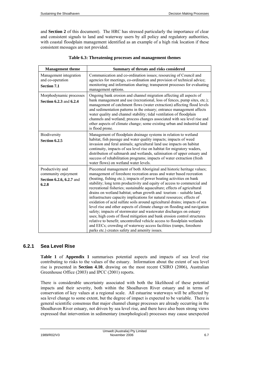and **Section 2** of this document). The HRC has stressed particularly the importance of clear and consistent signals to land and waterway users by all policy and regulatory authorities, with coastal floodplain management identified as an example of a high risk location if these consistent messages are not provided.

| <b>Management theme</b>                                                      | Summary of threats and risks considered                                                                                                                                                                                                                                                                                                                                                                                                                                                                                                                                                                                                                                                                                                                                                                                                                                                                                                                                                                                                        |  |  |
|------------------------------------------------------------------------------|------------------------------------------------------------------------------------------------------------------------------------------------------------------------------------------------------------------------------------------------------------------------------------------------------------------------------------------------------------------------------------------------------------------------------------------------------------------------------------------------------------------------------------------------------------------------------------------------------------------------------------------------------------------------------------------------------------------------------------------------------------------------------------------------------------------------------------------------------------------------------------------------------------------------------------------------------------------------------------------------------------------------------------------------|--|--|
| Management integration<br>and co-operation<br><b>Section 7.1</b>             | Communication and co-ordination issues; resourcing of Council and<br>agencies for meetings, co-ordination and provision of technical advice;<br>monitoring and information sharing; transparent processes for evaluating<br>management options.                                                                                                                                                                                                                                                                                                                                                                                                                                                                                                                                                                                                                                                                                                                                                                                                |  |  |
| Morphodynamic processes<br>Section 6.2.3 and 6.2.4                           | Ongoing bank erosion and channel migration affecting all aspects of<br>bank management and use (recreational, loss of fences, pump sites, etc.);<br>management of catchment flows (water extraction) affecting flood levels<br>and sedimentation patterns in the estuary; entrance management affects<br>water quality and channel stability; tidal ventilation of floodplain<br>channels and wetland; process changes associated with sea level rise and<br>other aspects of climate change; some existing urban and industrial land<br>is flood prone.                                                                                                                                                                                                                                                                                                                                                                                                                                                                                       |  |  |
| Biodiversity<br>Section 6.2.5                                                | Management of floodplain drainage systems in relation to wetland<br>habitat, fish passage and water quality impacts; impacts of weed<br>invasion and feral animals; agricultural land use impacts on habitat<br>continuity, impacts of sea level rise on habitat for migratory waders,<br>distribution of saltmarsh and wetlands, salinisation of upper estuary and<br>success of rehabilitation programs; impacts of water extraction (fresh<br>water flows) on wetland water levels.                                                                                                                                                                                                                                                                                                                                                                                                                                                                                                                                                         |  |  |
| Productivity and<br>community enjoyment<br>Section 6.2.6, 6.2.7 and<br>6.2.8 | Piecemeal management of both Aboriginal and historic heritage values;<br>management of foreshore recreation areas and water based recreation<br>(boating, fishing etc.); impacts of power boating activities on bank<br>stability; long term productivity and equity of access to commercial and<br>recreational fisheries; sustainable aquaculture; effects of agricultural<br>drains on wetland habitat; urban growth and tourism - suitable land,<br>infrastructure capacity implications for natural resources; effects of<br>oxidation of acid sulfate soils around agricultural drains; impacts of sea<br>level rise and other aspects of climate change on flooding and navigation<br>safety; impacts of stormwater and wastewater discharges on estuary<br>uses; high costs of flood mitigation and bank erosion control structures<br>relative to benefit; uncontrolled vehicle access to floodplain wetlands<br>and EECs; crowding of waterway access facilities (ramps, foreshore<br>parks etc.) creates safety and amenity issues. |  |  |

#### **Table 6.3: Threatening processes and management themes**

# **6.2.1 Sea Level Rise**

**Table 1** of **Appendix 1** summarises potential aspects and impacts of sea level rise contributing to risks to the values of the estuary. Information about the extent of sea level rise is presented in **Section 4.10**, drawing on the most recent CSIRO (2006), Australian Greenhouse Office (2003) and IPCC (2001) reports.

There is considerable uncertainty associated with both the likelihood of these potential impacts and their severity, both within the Shoalhaven River estuary and in terms of conservation of key values at a regional scale. All estuarine waterways will be affected by sea level change to some extent, but the degree of impact is expected to be variable. There is general scientific consensus that major channel change processes are already occurring in the Shoalhaven River estuary, not driven by sea level rise, and there have also been strong views expressed that intervention in sedimentary (morphological) processes may cause unexpected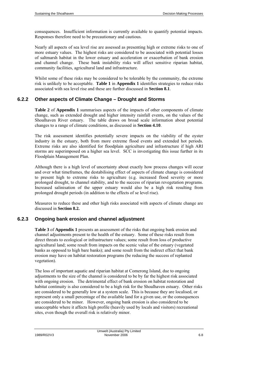consequences. Insufficient information is currently available to quantify potential impacts. Responses therefore need to be precautionary and cautious.

Nearly all aspects of sea level rise are assessed as presenting high or extreme risks to one of more estuary values. The highest risks are considered to be associated with potential losses of saltmarsh habitat in the lower estuary and acceleration or exacerbation of bank erosion and channel change. These bank instability risks will affect sensitive riparian habitat, community facilities, agricultural land and infrastructure.

Whilst some of these risks may be considered to be tolerable by the community, the extreme risk is unlikely to be acceptable. **Table 1** in **Appendix 1** identifies strategies to reduce risks associated with sea level rise and these are further discussed in **Section 8.1**.

### **6.2.2 Other aspects of Climate Change – Drought and Storms**

**Table 2** of **Appendix 1** summarises aspects of the impacts of other components of climate change, such as extended drought and higher intensity rainfall events, on the values of the Shoalhaven River estuary. The table draws on broad scale information about potential changes to a range of climate conditions, as discussed in **Section 4.10**.

The risk assessment identifies potentially severe impacts on the viability of the oyster industry in the estuary, both from more extreme flood events and extended hot periods. Extreme risks are also identified for floodplain agriculture and infrastructure if high ARI storms are superimposed on a higher sea level. SCC is investigating this issue further in its Floodplain Management Plan.

Although there is a high level of uncertainty about exactly how process changes will occur and over what timeframes, the destabilising effect of aspects of climate change is considered to present high to extreme risks to agriculture (e.g. increased flood severity or more prolonged drought, to channel stability, and to the success of riparian revegetation programs. Increased salinisation of the upper estuary would also be a high risk resulting from prolonged drought periods (in addition to the effects of se level rise).

Measures to reduce these and other high risks associated with aspects of climate change are discussed in **Section 8.2.** 

# **6.2.3 Ongoing bank erosion and channel adjustment**

**Table 3** of **Appendix 1** presents an assessment of the risks that ongoing bank erosion and channel adjustments present to the health of the estuary. Some of these risks result from direct threats to ecological or infrastructure values; some result from loss of productive agricultural land; some result from impacts on the scenic value of the estuary (vegetated banks as opposed to high bare banks); and some result from the indirect effect that bank erosion may have on habitat restoration programs (be reducing the success of replanted vegetation).

The loss of important aquatic and riparian habitat at Comerong Island, due to ongoing adjustments to the size of the channel is considered to be by far the highest risk associated with ongoing erosion. The detrimental effect of bank erosion on habitat restoration and habitat continuity is also considered to be a high risk for the Shoalhaven estuary. Other risks are considered to be generally low at a system scale. This is because they are localised, or represent only a small percentage of the available land for a given use, or the consequences are considered to be minor. However, ongoing bank erosion is also considered to be unacceptable where it affects high profile (heavily used by locals and visitors) recreational sites, even though the overall risk is relatively minor.

Umwelt (Australia) Pty Limited 1989/R02/V3 November 2006 6.8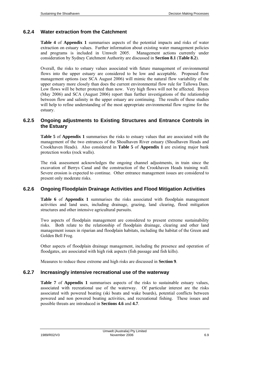# **6.2.4 Water extraction from the Catchment**

**Table 4** of **Appendix 1** summarises aspects of the potential impacts and risks of water extraction on estuary values. Further information about existing water management policies and programs is included in Umwelt 2005. Management actions currently under consideration by Sydney Catchment Authority are discussed in **Section 8.1** (**Table 8.2**).

Overall, the risks to estuary values associated with future management of environmental flows into the upper estuary are considered to be low and acceptable. Proposed flow management options (see SCA August 2006) will mimic the natural flow variability of the upper estuary more closely than does the current environmental flow rule for Tallowa Dam. Low flows will be better protected than now. Very high flows will not be affected. Boyes (May 2006) and SCA (August 2006) report than further investigations of the relationship between flow and salinity in the upper estuary are continuing. The results of these studies will help to refine understanding of the most appropriate environmental flow regime for the estuary.

# **6.2.5 Ongoing adjustments to Existing Structures and Entrance Controls in the Estuary**

**Table 5** of **Appendix 1** summarises the risks to estuary values that are associated with the management of the two entrances of the Shoalhaven River estuary (Shoalhaven Heads and Crookhaven Heads). Also considered in **Table 5** of **Appendix 1** are existing major bank protection works (rock walls).

The risk assessment acknowledges the ongoing channel adjustments, in train since the excavation of Berrys Canal and the construction of the Crookhaven Heads training wall. Severe erosion is expected to continue. Other entrance management issues are considered to present only moderate risks.

## **6.2.6 Ongoing Floodplain Drainage Activities and Flood Mitigation Activities**

**Table 6** of **Appendix 1** summarises the risks associated with floodplain management activities and land uses, including drainage, grazing, land clearing, flood mitigation structures and other intensive agricultural pursuits.

Two aspects of floodplain management are considered to present extreme sustainability risks. Both relate to the relationship of floodplain drainage, clearing and other land management issues in riparian and floodplain habitats, including the habitat of the Green and Golden Bell Frog.

Other aspects of floodplain drainage management, including the presence and operation of floodgates, are associated with high risk aspects (fish passage and fish kills).

Measures to reduce these extreme and high risks are discussed in **Section 9**.

## **6.2.7 Increasingly intensive recreational use of the waterway**

**Table 7** of **Appendix 1** summarises aspects of the risks to sustainable estuary values, associated with recreational use of the waterway. Of particular interest are the risks associated with powered boating (ski boats and wake boards), potential conflicts between powered and non powered boating activities, and recreational fishing. These issues and possible threats are introduced in **Sections 4.6** and **4.7**.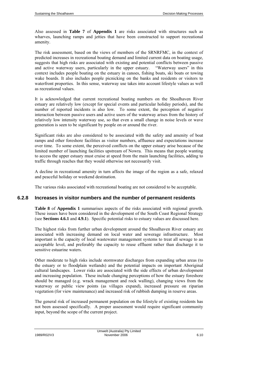Also assessed in **Table 7** of **Appendix 1** are risks associated with structures such as wharves, launching ramps and jetties that have been constructed to support recreational amenity.

The risk assessment, based on the views of members of the SRNRFMC, in the context of predicted increases in recreational boating demand and limited current data on boating usage, suggests that high risks are associated with existing and potential conflicts between passive and active waterway users, particularly in the upper estuary. "Waterway users" in this context includes people boating on the estuary in canoes, fishing boats, ski boats or towing wake boards. It also includes people picnicking on the banks and residents or visitors to waterfront properties. In this sense, waterway use takes into account lifestyle values as well as recreational values.

It is acknowledged that current recreational boating numbers on the Shoalhaven River estuary are relatively low (except for special events and particular holiday periods), and the number of reported incidents is also low. To some extent, the perception of negative interaction between passive users and active users of the waterway arises from the history of relatively low intensity waterway use, so that even a small change in noise levels or wave generation is seen to be significant by people on or around the river.

Significant risks are also considered to be associated with the safety and amenity of boat ramps and other foreshore facilities as visitor numbers, affluence and expectations increase over time. To some extent, the perceived conflicts on the upper estuary arise because of the limited number of launching facilities upstream of Nowra. This means that people wanting to access the upper estuary must cruise at speed from the main launching facilities, adding to traffic through reaches that they would otherwise not necessarily visit.

A decline in recreational amenity in turn affects the image of the region as a safe, relaxed and peaceful holiday or weekend destination.

The various risks associated with recreational boating are not considered to be acceptable.

## **6.2.8 Increases in visitor numbers and the number of permanent residents**

**Table 8** of **Appendix 1** summarises aspects of the risks associated with regional growth. These issues have been considered in the development of the South Coast Regional Strategy (see **Sections 4.6.1** and **4.9.1**). Specific potential risks to estuary values are discussed here.

The highest risks from further urban development around the Shoalhaven River estuary are associated with increasing demand on local water and sewerage infrastructure. Most important is the capacity of local wastewater management systems to treat all sewage to an acceptable level, and preferably the capacity to reuse effluent rather than discharge it to sensitive estuarine waters.

Other moderate to high risks include stormwater discharges from expanding urban areas (to the estuary or to floodplain wetlands) and the potential impacts on important Aboriginal cultural landscapes. Lower risks are associated with the side effects of urban development and increasing population. These include changing perceptions of how the estuary foreshore should be managed (e.g. wrack management and rock walling), changing views from the waterway or public view points (as villages expand), increased pressure on riparian vegetation (for view maintenance) and increased risk of rubbish dumping in reserve areas.

The general risk of increased permanent population on the lifestyle of existing residents has not been assessed specifically. A proper assessment would require significant community input, beyond the scope of the current project.

Umwelt (Australia) Pty Limited 1989/R02/V3 November 2006 6.10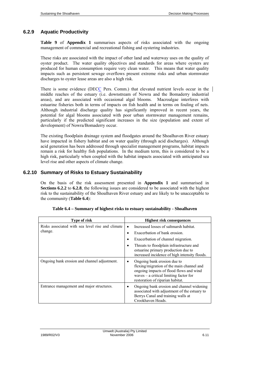# **6.2.9 Aquatic Productivity**

**Table 9** of **Appendix 1** summarises aspects of risks associated with the ongoing management of commercial and recreational fishing and oystering industries.

These risks are associated with the impact of other land and waterway uses on the quality of oyster product. The water quality objectives and standards for areas where oysters are produced for human consumption require very clean water. This means that water quality impacts such as persistent sewage overflows present extreme risks and urban stormwater discharges to oyster lease areas are also a high risk.

There is some evidence (DECC Pers. Comm.) that elevated nutrient levels occur in the middle reaches of the estuary (i.e. downstream of Nowra and the Bomaderry industrial areas), and are associated with occasional algal blooms. Macroalgae interferes with estuarine fisheries both in terms of impacts on fish health and in terms on fouling of nets. Although industrial discharge quality has significantly improved in recent years, the potential for algal blooms associated with poor urban stormwater management remains, particularly if the predicted significant increases in the size (population and extent of development) of Nowra/Bomaderry occur.

The existing floodplain drainage system and floodgates around the Shoalhaven River estuary have impacted in fishery habitat and on water quality (through acid discharges). Although acid generation has been addressed through specialist management programs, habitat impacts remain a risk for healthy fish populations. In the medium term, this is considered to be a high risk, particularly when coupled with the habitat impacts associated with anticipated sea level rise and other aspects of climate change.

## **6.2.10 Summary of Risks to Estuary Sustainability**

On the basis of the risk assessment presented in **Appendix 1** and summarised in **Sections 6.2.2** to **6.2.8**, the following issues are considered to be associated with the highest risk to the sustainability of the Shoalhaven River estuary and are likely to be unacceptable to the community (**Table 6.4**):

| <b>Type of risk</b>                                         | <b>Highest risk consequences</b>                                                                                                                                                                                                                                                         |
|-------------------------------------------------------------|------------------------------------------------------------------------------------------------------------------------------------------------------------------------------------------------------------------------------------------------------------------------------------------|
| Risks associated with sea level rise and climate<br>change. | Increased losses of saltmarsh habitat.<br>Exacerbation of bank erosion.<br>$\bullet$<br>Exacerbation of channel migration.<br>$\bullet$<br>Threats to floodplain infrastructure and<br>$\bullet$<br>estuarine primary production due to<br>increased incidence of high intensity floods. |
| Ongoing bank erosion and channel adjustment.                | Ongoing bank erosion due to<br>٠<br>flexing/migration of the main channel and<br>ongoing impacts of flood flows and wind<br>waves $-$ a critical limiting factor for<br>restoration of riparian habitat.                                                                                 |
| Entrance management and major structures.                   | Ongoing bank erosion and channel widening<br>٠<br>associated with adjustment of the estuary to<br>Berrys Canal and training walls at<br>Crookhaven Heads.                                                                                                                                |

|  |  |  | Table 6.4 - Summary of highest risks to estuary sustainability - Shoalhaven |
|--|--|--|-----------------------------------------------------------------------------|
|  |  |  |                                                                             |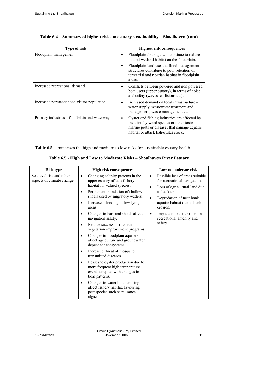| <b>Type of risk</b>                           | <b>Highest risk consequences</b>                                                                                                                                                      |
|-----------------------------------------------|---------------------------------------------------------------------------------------------------------------------------------------------------------------------------------------|
| Floodplain management.                        | Floodplain drainage will continue to reduce<br>$\bullet$<br>natural wetland habitat on the floodplain.                                                                                |
|                                               | Floodplain land use and flood management<br>structures contribute to poor retention of<br>terrestrial and riparian habitat in floodplain<br>areas.                                    |
| Increased recreational demand.                | Conflicts between powered and non powered<br>٠<br>boat users (upper estuary), in terms of noise<br>and safety (waves, collisions etc).                                                |
| Increased permanent and visitor population.   | Increased demand on local infrastructure –<br>٠<br>water supply, was tewater treatment and<br>management, waste management etc.                                                       |
| Primary industries – floodplain and waterway. | Oyster and fishing industries are affected by<br>٠<br>invasion by weed species or other toxic<br>marine pests or diseases that damage aquatic<br>habitat or attack fish/oyster stock. |

# **Table 6.4 – Summary of highest risks to estuary sustainability – Shoalhaven (cont)**

**Table 6.5** summarises the high and medium to low risks for sustainable estuary health.

| <b>Risk type</b>                                       | <b>High risk consequences</b>                                                                                             | Low to moderate risk                                                                                               |
|--------------------------------------------------------|---------------------------------------------------------------------------------------------------------------------------|--------------------------------------------------------------------------------------------------------------------|
| Sea level rise and other<br>aspects of climate change. | Changing salinity patterns in the<br>٠<br>upper estuary affects fishery<br>habitat for valued species.                    | Possible loss of areas suitable<br>٠<br>for recreational navigation.<br>Loss of agricultural land due<br>$\bullet$ |
|                                                        | Permanent inundation of shallow<br>٠<br>shoals used by migratory waders.                                                  | to bank erosion.                                                                                                   |
|                                                        | Increased flooding of low lying<br>areas.                                                                                 | Degradation of near bank<br>aquatic habitat due to bank<br>erosion.                                                |
|                                                        | Changes to bars and shoals affect<br>navigation safety.                                                                   | Impacts of bank erosion on<br>recreational amenity and                                                             |
|                                                        | Reduce success of riparian<br>٠<br>vegetation improvement programs.                                                       | safety.                                                                                                            |
|                                                        | Changes to floodplain aquifers<br>٠<br>affect agriculture and groundwater<br>dependent ecosystems.                        |                                                                                                                    |
|                                                        | Increased threat of mosquito<br>٠<br>transmitted diseases.                                                                |                                                                                                                    |
|                                                        | Losses to oyster production due to<br>more frequent high temperature<br>events coupled with changes to<br>tidal patterns. |                                                                                                                    |
|                                                        | Changes to water biochemistry<br>affect fishery habitat, favouring<br>pest species such as nuisance<br>algae.             |                                                                                                                    |

| 1989/R02/V3 |  |
|-------------|--|
|             |  |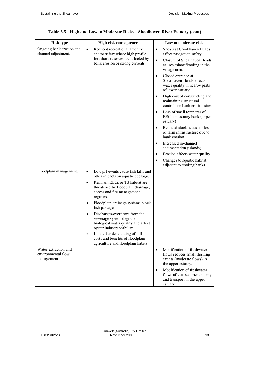| <b>Risk type</b>                                          | <b>High risk consequences</b>                                                                                                              | Low to moderate risk                                                                                                        |  |  |
|-----------------------------------------------------------|--------------------------------------------------------------------------------------------------------------------------------------------|-----------------------------------------------------------------------------------------------------------------------------|--|--|
| Ongoing bank erosion and<br>channel adjustment.           | $\bullet$<br>Reduced recreational amenity<br>and/or safety where high profile                                                              | Shoals at Crookhaven Heads<br>$\bullet$<br>affect navigation safety.                                                        |  |  |
|                                                           | foreshore reserves are affected by<br>bank erosion or strong currents.                                                                     | Closure of Shoalhaven Heads<br>$\bullet$<br>causes minor flooding in the<br>village area.                                   |  |  |
|                                                           |                                                                                                                                            | Closed entrance at<br>$\bullet$<br>Shoalhaven Heads affects<br>water quality in nearby parts<br>of lower estuary.           |  |  |
|                                                           |                                                                                                                                            | High cost of constructing and<br>$\bullet$<br>maintaining structural<br>controls on bank erosion sites                      |  |  |
|                                                           |                                                                                                                                            | Loss of small remnants of<br>$\bullet$<br>EECs on estuary bank (upper<br>estuary)                                           |  |  |
|                                                           |                                                                                                                                            | Reduced stock access or loss<br>$\bullet$<br>of farm infrastructure due to<br>bank erosion                                  |  |  |
|                                                           |                                                                                                                                            | Increased in-channel<br>$\bullet$<br>sedimentation (islands)                                                                |  |  |
|                                                           |                                                                                                                                            | Erosion affects water quality<br>$\bullet$                                                                                  |  |  |
|                                                           |                                                                                                                                            | Changes to aquatic habitat<br>$\bullet$<br>adjacent to eroding banks.                                                       |  |  |
| Floodplain management.                                    | Low pH events cause fish kills and<br>$\bullet$<br>other impacts on aquatic ecology.                                                       |                                                                                                                             |  |  |
|                                                           | Remnant EECs or TS habitat are<br>$\bullet$<br>threatened by floodplain drainage,<br>access and fire management<br>regimes.                |                                                                                                                             |  |  |
|                                                           | Floodplain drainage systems block<br>$\bullet$<br>fish passage.                                                                            |                                                                                                                             |  |  |
|                                                           | Discharges/overflows from the<br>$\bullet$<br>sewerage system degrade<br>biological water quality and affect<br>oyster industry viability. |                                                                                                                             |  |  |
|                                                           | Limited understanding of full<br>$\bullet$<br>costs and benefits of floodplain<br>agriculture and floodplain habitat.                      |                                                                                                                             |  |  |
| Water extraction and<br>environmental flow<br>management. |                                                                                                                                            | Modification of freshwater<br>$\bullet$<br>flows reduces small flushing<br>events (moderate flows) in<br>the upper estuary. |  |  |
|                                                           |                                                                                                                                            | Modification of freshwater<br>$\bullet$<br>flows affects sediment supply<br>and transport in the upper<br>estuary.          |  |  |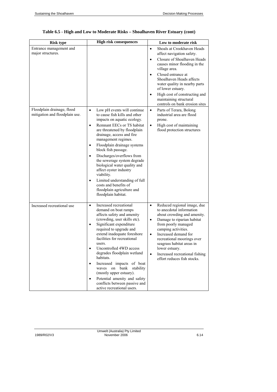| <b>Risk type</b>                                             | <b>High risk consequences</b>                                                                                                                                                                                                                                                                                                                                                                                                                                                                                                                                   | Low to moderate risk                                                                                                                                                                                                                                                                                                                                                                             |
|--------------------------------------------------------------|-----------------------------------------------------------------------------------------------------------------------------------------------------------------------------------------------------------------------------------------------------------------------------------------------------------------------------------------------------------------------------------------------------------------------------------------------------------------------------------------------------------------------------------------------------------------|--------------------------------------------------------------------------------------------------------------------------------------------------------------------------------------------------------------------------------------------------------------------------------------------------------------------------------------------------------------------------------------------------|
| Entrance management and<br>major structures.                 |                                                                                                                                                                                                                                                                                                                                                                                                                                                                                                                                                                 | Shoals at Crookhaven Heads<br>$\bullet$<br>affect navigation safety.<br>Closure of Shoalhaven Heads<br>$\bullet$<br>causes minor flooding in the<br>village area.<br>Closed entrance at<br>$\bullet$<br>Shoalhaven Heads affects<br>water quality in nearby parts<br>of lower estuary.<br>High cost of constructing and<br>$\bullet$<br>maintaining structural<br>controls on bank erosion sites |
| Floodplain drainage, flood<br>mitigation and floodplain use. | Low pH events will continue<br>$\bullet$<br>to cause fish kills and other<br>impacts on aquatic ecology.<br>Remnant EECs or TS habitat<br>٠<br>are threatened by floodplain<br>drainage, access and fire<br>management regimes.<br>Floodplain drainage systems<br>٠<br>block fish passage.<br>Discharges/overflows from<br>$\bullet$<br>the sewerage system degrade<br>biological water quality and<br>affect oyster industry<br>viability.<br>Limited understanding of full<br>٠<br>costs and benefits of<br>floodplain agriculture and<br>floodplain habitat. | Parts of Terara, Bolong<br>$\bullet$<br>industrial area are flood<br>prone.<br>High cost of maintaining<br>$\bullet$<br>flood protection structures                                                                                                                                                                                                                                              |
| Increased recreational use                                   | Increased recreational<br>$\bullet$<br>demand on boat ramps<br>affects safety and amenity<br>(crowding, user skills etc).<br>Significant expenditure<br>٠<br>required to upgrade and<br>extend inadequate foreshore<br>facilities for recreational<br>users.<br>Uncontrolled 4WD access<br>degrades floodplain wetland<br>habitats.<br>Increased impacts of boat<br>٠<br>waves on bank<br>stability<br>(mostly upper estuary).<br>Potential amenity and safety<br>٠<br>conflicts between passive and<br>active recreational users.                              | Reduced regional image, due<br>$\bullet$<br>to anecdotal information<br>about crowding and amenity.<br>Damage to riparian habitat<br>$\bullet$<br>from poorly managed<br>camping activities.<br>Increased demand for<br>$\bullet$<br>recreational moorings over<br>seagrass habitat areas in<br>lower estuary.<br>Increased recreational fishing<br>$\bullet$<br>effort reduces fish stocks.     |

# **Table 6.5 - High and Low to Moderate Risks – Shoalhaven River Estuary (cont)**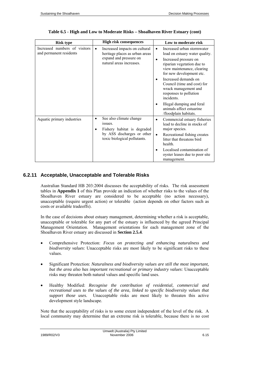| <b>Risk type</b>                                         | <b>High risk consequences</b>                                                                                                      | Low to moderate risk                                                                                                |
|----------------------------------------------------------|------------------------------------------------------------------------------------------------------------------------------------|---------------------------------------------------------------------------------------------------------------------|
| Increased numbers of visitors<br>and permanent residents | Increased impacts on cultural<br>$\bullet$<br>heritage places as urban areas<br>expand and pressure on<br>natural areas increases. | Increased urban stormwater<br>$\bullet$<br>load on estuary water quality.<br>Increased pressure on                  |
|                                                          |                                                                                                                                    | riparian vegetation due to<br>view maintenance, clearing<br>for new development etc.                                |
|                                                          |                                                                                                                                    | Increased demands on<br>Council (time and cost) for<br>wrack management and<br>responses to pollution<br>incidents. |
|                                                          |                                                                                                                                    | Illegal dumping and feral<br>animals affect estuarine<br>/floodplain habitats.                                      |
| Aquatic primary industries                               | See also climate change<br>$\bullet$<br>issues.<br>Fishery habitat is degraded                                                     | Commercial estuary fisheries<br>٠<br>lead to decline in stocks of<br>major species.                                 |
|                                                          | by ASS discharges or other<br>toxic biological pollutants.                                                                         | Recreational fishing creates<br>$\bullet$<br>litter that threatens bird<br>health.                                  |
|                                                          |                                                                                                                                    | Localised contamination of<br>oyster leases due to poor site<br>management.                                         |

#### **Table 6.5 - High and Low to Moderate Risks – Shoalhaven River Estuary (cont)**

### **6.2.11 Acceptable, Unacceptable and Tolerable Risks**

Australian Standard HB 203:2004 discusses the acceptability of risks. The risk assessment tables in **Appendix 1** of this Plan provide an indication of whether risks to the values of the Shoalhaven River estuary are considered to be acceptable (no action necessary), unacceptable (require urgent action) or tolerable (action depends on other factors such as costs or available tradeoffs).

In the case of decisions about estuary management, determining whether a risk is acceptable, unacceptable or tolerable for any part of the estuary is influenced by the agreed Principal Management Orientation. Management orientations for each management zone of the Shoalhaven River estuary are discussed in **Section 2.5.4**.

- Comprehensive Protection: *Focus on protecting and enhancing naturalness and biodiversity values*: Unacceptable risks are most likely to be significant risks to these values.
- Significant Protection: *Naturalness and biodiversity values are still the most important, but the area also has important recreational or primary industry values*: Unacceptable risks may threaten both natural values and specific land uses.
- Healthy Modified: *Recognise the contribution of residential, commercial and recreational uses to the values of the area, linked to specific biodiversity values that support those uses.* Unacceptable risks are most likely to threaten this active development style landscape.

Note that the acceptability of risks is to some extent independent of the level of the risk. A local community may determine that an extreme risk is tolerable, because there is no cost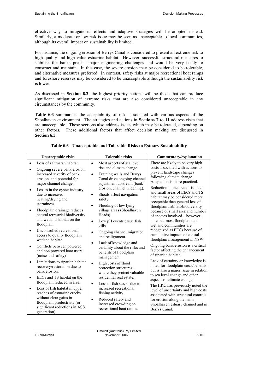effective way to mitigate its effects and adaptive strategies will be adopted instead. Similarly, a moderate or low risk issue may be seen as unacceptable to local communities, although its overall impact on sustainability is limited.

For instance, the ongoing erosion of Berrys Canal is considered to present an extreme risk to high quality and high value estuarine habitat. However, successful structural measures to stabilise the banks present major engineering challenges and would be very costly to construct and maintain. In this case, the severe erosion may be considered to be tolerable, and alternative measures preferred. In contrast, safety risks at major recreational boat ramps and foreshore reserves may be considered to be unacceptable although the sustainability risk is lower.

As discussed in **Section 6.3**, the highest priority actions will be those that can produce significant mitigation of extreme risks that are also considered unacceptable in any circumstances by the community.

**Table 6.6** summarises the acceptability of risks associated with various aspects of the Shoalhaven environment. The strategies and actions in **Sections 7** to **11** address risks that are unacceptable. These sections also address issues which may be tolerated, depending on other factors. These additional factors that affect decision making are discussed in **Section 6.3**.

| <b>Unacceptable risks</b>                                                                                                                                                                                                                                                                                                                                                                                                                                                                                                                                                                                                                                                         | <b>Tolerable risks</b>                                                                                                                                                                                                                                                                                                                                                                                                                                                                                                                                                                                                                    | Commentary/explanation                                                                                                                                                                                                                                                                                                                                                                                                                                                                                                                                                                                                                                                                                                                                                                                       |
|-----------------------------------------------------------------------------------------------------------------------------------------------------------------------------------------------------------------------------------------------------------------------------------------------------------------------------------------------------------------------------------------------------------------------------------------------------------------------------------------------------------------------------------------------------------------------------------------------------------------------------------------------------------------------------------|-------------------------------------------------------------------------------------------------------------------------------------------------------------------------------------------------------------------------------------------------------------------------------------------------------------------------------------------------------------------------------------------------------------------------------------------------------------------------------------------------------------------------------------------------------------------------------------------------------------------------------------------|--------------------------------------------------------------------------------------------------------------------------------------------------------------------------------------------------------------------------------------------------------------------------------------------------------------------------------------------------------------------------------------------------------------------------------------------------------------------------------------------------------------------------------------------------------------------------------------------------------------------------------------------------------------------------------------------------------------------------------------------------------------------------------------------------------------|
| Loss of saltmarsh habitat.<br>$\bullet$<br>Ongoing severe bank erosion,<br>٠<br>increased severity of bank<br>erosion, and potential for<br>major channel change.<br>Losses in the oyster industry<br>٠<br>due to increased<br>heating/drying and<br>storminess.<br>Floodplain drainage reduces<br>$\bullet$<br>natural terrestrial biodiversity<br>and wetland habitat on the<br>floodplain.<br>Uncontrolled recreational<br>$\bullet$<br>access to quality floodplain<br>wetland habitat.<br>Conflicts between powered<br>٠<br>and non powered boat users<br>(noise and safety)<br>Limitations to riparian habitat<br>$\bullet$<br>recovery/restoration due to<br>bank erosion. | Most aspects of sea level<br>$\bullet$<br>rise and climate change.<br>Training walls and Berrys<br>$\bullet$<br>Canal drive ongoing channel<br>adjustment upstream (bank<br>erosion, channel widening).<br>Shoals affect navigation<br>$\bullet$<br>safety.<br>Flooding of low lying<br>$\bullet$<br>village areas (Shoalhaven<br>Heads).<br>Low pH events cause fish<br>$\bullet$<br>kills.<br>Ongoing channel migration<br>$\bullet$<br>and realignment.<br>Lack of knowledge and<br>$\bullet$<br>certainty about the risks and<br>benefits of floodplain<br>management.<br>High costs of flood<br>$\bullet$<br>protection structures - | There are likely to be very high<br>costs associated with actions to<br>prevent landscape changes<br>following climate change.<br>Adaptation is more practical.<br>Reduction in the area of isolated<br>and small areas of EECs and TS<br>habitat may be considered more<br>acceptable than general loss of<br>floodplain habitats/biodiversity<br>because of small area and number<br>of species involved - however,<br>note that most floodplain and<br>wetland communities are<br>recognized as EECs because of<br>cumulative impacts of coastal<br>floodplain management in NSW.<br>Ongoing bank erosion is a critical<br>factor affecting the enhancement<br>of riparian habitat.<br>Lack of certainty or knowledge is<br>noted for floodplain costs/benefits,<br>but is also a major issue in relation |
| EECs and TS habitat on the<br>$\bullet$<br>floodplain reduced in area.                                                                                                                                                                                                                                                                                                                                                                                                                                                                                                                                                                                                            | where they protect valuable<br>residential real estate.<br>Loss of fish stocks due to<br>$\bullet$                                                                                                                                                                                                                                                                                                                                                                                                                                                                                                                                        | to sea level change and other<br>aspects of climate change.                                                                                                                                                                                                                                                                                                                                                                                                                                                                                                                                                                                                                                                                                                                                                  |
| Loss of fish habitat in upper<br>$\bullet$<br>reaches of estuarine creeks<br>without clear gains in<br>floodplain productivity (or<br>significant reductions in ASS<br>generation).                                                                                                                                                                                                                                                                                                                                                                                                                                                                                               | increased recreational<br>fishing activity.<br>Reduced safety and<br>$\bullet$<br>increased crowding on<br>recreational boat ramps.                                                                                                                                                                                                                                                                                                                                                                                                                                                                                                       | The HRC has previously noted the<br>level of uncertainty and high costs<br>associated with structural controls<br>for erosion along the main<br>Shoalhaven estuary channel and in<br>Berrys Canal.                                                                                                                                                                                                                                                                                                                                                                                                                                                                                                                                                                                                           |

**Table 6.6 - Unacceptable and Tolerable Risks to Estuary Sustainability**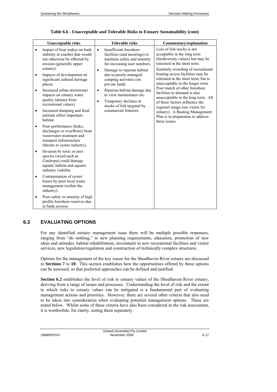| <b>Unacceptable risks</b>                                                                                                                                                                                                                                                 | <b>Tolerable risks</b>                                                                                                                                                                                                                                                                         | <b>Commentary/explanation</b>                                                                                                                                                                                                                                                                                       |
|---------------------------------------------------------------------------------------------------------------------------------------------------------------------------------------------------------------------------------------------------------------------------|------------------------------------------------------------------------------------------------------------------------------------------------------------------------------------------------------------------------------------------------------------------------------------------------|---------------------------------------------------------------------------------------------------------------------------------------------------------------------------------------------------------------------------------------------------------------------------------------------------------------------|
| Impact of boat wakes on bank<br>$\bullet$<br>stability in reaches that would<br>not otherwise be affected by<br>erosion (generally upper<br>estuary).<br>Impacts of development on<br>significant cultural heritage<br>places.<br>Increased urban stormwater<br>$\bullet$ | Insufficient foreshore<br>$\bullet$<br>facilities (and moorings) to<br>maintain safety and amenity<br>for increasing user numbers.<br>Damage to riparian habitat<br>$\bullet$<br>due to poorly managed<br>camping activities (on<br>private land).<br>Riparian habitat damage due<br>$\bullet$ | Loss of fish stocks is not<br>acceptable in the long term<br>(biodiversity values) but may be<br>tolerated in the short term.<br>Similarly crowding of recreational<br>boating access facilities may be<br>tolerated in the short term, but is<br>unacceptable in the longer term.<br>Poor match of other foreshore |
| impacts on estuary water<br>quality (detract from<br>recreational values).                                                                                                                                                                                                | to view maintenance etc.<br>Temporary declines in<br>$\bullet$<br>stocks of fish targeted by                                                                                                                                                                                                   | facilities to demand is also<br>unacceptable in the long term. All<br>of these factors influence the<br>regional image (see vision for                                                                                                                                                                              |
| Increased dumping and feral<br>$\bullet$<br>animals affect important<br>habitat.                                                                                                                                                                                          | commercial fisheries                                                                                                                                                                                                                                                                           | estuary). A Boating Management<br>Plan is in preparation to address<br>these issues.                                                                                                                                                                                                                                |
| Poor performance (leaks,<br>$\bullet$<br>discharges or overflows) from<br>wastewater treatment and<br>transport infrastructure<br>(threats to oyster industry).                                                                                                           |                                                                                                                                                                                                                                                                                                |                                                                                                                                                                                                                                                                                                                     |
| Invasion by toxic or pest<br>$\bullet$<br>species (weed such as<br>Caulerpa) could damage<br>aquatic habitat and aquatic<br>industry viability.                                                                                                                           |                                                                                                                                                                                                                                                                                                |                                                                                                                                                                                                                                                                                                                     |
| Contamination of oyster<br>$\bullet$<br>leases by poor local waste<br>management (within the<br>industry).                                                                                                                                                                |                                                                                                                                                                                                                                                                                                |                                                                                                                                                                                                                                                                                                                     |
| Poor safety or amenity of high<br>$\bullet$<br>profile foreshore reserves due<br>to bank erosion.                                                                                                                                                                         |                                                                                                                                                                                                                                                                                                |                                                                                                                                                                                                                                                                                                                     |

#### **Table 6.6 - Unacceptable and Tolerable Risks to Estuary Sustainability (cont)**

# **6.3 EVALUATING OPTIONS**

For any identified estuary management issue there will be multiple possible responses, ranging from "do nothing," to new planning requirements, education, promotion of new ideas and attitudes, habitat rehabilitation, investment in new recreational facilities and visitor services, new legislation/regulation and construction of technically complex structures.

Options for the management of the key issues for the Shoalhaven River estuary are discussed in **Sections 7** to **10**. This section establishes how the opportunities offered by these options can be assessed, so that preferred approaches can be defined and justified.

**Section 6.2** establishes the level of risk to estuary values of the Shoalhaven River estuary, deriving from a range of issues and processes. Understanding the level of risk and the extent to which risks to estuary values can be mitigated is a fundamental part of evaluating management actions and priorities. However, there are several other criteria that also need to be taken into consideration when evaluating potential management options. These are noted below. Whilst some of these criteria have also been considered in the risk assessment, it is worthwhile, for clarity, noting them separately.

Umwelt (Australia) Pty Limited 1989/R02/V3 November 2006 6.17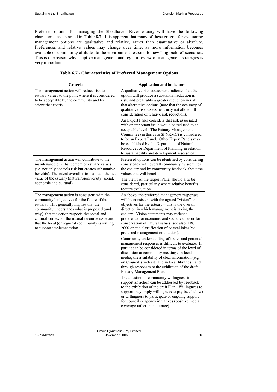Preferred options for managing the Shoalhaven River estuary will have the following characteristics, as noted in **Table 6.7**. It is apparent that many of these criteria for evaluating management options are qualitative and relative, rather than quantitative or absolute. Preferences and relative values may change over time, as more information becomes available or community attitudes to the environment respond to new "big picture" scenarios. This is one reason why adaptive management and regular review of management strategies is very important.

| Criteria                                                                                                                                                                                                                                                                                                                                                                          | <b>Application and indicators</b>                                                                                                                                                                                                                                                                                                                                                                                                                                                                                                                                                                                                                                                                                   |
|-----------------------------------------------------------------------------------------------------------------------------------------------------------------------------------------------------------------------------------------------------------------------------------------------------------------------------------------------------------------------------------|---------------------------------------------------------------------------------------------------------------------------------------------------------------------------------------------------------------------------------------------------------------------------------------------------------------------------------------------------------------------------------------------------------------------------------------------------------------------------------------------------------------------------------------------------------------------------------------------------------------------------------------------------------------------------------------------------------------------|
| The management action will reduce risk to<br>estuary values to the point where it is considered<br>to be acceptable by the community and by<br>scientific experts.                                                                                                                                                                                                                | A qualitative risk assessment indicates that the<br>option will produce a substantial reduction in<br>risk, and preferably a greater reduction in risk<br>that alternative options (note that the accuracy of<br>qualitative risk assessment may not allow full<br>consideration of relative risk reduction).<br>An Expert Panel considers that risk associated<br>with an important issue would be reduced to an<br>acceptable level. The Estuary Management<br>Committee (in this case SFNRMC) is considered<br>to be an Expert Panel. Other Expert Panels may<br>be established by the Department of Natural<br>Resources or Department of Planning in relation<br>to sustainability and development assessment. |
| The management action will contribute to the<br>maintenance or enhancement of estuary values<br>(i.e. not only controls risk but creates substantive<br>benefits). The intent overall is to maintain the net<br>value of the estuary (natural/biodiversity, social,<br>economic and cultural).                                                                                    | Preferred options can be identified by considering<br>consistency with overall community "vision" for<br>the estuary and by community feedback about the<br>values that will benefit.<br>The views of the Expert Panel should also be<br>considered, particularly where relative benefits<br>require evaluation.                                                                                                                                                                                                                                                                                                                                                                                                    |
| The management action is consistent with the<br>community's objectives for the future of the<br>estuary. This generally implies that the<br>community understands what is proposed (and<br>why), that the action respects the social and<br>cultural context of the natural resource issue and<br>that the local (or regional) community is willing<br>to support implementation. | As above, the preferred management responses<br>will be consistent with the agreed "vision" and<br>objectives for the estuary $-$ this is the overall<br>direction in which management is taking the<br>estuary. Vision statements may reflect a<br>preference for economic and social values or for<br>conservation of natural values (see also HRC<br>2000 on the classification of coastal lakes by<br>preferred management orientation).                                                                                                                                                                                                                                                                        |
|                                                                                                                                                                                                                                                                                                                                                                                   | Community understanding of issues and potential<br>management responses is difficult to evaluate. In<br>part, it can be considered in terms of the level of<br>discussion at community meetings, in local<br>media; the availability of clear information (e.g.<br>on Council's web site and in local libraries); and<br>through responses to the exhibition of the draft<br>Estuary Management Plan.                                                                                                                                                                                                                                                                                                               |
|                                                                                                                                                                                                                                                                                                                                                                                   | The question of community willingness to<br>support an action can be addressed by feedback<br>to the exhibition of the draft Plan. Willingness to<br>support may imply willingness to pay (see below)<br>or willingness to participate or ongoing support<br>for council or agency initiatives (positive media<br>coverage rather than outrage).                                                                                                                                                                                                                                                                                                                                                                    |

|  | <b>Table 6.7 - Characteristics of Preferred Management Options</b> |  |  |  |
|--|--------------------------------------------------------------------|--|--|--|
|--|--------------------------------------------------------------------|--|--|--|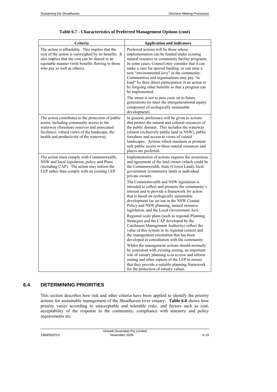| Criteria                                                                                                                                                                                                                                      | <b>Application and indicators</b>                                                                                                                                                                                                                                                                                                                                                                                                                                       |
|-----------------------------------------------------------------------------------------------------------------------------------------------------------------------------------------------------------------------------------------------|-------------------------------------------------------------------------------------------------------------------------------------------------------------------------------------------------------------------------------------------------------------------------------------------------------------------------------------------------------------------------------------------------------------------------------------------------------------------------|
| The action is affordable. This implies that the<br>cost of the action is outweighed by its benefits. It<br>also implies that the cost can be shared in an<br>equitable manner (with benefits flowing to those<br>who pay as well as others).  | Preferred actions will be those whose<br>implementation can be funded under existing<br>natural resource or community facility programs.<br>In some cases, Council may consider that it can<br>make a case for special funding, or can raise a<br>new "environmental levy" in the community.<br>Communities and organisations may pay "in<br>kind" by their direct participation in an action or<br>by forgoing other benefits so that a program can<br>be implemented. |
|                                                                                                                                                                                                                                               | The intent is not to pass costs on to future<br>generations (to meet the intergenerational equity<br>component of ecologically sustainable<br>development).                                                                                                                                                                                                                                                                                                             |
| The action contributes to the protection of public<br>assets, including community access to the<br>waterway (foreshore reserves and associated<br>facilities), valued views of the landscape, the<br>health and productivity of the waterway. | In general, preference will be given to actions<br>that protect the natural and cultural resources of<br>the public domain. This includes the waterway<br>(almost exclusively public land in NSW), public<br>foreshore and access to views of valued<br>landscapes. Actions which maintain or promote<br>safe public access to these natural resources and<br>places are preferred.                                                                                     |
| The action must comply with Commonwealth,<br>NSW and local legislation, policy and Plans<br>(including CAP). The action may inform the<br>LEP rather than comply with an existing LEP.                                                        | Implementation of actions requires the awareness<br>and agreement of the land owner (which could be<br>the Commonwealth, State (Crown Land), local<br>government (community land) or individual<br>private owners.                                                                                                                                                                                                                                                      |
|                                                                                                                                                                                                                                               | The Commonwealth and NSW legislation is<br>intended to reflect and promote the community's<br>interest and to provide a framework for action<br>that is based on ecologically sustainable<br>development (as set out in the NSW Coastal<br>Policy and NSW planning, natural resource<br>legislation, and the Local Government Act).                                                                                                                                     |
|                                                                                                                                                                                                                                               | Regional scale plans (such as regional Planning<br>Strategies and the CAP developed by the<br>Catchment Management Authority) reflect the<br>value of this system in its regional context and<br>the management orientation that has been<br>developed in consultation with the community.                                                                                                                                                                              |
|                                                                                                                                                                                                                                               | Whilst the management actions should normally<br>be consistent with existing zoning, an important<br>role of estuary planning is to review and inform<br>zoning and other aspects of the LEP to ensure<br>that they provide a suitable planning framework<br>for the protection of estuary values.                                                                                                                                                                      |

#### **Table 6.7 - Characteristics of Preferred Management Options (cont)**

# **6.4 DETERMINING PRIORITIES**

This section describes how risk and other criteria have been applied to identify the priority actions for sustainable management of the Shoalhaven river estuary. **Table 6.8** shows how priority varies according to unacceptable and tolerable risks, and factors such as cost, acceptability of the response to the community, compliance with statutory and policy requirements etc.

Umwelt (Australia) Pty Limited 1989/R02/V3 November 2006 6.19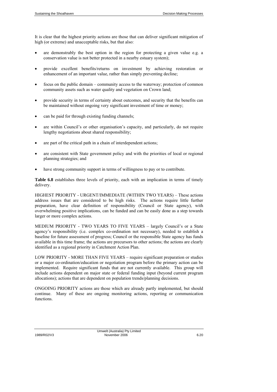It is clear that the highest priority actions are those that can deliver significant mitigation of high (or extreme) and unacceptable risks, but that also:

- are demonstrably the best option in the region for protecting a given value e.g. a conservation value is not better protected in a nearby estuary system);
- provide excellent benefits/returns on investment by achieving restoration or enhancement of an important value, rather than simply preventing decline;
- focus on the public domain community access to the waterway; protection of common community assets such as water quality and vegetation on Crown land;
- provide security in terms of certainty about outcomes, and security that the benefits can be maintained without ongoing very significant investment of time or money;
- can be paid for through existing funding channels;
- are within Council's or other organisation's capacity, and particularly, do not require lengthy negotiations about shared responsibility;
- are part of the critical path in a chain of interdependent actions;
- are consistent with State government policy and with the priorities of local or regional planning strategies; and
- have strong community support in terms of willingness to pay or to contribute.

**Table 6.8** establishes three levels of priority, each with an implication in terms of timely delivery.

HIGHEST PRIORITY - URGENT/IMMEDIATE (WITHIN TWO YEARS) – These actions address issues that are considered to be high risks. The actions require little further preparation, have clear definition of responsibility (Council or State agency), with overwhelming positive implications, can be funded and can be easily done as a step towards larger or more complex actions.

MEDIUM PRIORITY - TWO YEARS TO FIVE YEARS – largely Council's or a State agency's responsibility (i.e. complex co-ordination not necessary), needed to establish a baseline for future assessment of progress; Council or the responsible State agency has funds available in this time frame; the actions are precursors to other actions; the actions are clearly identified as a regional priority in Catchment Action Plan.

LOW PRIORITY - MORE THAN FIVE YEARS – require significant preparation or studies or a major co-ordination/education or negotiation program before the primary action can be implemented. Require significant funds that are not currently available. This group will include actions dependent on major state or federal funding input (beyond current program allocations); actions that are dependent on population trends/planning decisions.

ONGOING PRIORITY actions are those which are already partly implemented, but should continue. Many of these are ongoing monitoring actions, reporting or communication functions.

Umwelt (Australia) Pty Limited 1989/R02/V3 November 2006 6.20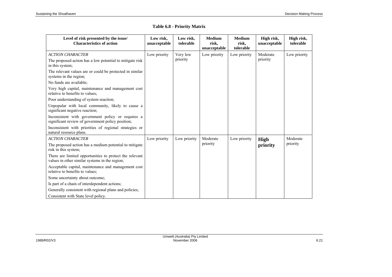| Level of risk presented by the issue/<br><b>Characteristics of action</b>                                 | Low risk,<br>unacceptable | Low risk,<br>tolerable | <b>Medium</b><br>risk,<br>unacceptable | <b>Medium</b><br>risk,<br>tolerable | High risk,<br>unacceptable | High risk,<br>tolerable |
|-----------------------------------------------------------------------------------------------------------|---------------------------|------------------------|----------------------------------------|-------------------------------------|----------------------------|-------------------------|
| <b>ACTION CHARACTER</b>                                                                                   | Low priority              | Very low               | Low priority                           | Low priority                        | Moderate                   | Low priority            |
| The proposed action has a low potential to mitigate risk<br>in this system;                               |                           | priority               |                                        |                                     | priority                   |                         |
| The relevant values are or could be protected in similar<br>systems in the region;                        |                           |                        |                                        |                                     |                            |                         |
| No funds are available;                                                                                   |                           |                        |                                        |                                     |                            |                         |
| Very high capital, maintenance and management cost<br>relative to benefits to values;                     |                           |                        |                                        |                                     |                            |                         |
| Poor understanding of system reaction;                                                                    |                           |                        |                                        |                                     |                            |                         |
| Unpopular with local community, likely to cause a<br>significant negative reaction;                       |                           |                        |                                        |                                     |                            |                         |
| Inconsistent with government policy or requires a<br>significant review of government policy position;    |                           |                        |                                        |                                     |                            |                         |
| Inconsistent with priorities of regional strategies or<br>natural resource plans.                         |                           |                        |                                        |                                     |                            |                         |
| <b>ACTION CHARACTER</b>                                                                                   | Low priority              | Low priority           | Moderate                               | Low priority                        | High                       | Moderate                |
| The proposed action has a medium potential to mitigate<br>risk in this system;                            |                           |                        | priority                               |                                     | priority                   | priority                |
| There are limited opportunities to protect the relevant<br>values in other similar systems in the region; |                           |                        |                                        |                                     |                            |                         |
| Acceptable capital, maintenance and management cost<br>relative to benefits to values;                    |                           |                        |                                        |                                     |                            |                         |
| Some uncertainty about outcome;                                                                           |                           |                        |                                        |                                     |                            |                         |
| Is part of a chain of interdependent actions;                                                             |                           |                        |                                        |                                     |                            |                         |
| Generally consistent with regional plans and policies;                                                    |                           |                        |                                        |                                     |                            |                         |
| Consistent with State level policy.                                                                       |                           |                        |                                        |                                     |                            |                         |

### **Table 6.8 - Priority Matrix**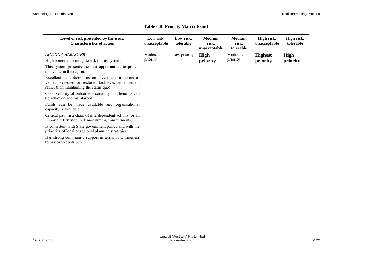| Level of risk presented by the issue/<br><b>Characteristics of action</b>                                                                              | Low risk,<br>unacceptable | Low risk,<br>tolerable | <b>Medium</b><br>risk,<br>unacceptable | <b>Medium</b><br>risk,<br>tolerable | High risk,<br>unacceptable | High risk,<br>tolerable |
|--------------------------------------------------------------------------------------------------------------------------------------------------------|---------------------------|------------------------|----------------------------------------|-------------------------------------|----------------------------|-------------------------|
| <b>ACTION CHARACTER</b>                                                                                                                                | Moderate                  | Low priority           | High                                   | Moderate                            | <b>Highest</b>             | High                    |
| High potential to mitigate risk in this system;                                                                                                        | priority                  |                        | priority                               | priority                            | priority                   | priority                |
| This system presents the best opportunities to protect<br>this value in the region.                                                                    |                           |                        |                                        |                                     |                            |                         |
| Excellent benefits/returns on investment in terms of<br>values protected or restored (achieves enhancement<br>rather than maintaining the status quo); |                           |                        |                                        |                                     |                            |                         |
| Good security of outcome – certainty that benefits can<br>be achieved and maintained:                                                                  |                           |                        |                                        |                                     |                            |                         |
| Funds can be made available and organisational<br>capacity is available;                                                                               |                           |                        |                                        |                                     |                            |                         |
| Critical path in a chain of interdependent actions (or an<br>important first step in demonstrating commitment);                                        |                           |                        |                                        |                                     |                            |                         |
| Is consistent with State government policy and with the<br>priorities of local or regional planning strategies.                                        |                           |                        |                                        |                                     |                            |                         |
| Has strong community support in terms of willingness<br>to pay or to contribute                                                                        |                           |                        |                                        |                                     |                            |                         |

### **Table 6.8- Priority Matrix (cont)**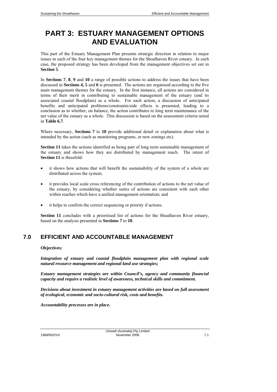# **PART 3: ESTUARY MANAGEMENT OPTIONS AND EVALUATION**

This part of the Estuary Management Plan presents strategic direction in relation to major issues in each of the four key management themes for the Shoalhaven River estuary. In each case, the proposed strategy has been developed from the management objectives set out in **Section 5**.

In **Sections 7**, **8**, **9** and **10** a range of possible actions to address the issues that have been discussed in **Sections 4, 5** and **6** is presented. The actions are organised according to the five main management themes for the estuary. In the first instance, all actions are considered in terms of their merit in contributing to sustainable management of the estuary (and its associated coastal floodplain) as a whole. For each action, a discussion of anticipated benefits and anticipated problems/constraints/side effects is presented, leading to a conclusion as to whether, on balance, the action contributes to long term maintenance of the net value of the estuary as a whole. This discussion is based on the assessment criteria noted in **Table 6.7**.

Where necessary, **Sections 7** to **10** provide additional detail or explanation about what is intended by the action (such as monitoring programs, or new zonings etc).

**Section 11** takes the actions identified as being part of long term sustainable management of the estuary and shows how they are distributed by management reach. The intent of **Section 11** is threefold:

- it shows how actions that will benefit the sustainability of the system of a whole are distributed across the system;
- it provides local scale cross referencing of the contribution of actions to the net value of the estuary, by considering whether suites of actions are consistent with each other within reaches which have a unified management orientation; and
- it helps to confirm the correct sequencing or priority if actions.

**Section 11** concludes with a prioritised list of actions for the Shoalhaven River estuary, based on the analysis presented in **Sections 7** to **10**.

# **7.0 EFFICIENT AND ACCOUNTABLE MANAGEMENT**

#### **Objectives:**

*Integration of estuary and coastal floodplain management plan with regional scale natural resource management and regional land use strategies;* 

*Estuary management strategies are within Council's, agency and community financial capacity and require a realistic level of awareness, technical skills and commitment.* 

*Decisions about investment in estuary management activities are based on full assessment of ecological, economic and socio-cultural risk, costs and benefits.* 

*Accountability processes are in place.*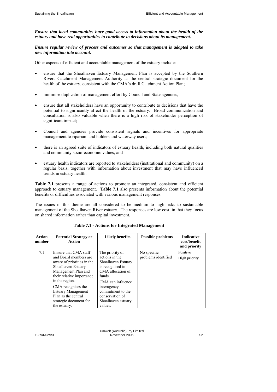*Ensure that local communities have good access to information about the health of the estuary and have real opportunities to contribute to decisions about its management.* 

*Ensure regular review of process and outcomes so that management is adapted to take new information into account.* 

Other aspects of efficient and accountable management of the estuary include:

- ensure that the Shoalhaven Estuary Management Plan is accepted by the Southern Rivers Catchment Management Authority as the central strategic document for the health of the estuary, consistent with the CMA's draft Catchment Action Plan;
- minimise duplication of management effort by Council and State agencies;
- ensure that all stakeholders have an opportunity to contribute to decisions that have the potential to significantly affect the health of the estuary. Broad communication and consultation is also valuable when there is a high risk of stakeholder perception of significant impact;
- Council and agencies provide consistent signals and incentives for appropriate management to riparian land holders and waterway users;
- there is an agreed suite of indicators of estuary health, including both natural qualities and community socio-economic values; and
- estuary health indicators are reported to stakeholders (institutional and community) on a regular basis, together with information about investment that may have influenced trends in estuary health.

**Table 7.1** presents a range of actions to promote an integrated, consistent and efficient approach to estuary management. **Table 7.1** also presents information about the potential benefits or difficulties associated with various management responses.

The issues in this theme are all considered to be medium to high risks to sustainable management of the Shoalhaven River estuary. The responses are low cost, in that they focus on shared information rather than capital investment.

| <b>Action</b><br>number | <b>Potential Strategy or</b><br>Action                                                                                                                                                                                                                                                       | <b>Likely benefits</b>                                                                                                                                                                                                  | <b>Possible problems</b>           | <b>Indicative</b><br>cost/benefit<br>and priority |
|-------------------------|----------------------------------------------------------------------------------------------------------------------------------------------------------------------------------------------------------------------------------------------------------------------------------------------|-------------------------------------------------------------------------------------------------------------------------------------------------------------------------------------------------------------------------|------------------------------------|---------------------------------------------------|
| 7.1                     | Ensure that CMA staff<br>and Board members are<br>aware of priorities in the<br>Shoalhaven Estuary<br>Management Plan and<br>their relative importance<br>in the region.<br>CMA recognises the<br><b>Estuary Management</b><br>Plan as the central<br>strategic document for<br>the estuary. | The priority of<br>actions in the<br>Shoalhaven Estuary<br>is recognised in<br>CMA allocation of<br>funds.<br>CMA can influence<br>interagency<br>commitment to the<br>conservation of<br>Shoalhaven estuary<br>values. | No specific<br>problems identified | Positive<br>High priority                         |

**Table 7.1 - Actions for Integrated Management**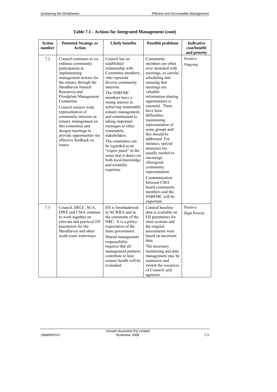| <b>Action</b><br>number | <b>Potential Strategy or</b><br><b>Action</b>                                                                                                                                                                                                                                                                                                                                                                                       | <b>Likely benefits</b>                                                                                                                                                                                                                                                                                                                                                                                                                                                              | <b>Possible problems</b>                                                                                                                                                                                                                                                                                                                                                                                                                                                                                                                                       | Indicative<br>cost/benefit<br>and priority |
|-------------------------|-------------------------------------------------------------------------------------------------------------------------------------------------------------------------------------------------------------------------------------------------------------------------------------------------------------------------------------------------------------------------------------------------------------------------------------|-------------------------------------------------------------------------------------------------------------------------------------------------------------------------------------------------------------------------------------------------------------------------------------------------------------------------------------------------------------------------------------------------------------------------------------------------------------------------------------|----------------------------------------------------------------------------------------------------------------------------------------------------------------------------------------------------------------------------------------------------------------------------------------------------------------------------------------------------------------------------------------------------------------------------------------------------------------------------------------------------------------------------------------------------------------|--------------------------------------------|
| 7.2                     | Council continues to co-<br>ordinate community<br>participation in<br>implementing<br>management actions for<br>the estuary through the<br>Shoalhaven Natural<br>Resources and<br>Floodplain Management<br>Committee.<br>Council ensures wide<br>representation of<br>community interests in<br>estuary management on<br>this committee and<br>designs meetings to<br>provide opportunities for<br>effective feedback on<br>issues. | Council has an<br>established<br>relationship with<br>Committee members,<br>who represent<br>diverse community<br>interests.<br>The SNRFMC<br>members have a<br>strong interest in<br>achieving sustainable<br>estuary management,<br>and commitment to<br>taking important<br>messages to other<br>community<br>stakeholders.<br>The committee can<br>be regarded as an<br>"expert panel" in the<br>sense that it draws on<br>both local knowledge<br>and scientific<br>expertise. | Community<br>members are often<br>over stretched with<br>meetings, so careful<br>scheduling and<br>ensuring that<br>meetings are<br>valuable<br>information sharing<br>opportunities is<br>essential. There<br>have been<br>difficulties<br>maintaining<br>representation of<br>some groups and<br>this should be<br>addressed. For<br>instance, special<br>measures are<br>usually needed to<br>encourage<br>Aboriginal<br>community<br>representation.<br>Communication<br>between CMA<br>board community<br>members and the<br>SNRFMC will be<br>important. | Positive<br>Ongoing                        |
| 7.3                     | Council, DECC, SCA,<br>DWE and CMA continue<br>to work together on<br>relevant and practical EII<br>parameters for the<br>Shoalhaven and other<br>south coast waterways.                                                                                                                                                                                                                                                            | EII is foreshadowed<br>in NLWRA and in<br>the comments of the<br>NRC. It is a policy<br>expectation of the<br>State government.<br>Shared management<br>responsibility<br>requires that all<br>management partners<br>contribute to how<br>estuary health will be<br>evaluated.                                                                                                                                                                                                     | Limited baseline<br>data is available on<br>EII parameters for<br>most systems and<br>the original<br>assessments were<br>based on uncertain<br>data.<br>The necessary<br>monitoring and data<br>management may be<br>expensive and<br>stretch the resources<br>of Councils and<br>agencies.                                                                                                                                                                                                                                                                   | Positive<br><b>High Priority</b>           |

| Table 7.1 - Actions for Integrated Management (cont) |
|------------------------------------------------------|
|------------------------------------------------------|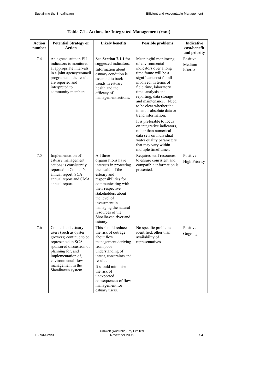| Action<br>number | <b>Potential Strategy or</b><br><b>Action</b>                                                                                                                                                                                        | <b>Likely benefits</b>                                                                                                                                                                                                                                                                                  | <b>Possible problems</b>                                                                                                                                                                                                                                                                                                                                                                                                                                                                                                       | <b>Indicative</b><br>cost/benefit<br>and priority |
|------------------|--------------------------------------------------------------------------------------------------------------------------------------------------------------------------------------------------------------------------------------|---------------------------------------------------------------------------------------------------------------------------------------------------------------------------------------------------------------------------------------------------------------------------------------------------------|--------------------------------------------------------------------------------------------------------------------------------------------------------------------------------------------------------------------------------------------------------------------------------------------------------------------------------------------------------------------------------------------------------------------------------------------------------------------------------------------------------------------------------|---------------------------------------------------|
| 7.4              | An agreed suite in EII<br>indicators is monitored<br>at appropriate intervals<br>in a joint agency/council<br>program and the results<br>are reported and<br>interpreted to<br>community members.                                    | See Section 7.1.1 for<br>suggested indicators.<br>Information about<br>estuary condition is<br>essential to track<br>trends in estuary<br>health and the<br>efficacy of<br>management actions.                                                                                                          | Meaningful monitoring<br>of environmental<br>indicators over a long<br>time frame will be a<br>significant cost for all<br>involved, in terms of<br>field time, laboratory<br>time, analysis and<br>reporting, data storage<br>and maintenance. Need<br>to be clear whether the<br>intent is absolute data or<br>trend information.<br>It is preferable to focus<br>on integrative indicators,<br>rather than numerical<br>data sets on individual<br>water quality parameters<br>that may vary within<br>multiple timeframes. | Positive<br>Medium<br>Priority                    |
| 7.5              | Implementation of<br>estuary management<br>actions is consistently<br>reported in Council's<br>annual report, SCA<br>annual report and CMA<br>annual report.                                                                         | All three<br>organisations have<br>interests in protecting<br>the health of the<br>estuary and<br>responsibilities for<br>communicating with<br>their respective<br>stakeholders about<br>the level of<br>investment in<br>managing the natural<br>resources of the<br>Shoalhaven river and<br>estuary. | Requires staff resources<br>to ensure consistent and<br>compatible information is<br>presented.                                                                                                                                                                                                                                                                                                                                                                                                                                | Positive<br><b>High Priority</b>                  |
| 7.6              | Council and estuary<br>users (such as oyster<br>growers) continue to be<br>represented in SCA<br>sponsored discussion of<br>planning for, and<br>implementation of,<br>environmental flow<br>management in the<br>Shoalhaven system. | This should reduce<br>the risk of outrage<br>about flow<br>management deriving<br>from poor<br>understanding of<br>intent, constraints and<br>results.<br>It should minimise<br>the risk of<br>unexpected<br>consequences of flow<br>management for<br>estuary users.                                   | No specific problems<br>identified, other than<br>availability of<br>representatives.                                                                                                                                                                                                                                                                                                                                                                                                                                          | Positive<br>Ongoing                               |

|  |  | Table 7.1 - Actions for Integrated Management (cont) |  |
|--|--|------------------------------------------------------|--|
|  |  |                                                      |  |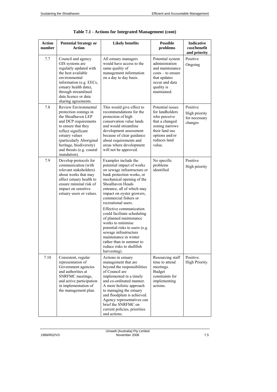| <b>Action</b><br>number | <b>Potential Strategy or</b><br>Action                                                                                                                                                                                                                          | <b>Likely benefits</b>                                                                                                                                                                                                                                                                                                                                                                                                                                                                                                                          | <b>Possible</b><br>problems                                                                                                                           | <b>Indicative</b><br>cost/benefit<br>and priority     |
|-------------------------|-----------------------------------------------------------------------------------------------------------------------------------------------------------------------------------------------------------------------------------------------------------------|-------------------------------------------------------------------------------------------------------------------------------------------------------------------------------------------------------------------------------------------------------------------------------------------------------------------------------------------------------------------------------------------------------------------------------------------------------------------------------------------------------------------------------------------------|-------------------------------------------------------------------------------------------------------------------------------------------------------|-------------------------------------------------------|
| 7.7                     | Council and agency<br>GIS systems are<br>regularly updated with<br>the best available<br>environmental<br>information (e.g. EECs,<br>estuary health data),<br>through streamlined<br>data licence or data<br>sharing agreements.                                | All estuary managers<br>would have access to the<br>same quality of<br>management information<br>on a day to day basis.                                                                                                                                                                                                                                                                                                                                                                                                                         | Potential system<br>administration<br>and maintenance<br>$costs - to ensure$<br>that updates<br>occur and data<br>quality is<br>maintained.           | Positive<br>Ongoing                                   |
| 7.8                     | Review Environmental<br>protection zonings in<br>the Shoalhaven LEP<br>and DCP requirements<br>to ensure that they<br>reflect significant<br>estuary values<br>(particularly Aboriginal<br>heritage, biodiversity)<br>and threats (e.g. coastal<br>inundation). | This would give effect to<br>recommendations for the<br>protection of high<br>conservation value lands<br>and would streamline<br>development assessment<br>because of clear guidance<br>about requirements and<br>areas where development<br>will not be approved.                                                                                                                                                                                                                                                                             | Potential issues<br>for landholders<br>who perceive<br>that a changed<br>zoning narrows<br>their land use<br>options and/or<br>reduces land<br>value. | Positive<br>High priority<br>for necessary<br>changes |
| 7.9                     | Develop protocols for<br>communication (with<br>relevant stakeholders)<br>about works that may<br>affect estuary health to<br>ensure minimal risk of<br>impact on sensitive<br>estuary users or values.                                                         | Examples include the<br>potential impact of works<br>on sewage infrastructure or<br>bank protection works, or<br>mechanical opening of the<br>Shoalhaven Heads<br>entrance, all of which may<br>impact on oyster growers,<br>commercial fishers or<br>recreational users.<br>Effective communication<br>could facilitate scheduling<br>of planned maintenance<br>works to minimise<br>potential risks to users (e.g.<br>sewage infrastructure<br>maintenance in winter<br>rather than in summer to<br>reduce risks to shellfish<br>harvesting). | No specific<br>problems<br>identified                                                                                                                 | Positive<br>High priority                             |
| 7.10                    | Consistent, regular<br>representation of<br>Government agencies<br>and authorities at<br>SNRFMC meetings,<br>and active participation<br>in implementation of<br>the management plan.                                                                           | Actions in estuary<br>management that are<br>beyond the responsibilities<br>of Council are<br>implemented in a timely<br>and co-ordinated manner.<br>A more holistic approach<br>to managing the estuary<br>and floodplain is achieved.<br>Agency representatives can<br>brief the SNRFMC on<br>current policies, priorities<br>and actions.                                                                                                                                                                                                    | Resourcing staff<br>time to attend<br>meetings.<br><b>Budget</b><br>constraints for<br>implementing<br>actions.                                       | Positive.<br>High Priority.                           |

| Table 7.1 - Actions for Integrated Management (cont) |
|------------------------------------------------------|
|------------------------------------------------------|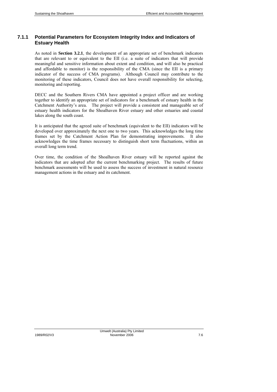# **7.1.1 Potential Parameters for Ecosystem Integrity Index and Indicators of Estuary Health**

As noted in **Section 3.2.1**, the development of an appropriate set of benchmark indicators that are relevant to or equivalent to the EII (i.e. a suite of indicators that will provide meaningful and sensitive information about extent and condition, and will also be practical and affordable to monitor) is the responsibility of the CMA (since the EII is a primary indicator of the success of CMA programs). Although Council may contribute to the monitoring of these indicators, Council does not have overall responsibility for selecting, monitoring and reporting.

DECC and the Southern Rivers CMA have appointed a project officer and are working together to identify an appropriate set of indicators for a benchmark of estuary health in the Catchment Authority's area. The project will provide a consistent and manageable set of estuary health indicators for the Shoalhaven River estuary and other estuaries and coastal lakes along the south coast.

It is anticipated that the agreed suite of benchmark (equivalent to the EII) indicators will be developed over approximately the next one to two years. This acknowledges the long time frames set by the Catchment Action Plan for demonstrating improvements. It also acknowledges the time frames necessary to distinguish short term fluctuations, within an overall long term trend.

Over time, the condition of the Shoalhaven River estuary will be reported against the indicators that are adopted after the current benchmarking project. The results of future benchmark assessments will be used to assess the success of investment in natural resource management actions in the estuary and its catchment.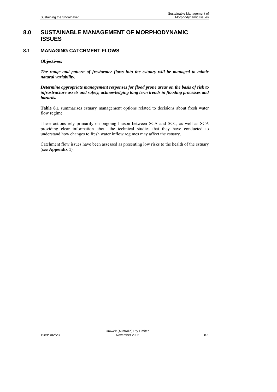# **8.0 SUSTAINABLE MANAGEMENT OF MORPHODYNAMIC ISSUES**

# **8.1 MANAGING CATCHMENT FLOWS**

#### **Objectives:**

*The range and pattern of freshwater flows into the estuary will be managed to mimic natural variability.* 

*Determine appropriate management responses for flood prone areas on the basis of risk to infrastructure assets and safety, acknowledging long term trends in flooding processes and hazards.* 

**Table 8.1** summarises estuary management options related to decisions about fresh water flow regime.

These actions rely primarily on ongoing liaison between SCA and SCC, as well as SCA providing clear information about the technical studies that they have conducted to understand how changes to fresh water inflow regimes may affect the estuary.

Catchment flow issues have been assessed as presenting low risks to the health of the estuary (see **Appendix 1**).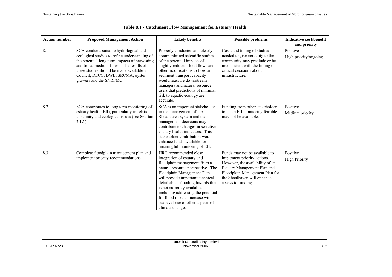| <b>Action number</b> | <b>Proposed Management Action</b>                                                                                                                                                                                                                                                                | <b>Likely benefits</b>                                                                                                                                                                                                                                                                                                                                                                             | <b>Possible problems</b>                                                                                                                                                                                              | <b>Indicative cost/benefit</b><br>and priority |
|----------------------|--------------------------------------------------------------------------------------------------------------------------------------------------------------------------------------------------------------------------------------------------------------------------------------------------|----------------------------------------------------------------------------------------------------------------------------------------------------------------------------------------------------------------------------------------------------------------------------------------------------------------------------------------------------------------------------------------------------|-----------------------------------------------------------------------------------------------------------------------------------------------------------------------------------------------------------------------|------------------------------------------------|
| 8.1                  | SCA conducts suitable hydrological and<br>ecological studies to refine understanding of<br>the potential long term impacts of harvesting<br>additional medium flows. The results of<br>these studies should be made available to<br>Council, DECC, DWE, SRCMA, oyster<br>growers and the SNRFMC. | Properly conducted and clearly<br>communicated scientific studies<br>of the potential impacts of<br>slightly reduced flood flows and<br>other modifications to flow or<br>sediment transport capacity<br>would reassure downstream<br>managers and natural resource<br>users that predictions of minimal<br>risk to aquatic ecology are<br>accurate.                                               | Costs and timing of studies<br>needed to give certainty to the<br>community may preclude or be<br>inconsistent with the timing of<br>critical decisions about<br>infrastructure.                                      | Positive<br>High priority/ongoing              |
| 8.2                  | SCA contributes to long term monitoring of<br>estuary health (EII), particularly in relation<br>to salinity and ecological issues (see Section<br>$7.1.1$ ).                                                                                                                                     | SCA is an important stakeholder<br>in the management of the<br>Shoalhaven system and their<br>management decisions may<br>contribute to changes in sensitive<br>estuary health indicators. This<br>stakeholder contribution would<br>enhance funds available for<br>meaningful monitoring of EII.                                                                                                  | Funding from other stakeholders<br>to make EII monitoring feasible<br>may not be available.                                                                                                                           | Positive<br>Medium priority                    |
| 8.3                  | Complete floodplain management plan and<br>implement priority recommendations.                                                                                                                                                                                                                   | HRC recommended close<br>integration of estuary and<br>floodplain management from a<br>natural resource perspective. The<br>Floodplain Management Plan<br>will provide important technical<br>detail about flooding hazards that<br>is not currently available,<br>including addressing the potential<br>for flood risks to increase with<br>sea level rise or other aspects of<br>climate change. | Funds may not be available to<br>implement priority actions.<br>However, the availability of an<br>Estuary Management Plan and<br>Floodplain Management Plan for<br>the Shoalhaven will enhance<br>access to funding. | Positive<br><b>High Priority</b>               |

# **Table 8.1 - Catchment Flow Management for Estuary Health**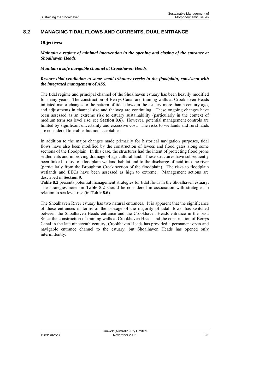# **8.2 MANAGING TIDAL FLOWS AND CURRENTS, DUAL ENTRANCE**

#### **Objectives:**

*Maintain a regime of minimal intervention in the opening and closing of the entrance at Shoalhaven Heads.* 

#### *Maintain a safe navigable channel at Crookhaven Heads.*

#### *Restore tidal ventilation to some small tributary creeks in the floodplain, consistent with the integrated management of ASS.*

The tidal regime and principal channel of the Shoalhaven estuary has been heavily modified for many years. The construction of Berrys Canal and training walls at Crookhaven Heads initiated major changes to the pattern of tidal flows in the estuary more than a century ago, and adjustments in channel size and thalweg are continuing. These ongoing changes have been assessed as an extreme risk to estuary sustainability (particularly in the context of medium term sea level rise; see **Section 8.6**). However, potential management controls are limited by significant uncertainty and excessive cost. The risks to wetlands and rural lands are considered tolerable, but not acceptable.

In addition to the major changes made primarily for historical navigation purposes, tidal flows have also been modified by the construction of levees and flood gates along some sections of the floodplain. In this case, the structures had the intent of protecting flood prone settlements and improving drainage of agricultural land. These structures have subsequently been linked to loss of floodplain wetland habitat and to the discharge of acid into the river (particularly from the Broughton Creek section of the floodplain). The risks to floodplain wetlands and EECs have been assessed as high to extreme. Management actions are described in **Section 9**.

**Table 8.2** presents potential management strategies for tidal flows in the Shoalhaven estuary. The strategies noted in **Table 8.2** should be considered in association with strategies in relation to sea level rise (in **Table 8.6**).

The Shoalhaven River estuary has two natural entrances. It is apparent that the significance of these entrances in terms of the passage of the majority of tidal flows, has switched between the Shoalhaven Heads entrance and the Crookhaven Heads entrance in the past. Since the construction of training walls at Crookhaven Heads and the construction of Berrys Canal in the late nineteenth century, Crookhaven Heads has provided a permanent open and navigable entrance channel to the estuary, but Shoalhaven Heads has opened only intermittently.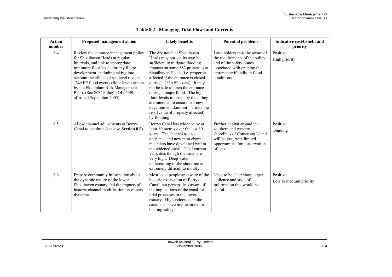| <b>Action</b><br>number | <b>Proposed management action</b>                                                                                                                                                                                                                                                                                                                                                         | <b>Likely benefits</b>                                                                                                                                                                                                                                                                                                                                                                                                                                                                   | <b>Potential problems</b>                                                                                                                                                   | Indicative cost/benefit and<br>priority |
|-------------------------|-------------------------------------------------------------------------------------------------------------------------------------------------------------------------------------------------------------------------------------------------------------------------------------------------------------------------------------------------------------------------------------------|------------------------------------------------------------------------------------------------------------------------------------------------------------------------------------------------------------------------------------------------------------------------------------------------------------------------------------------------------------------------------------------------------------------------------------------------------------------------------------------|-----------------------------------------------------------------------------------------------------------------------------------------------------------------------------|-----------------------------------------|
| 8.4                     | Review the entrance management policy<br>for Shoalhaven Heads at regular<br>intervals, and link to appropriate<br>minimum floor levels for any future<br>development, including taking into<br>account the effects of sea level rise on<br>1%AEP flood events (floor levels are set<br>by the Floodplain Risk Management<br>Plan). (See SCC Policy POL05/49,<br>affirmed September 2005). | The dry notch at Shoalhaven<br>Heads may not, on its own be<br>sufficient to mitigate flooding<br>impacts on some 683 properties at<br>Shoalhaven Heads (i.e. properties<br>affected if the entrance is closed<br>during a 1%AEP event). It may<br>not be safe to open the entrance<br>during a major flood. The high<br>floor levels imposed by the policy<br>are intended to ensure that new<br>development does not increase the<br>risk (value of property affected)<br>by flooding. | Land holders must be aware of<br>the requirements of the policy<br>and of the safety issues<br>associated with opening the<br>entrance artificially in flood<br>conditions. | Positive<br>High priority               |
| 8.5                     | Allow channel adjustments at Berrys<br>Canal to continue (see also Section 8.5).                                                                                                                                                                                                                                                                                                          | Berrys Canal has widened by at<br>least 80 metres over the last 60<br>years. The channel as also<br>deepened and new intra channel<br>meanders have developed within<br>the widened canal. Tidal current<br>velocities though the canal are<br>very high. Deep water<br>undercutting of the shoreline is<br>extremely difficult to modify.                                                                                                                                               | Further habitat around the<br>southern and western<br>shorelines of Comerong Island<br>will be lost, with limited<br>opportunities for conservation<br>offsets.             | Positive<br>Ongoing                     |
| 8.6                     | Prepare community information about<br>the dynamic nature of the lower<br>Shoalhaven estuary and the impacts of<br>historic channel modification on estuary<br>dynamics.                                                                                                                                                                                                                  | Most local people are aware of the<br>historic excavation of Berrys<br>Canal, but perhaps less aware of<br>the implications of the canal for<br>tidal processes in the lower<br>estuary. High velocities in the<br>canal also have implications for<br>boating safety.                                                                                                                                                                                                                   | Need to be clear about target<br>audience and style of<br>information that would be<br>useful.                                                                              | Positive<br>Low to medium priority      |

# **Table 8.2 - Managing Tidal Flows and Currents**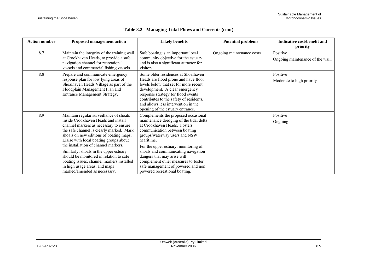| <b>Action number</b> | <b>Proposed management action</b>                                                                                                                                                                                                                                                                                                                                                                                                                                                                    | <b>Likely benefits</b>                                                                                                                                                                                                                                                                                                                                                                                                    | <b>Potential problems</b>  | Indicative cost/benefit and<br>priority      |
|----------------------|------------------------------------------------------------------------------------------------------------------------------------------------------------------------------------------------------------------------------------------------------------------------------------------------------------------------------------------------------------------------------------------------------------------------------------------------------------------------------------------------------|---------------------------------------------------------------------------------------------------------------------------------------------------------------------------------------------------------------------------------------------------------------------------------------------------------------------------------------------------------------------------------------------------------------------------|----------------------------|----------------------------------------------|
| 8.7                  | Maintain the integrity of the training wall<br>at Crookhaven Heads, to provide a safe<br>navigation channel for recreational<br>vessels and commercial fishing vessels.                                                                                                                                                                                                                                                                                                                              | Safe boating is an important local<br>community objective for the estuary<br>and is also a significant attractor for<br>visitors.                                                                                                                                                                                                                                                                                         | Ongoing maintenance costs. | Positive<br>Ongoing maintenance of the wall. |
| 8.8                  | Prepare and communicate emergency<br>response plan for low lying areas of<br>Shoalhaven Heads Village as part of the<br>Floodplain Management Plan and<br>Entrance Management Strategy.                                                                                                                                                                                                                                                                                                              | Some older residences at Shoalhaven<br>Heads are flood prone and have floor<br>levels below that set for more recent<br>development. A clear emergency<br>response strategy for flood events<br>contributes to the safety of residents,<br>and allows less intervention in the<br>opening of the estuary entrance.                                                                                                        |                            | Positive<br>Moderate to high priority        |
| 8.9                  | Maintain regular surveillance of shoals<br>inside Crookhaven Heads and install<br>channel markers as necessary to ensure<br>the safe channel is clearly marked. Mark<br>shoals on new editions of boating maps.<br>Liaise with local boating groups about<br>the installation of channel markers.<br>Similarly, shoals in the upper estuary<br>should be monitored in relation to safe<br>boating issues, channel markers installed<br>in high usage areas, and maps<br>marked/amended as necessary. | Complements the proposed occasional<br>maintenance dredging of the tidal delta<br>at Crookhaven Heads. Fosters<br>communication between boating<br>groups/waterway users and NSW<br>Maritime.<br>For the upper estuary, monitoring of<br>shoals and communicating navigation<br>dangers that may arise will<br>complement other measures to foster<br>safe management of powered and non<br>powered recreational boating. |                            | Positive<br>Ongoing                          |

# **Table 8.2 - Managing Tidal Flows and Currents (cont)**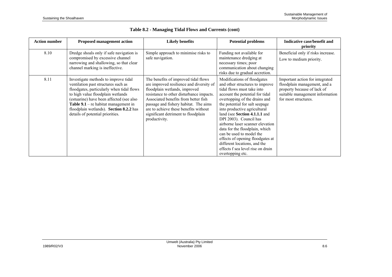| <b>Action number</b> | <b>Proposed management action</b>                                                                                                                                                                                                                                                                                                       | <b>Likely benefits</b>                                                                                                                                                                                                                                                                                                                          | <b>Potential problems</b>                                                                                                                                                                                                                                                                                                                                                                                                                                                                                                    | Indicative case/benefit and<br>priority                                                                                                                   |
|----------------------|-----------------------------------------------------------------------------------------------------------------------------------------------------------------------------------------------------------------------------------------------------------------------------------------------------------------------------------------|-------------------------------------------------------------------------------------------------------------------------------------------------------------------------------------------------------------------------------------------------------------------------------------------------------------------------------------------------|------------------------------------------------------------------------------------------------------------------------------------------------------------------------------------------------------------------------------------------------------------------------------------------------------------------------------------------------------------------------------------------------------------------------------------------------------------------------------------------------------------------------------|-----------------------------------------------------------------------------------------------------------------------------------------------------------|
| 8.10                 | Dredge shoals only if safe navigation is<br>compromised by excessive channel<br>narrowing and shallowing, so that clear<br>channel marking is ineffective.                                                                                                                                                                              | Simple approach to minimise risks to<br>safe navigation.                                                                                                                                                                                                                                                                                        | Funding not available for<br>maintenance dredging at<br>necessary times; poor<br>communication about changing<br>risks due to gradual accretion.                                                                                                                                                                                                                                                                                                                                                                             | Beneficial only if risks increase.<br>Low to medium priority.                                                                                             |
| 8.11                 | Investigate methods to improve tidal<br>ventilation past structures such as<br>floodgates, particularly when tidal flows<br>to high value floodplain wetlands<br>(estuarine) have been affected (see also<br><b>Table 9.1</b> – re habitat management in<br>floodplain wetlands). Section 8.2.2 has<br>details of potential priorities. | The benefits of improved tidal flows<br>are improved resilience and diversity of<br>floodplain wetlands, improved<br>resistance to other disturbance impacts.<br>Associated benefits from better fish<br>passage and fishery habitat. The aims<br>are to achieve these benefits without<br>significant detriment to floodplain<br>productivity. | Modifications of floodgates<br>and other structures to improve<br>tidal flows must take into<br>account the potential for tidal<br>overtopping of the drains and<br>the potential for salt seepage<br>into productive agricultural<br>land (see Section 4.1.1.1 and<br>DPI 2003). Council has<br>airborne laser scanner elevation<br>data for the floodplain, which<br>can be used to model the<br>effects of opening floodgates at<br>different locations, and the<br>effects f sea level rise on drain<br>overtopping etc. | Important action for integrated<br>floodplain management, and a<br>property because of lack of<br>suitable management information<br>for most structures. |

**Table 8.2 - Managing Tidal Flows and Currents (cont)**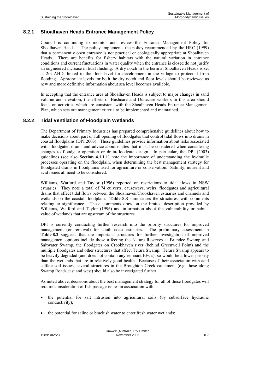### **8.2.1 Shoalhaven Heads Entrance Management Policy**

Council is continuing to monitor and review the Entrance Management Policy for Shoalhaven Heads. The policy implements the policy recommended by the HRC (1999) that a permanently open entrance is not practical or ecologically appropriate at Shoalhaven Heads. There are benefits for fishery habitats with the natural variation in entrance conditions and current fluctuations in water quality when the entrance is closed do not justify an engineered increase in tidal flushing. A dry notch in the berm at Shoalhaven Heads is set at 2m AHD, linked to the floor level for development in the village to protect it from flooding. Appropriate levels for both the dry notch and floor levels should be reviewed as new and more definitive information about sea level becomes available.

In accepting that the entrance area at Shoalhaven Heads is subject to major changes in sand volume and elevation, the efforts of Bushcare and Dunecare workers in this area should focus on activities which are consistent with the Shoalhaven Heads Entrance Management Plan, which sets out management criteria to be implemented and maintained.

### **8.2.2 Tidal Ventilation of Floodplain Wetlands**

The Department of Primary Industries has prepared comprehensive guidelines about how to make decisions about part or full opening of floodgates that control tidal flows into drains in coastal floodplains (DPI 2003). These guidelines provide information about risks associated with floodgated drains and advice about mattes that must be considered when considering changes to floodgate operation or drain/floodgate design. In particular, the DPI (2003) guidelines (see also **Section 4.1.1.1**) note the importance of understanding the hydraulic processes operating on the floodplain, when determining the best management strategy for floodgated drains in floodplains used for agriculture or conservation. Salinity, nutrient and acid issues all need to be considered.

Williams, Watford and Taylor (1996) reported on restrictions to tidal flows in NSW estuaries. They note a total of 74 culverts, causeways, weirs, floodgates and agricultural drains that affect tidal flows between the Shoalhaven/Crookhaven estuaries and channels and wetlands on the coastal floodplain. **Table 8.3** summarises the structures, with comments relating to significance. These comments draw on the limited description provided by Williams, Watford and Taylor (1996) and information about the vulnerability or habitat value of wetlands that are upstream of the structures.

DPI is currently conducting further research into the priority structures for improved management (or removal) for south coast estuaries. The preliminary assessment in **Table 8.3** suggests that the important structures for further investigation of improved management options include those affecting the Nature Reserves at Brundee Swamp and Saltwater Swamp, the floodgates on Crookhaven river (behind Greenwell Point) and the multiple floodgates and other structures that affect Terara Swamp. Terara Swamp appears to be heavily degraded (and does not contain any remnant EECs), so would be a lower priority than the wetlands that are in relatively good health. Because of their association with acid sulfate soil issues, several structures in the Broughton Creek catchment (e.g. those along Swamp Roads east and west) should also be investigated further.

As noted above, decisions about the best management strategy for all of these floodgates will require consideration of fish passage issues in association with:

- the potential for salt intrusion into agricultural soils (by subsurface hydraulic conductivity);
- the potential for saline or brackish water to enter fresh water wetlands;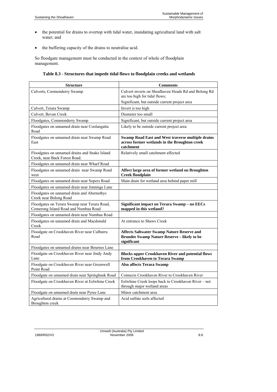- the potential for drains to overtop with tidal water, inundating agricultural land with salt water; and
- the buffering capacity of the drains to neutralise acid.

So floodgate management must be conducted in the context of whole of floodplain management.

### **Table 8.3 - Structures that impede tidal flows to floodplain creeks and wetlands**

| <b>Structure</b>                                                                     | <b>Comments</b>                                                                                                        |
|--------------------------------------------------------------------------------------|------------------------------------------------------------------------------------------------------------------------|
| Culverts, Coomonderry Swamp                                                          | Culvert inverts on Shoalhaven Heads Rd and Bolong Rd<br>are too high for tidal flows;                                  |
|                                                                                      | Significant, but outside current project area                                                                          |
| Culvert, Terara Swamp                                                                | Invert is too high                                                                                                     |
| Culvert, Bevan Creek                                                                 | Diameter too small                                                                                                     |
| Floodgates, Commonderry Swamp                                                        | Significant, but outside current project area                                                                          |
| Floodgates on unnamed drain near Coolangatta<br>Road                                 | Likely to be outside current project area                                                                              |
| Floodgates on unnamed drain near Swamp Road<br>East                                  | <b>Swamp Road East and West traverse multiple drains</b><br>across former wetlands in the Broughton creek<br>catchment |
| Floodgates on unnamed drains and Snake Island<br>Creek, near Back Forest Road.       | Relatively small catchment affected                                                                                    |
| Floodgates on unnamed drain near Wharf Road                                          |                                                                                                                        |
| Floodgates on unnamed drain near Swamp Road<br>west                                  | Affect large area of former wetland on Broughton<br><b>Creek floodplain</b>                                            |
| Floodgates on unnamed drain near Sopers Road                                         | Main drain for wetland area behind paper mill                                                                          |
| Floodgates on unnamed drain near Jennings Lane                                       |                                                                                                                        |
| Floodgates on unnamed drain and Abernethys<br>Creek near Bolong Road                 |                                                                                                                        |
| Floodgates on Terara Swamp near Terara Road,<br>Comerong Island Road and Numbaa Road | Significant impact on Terara Swamp - no EECs<br>mapped in this wetland?                                                |
| Floodgates on unnamed drain near Numbaa Road                                         |                                                                                                                        |
| Floodgates on unnamed drain and Macdonald<br>Creek                                   | At entrance to Shaws Creek                                                                                             |
| Floodgate on Crookhaven River near Culburra<br>Road                                  | <b>Affects Saltwater Swamp Nature Reserve and</b><br>Brundee Swamp Nature Reserve - likely to be<br>significant        |
| Floodgates on unnamed drains near Bournes Lane                                       |                                                                                                                        |
| Floodgate on Crookhaven River near Jindy Andy<br>Lane                                | <b>Blocks upper Crookhaven River and potential flows</b><br>from Crookhaven to Terara Swamp                            |
| Floodgate on Crookhaven River near Greenwell<br>Point Road                           | <b>Also affects Terara Swamp</b>                                                                                       |
| Floodgate on unnamed drain near Springbank Road                                      | Connects Crookhaven River to Crookhaven River                                                                          |
| Floodgate on Crookhaven River at Eelwhine Creek                                      | Eelwhine Creek loops back to Crookhaven River - not<br>through major wetland areas                                     |
| Floodgate on unnamed drain near Pyree Lane                                           | Minor catchment area                                                                                                   |
| Agricultural drains at Coomonderry Swamp and<br>Broughton creek                      | Acid sulfate soils affected                                                                                            |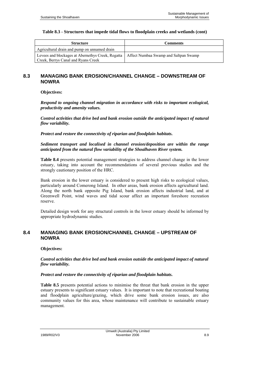#### **Table 8.3 - Structures that impede tidal flows to floodplain creeks and wetlands (cont)**

| <b>Structure</b>                                                                         | <b>Comments</b>                       |
|------------------------------------------------------------------------------------------|---------------------------------------|
| Agricultural drain and pump on unnamed drain                                             |                                       |
| Levees and blockages at Abernethys Creek, Regatta<br>Creek, Berrys Canal and Ryans Creek | Affect Numbaa Swamp and Saltpan Swamp |

# **8.3 MANAGING BANK EROSION/CHANNEL CHANGE – DOWNSTREAM OF NOWRA**

**Objectives:** 

*Respond to ongoing channel migration in accordance with risks to important ecological, productivity and amenity values.* 

*Control activities that drive bed and bank erosion outside the anticipated impact of natural flow variability.* 

*Protect and restore the connectivity of riparian and floodplain habitats.* 

*Sediment transport and localised in channel erosion/deposition are within the range anticipated from the natural flow variability of the Shoalhaven River system.* 

**Table 8.4** presents potential management strategies to address channel change in the lower estuary, taking into account the recommendations of several previous studies and the strongly cautionary position of the HRC.

Bank erosion in the lower estuary is considered to present high risks to ecological values, particularly around Comerong Island. In other areas, bank erosion affects agricultural land. Along the north bank opposite Pig Island, bank erosion affects industrial land, and at Greenwell Point, wind waves and tidal scour affect an important foreshore recreation reserve.

Detailed design work for any structural controls in the lower estuary should be informed by appropriate hydrodynamic studies.

### **8.4 MANAGING BANK EROSION/CHANNEL CHANGE – UPSTREAM OF NOWRA**

#### **Objectives:**

*Control activities that drive bed and bank erosion outside the anticipated impact of natural flow variability.* 

#### *Protect and restore the connectivity of riparian and floodplain habitats.*

**Table 8.5** presents potential actions to minimise the threat that bank erosion in the upper estuary presents to significant estuary values. It is important to note that recreational boating and floodplain agriculture/grazing, which drive some bank erosion issues, are also community values for this area, whose maintenance will contribute to sustainable estuary management.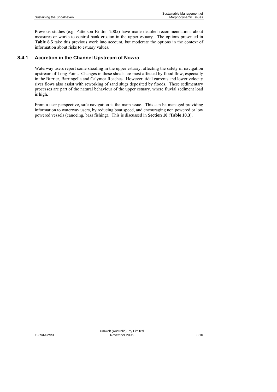Previous studies (e.g. Patterson Britton 2005) have made detailed recommendations about measures or works to control bank erosion in the upper estuary. The options presented in **Table 8.5** take this previous work into account, but moderate the options in the context of information about risks to estuary values.

### **8.4.1 Accretion in the Channel Upstream of Nowra**

Waterway users report some shoaling in the upper estuary, affecting the safety of navigation upstream of Long Point. Changes in these shoals are most affected by flood flow, especially in the Burrier, Barringella and Calymea Reaches. However, tidal currents and lower velocity river flows also assist with reworking of sand slugs deposited by floods. These sedimentary processes are part of the natural behaviour of the upper estuary, where fluvial sediment load is high.

From a user perspective, safe navigation is the main issue. This can be managed providing information to waterway users, by reducing boat speed, and encouraging non powered or low powered vessels (canoeing, bass fishing). This is discussed in **Section 10** (**Table 10.3**).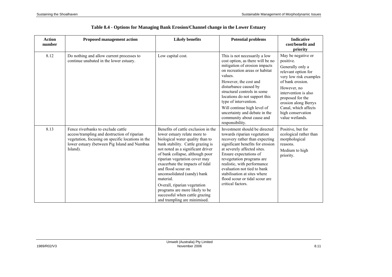| <b>Action</b><br>number | <b>Proposed management action</b>                                                                                                                                                                   | <b>Likely benefits</b>                                                                                                                                                                                                                                                                                                                                                                                                                                                                         | <b>Potential problems</b>                                                                                                                                                                                                                                                                                                                                                                                  | <b>Indicative</b><br>cost/benefit and<br>priority                                                                                                                                                                                                                           |
|-------------------------|-----------------------------------------------------------------------------------------------------------------------------------------------------------------------------------------------------|------------------------------------------------------------------------------------------------------------------------------------------------------------------------------------------------------------------------------------------------------------------------------------------------------------------------------------------------------------------------------------------------------------------------------------------------------------------------------------------------|------------------------------------------------------------------------------------------------------------------------------------------------------------------------------------------------------------------------------------------------------------------------------------------------------------------------------------------------------------------------------------------------------------|-----------------------------------------------------------------------------------------------------------------------------------------------------------------------------------------------------------------------------------------------------------------------------|
| 8.12                    | Do nothing and allow current processes to<br>continue unabated in the lower estuary.                                                                                                                | Low capital cost.                                                                                                                                                                                                                                                                                                                                                                                                                                                                              | This is not necessarily a low<br>cost option, as there will be no<br>mitigation of erosion impacts<br>on recreation areas or habitat<br>values.<br>However, the cost and<br>disturbance caused by<br>structural controls in some<br>locations do not support this<br>type of intervention.<br>Will continue high level of<br>uncertainty and debate in the<br>community about cause and<br>responsibility. | May be negative or<br>positive.<br>Generally only a<br>relevant option for<br>very low risk examples<br>of bank erosion.<br>However, no<br>intervention is also<br>proposed for the<br>erosion along Berrys<br>Canal, which affects<br>high conservation<br>value wetlands. |
| 8.13                    | Fence riverbanks to exclude cattle<br>access/trampling and destruction of riparian<br>vegetation, focusing on specific locations in the<br>lower estuary (between Pig Island and Numbaa<br>Island). | Benefits of cattle exclusion in the<br>lower estuary relate more to<br>biological water quality than to<br>bank stability. Cattle grazing is<br>not noted as a significant driver<br>of bank collapse, although poor<br>riparian vegetation cover may<br>exacerbate the impacts of tidal<br>and flood scour on<br>unconsolidated (sandy) bank<br>material.<br>Overall, riparian vegetation<br>programs are more likely to be<br>successful when cattle grazing<br>and trampling are minimised. | Investment should be directed<br>towards riparian vegetation<br>recovery rather than expecting<br>significant benefits for erosion<br>at severely affected sites.<br>Ensure expectations of<br>revegetation programs are<br>realistic, with performance<br>evaluation not tied to bank<br>stabilisation at sites where<br>flood scour or tidal scour are<br>critical factors.                              | Positive, but for<br>ecological rather than<br>morphological<br>reasons.<br>Medium to high<br>priority.                                                                                                                                                                     |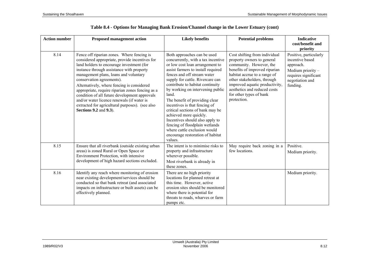| <b>Action number</b> | <b>Proposed management action</b>                                                                                                                                                                                                                                                                                                                                                                                                                                                                                                                  | <b>Likely benefits</b>                                                                                                                                                                                                                                                                                                                                                                                                                                                                                                                                                              | <b>Potential problems</b>                                                                                                                                                                                                                                                                          | <b>Indicative</b><br>cost/benefit and<br>priority                                                                                    |
|----------------------|----------------------------------------------------------------------------------------------------------------------------------------------------------------------------------------------------------------------------------------------------------------------------------------------------------------------------------------------------------------------------------------------------------------------------------------------------------------------------------------------------------------------------------------------------|-------------------------------------------------------------------------------------------------------------------------------------------------------------------------------------------------------------------------------------------------------------------------------------------------------------------------------------------------------------------------------------------------------------------------------------------------------------------------------------------------------------------------------------------------------------------------------------|----------------------------------------------------------------------------------------------------------------------------------------------------------------------------------------------------------------------------------------------------------------------------------------------------|--------------------------------------------------------------------------------------------------------------------------------------|
| 8.14                 | Fence off riparian zones. Where fencing is<br>considered appropriate, provide incentives for<br>land holders to encourage investment (for<br>instance through assistance with property<br>management plans, loans and voluntary<br>conservation agreements).<br>Alternatively, where fencing is considered<br>appropriate, require riparian zones fencing as a<br>condition of all future development approvals<br>and/or water licence renewals (if water is<br>extracted for agricultural purposes). (see also<br><b>Sections 9.2 and 9.3</b> ). | Both approaches can be used<br>concurrently, with a tax incentive<br>or low cost loan arrangement to<br>assist farmers to install required<br>fences and off stream water<br>supply for cattle. Rivercare can<br>contribute to habitat continuity<br>by working on intervening public<br>land.<br>The benefit of providing clear<br>incentives is that fencing of<br>critical sections of bank may be<br>achieved more quickly.<br>Incentives should also apply to<br>fencing of floodplain wetlands<br>where cattle exclusion would<br>encourage restoration of habitat<br>values. | Cost shifting from individual<br>property owners to general<br>community. However, the<br>benefits of improved riparian<br>habitat accrue to a range of<br>other stakeholders, through<br>improved aquatic productivity,<br>aesthetics and reduced costs<br>for other types of bank<br>protection. | Positive, particularly<br>incentive based<br>approach.<br>Medium priority $-$<br>requires significant<br>negotiation and<br>funding. |
| 8.15                 | Ensure that all riverbank (outside existing urban<br>areas) is zoned Rural or Open Space or<br>Environment Protection, with intensive<br>development of high hazard sections excluded.                                                                                                                                                                                                                                                                                                                                                             | The intent is to minimise risks to<br>property and infrastructure<br>wherever possible.<br>Most riverbank is already in<br>these zones.                                                                                                                                                                                                                                                                                                                                                                                                                                             | May require back zoning in a<br>few locations.                                                                                                                                                                                                                                                     | Positive.<br>Medium priority.                                                                                                        |
| 8.16                 | Identify any reach where monitoring of erosion<br>near existing development/services should be<br>conducted so that bank retreat (and associated<br>impacts on infrastructure or built assets) can be<br>effectively planned.                                                                                                                                                                                                                                                                                                                      | There are no high priority<br>locations for planned retreat at<br>this time. However, active<br>erosion sites should be monitored<br>where there is potential for<br>threats to roads, wharves or farm<br>pumps etc.                                                                                                                                                                                                                                                                                                                                                                |                                                                                                                                                                                                                                                                                                    | Medium priority.                                                                                                                     |

| Table 8.4 - Options for Managing Bank Erosion/Channel change in the Lower Estuary (cont) |  |  |
|------------------------------------------------------------------------------------------|--|--|
|------------------------------------------------------------------------------------------|--|--|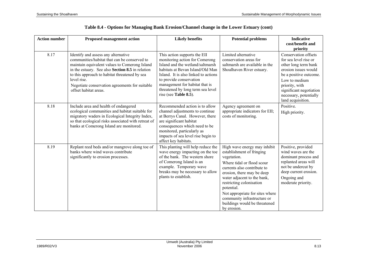| <b>Action number</b> | <b>Proposed management action</b>                                                                                                                                                                                                                                                                                                   | <b>Likely benefits</b>                                                                                                                                                                                                                                                                                    | <b>Potential problems</b>                                                                                                                                                                                                                                                                                                                                      | <b>Indicative</b><br>cost/benefit and<br>priority                                                                                                                                                                                    |
|----------------------|-------------------------------------------------------------------------------------------------------------------------------------------------------------------------------------------------------------------------------------------------------------------------------------------------------------------------------------|-----------------------------------------------------------------------------------------------------------------------------------------------------------------------------------------------------------------------------------------------------------------------------------------------------------|----------------------------------------------------------------------------------------------------------------------------------------------------------------------------------------------------------------------------------------------------------------------------------------------------------------------------------------------------------------|--------------------------------------------------------------------------------------------------------------------------------------------------------------------------------------------------------------------------------------|
| 8.17                 | Identify and assess any alternative<br>communities/habitat that can be conserved to<br>maintain equivalent values to Comerong Island<br>in the estuary. See also Section 8.5 in relation<br>to this approach to habitat threatened by sea<br>level rise.<br>Negotiate conservation agreements for suitable<br>offset habitat areas. | This action supports the EII<br>monitoring action for Comerong<br>Island and the wetland/saltmarsh<br>habitats at Bevan Island/Old Man<br>Island. It is also linked to actions<br>to provide conservation<br>management for habitat that is<br>threatened by long term sea level<br>rise (see Table 8.5). | Limited alternative<br>conservation areas for<br>saltmarsh are available in the<br>Shoalhaven River estuary.                                                                                                                                                                                                                                                   | Conservation offsets<br>for sea level rise or<br>other long term bank<br>erosion issues would<br>be a positive outcome.<br>Low to medium<br>priority, with<br>significant negotiation<br>necessary, potentially<br>land acquisition. |
| 8.18                 | Include area and health of endangered<br>ecological communities and habitat suitable for<br>migratory waders in Ecological Integrity Index,<br>so that ecological risks associated with retreat of<br>banks at Comerong Island are monitored.                                                                                       | Recommended action is to allow<br>channel adjustments to continue<br>at Berrys Canal. However, there<br>are significant habitat<br>consequences which need to be<br>monitored, particularly as<br>impacts of sea level rise begin to<br>affect key habitats.                                              | Agency agreement on<br>appropriate indicators for EII;<br>costs of monitoring.                                                                                                                                                                                                                                                                                 | Positive.<br>High priority.                                                                                                                                                                                                          |
| 8.19                 | Replant reed beds and/or mangrove along toe of<br>banks where wind waves contribute<br>significantly to erosion processes.                                                                                                                                                                                                          | This planting will help reduce the<br>wave energy impacting on the toe<br>of the bank. The western shore<br>of Comerong Island is an<br>example. Temporary wave<br>breaks may be necessary to allow<br>plants to establish.                                                                               | High wave energy may inhibit<br>establishment of fringing<br>vegetation.<br>Where tidal or flood scour<br>currents also contribute to<br>erosion, there may be deep<br>water adjacent to the bank,<br>restricting colonisation<br>potential.<br>Not appropriate for sites where<br>community infrastructure or<br>buildings would be threatened<br>by erosion. | Positive, provided<br>wind waves are the<br>dominant process and<br>replanted areas will<br>not be undercut by<br>deep current erosion.<br>Ongoing and<br>moderate priority.                                                         |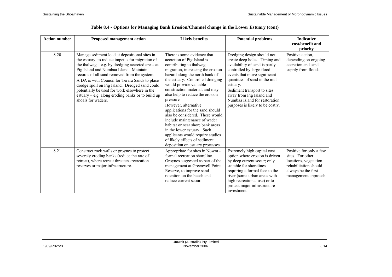| <b>Action number</b> | <b>Proposed management action</b>                                                                                                                                                                                                                                                                                                                                                                                                                                                  | <b>Likely benefits</b>                                                                                                                                                                                                                                                                                                                                                                                                                                                                                                                                                                                                | <b>Potential problems</b>                                                                                                                                                                                                                                                                                                               | <b>Indicative</b><br>cost/benefit and<br>priority                                                                                            |
|----------------------|------------------------------------------------------------------------------------------------------------------------------------------------------------------------------------------------------------------------------------------------------------------------------------------------------------------------------------------------------------------------------------------------------------------------------------------------------------------------------------|-----------------------------------------------------------------------------------------------------------------------------------------------------------------------------------------------------------------------------------------------------------------------------------------------------------------------------------------------------------------------------------------------------------------------------------------------------------------------------------------------------------------------------------------------------------------------------------------------------------------------|-----------------------------------------------------------------------------------------------------------------------------------------------------------------------------------------------------------------------------------------------------------------------------------------------------------------------------------------|----------------------------------------------------------------------------------------------------------------------------------------------|
| 8.20                 | Manage sediment load at depositional sites in<br>the estuary, to reduce impetus for migration of<br>the thalweg $-$ e.g. by dredging accreted areas at<br>Pig Island and Numbaa Island. Maintain<br>records of all sand removed from the system.<br>A DA is with Council for Terara Sands to place<br>dredge spoil on Pig Island. Dredged sand could<br>potentially be used for work elsewhere in the<br>estuary $-$ e.g. along eroding banks or to build up<br>shoals for waders. | There is some evidence that<br>accretion of Pig Island is<br>contributing to thalweg<br>migration, increasing the erosion<br>hazard along the north bank of<br>the estuary. Controlled dredging<br>would provide valuable<br>construction material, and may<br>also help to reduce the erosion<br>pressure.<br>However, alternative<br>applications for the sand should<br>also be considered. These would<br>include maintenance of wader<br>habitat or near shore bank areas<br>in the lower estuary. Such<br>applicants would require studies<br>of likely effects of sediment<br>deposition on estuary processes. | Dredging design should not<br>create deep holes. Timing and<br>availability of sand is partly<br>controlled by large flood<br>events that move significant<br>quantities of sand in the mid<br>estuary.<br>Sediment transport to sites<br>away from Pig Island and<br>Numbaa Island for restoration<br>purposes is likely to be costly. | Positive action,<br>depending on ongoing<br>accretion and sand<br>supply from floods.                                                        |
| 8.21                 | Construct rock walls or groynes to protect<br>severely eroding banks (reduce the rate of<br>retreat), where retreat threatens recreation<br>reserves or major infrastructure.                                                                                                                                                                                                                                                                                                      | Appropriate for sites in Nowra -<br>formal recreation shoreline.<br>Groynes suggested as part of the<br>management at Greenwell Point<br>Reserve, to improve sand<br>retention on the beach and<br>reduce current scour.                                                                                                                                                                                                                                                                                                                                                                                              | Extremely high capital cost<br>option where erosion is driven<br>by deep current scour; only<br>suitable for shorelines<br>requiring a formal face to the<br>river (some urban areas with<br>high recreational use) or to<br>protect major infrastructure<br>investment.                                                                | Positive for only a few<br>sites. For other<br>locations, vegetation<br>rehabilitation should<br>always be the first<br>management approach. |

|  |  |  |  | Table 8.4 - Options for Managing Bank Erosion/Channel change in the Lower Estuary (cont) |  |  |  |
|--|--|--|--|------------------------------------------------------------------------------------------|--|--|--|
|  |  |  |  |                                                                                          |  |  |  |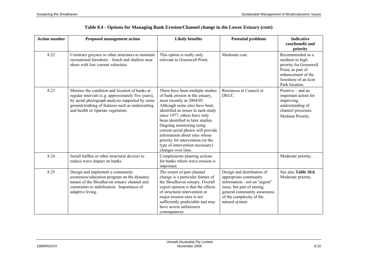| <b>Action number</b> | <b>Proposed management action</b>                                                                                                                                                                                                                 | <b>Likely benefits</b>                                                                                                                                                                                                                                                                                                                                                                                                                        | <b>Potential problems</b>                                                                                                                                                                        | <b>Indicative</b><br>cost/benefit and<br>priority                                                                                                 |
|----------------------|---------------------------------------------------------------------------------------------------------------------------------------------------------------------------------------------------------------------------------------------------|-----------------------------------------------------------------------------------------------------------------------------------------------------------------------------------------------------------------------------------------------------------------------------------------------------------------------------------------------------------------------------------------------------------------------------------------------|--------------------------------------------------------------------------------------------------------------------------------------------------------------------------------------------------|---------------------------------------------------------------------------------------------------------------------------------------------------|
| 8.22                 | Construct groynes or other structures to maintain<br>recreational foreshore – beach and shallow near<br>shore with low current velocities.                                                                                                        | This option is really only<br>relevant to Greenwell Point.                                                                                                                                                                                                                                                                                                                                                                                    | Moderate cost.                                                                                                                                                                                   | Recommended as a<br>medium to high<br>priority for Greenwell<br>Point, as part of<br>enhancement of the<br>foreshore of an Icon<br>Park location. |
| 8.23                 | Monitor the condition and location of banks at<br>regular intervals (e.g. approximately five years),<br>by aerial photograph analysis supported by some<br>ground-truthing of features such as undercutting<br>and health or riparian vegetation. | There have been multiple studies<br>of bank erosion in the estuary,<br>most recently in 2004/05.<br>Although some sites have been<br>identified as issues in each study<br>since 1977, others have only<br>been identified in later studies.<br>Ongoing monitoring using<br>current aerial photos will provide<br>information about sites whose<br>priority for intervention (or the<br>type of intervention necessary)<br>changes over time. | Resources at Council or<br>DECC.                                                                                                                                                                 | Positive $-$ and an<br>important action for<br>improving<br>understanding of<br>channel processes.<br>Medium Priority.                            |
| 8.24                 | Install baffles or other structural devices to<br>reduce wave impact on banks.                                                                                                                                                                    | Complements planting actions<br>for banks where wave erosion is<br>important.                                                                                                                                                                                                                                                                                                                                                                 |                                                                                                                                                                                                  | Moderate priority.                                                                                                                                |
| 8.25                 | Design and implement a community<br>awareness/education program on the dynamic<br>nature of the Shoalhaven estuary channel and<br>constraints to stabilisation. Importance of<br>adaptive living.                                                 | The extent of past channel<br>change is a particular feature of<br>the Shoalhaven estuary. Overall<br>expert opinion is that the effects<br>of structural intervention at<br>major erosion sites is not<br>sufficiently predictable and may<br>have severe unforeseen<br>consequences.                                                                                                                                                        | Design and distribution of<br>appropriate community<br>information - not an 'urgent"<br>issue, but part of raising<br>general community awareness<br>of the complexity of the<br>natural system. | See also Table 10.6.<br>Moderate priority.                                                                                                        |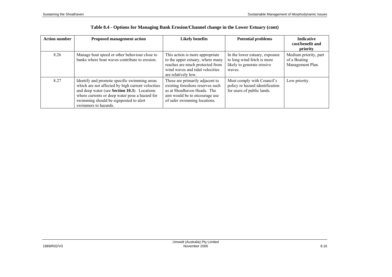| <b>Action number</b> | <b>Proposed management action</b>                                                                                                                                                                                                                                     | <b>Likely benefits</b>                                                                                                                                              | <b>Potential problems</b>                                                                            | <b>Indicative</b><br>cost/benefit and<br>priority         |
|----------------------|-----------------------------------------------------------------------------------------------------------------------------------------------------------------------------------------------------------------------------------------------------------------------|---------------------------------------------------------------------------------------------------------------------------------------------------------------------|------------------------------------------------------------------------------------------------------|-----------------------------------------------------------|
| 8.26                 | Manage boat speed or other behaviour close to<br>banks where boat waves contribute to erosion.                                                                                                                                                                        | This action is more appropriate<br>to the upper estuary, where many<br>reaches are much protected from<br>wind waves and tidal velocities<br>are relatively low.    | In the lower estuary, exposure<br>to long wind fetch is more<br>likely to generate erosive<br>waves. | Medium priority, part<br>of a Boating<br>Management Plan. |
| 8.27                 | Identify and promote specific swimming areas<br>which are not affected by high current velocities<br>and deep water (see Section 10.3). Locations<br>where currents or deep water pose a hazard for<br>swimming should be signposted to alert<br>swimmers to hazards. | These are primarily adjacent to<br>existing foreshore reserves such<br>as at Shoalhaven Heads. The<br>aim would be to encourage use<br>of safer swimming locations. | Must comply with Council's<br>policy re hazard identification<br>for users of public lands.          | Low priority.                                             |

|  |  | Table 8.4 - Options for Managing Bank Erosion/Channel change in the Lower Estuary (cont) |  |
|--|--|------------------------------------------------------------------------------------------|--|
|  |  |                                                                                          |  |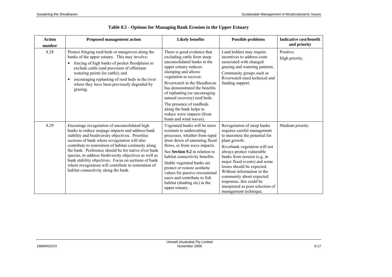| <b>Action</b><br>number | <b>Proposed management action</b>                                                                                                                                                                                                                                                                                                                                                                                                                                                                                                          | <b>Likely benefits</b>                                                                                                                                                                                                                                                                                                                                                                                              | <b>Possible problems</b>                                                                                                                                                                                                                                                                                                                                                                                                   | <b>Indicative cost/benefit</b><br>and priority |
|-------------------------|--------------------------------------------------------------------------------------------------------------------------------------------------------------------------------------------------------------------------------------------------------------------------------------------------------------------------------------------------------------------------------------------------------------------------------------------------------------------------------------------------------------------------------------------|---------------------------------------------------------------------------------------------------------------------------------------------------------------------------------------------------------------------------------------------------------------------------------------------------------------------------------------------------------------------------------------------------------------------|----------------------------------------------------------------------------------------------------------------------------------------------------------------------------------------------------------------------------------------------------------------------------------------------------------------------------------------------------------------------------------------------------------------------------|------------------------------------------------|
| 8.28                    | Protect fringing reed beds or mangroves along the<br>banks of the upper estuary. This may involve:<br>fencing of high banks of pocket floodplains to<br>exclude cattle (and provision of offstream<br>watering points for cattle); and<br>encouraging replanting of reed beds in the river<br>where they have been previously degraded by<br>grazing.                                                                                                                                                                                      | There is good evidence that<br>excluding cattle from steep<br>unconsolidated banks in the<br>upper estuary reduces<br>slumping and allows<br>vegetation to recover.<br>Riverwatch in the Shoalhaven<br>has demonstrated the benefits<br>of replanting (or encouraging<br>natural recovery) reed beds.<br>The presence of reedbeds<br>along the bank helps to<br>reduce wave impacts (from<br>boats and wind waves). | Land holders may require<br>incentives to address costs<br>associated with changed<br>grazing and watering patterns.<br>Community groups such as<br>Riverwatch need technical and<br>funding support.                                                                                                                                                                                                                      | Positive.<br>High priority.                    |
| 8.29                    | Encourage revegetation of unconsolidated high<br>banks to reduce seepage impacts and address bank<br>stability and biodiversity objectives. Prioritise<br>sections of bank where revegetation will also<br>contribute to restoration of habitat continuity along<br>the bank. Preference should be for native river bank<br>species, to address biodiversity objectives as well as<br>bank stability objectives. Focus on sections of bank<br>where revegetation will contribute to restoration of<br>habitat connectivity along the bank. | Vegetated banks will be more<br>resistant to undercutting<br>processes, whether from rapid<br>draw down of saturating flood<br>flows, or from wave impacts.<br>See Section 9.2 in relation to<br>habitat connectivity benefits.<br>Stable vegetated banks are<br>protect or restore aesthetic<br>values for passive recreational<br>users and contribute to fish<br>habitat (shading etc) in the<br>upper estuary.  | Revegetation of steep banks<br>requires careful management<br>to maximise the potential for<br>plant growth.<br>Riverbank vegetation will not<br>always protect vulnerable<br>banks from erosion (e.g. in<br>major flood events) and some<br>losses should be expected.<br>Without information in the<br>community about expected<br>responses, this could be<br>interpreted as poor selection of<br>management technique. | Medium priority.                               |

# **Table 8.5 - Options for Managing Bank Erosion in the Upper Estuary**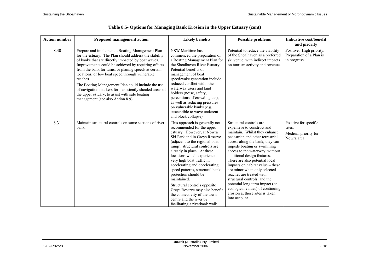| <b>Action number</b> | <b>Proposed management action</b>                                                                                                                                                                                                                                                                                                                                                                                                                                                                                                                     | <b>Likely benefits</b>                                                                                                                                                                                                                                                                                                                                                                                                                                                                                                                                            | <b>Possible problems</b>                                                                                                                                                                                                                                                                                                                                                                                                                                                                                                                                  | <b>Indicative cost/benefit</b><br>and priority                        |
|----------------------|-------------------------------------------------------------------------------------------------------------------------------------------------------------------------------------------------------------------------------------------------------------------------------------------------------------------------------------------------------------------------------------------------------------------------------------------------------------------------------------------------------------------------------------------------------|-------------------------------------------------------------------------------------------------------------------------------------------------------------------------------------------------------------------------------------------------------------------------------------------------------------------------------------------------------------------------------------------------------------------------------------------------------------------------------------------------------------------------------------------------------------------|-----------------------------------------------------------------------------------------------------------------------------------------------------------------------------------------------------------------------------------------------------------------------------------------------------------------------------------------------------------------------------------------------------------------------------------------------------------------------------------------------------------------------------------------------------------|-----------------------------------------------------------------------|
| 8.30                 | Prepare and implement a Boating Management Plan<br>for the estuary. The Plan should address the stability<br>of banks that are directly impacted by boat waves.<br>Improvements could be achieved by requiring offsets<br>from the bank for turns, or planing speeds at certain<br>locations, or low boat speed through vulnerable<br>reaches.<br>The Boating Management Plan could include the use<br>of navigation markers for persistently shoaled areas of<br>the upper estuary, to assist with safe boating<br>management (see also Action 8.9). | NSW Maritime has<br>commenced the preparation of<br>a Boating Management Plan for<br>the Shoalhaven River Estuary.<br>Potential benefits of<br>management of boat<br>speed/wake generation include<br>reduced conflict with other<br>waterway users and land<br>holders (noise, safety,<br>perceptions of crowding etc),<br>as well as reducing pressures<br>on vulnerable banks (e.g.<br>susceptible to wave undercut<br>and block collapse).                                                                                                                    | Potential to reduce the viability<br>of the Shoalhaven as a preferred<br>ski venue, with indirect impacts<br>on tourism activity and revenue.                                                                                                                                                                                                                                                                                                                                                                                                             | Positive. High priority.<br>Preparation of a Plan is<br>in progress.  |
| 8.31                 | Maintain structural controls on some sections of river<br>bank.                                                                                                                                                                                                                                                                                                                                                                                                                                                                                       | This approach is generally not<br>recommended for the upper<br>estuary. However, at Nowra<br>Ski Park and in Greys Reserve<br>(adjacent to the regional boat<br>ramp), structural controls are<br>already in place. At these<br>locations which experience<br>very high boat traffic in<br>accelerating and decelerating<br>speed patterns, structural bank<br>protection should be<br>maintained.<br>Structural controls opposite<br>Greys Reserve may also benefit<br>the connectivity of the town<br>centre and the river by<br>facilitating a riverbank walk. | Structural controls are<br>expensive to construct and<br>maintain. Whilst they enhance<br>pedestrian and other terrestrial<br>access along the bank, they can<br>impede boating or swimming<br>access to the waterway, without<br>additional design features.<br>There are also potential local<br>impacts on habitat value - these<br>are minor when only selected<br>reaches are treated with<br>structural controls, and the<br>potential long term impact (on<br>ecological values) of continuing<br>erosion at those sites is taken<br>into account. | Positive for specific<br>sites.<br>Medium priority for<br>Nowra area. |

# **Table 8.5- Options for Managing Bank Erosion in the Upper Estuary (cont)**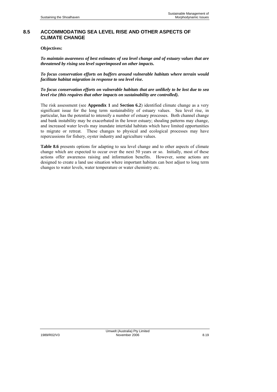### **8.5 ACCOMMODATING SEA LEVEL RISE AND OTHER ASPECTS OF CLIMATE CHANGE**

#### **Objectives:**

*To maintain awareness of best estimates of sea level change and of estuary values that are threatened by rising sea level superimposed on other impacts.* 

*To focus conservation efforts on buffers around vulnerable habitats where terrain would facilitate habitat migration in response to sea level rise.* 

*To focus conservation efforts on vulnerable habitats that are unlikely to be lost due to sea level rise (this requires that other impacts on sustainability are controlled).* 

The risk assessment (see **Appendix 1** and **Section 6.2**) identified climate change as a very significant issue for the long term sustainability of estuary values. Sea level rise, in particular, has the potential to intensify a number of estuary processes. Both channel change and bank instability may be exacerbated in the lower estuary; shoaling patterns may change, and increased water levels may inundate intertidal habitats which have limited opportunities to migrate or retreat. These changes to physical and ecological processes may have repercussions for fishery, oyster industry and agriculture values.

**Table 8.6** presents options for adapting to sea level change and to other aspects of climate change which are expected to occur over the next 50 years or so. Initially, most of these actions offer awareness raising and information benefits. However, some actions are designed to create a land use situation where important habitats can best adjust to long term changes to water levels, water temperature or water chemistry etc.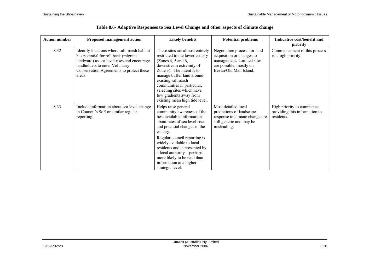| <b>Action number</b> | <b>Proposed management action</b>                                                                                                                                                                                         | <b>Likely benefits</b>                                                                                                                                                                                                                                                                                                                                                  | <b>Potential problems</b>                                                                                                                  | Indicative cost/benefit and<br>priority                                  |
|----------------------|---------------------------------------------------------------------------------------------------------------------------------------------------------------------------------------------------------------------------|-------------------------------------------------------------------------------------------------------------------------------------------------------------------------------------------------------------------------------------------------------------------------------------------------------------------------------------------------------------------------|--------------------------------------------------------------------------------------------------------------------------------------------|--------------------------------------------------------------------------|
| 8.32                 | Identify locations where salt marsh habitat<br>has potential for roll back (migrate<br>landward) as sea level rises and encourage<br>landholders to enter Voluntary<br>Conservation Agreements to protect these<br>areas. | These sites are almost entirely<br>restricted to the lower estuary<br>(Zones 4, 5 and 6,<br>downstream extremity of<br>Zone 3). The intent is to<br>manage buffer land around<br>existing saltmarsh<br>communities in particular,<br>selecting sites which have<br>low gradients away from<br>existing mean high tide level.                                            | Negotiation process for land<br>acquisition or changes to<br>management. Limited sites<br>are possible, mostly on<br>Bevan/Old Man Island. | Commencement of this process<br>is a high priority.                      |
| 8.33                 | Include information about sea level change<br>in Council's SoE or similar regular<br>reporting.                                                                                                                           | Helps raise general<br>community awareness of the<br>best available information<br>about rates of sea level rise<br>and potential changes to the<br>estuary.<br>Regular council reporting is<br>widely available to local<br>residents and is presented by<br>a local authority – perhaps<br>more likely to be read than<br>information at a higher<br>strategic level. | Most detailed local<br>predictions of landscape<br>response to climate change are<br>still generic and may be<br>misleading.               | High priority to commence<br>providing this information to<br>residents. |

# **Table 8.6- Adaptive Responses to Sea Level Change and other aspects of climate change**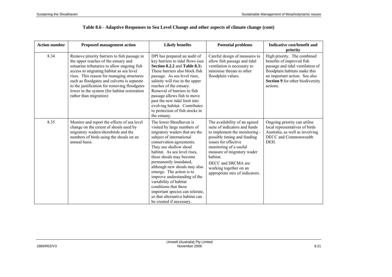| <b>Action number</b> | <b>Proposed management action</b>                                                                                                                                                                                                                                                                                                                                                                     | <b>Likely benefits</b>                                                                                                                                                                                                                                                                                                                                                                                                                                                                                          | <b>Potential problems</b>                                                                                                                                                                                                                                                                                    | Indicative cost/benefit and<br>priority                                                                                                                                                                        |
|----------------------|-------------------------------------------------------------------------------------------------------------------------------------------------------------------------------------------------------------------------------------------------------------------------------------------------------------------------------------------------------------------------------------------------------|-----------------------------------------------------------------------------------------------------------------------------------------------------------------------------------------------------------------------------------------------------------------------------------------------------------------------------------------------------------------------------------------------------------------------------------------------------------------------------------------------------------------|--------------------------------------------------------------------------------------------------------------------------------------------------------------------------------------------------------------------------------------------------------------------------------------------------------------|----------------------------------------------------------------------------------------------------------------------------------------------------------------------------------------------------------------|
| 8.34                 | Remove priority barriers to fish passage in<br>the upper reaches of the estuary and<br>estuarine tributaries to allow ongoing fish<br>access to migrating habitat as sea level<br>rises. This reason for managing structures<br>such as floodgates and culverts is separate<br>to the justification for removing floodgates<br>lower in the system (for habitat restoration<br>rather than migration) | DPI has prepared an audit of<br>key barriers to tidal flows (see<br>Section 8.2.2 and Table 8.3).<br>These barriers also block fish<br>passage. As sea level rises,<br>salinity will rise in the upper<br>reaches of the estuary.<br>Removal of barriers to fish<br>passage allows fish to move<br>past the new tidal limit into<br>evolving habitat. Contributes<br>to protection of fish stocks in<br>the estuary.                                                                                            | Careful design of measures to<br>allow fish passage and tidal<br>ventilation is necessary to<br>minimise threats to other<br>floodplain values.                                                                                                                                                              | High priority. The combined<br>benefits of improved fish<br>passage and tidal ventilation of<br>floodplain habitats make this<br>an important action. See also<br>Section 9 for other biodiversity<br>actions. |
| 8.35                 | Monitor and report the effects of sea level<br>change on the extent of shoals used by<br>migratory waders/shorebirds and the<br>numbers of birds using the shoals on an<br>annual basis.                                                                                                                                                                                                              | The lower Shoalhaven is<br>visited by large numbers of<br>migratory waders that are the<br>subject of international<br>conservation agreements.<br>They use shallow shoal<br>habitat. As sea level rises,<br>these shoals may become<br>permanently inundated,<br>although new shoals may also<br>emerge. The action is to<br>improve understanding of the<br>variability of habitat<br>conditions that these<br>important species can tolerate,<br>so that alternative habitat can<br>be created if necessary. | The availability of an agreed<br>suite of indicators and funds<br>to implement the monitoring -<br>possible timing and funding<br>issues for effective<br>monitoring of a useful<br>measure of migratory wader<br>habitat.<br>DECC and SRCMA are<br>working together on an<br>appropriate mix of indicators. | Ongoing priority can utilise<br>local representatives of birds<br>Australia, as well as involving<br>DECC and Commonwealth<br>DEH.                                                                             |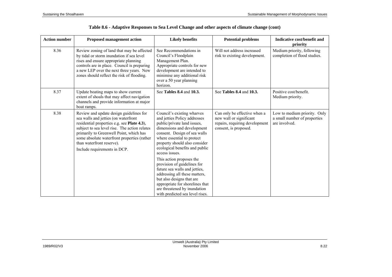| <b>Action number</b> | <b>Proposed management action</b>                                                                                                                                                                                                                                                                                                      | <b>Likely benefits</b>                                                                                                                                                                                                                                                                                                                                                                                                                                                                                                                     | <b>Potential problems</b>                                                                                          | Indicative cost/benefit and<br>priority                                       |
|----------------------|----------------------------------------------------------------------------------------------------------------------------------------------------------------------------------------------------------------------------------------------------------------------------------------------------------------------------------------|--------------------------------------------------------------------------------------------------------------------------------------------------------------------------------------------------------------------------------------------------------------------------------------------------------------------------------------------------------------------------------------------------------------------------------------------------------------------------------------------------------------------------------------------|--------------------------------------------------------------------------------------------------------------------|-------------------------------------------------------------------------------|
| 8.36                 | Review zoning of land that may be affected<br>by tidal or storm inundation if sea level<br>rises and ensure appropriate planning<br>controls are in place. Council is preparing<br>a new LEP over the next three years. New<br>zones should reflect the risk of flooding.                                                              | See Recommendations in<br>Council's Floodplain<br>Management Plan.<br>Appropriate controls for new<br>development are intended to<br>minimise any additional risk<br>over a 50 year planning<br>horizon.                                                                                                                                                                                                                                                                                                                                   | Will not address increased<br>risk to existing development.                                                        | Medium priority, following<br>completion of flood studies.                    |
| 8.37                 | Update boating maps to show current<br>extent of shoals that may affect navigation<br>channels and provide information at major<br>boat ramps.                                                                                                                                                                                         | See Tables 8.4 and 10.3.                                                                                                                                                                                                                                                                                                                                                                                                                                                                                                                   | See Tables 8.4 and 10.3.                                                                                           | Positive cost/benefit.<br>Medium priority.                                    |
| 8.38                 | Review and update design guidelines for<br>sea walls and jetties (on waterfront<br>residential properties e.g. see Plate 4.3),<br>subject to sea level rise. The action relates<br>primarily to Greenwell Point, which has<br>some absolute waterfront properties (rather<br>than waterfront reserve).<br>Include requirements in DCP. | Council's existing wharves<br>and jetties Policy addresses<br>public/private land issues,<br>dimensions and development<br>consent. Design of sea walls<br>where essential to protect<br>property should also consider<br>ecological benefits and public<br>access issues.<br>This action proposes the<br>provision of guidelines for<br>future sea walls and jetties,<br>addressing all these matters,<br>but also designs that are<br>appropriate for shorelines that<br>are threatened by inundation<br>with predicted sea level rises. | Can only be effective when a<br>new wall or significant<br>repairs, requiring development<br>consent, is proposed. | Low to medium priority. Only<br>a small number of properties<br>are involved. |

|  |  |  | Table 8.6 - Adaptive Responses to Sea Level Change and other aspects of climate change (cont) |
|--|--|--|-----------------------------------------------------------------------------------------------|
|  |  |  |                                                                                               |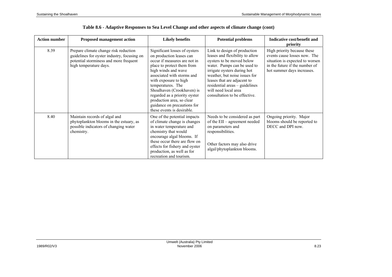| <b>Action number</b> | <b>Proposed management action</b>                                                                                                                        | <b>Likely benefits</b>                                                                                                                                                                                                                                                                                                                                                              | <b>Potential problems</b>                                                                                                                                                                                                                                                                                             | Indicative cost/benefit and<br>priority                                                                                                                        |
|----------------------|----------------------------------------------------------------------------------------------------------------------------------------------------------|-------------------------------------------------------------------------------------------------------------------------------------------------------------------------------------------------------------------------------------------------------------------------------------------------------------------------------------------------------------------------------------|-----------------------------------------------------------------------------------------------------------------------------------------------------------------------------------------------------------------------------------------------------------------------------------------------------------------------|----------------------------------------------------------------------------------------------------------------------------------------------------------------|
| 8.39                 | Prepare climate change risk reduction<br>guidelines for oyster industry, focusing on<br>potential storminess and more frequent<br>high temperature days. | Significant losses of oysters<br>on production leases can<br>occur if measures are not in<br>place to protect them from<br>high winds and wave<br>associated with storms and<br>with exposure to high<br>temperatures. The<br>Shoalhaven (Crookhaven) is<br>regarded as a priority oyster<br>production area, so clear<br>guidance on precautions for<br>these events is desirable. | Link to design of production<br>leases and flexibility to allow<br>oysters to be moved below<br>water. Pumps can be used to<br>irrigate oysters during hot<br>weather, but noise issues for<br>leases that are adjacent to<br>residential areas - guidelines<br>will need local area<br>consultation to be effective. | High priority because these<br>events cause losses now. The<br>situation is expected to worsen<br>in the future if the number of<br>hot summer days increases. |
| 8.40                 | Maintain records of algal and<br>phytoplankton blooms in the estuary, as<br>possible indicators of changing water<br>chemistry.                          | One of the potential impacts<br>of climate change is changes<br>in water temperature and<br>chemistry that would<br>encourage algal blooms. If<br>these occur there are flow on<br>effects for fishery and oyster<br>production, as well as for<br>recreation and tourism.                                                                                                          | Needs to be considered as part<br>of the EII – agreement needed<br>on parameters and<br>responsibilities.<br>Other factors may also drive<br>algal/phytoplankton blooms.                                                                                                                                              | Ongoing priority. Major<br>blooms should be reported to<br>DECC and DPI now.                                                                                   |

## **Table 8.6 - Adaptive Responses to Sea Level Change and other aspects of climate change (cont)**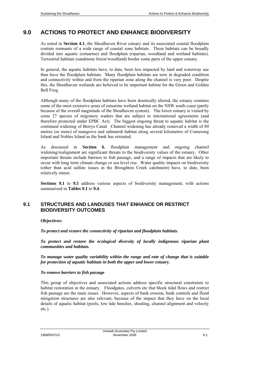# **9.0 ACTIONS TO PROTECT AND ENHANCE BIODIVERSITY**

As noted in **Section 4.1**, the Shoalhaven River estuary and its associated coastal floodplain contain remnants of a wide range of coastal zone habitats. These habitats can be broadly divided into aquatic (estuarine) and floodplain (riparian, woodland and wetland habitats). Terrestrial habitats (sandstone forest/woodland) border some parts of the upper estuary.

In general, the aquatic habitats have, to date, been less impacted by land and waterway use than have the floodplain habitats. Many floodplain habitats are now in degraded condition and connectivity within and from the riparian zone along the channel is very poor. Despite this, the Shoalhaven wetlands are believed to be important habitat for the Green and Golden Bell Frog.

Although many of the floodplain habitats have been drastically altered, the estuary contains some of the most extensive areas of estuarine wetland habitat on the NSW south coast (partly because of the overall magnitude of the Shoalhaven system). The lower estuary is visited by some 27 species of migratory waders that are subject to international agreements (and therefore protected under EPBC Act). The biggest ongoing threat to aquatic habitat is the continued widening of Berrys Canal. Channel widening has already removed a width of 80 metres (or more) of mangrove and saltmarsh habitat along several kilometres of Comerong Island and Nobles Island as the bank has retreated.

As discussed in **Section 6**, floodplain management and ongoing channel widening/realignment are significant threats to the biodiversity values of the estuary. Other important threats include barriers to fish passage, and a range of impacts that are likely to occur with long term climate change or sea level rise. Water quality impacts on biodiversity (other than acid sulfate issues in the Broughton Creek catchment) have, to date, been relatively minor.

**Sections 9.1** to **9.5** address various aspects of biodiversity management, with actions summarised in **Tables 9.1** to **9.4**.

## **9.1 STRUCTURES AND LANDUSES THAT ENHANCE OR RESTRICT BIODIVERSITY OUTCOMES**

#### **Objectives:**

*To protect and restore the connectivity of riparian and floodplain habitats.* 

*To protect and restore the ecological diversity of locally indigenous riparian plant communities and habitats.* 

*To manage water quality variability within the range and rate of change that is suitable for protection of aquatic habitats in both the upper and lower estuary.* 

#### *To remove barriers to fish passage*

This group of objectives and associated actions address specific structural constraints to habitat restoration in the estuary. Floodgates, culverts etc that block tidal flows and restrict fish passage are the main issues. However, aspects of bank erosion, bank controls and flood mitigation structures are also relevant, because of the impact that they have on the local details of aquatic habitat (pools, low tide benches, shoaling, channel alignment and velocity etc.).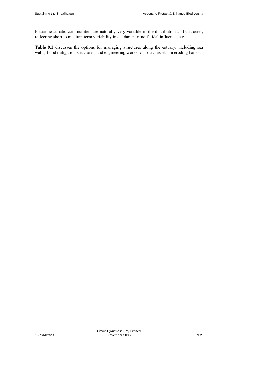Estuarine aquatic communities are naturally very variable in the distribution and character, reflecting short to medium term variability in catchment runoff, tidal influence, etc.

**Table 9.1** discusses the options for managing structures along the estuary, including sea walls, flood mitigation structures, and engineering works to protect assets on eroding banks.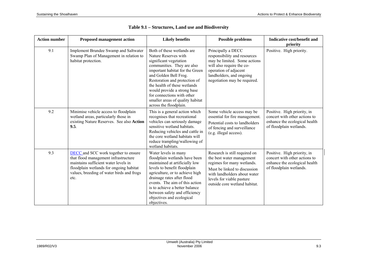| <b>Action number</b> | <b>Proposed management action</b>                                                                                                                                                                                           | <b>Likely benefits</b>                                                                                                                                                                                                                                                                                                                                             | <b>Possible problems</b>                                                                                                                                                                                               | Indicative cost/benefit and<br>priority                                                                                  |
|----------------------|-----------------------------------------------------------------------------------------------------------------------------------------------------------------------------------------------------------------------------|--------------------------------------------------------------------------------------------------------------------------------------------------------------------------------------------------------------------------------------------------------------------------------------------------------------------------------------------------------------------|------------------------------------------------------------------------------------------------------------------------------------------------------------------------------------------------------------------------|--------------------------------------------------------------------------------------------------------------------------|
| 9.1                  | <b>Implement Brundee Swamp and Saltwater</b><br>Swamp Plan of Management in relation to<br>habitat protection.                                                                                                              | Both of these wetlands are<br>Nature Reserves with<br>significant vegetation<br>communities. They are also<br>important habitat for the Green<br>and Golden Bell Frog.<br>Restoration and protection of<br>the health of these wetlands<br>would provide a strong base<br>for connections with other<br>smaller areas of quality habitat<br>across the floodplain. | Principally a DECC<br>responsibility and resources<br>may be limited. Some actions<br>will also require the co-<br>operation of adjacent<br>landholders, and ongoing<br>negotiation may be required.                   | Positive. High priority.                                                                                                 |
| 9.2                  | Minimise vehicle access to floodplain<br>wetland areas, particularly those in<br>existing Nature Reserves. See also Action<br>9.5.                                                                                          | This is a general action which<br>recognises that recreational<br>vehicles can seriously damage<br>sensitive wetland habitats.<br>Reducing vehicles and cattle in<br>the core wetland habitats will<br>reduce trampling/wallowing of<br>wetland habitats.                                                                                                          | Some vehicle access may be<br>essential for fire management.<br>Potential costs to landholders<br>of fencing and surveillance<br>(e.g. illegal access).                                                                | Positive. High priority, in<br>concert with other actions to<br>enhance the ecological health<br>of floodplain wetlands. |
| 9.3                  | <b>DECC</b> and SCC work together to ensure<br>that flood management infrastructure<br>maintains sufficient water levels in<br>floodplain wetlands for ongoing habitat<br>values, breeding of water birds and frogs<br>etc. | Water levels in many<br>floodplain wetlands have been<br>maintained at artificially low<br>levels to benefit floodplain<br>agriculture, or to achieve high<br>drainage rates after flood<br>events. The aim of this action<br>is to achieve a better balance<br>between safety and efficiency<br>objectives and ecological<br>objectives.                          | Research is still required on<br>the best water management<br>regimes for many wetlands.<br>Must be linked to discussion<br>with landholders about water<br>levels for viable pasture<br>outside core wetland habitat. | Positive. High priority, in<br>concert with other actions to<br>enhance the ecological health<br>of floodplain wetlands. |

|  | Table 9.1 - Structures, Land use and Biodiversity |  |  |  |
|--|---------------------------------------------------|--|--|--|
|--|---------------------------------------------------|--|--|--|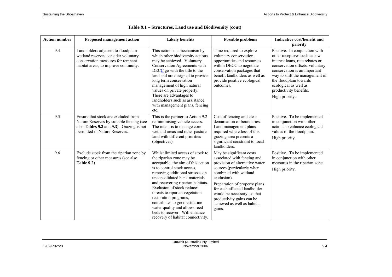| <b>Action number</b> | <b>Proposed management action</b>                                                                                                                            | <b>Likely benefits</b>                                                                                                                                                                                                                                                                                                                                                                                                                                                       | <b>Possible problems</b>                                                                                                                                                                                                                                                                                                              | Indicative cost/benefit and<br>priority                                                                                                                                                                                                                                                              |
|----------------------|--------------------------------------------------------------------------------------------------------------------------------------------------------------|------------------------------------------------------------------------------------------------------------------------------------------------------------------------------------------------------------------------------------------------------------------------------------------------------------------------------------------------------------------------------------------------------------------------------------------------------------------------------|---------------------------------------------------------------------------------------------------------------------------------------------------------------------------------------------------------------------------------------------------------------------------------------------------------------------------------------|------------------------------------------------------------------------------------------------------------------------------------------------------------------------------------------------------------------------------------------------------------------------------------------------------|
| 9.4                  | Landholders adjacent to floodplain<br>wetland reserves consider voluntary<br>conservation measures for remnant<br>habitat areas, to improve continuity.      | This action is a mechanism by<br>which other biodiversity actions<br>may be achieved. Voluntary<br>Conservation Agreements with<br>$DECC$ go with the title to the<br>land and are designed to provide<br>long term conservation<br>management of high natural<br>values on private property.<br>There are advantages to<br>landholders such as assistance<br>with management plans, fencing<br>etc.                                                                         | Time required to explore<br>voluntary conservation<br>opportunities and resources<br>within DECC to negotiate<br>conservation packages that<br>benefit landholders as well as<br>provide positive ecological<br>outcomes.                                                                                                             | Positive. In conjunction with<br>other inceptives such as low<br>interest loans, rate rebates or<br>conservation offsets, voluntary<br>conservation is an important<br>way to shift the management of<br>the floodplain towards<br>ecological as well as<br>productivity benefits.<br>High priority. |
| 9.5                  | Ensure that stock are excluded from<br>Nature Reserves by suitable fencing (see<br>also Tables 9.2 and 9.3). Grazing is not<br>permitted in Nature Reserves. | This is the partner to Action 9.2<br>re minimising vehicle access.<br>The intent is to manage core<br>wetland areas and other pasture<br>land with different priorities<br>(objectives).                                                                                                                                                                                                                                                                                     | Cost of fencing and clear<br>demarcation of boundaries.<br>Land management plans<br>required where loss of this<br>grazing area presents a<br>significant constraint to local<br>landholders.                                                                                                                                         | Positive. To be implemented<br>in conjunction with other<br>actions to enhance ecological<br>values of the floodplain.<br>High priority.                                                                                                                                                             |
| 9.6                  | Exclude stock from the riparian zone by<br>fencing or other measures (see also<br><b>Table 9.2)</b>                                                          | Whilst limited access of stock to<br>the riparian zone may be<br>acceptable, the aim of this action<br>is to control stock access.<br>removing additional stresses on<br>unconsolidated bank materials<br>and recovering riparian habitats.<br>Exclusion of stock reduces<br>threats to riparian vegetation<br>restoration programs,<br>contributes to good estuarine<br>water quality and allows reed<br>beds to recover. Will enhance<br>recovery of habitat connectivity. | May be significant costs<br>associated with fencing and<br>provision of alternative water<br>sources (particularly when<br>combined with wetland<br>exclusion).<br>Preparation of property plans<br>for each affected landholder<br>would be necessary, so that<br>productivity gains can be<br>achieved as well as habitat<br>gains. | Positive. To be implemented<br>in conjunction with other<br>measures in the riparian zone.<br>High priority.                                                                                                                                                                                         |

| Table 9.1 – Structures, Land use and Biodiversity (cont) |  |  |  |
|----------------------------------------------------------|--|--|--|
|----------------------------------------------------------|--|--|--|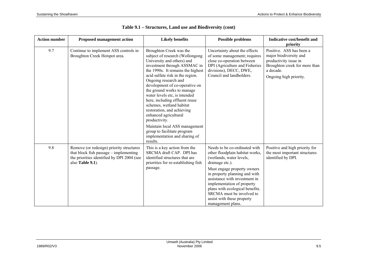| <b>Action number</b> | <b>Proposed management action</b>                                                                                                                    | <b>Likely benefits</b>                                                                                                                                                                                                                                                                                                                                                                                                                                                                                                                                                        | <b>Possible problems</b>                                                                                                                                                                                                                                                                                                                                          | Indicative cost/benefit and<br>priority                                                                                                             |
|----------------------|------------------------------------------------------------------------------------------------------------------------------------------------------|-------------------------------------------------------------------------------------------------------------------------------------------------------------------------------------------------------------------------------------------------------------------------------------------------------------------------------------------------------------------------------------------------------------------------------------------------------------------------------------------------------------------------------------------------------------------------------|-------------------------------------------------------------------------------------------------------------------------------------------------------------------------------------------------------------------------------------------------------------------------------------------------------------------------------------------------------------------|-----------------------------------------------------------------------------------------------------------------------------------------------------|
| 9.7                  | Continue to implement ASS controls in<br>Broughton Creek Hotspot area.                                                                               | Broughton Creek was the<br>subject of research (Wollongong<br>University and others) and<br>investment through ASSMAC in<br>the 1990s. It remains the highest<br>acid sulfate risk in the region.<br>Ongoing research and<br>development of co-operative on<br>the ground works to manage<br>water levels etc, is intended<br>here, including effluent reuse<br>schemes, wetland habitat<br>restoration, and achieving<br>enhanced agricultural<br>productivity.<br>Maintain local ASS management<br>group to facilitate program<br>implementation and sharing of<br>results. | Uncertainty about the effects<br>of some management; requires<br>close co-operation between<br>DPI (Agriculture and Fisheries<br>divisions), DECC, DWE,<br>Council and landholders.                                                                                                                                                                               | Positive. ASS has been a<br>major biodiversity and<br>productivity issue in<br>Broughton creek for more than<br>a decade.<br>Ongoing high priority. |
| 9.8                  | Remove (or redesign) priority structures<br>that block fish passage – implementing<br>the priorities identified by DPI 2004 (see<br>also Table 9.1). | This is a key action from the<br>SRCMA draft CAP. DPI has<br>identified structures that are<br>priorities for re-establishing fish<br>passage.                                                                                                                                                                                                                                                                                                                                                                                                                                | Needs to be co-ordinated with<br>other floodplain habitat works,<br>(wetlands, water levels,<br>drainage etc.).<br>Must engage property owners<br>in property planning and with<br>assistance with investment in<br>implementation of property<br>plans with ecological benefits.<br>SRCMA must be involved to<br>assist with these property<br>management plans. | Positive and high priority for<br>the most important structures<br>identified by DPI.                                                               |

|  |  |  |  | Table 9.1 – Structures, Land use and Biodiversity (cont) |  |
|--|--|--|--|----------------------------------------------------------|--|
|--|--|--|--|----------------------------------------------------------|--|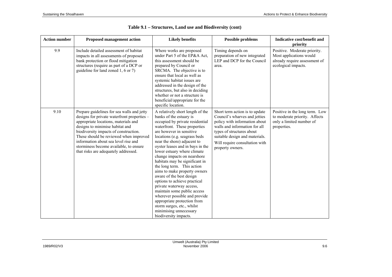| <b>Action number</b> | <b>Proposed management action</b>                                                                                                                                                                                                                                                                                                                                                 | <b>Likely benefits</b>                                                                                                                                                                                                                                                                                                                                                                                                                                                                                                                                                                                                                                                                                | <b>Possible problems</b>                                                                                                                                                                                                                               | Indicative cost/benefit and<br>priority                                                                         |
|----------------------|-----------------------------------------------------------------------------------------------------------------------------------------------------------------------------------------------------------------------------------------------------------------------------------------------------------------------------------------------------------------------------------|-------------------------------------------------------------------------------------------------------------------------------------------------------------------------------------------------------------------------------------------------------------------------------------------------------------------------------------------------------------------------------------------------------------------------------------------------------------------------------------------------------------------------------------------------------------------------------------------------------------------------------------------------------------------------------------------------------|--------------------------------------------------------------------------------------------------------------------------------------------------------------------------------------------------------------------------------------------------------|-----------------------------------------------------------------------------------------------------------------|
| 9.9                  | Include detailed assessment of habitat<br>impacts in all assessments of proposed<br>bank protection or flood mitigation<br>structures (require as part of a DCP or<br>guideline for land zoned 1, 6 or 7)                                                                                                                                                                         | Where works are proposed<br>under Part 5 of the EP&A Act,<br>this assessment should be<br>prepared by Council or<br>SRCMA. The objective is to<br>ensure that local as well as<br>systemic habitat issues are<br>addressed in the design of the<br>structures, but also in deciding<br>whether or not a structure is<br>beneficial/appropriate for the<br>specific location.                                                                                                                                                                                                                                                                                                                          | Timing depends on<br>preparation of new integrated<br>LEP and DCP for the Council<br>area.                                                                                                                                                             | Positive. Moderate priority.<br>Most applications would<br>already require assessment of<br>ecological impacts. |
| 9.10                 | Prepare guidelines for sea walls and jetty<br>designs for private waterfront properties -<br>appropriate locations, materials and<br>designs to minimise habitat and<br>biodiversity impacts of construction.<br>These should be reviewed when improved<br>information about sea level rise and<br>storminess become available, to ensure<br>that risks are adequately addressed. | A relatively short length of the<br>banks of the estuary is<br>occupied by private residential<br>waterfront. These properties<br>are however in sensitive<br>locations (e.g. seagrass beds)<br>near the shore) adjacent to<br>oyster leases and in bays in the<br>lower estuary where climate<br>change impacts on nearshore<br>habitats may be significant in<br>the long term. This action<br>aims to make property owners<br>aware of the best design<br>options to achieve practical<br>private waterway access,<br>maintain some public access<br>wherever possible and provide<br>appropriate protection from<br>storm surges, etc., whilst<br>minimising unnecessary<br>biodiversity impacts. | Short term action is to update<br>Council's wharves and jetties<br>policy with information about<br>walls and information for all<br>types of structures about<br>suitable design and materials.<br>Will require consultation with<br>property owners. | Positive in the long term. Low<br>to moderate priority. Affects<br>only a limited number of<br>properties.      |

| Table 9.1 – Structures, Land use and Biodiversity (cont) |  |  |
|----------------------------------------------------------|--|--|
|----------------------------------------------------------|--|--|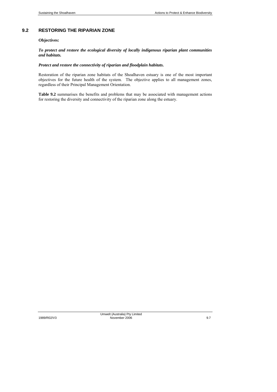## **9.2 RESTORING THE RIPARIAN ZONE**

#### **Objectives:**

#### *To protect and restore the ecological diversity of locally indigenous riparian plant communities and habitats.*

#### *Protect and restore the connectivity of riparian and floodplain habitats.*

Restoration of the riparian zone habitats of the Shoalhaven estuary is one of the most important objectives for the future health of the system. The objective applies to all management zones, regardless of their Principal Management Orientation.

**Table 9.2** summarises the benefits and problems that may be associated with management actions for restoring the diversity and connectivity of the riparian zone along the estuary.

Umwelt (Australia) Pty Limited 1989/R02/V3 November 2006 9.7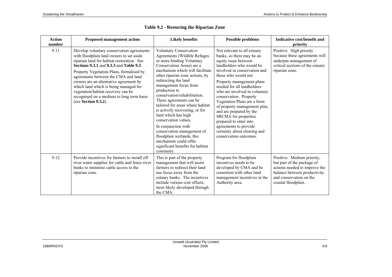| <b>Action</b><br>number | <b>Proposed management action</b>                                                                                                                                                                                                                                                                                                                                                                                                                                         | <b>Likely benefits</b>                                                                                                                                                                                                                                                                                                                                                                                                                                                                                                                                                                                         | <b>Possible problems</b>                                                                                                                                                                                                                                                                                                                                                                                                                                                                                                  | Indicative cost/benefit and<br>priority                                                                                                                                     |
|-------------------------|---------------------------------------------------------------------------------------------------------------------------------------------------------------------------------------------------------------------------------------------------------------------------------------------------------------------------------------------------------------------------------------------------------------------------------------------------------------------------|----------------------------------------------------------------------------------------------------------------------------------------------------------------------------------------------------------------------------------------------------------------------------------------------------------------------------------------------------------------------------------------------------------------------------------------------------------------------------------------------------------------------------------------------------------------------------------------------------------------|---------------------------------------------------------------------------------------------------------------------------------------------------------------------------------------------------------------------------------------------------------------------------------------------------------------------------------------------------------------------------------------------------------------------------------------------------------------------------------------------------------------------------|-----------------------------------------------------------------------------------------------------------------------------------------------------------------------------|
| 9.11                    | Develop voluntary conservation agreements<br>with floodplain land owners to set aside<br>riparian land for habitat restoration. See<br><b>Sections 9.3.1 and 9.3.3 and Table 9.3.</b><br>Property Vegetation Plans, formalised by<br>agreements between the CMA and land<br>owners are an alternative agreement by<br>which land which is being managed for<br>vegetation/habitat recovery can be<br>recognised on a medium to long term basis<br>(see Section $9.3.2$ ). | <b>Voluntary Conservation</b><br>Agreements (Wildlife Refuges<br>or more binding Voluntary<br>Conservation Areas) are a<br>mechanism which will facilitate<br>other riparian zone actions, by<br>redirecting the land<br>management focus from<br>production to<br>conservation/rehabilitation.<br>These agreements can be.<br>tailored for areas where habitat<br>is actively recovering, or for<br>land which has high<br>conservation values.<br>In conjunction with<br>conservation management of<br>floodplain wetlands, this<br>mechanism could offer<br>significant benefits for habitat<br>continuity. | Not relevant to all estuary<br>banks, so there may be an<br>equity issue between<br>landholders who would be<br>involved in conservation and<br>those who would not.<br>Property management plans<br>needed for all landholders<br>who are involved in voluntary<br>conservation. Property<br>Vegetation Plans are a form<br>of property management plan,<br>and are prepared by the<br>SRCMA for properties<br>prepared to enter into<br>agreements to provide<br>certainty about clearing and<br>conservation outcomes. | Positive. High priority<br>because these agreements will<br>underpin management of<br>critical sections of the estuary<br>riparian zone.                                    |
| 9.12                    | Provide incentives for farmers to install off<br>river water supplies for cattle and fence river<br>banks to minimise cattle access to the<br>riparian zone.                                                                                                                                                                                                                                                                                                              | This is part of the property<br>management that will assist<br>farmers to redirect their land<br>use focus away from the<br>estuary banks. The incentives<br>include various cost offsets,<br>most likely developed through<br>the CMA.                                                                                                                                                                                                                                                                                                                                                                        | Program for floodplain<br>incentives needs to be.<br>developed by CMA and be<br>consistent with other land<br>management incentives in the<br>Authority area.                                                                                                                                                                                                                                                                                                                                                             | Positive. Medium priority,<br>but part of the package of<br>actions needed to improve the<br>balance between productivity<br>and conservation on the<br>coastal floodplain. |

|  | Table 9.2 - Restoring the Riparian Zone |  |  |  |
|--|-----------------------------------------|--|--|--|
|--|-----------------------------------------|--|--|--|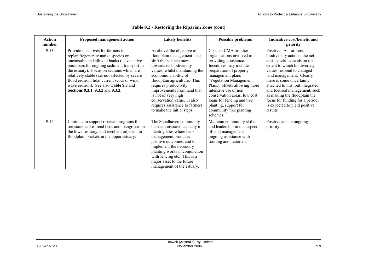| <b>Action</b><br>number | <b>Proposed management action</b>                                                                                                                                                                                                                                                                                                                                                                  | <b>Likely benefits</b>                                                                                                                                                                                                                                                                                                                                                                   | <b>Possible problems</b>                                                                                                                                                                                                                                                                                                                                              | Indicative cost/benefit and<br>priority                                                                                                                                                                                                                                                                                                                                                         |
|-------------------------|----------------------------------------------------------------------------------------------------------------------------------------------------------------------------------------------------------------------------------------------------------------------------------------------------------------------------------------------------------------------------------------------------|------------------------------------------------------------------------------------------------------------------------------------------------------------------------------------------------------------------------------------------------------------------------------------------------------------------------------------------------------------------------------------------|-----------------------------------------------------------------------------------------------------------------------------------------------------------------------------------------------------------------------------------------------------------------------------------------------------------------------------------------------------------------------|-------------------------------------------------------------------------------------------------------------------------------------------------------------------------------------------------------------------------------------------------------------------------------------------------------------------------------------------------------------------------------------------------|
| 9.13                    | Provide incentives for farmers to<br>replant/regenerate native species on<br>unconsolidated alluvial banks (leave active<br>point bars for ongoing sediment transport in<br>the estuary). Focus on sections which are<br>relatively stable (i.e. not affected by severe<br>flood erosion, tidal current scour or wind<br>wave erosion). See also Table 9.3 and<br>Sections 9.3.1, 9.3.2 and 9.3.3. | As above, the objective of<br>floodplain management is to<br>shift the balance more<br>towards its biodiversity<br>values, whilst maintaining the<br>economic viability of<br>floodplain agriculture. This<br>requires productivity<br>improvements from land that<br>is not of very high<br>conservation value. It also<br>requires assistance to farmers<br>to make the initial steps. | Costs to CMA or other<br>organisations involved in<br>providing assistance.<br>Incentives may include<br>preparation of property<br>management plans<br>(Vegetation Management<br>Plans), offsets allowing more<br>intensive use of non<br>conservation areas, low cost<br>loans for fencing and tree<br>planting, support for<br>community tree planting<br>schemes. | Positive. As for most<br>biodiversity actions, the net<br>cost benefit depends on the<br>extent to which biodiversity<br>values respond to changed<br>land management. Clearly<br>there is some uncertainty<br>attached to this, but integrated<br>and focused management, such<br>as making the floodplain the<br>focus for funding for a period,<br>is expected to yield positive<br>results. |
| 9.14                    | Continue to support riparian programs for<br>reinstatement of reed beds and mangroves in<br>the lower estuary, and reedbeds adjacent to<br>floodplain pockets in the upper estuary.                                                                                                                                                                                                                | The Shoalhaven community<br>has demonstrated capacity to<br>identify sites where bank<br>management produces<br>positive outcomes, and to<br>implement the necessary<br>planting works in conjunction<br>with fencing etc. This is a<br>major asset to the future<br>management of the estuary.                                                                                          | Maintain community skills<br>and leadership in this aspect<br>of land management -<br>ongoing assistance with<br>training and materials.                                                                                                                                                                                                                              | Positive and an ongoing<br>priority.                                                                                                                                                                                                                                                                                                                                                            |

| Table 9.2 - Restoring the Riparian Zone (cont) |  |  |  |  |
|------------------------------------------------|--|--|--|--|
|------------------------------------------------|--|--|--|--|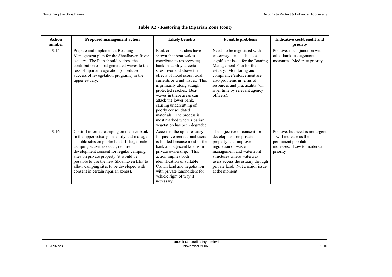| <b>Action</b><br>number | <b>Proposed management action</b>                                                                                                                                                                                                                                                                                                                                                                  | <b>Likely benefits</b>                                                                                                                                                                                                                                                                                                                                                                                                                                                      | <b>Possible problems</b>                                                                                                                                                                                                                                                                        | Indicative cost/benefit and<br>priority                                                                                        |
|-------------------------|----------------------------------------------------------------------------------------------------------------------------------------------------------------------------------------------------------------------------------------------------------------------------------------------------------------------------------------------------------------------------------------------------|-----------------------------------------------------------------------------------------------------------------------------------------------------------------------------------------------------------------------------------------------------------------------------------------------------------------------------------------------------------------------------------------------------------------------------------------------------------------------------|-------------------------------------------------------------------------------------------------------------------------------------------------------------------------------------------------------------------------------------------------------------------------------------------------|--------------------------------------------------------------------------------------------------------------------------------|
| 9.15                    | Prepare and implement a Boasting<br>Management plan for the Shoalhaven River<br>estuary. The Plan should address the<br>contribution of boat generated waves to the<br>loss of riparian vegetation (or reduced<br>success of revegetation programs) in the<br>upper estuary.                                                                                                                       | Bank erosion studies have<br>shown that boat wakes<br>contribute to (exacerbate)<br>bank instability at certain<br>sites, over and above the<br>effects of flood scour, tidal<br>currents or wind waves. This<br>is primarily along straight<br>protected reaches. Boat<br>waves in these areas can<br>attack the lower bank.<br>causing undercutting of<br>poorly consolidated<br>materials. The process is<br>most marked where riparian<br>vegetation has been degraded. | Needs to be negotiated with<br>waterway users. This is a<br>significant issue for the Boating<br>Management Plan for the<br>estuary. Monitoring and<br>compliance/enforcement are<br>also problems in terms of<br>resources and practicality (on<br>river time by relevant agency<br>officers). | Positive, in conjunction with<br>other bank management<br>measures. Moderate priority.                                         |
| 9.16                    | Control informal camping on the riverbank<br>in the upper estuary – identify and manage<br>suitable sites on public land. If large scale<br>camping activities occur, require<br>development consent for regular camping<br>sites on private property (it would be<br>possible to use the new Shoalhaven LEP to<br>allow camping sites to be developed with<br>consent in certain riparian zones). | Access to the upper estuary<br>for passive recreational users<br>is limited because most of the<br>bank and adjacent land is in<br>private ownership. This<br>action implies both<br>identification of suitable<br>Crown land and negotiation<br>with private landholders for<br>vehicle right of way if<br>necessary.                                                                                                                                                      | The objective of consent for<br>development on private<br>property is to improve<br>regulation of waste<br>management and waterfront<br>structures where waterway<br>users access the estuary through<br>private land. Not a major issue<br>at the moment.                                      | Positive, but need is not urgent<br>$-$ will increase as the<br>permanent population<br>increases. Low to moderate<br>priority |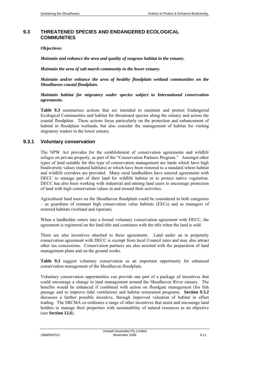### **9.3 THREATENED SPECIES AND ENDANGERED ECOLOGICAL COMMUNITIES**

#### **Objectives:**

*Maintain and enhance the area and quality of seagrass habitat in the estuary.* 

*Maintain the area of salt marsh community in the lower estuary.* 

*Maintain and/or enhance the area of healthy floodplain wetland communities on the Shoalhaven coastal floodplain.* 

*Maintain habitat for migratory wader species subject to International conservation agreements.* 

**Table 9.3** summarises actions that are intended to maintain and protect Endangered Ecological Communities and habitat for threatened species along the estuary and across the coastal floodplain. These actions focus particularly on the protection and enhancement of habitat in floodplain wetlands, but also consider the management of habitat for visiting migratory waders in the lower estuary.

### **9.3.1 Voluntary conservation**

The NPW Act provides for the establishment of conservation agreements and wildlife refuges on private property, as part of the "Conservation Partners Program." Amongst other types of land suitable for this type of conservation management are lands which have high biodiversity values (natural habitats) or which have been restored to a standard where habitat and wildlife corridors are provided. Many rural landholders have entered agreements with DECC to manage part of their land for wildlife habitat or to protect native vegetation. DECC has also been working with industrial and mining land users to encourage protection of land with high conservation values in and around their activities.

Agricultural land users on the Shoalhaven floodplain could be considered in both categories – as guardians of remnant high conservation value habitats (EECs) and as managers of restored habitats (wetland and riparian).

When a landholder enters into a formal voluntary conservation agreement with DECC, the agreement is registered on the land title and continues with the title when the land is sold.

There are also incentives attached to these agreements. Land under an in perpetuity conservation agreement with DECC is exempt from local Council rates and may also attract other tax concessions. Conservation partners are also assisted with the preparation of land management plans and on the ground works.

**Table 9.3** suggest voluntary conservation as an important opportunity for enhanced conservation management of the Shoalhaven floodplain.

Voluntary conservation opportunities can provide one part of a package of incentives that could encourage a change in land management around the Shoalhaven River estuary. The benefits would be enhanced if combined with action on floodgate management (for fish passage and to improve tidal ventilation) and habitat restoration programs. **Section 9.3.2** discusses a further possible incentive, through improved valuation of habitat in offset trading. The SRCMA co-ordinates a range of other incentives that assist and encourage land holders to manage their properties with sustainability of natural resources as an objective (see **Section 12.6**).

Umwelt (Australia) Pty Limited 1989/R02/V3 November 2006 9.11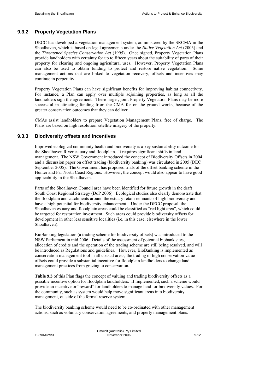#### **9.3.2 Property Vegetation Plans**

DECC has developed a vegetation management system, administered by the SRCMA in the Shoalhaven, which is based on legal agreements under the *Native Vegetation Act* (2003) and the *Threatened Species Conservation Act* (1995). Once signed, Property Vegetation Plans provide landholders with certainty for up to fifteen years about the suitability of parts of their property for clearing and ongoing agricultural uses. However, Property Vegetation Plans can also be used to obtain funding to protect and restore native vegetation. Some management actions that are linked to vegetation recovery, offsets and incentives may continue in perpetuity.

Property Vegetation Plans can have significant benefits for improving habitat connectivity. For instance, a Plan can apply over multiple adjoining properties, as long as all the landholders sign the agreement. These larger, joint Property Vegetation Plans may be more successful in attracting funding from the CMA for on the ground works, because of the greater conservation outcomes that they can deliver.

CMAs assist landholders to prepare Vegetation Management Plans, free of charge. The Plans are based on high resolution satellite imagery of the property.

### **9.3.3 Biodiversity offsets and incentives**

Improved ecological community health and biodiversity is a key sustainability outcome for the Shoalhaven River estuary and floodplain. It requires significant shifts in land management. The NSW Government introduced the concept of Biodiversity Offsets in 2004 and a discussion paper on offset trading (biodiversity banking) was circulated in 2005 (DEC September 2005). The Government has proposed trials of the offset banking scheme in the Hunter and Far North Coast Regions. However, the concept would also appear to have good applicability in the Shoalhaven.

Parts of the Shoalhaven Council area have been identified for future growth in the draft South Coast Regional Strategy (DoP 2006). Ecological studies also clearly demonstrate that the floodplain and catchments around the estuary retain remnants of high biodiversity and have a high potential for biodiversity enhancement. Under the DECC proposal, the Shoalhaven estuary and floodplain areas could be classified as "red light area", which could be targeted for restoration investment. Such areas could provide biodiversity offsets for development in other less sensitive localities (i.e. in this case, elsewhere in the lower Shoalhaven).

BioBanking legislation (a trading scheme for biodiversity offsets) was introduced to the NSW Parliament in mid 2006. Details of the assessment of potential biobank sites, allocation of credits and the operation of the trading scheme are still being resolved, and will be introduced as Regulations and guidelines. However, BioBanking is implemented as conservation management tool in all coastal areas, the trading of high conservation value offsets could provide a substantial incentive for floodplain landholders to change land management practices from grazing to conservation.

**Table 9.3** of this Plan flags the concept of valuing and trading biodiversity offsets as a possible incentive option for floodplain landholders. If implemented, such a scheme would provide an incentive or "reward" for landholders to manage land for biodiversity values. For the community, such as system would help move significant areas into biodiversity management, outside of the formal reserve system.

The biodiversity banking scheme would need to be co-ordinated with other management actions, such as voluntary conservation agreements, and property management plans.

Umwelt (Australia) Pty Limited 1989/R02/V3 November 2006 9.12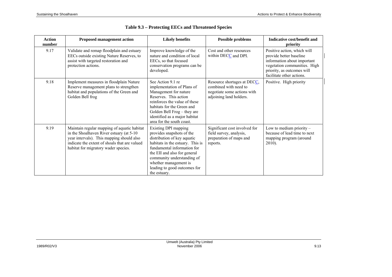| <b>Action</b><br>number | <b>Proposed management action</b>                                                                                                                                                                                             | <b>Likely benefits</b>                                                                                                                                                                                                                                                                     | <b>Possible problems</b>                                                                                       | Indicative cost/benefit and<br>priority                                                                                                                                          |
|-------------------------|-------------------------------------------------------------------------------------------------------------------------------------------------------------------------------------------------------------------------------|--------------------------------------------------------------------------------------------------------------------------------------------------------------------------------------------------------------------------------------------------------------------------------------------|----------------------------------------------------------------------------------------------------------------|----------------------------------------------------------------------------------------------------------------------------------------------------------------------------------|
| 9.17                    | Validate and remap floodplain and estuary<br>EECs outside existing Nature Reserves, to<br>assist with targeted restoration and<br>protection actions.                                                                         | Improve knowledge of the<br>nature and condition of local<br>EECs, so that focused<br>conservation programs can be<br>developed.                                                                                                                                                           | Cost and other resources<br>within DECC and DPI.                                                               | Positive action, which will<br>provide better baseline<br>information about important<br>vegetation communities. High<br>priority, as outcomes will<br>facilitate other actions. |
| 9.18                    | Implement measures in floodplain Nature<br>Reserve management plans to strengthen<br>habitat and populations of the Green and<br>Golden Bell frog                                                                             | See Action 9.1 re<br>implementation of Plans of<br>Management for nature<br>Reserves. This action<br>reinforces the value of these<br>habitats for the Green and<br>Golden Bell Frog - they are<br>identified as a major habitat<br>area for the south coast.                              | Resource shortages at DECC,<br>combined with need to<br>negotiate some actions with<br>adjoining land holders. | Positive. High priority                                                                                                                                                          |
| 9.19                    | Maintain regular mapping of aquatic habitat<br>in the Shoalhaven River estuary (at 5-10<br>year intervals). This mapping should also<br>indicate the extent of shoals that are valued<br>habitat for migratory wader species. | Existing DPI mapping<br>provides snapshots of the<br>distribution of key aquatic<br>habitats in the estuary. This is<br>fundamental information for<br>the EII and also for general<br>community understanding of<br>whether management is<br>leading to good outcomes for<br>the estuary. | Significant cost involved for<br>field survey, analysis,<br>preparation of maps and<br>reports.                | Low to medium priority $-$<br>because of lead time to next<br>mapping program (around<br>2010).                                                                                  |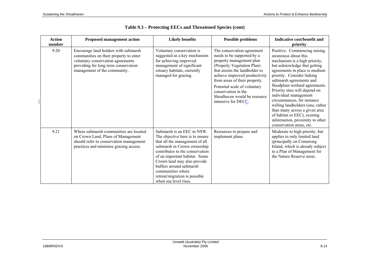| <b>Action</b><br>number | <b>Proposed management action</b>                                                                                                                                                            | <b>Likely benefits</b>                                                                                                                                                                                                                                                                                                                         | <b>Possible problems</b>                                                                                                                                                                                                                                                                                                             | Indicative cost/benefit and<br>priority                                                                                                                                                                                                                                                                                                                                                                                                                                                                         |
|-------------------------|----------------------------------------------------------------------------------------------------------------------------------------------------------------------------------------------|------------------------------------------------------------------------------------------------------------------------------------------------------------------------------------------------------------------------------------------------------------------------------------------------------------------------------------------------|--------------------------------------------------------------------------------------------------------------------------------------------------------------------------------------------------------------------------------------------------------------------------------------------------------------------------------------|-----------------------------------------------------------------------------------------------------------------------------------------------------------------------------------------------------------------------------------------------------------------------------------------------------------------------------------------------------------------------------------------------------------------------------------------------------------------------------------------------------------------|
| 9.20                    | Encourage land holders with saltmarsh<br>communities on their property to enter<br>voluntary conservation agreements<br>providing for long term conservation<br>management of the community. | Voluntary conservation is<br>suggested as a key mechanism<br>for achieving improved<br>management of significant<br>estuary habitats, currently<br>managed for grazing.                                                                                                                                                                        | The conservation agreement<br>needs to be supported by a<br>property management plan<br>(Property Vegetation Plan)<br>that assists the landholder to<br>achieve improved productivity<br>from areas of their property.<br>Potential scale of voluntary<br>conservation in the<br>Shoalhaven would be resource<br>intensive for DECC. | Positive. Commencing raising<br>awareness about this<br>mechanism is a high priority,<br>but acknowledge that getting<br>agreements in place is medium<br>priority. Consider linking<br>saltmarsh agreements and<br>floodplain wetland agreements.<br>Priority sites will depend on<br>individual management<br>circumstances, for instance<br>willing landholders (one, rather<br>than many across a given area<br>of habitat or EEC), existing<br>information, proximity to other<br>conservation areas, etc. |
| 9.21                    | Where saltmarsh communities are located<br>on Crown Land, Plans of Management<br>should refer to conservation management<br>practices and minimise grazing access.                           | Saltmarsh is an EEC in NSW.<br>The objective here is to ensure<br>that all the management of all<br>saltmarsh in Crown ownership<br>contributes to the conservation<br>of an important habitat. Some<br>Crown land may also provide<br>buffers around saltmarsh<br>communities where<br>retreat/migration is possible<br>when sea level rises. | Resources to prepare and<br>implement plans.                                                                                                                                                                                                                                                                                         | Moderate to high priority, but<br>applies to only limited land<br>(principally on Comerong<br>Island, which is already subject<br>to a Plan of Management for<br>the Nature Reserve area).                                                                                                                                                                                                                                                                                                                      |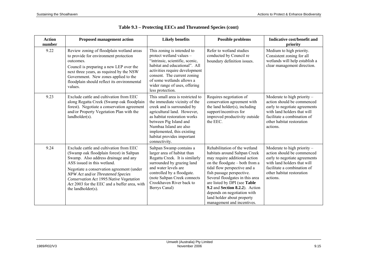| <b>Action</b><br>number | <b>Proposed management action</b>                                                                                                                                                                                                                                                                                                                             | <b>Likely benefits</b>                                                                                                                                                                                                                                                                          | <b>Possible problems</b>                                                                                                                                                                                                                                                                                                                                                                       | Indicative cost/benefit and<br>priority                                                                                                                                                             |
|-------------------------|---------------------------------------------------------------------------------------------------------------------------------------------------------------------------------------------------------------------------------------------------------------------------------------------------------------------------------------------------------------|-------------------------------------------------------------------------------------------------------------------------------------------------------------------------------------------------------------------------------------------------------------------------------------------------|------------------------------------------------------------------------------------------------------------------------------------------------------------------------------------------------------------------------------------------------------------------------------------------------------------------------------------------------------------------------------------------------|-----------------------------------------------------------------------------------------------------------------------------------------------------------------------------------------------------|
| 9.22                    | Review zoning of floodplain wetland areas<br>to provide for environment protection<br>outcomes.<br>Council is preparing a new LEP over the<br>next three years, as required by the NSW<br>Government. New zones applied to the<br>floodplain should reflect its environmental<br>values.                                                                      | This zoning is intended to<br>protect wetland values -<br>'intrinsic, scientific, scenic,<br>habitat and educational". All<br>activities require development<br>consent. The current zoning<br>of some wetlands allows a<br>wider range of uses, offering<br>less protection.                   | Refer to wetland studies<br>conducted by Council re<br>boundary definition issues.                                                                                                                                                                                                                                                                                                             | Medium to high priority.<br>Consistent zoning for all<br>wetlands will help establish a<br>clear management direction.                                                                              |
| 9.23                    | Exclude cattle and cultivation from EEC<br>along Regatta Creek (Swamp oak floodplain<br>forest). Negotiate a conservation agreement<br>and/or Property Vegetation Plan with the<br>landholder(s).                                                                                                                                                             | This small area is restricted to<br>the immediate vicinity of the<br>creek and is surrounded by<br>agricultural land. However,<br>as habitat restoration works<br>between Pig Island and<br>Numbaa Island are also<br>implemented, this existing<br>habitat provides important<br>connectivity. | Requires negotiation of<br>conservation agreement with<br>the land holder(s), including<br>support/incentives for<br>improved productivity outside<br>the EEC.                                                                                                                                                                                                                                 | Moderate to high priority $-$<br>action should be commenced<br>early to negotiate agreements<br>with land holders that will<br>facilitate a combination of<br>other habitat restoration<br>actions. |
| 9.24                    | Exclude cattle and cultivation from EEC<br>(Swamp oak floodplain forest) in Saltpan<br>Swamp. Also address drainage and any<br>ASS issued in this wetland.<br>Negotiate a conservation agreement (under<br>NPW Act and/or Threatened Species<br>Conservation Act 1995/Native Vegetation<br>Act 2003 for the EEC and a buffer area, with<br>the landholder(s). | Saltpan Swamp contains a<br>larger area of habitat than<br>Regatta Creek. It is similarly<br>surrounded by grazing land<br>and water levels are<br>controlled by a floodgate.<br>(note Saltpan Creek connects<br>Crookhaven River back to<br>Berrys Canal)                                      | Rehabilitation of the wetland<br>habitats around Saltpan Creek<br>may require additional action<br>on the floodgate – both from a<br>tidal flow perspective and a<br>fish passage perspective.<br>Several floodgates in this area<br>are listed by DPI (see Table<br>9.2 and Section 8.2.2). Action<br>depends on negotiation with<br>land holder about property<br>management and incentives. | Moderate to high priority $-$<br>action should be commenced<br>early to negotiate agreements<br>with land holders that will<br>facilitate a combination of<br>other habitat restoration<br>actions. |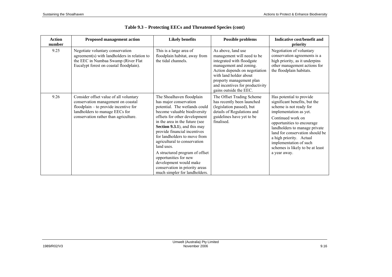| <b>Action</b><br>number | <b>Proposed management action</b>                                                                                                                                                                   | <b>Likely benefits</b>                                                                                                                                                                                                                                                                                                                                                                                                                                                                        | <b>Possible problems</b>                                                                                                                                                                                                                                    | Indicative cost/benefit and<br>priority                                                                                                                                                                                                                                                                                                        |
|-------------------------|-----------------------------------------------------------------------------------------------------------------------------------------------------------------------------------------------------|-----------------------------------------------------------------------------------------------------------------------------------------------------------------------------------------------------------------------------------------------------------------------------------------------------------------------------------------------------------------------------------------------------------------------------------------------------------------------------------------------|-------------------------------------------------------------------------------------------------------------------------------------------------------------------------------------------------------------------------------------------------------------|------------------------------------------------------------------------------------------------------------------------------------------------------------------------------------------------------------------------------------------------------------------------------------------------------------------------------------------------|
| 9.25                    | Negotiate voluntary conservation<br>agreement(s) with landholders in relation to<br>the EEC in Numbaa Swamp (River Flat<br>Eucalypt forest on coastal floodplain).                                  | This is a large area of<br>floodplain habitat, away from<br>the tidal channels.                                                                                                                                                                                                                                                                                                                                                                                                               | As above, land use<br>management will need to be<br>integrated with floodgate<br>management and zoning.<br>Action depends on negotiation<br>with land holder about<br>property management plan<br>and incentives for productivity<br>gains outside the EEC. | Negotiation of voluntary<br>conservation agreements is a<br>high priority, as it underpins<br>other management actions for<br>the floodplain habitats.                                                                                                                                                                                         |
| 9.26                    | Consider offset value of all voluntary<br>conservation management on coastal<br>$f$ loodplain – to provide incentive for<br>landholders to manage EECs for<br>conservation rather than agriculture. | The Shoalhaven floodplain<br>has major conservation<br>potential. The wetlands could<br>become valuable biodiversity<br>offsets for other development<br>in the area in the future (see<br>Section 9.3.1), and this may<br>provide financial incentives<br>for landholders to move from<br>agricultural to conservation<br>land uses.<br>A structured program of offset<br>opportunities for new<br>development would make<br>conservation in priority areas<br>much simpler for landholders. | The Offset Trading Scheme<br>has recently been launched<br>(legislation passed), but<br>details of Regulations and<br>guidelines have yet to be<br>finalised.                                                                                               | Has potential to provide<br>significant benefits, but the<br>scheme is not ready for<br>implementation as yet.<br>Continued work on<br>opportunities to encourage<br>landholders to manage private<br>land for conservation should be<br>a high priority. Actual<br>implementation of such<br>schemes is likely to be at least<br>a year away. |

|  |  |  | Table 9.3 – Protecting EECs and Threatened Species (cont) |  |  |
|--|--|--|-----------------------------------------------------------|--|--|
|--|--|--|-----------------------------------------------------------|--|--|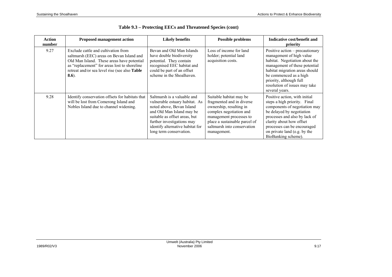| <b>Action</b><br>number | <b>Proposed management action</b>                                                                                                                                                                                                           | <b>Likely benefits</b>                                                                                                                                                                                                                                | <b>Possible problems</b>                                                                                                                                                                                             | Indicative cost/benefit and<br>priority                                                                                                                                                                                                                                        |
|-------------------------|---------------------------------------------------------------------------------------------------------------------------------------------------------------------------------------------------------------------------------------------|-------------------------------------------------------------------------------------------------------------------------------------------------------------------------------------------------------------------------------------------------------|----------------------------------------------------------------------------------------------------------------------------------------------------------------------------------------------------------------------|--------------------------------------------------------------------------------------------------------------------------------------------------------------------------------------------------------------------------------------------------------------------------------|
| 9.27                    | Exclude cattle and cultivation from<br>saltmarsh (EEC) areas on Bevan Island and<br>Old Man Island. These areas have potential<br>as "replacement" for areas lost to shoreline<br>retreat and/or sea level rise (see also Table<br>$8.6$ ). | Bevan and Old Man Islands<br>have double biodiversity<br>potential. They contain<br>recognised EEC habitat and<br>could be part of an offset<br>scheme in the Shoalhaven.                                                                             | Loss of income for land<br>holder; potential land<br>acquisition costs.                                                                                                                                              | Positive action – precautionary<br>management of high value<br>habitat. Negotiation about the<br>management of these potential<br>habitat migration areas should<br>be commenced as a high<br>priority, although full<br>resolution of issues may take<br>several years.       |
| 9.28                    | Identify conservation offsets for habitats that<br>will be lost from Comerong Island and<br>Nobles Island due to channel widening.                                                                                                          | Saltmarsh is a valuable and<br>vulnerable estuary habitat. As<br>noted above, Bevan Island<br>and Old Man Island may be<br>suitable as offset areas, but<br>further investigations may<br>identify alternative habitat for<br>long term conservation. | Suitable habitat may be<br>fragmented and in diverse<br>ownership, resulting in<br>complex negotiation and<br>management processes to<br>place a sustainable parcel of<br>saltmarsh into conservation<br>management. | Positive action, with initial<br>steps a high priority. Final<br>components of negotiation may<br>be delayed by negotiation<br>processes and also by lack of<br>clarity about how offset<br>processes can be encouraged<br>on private land (e.g. by the<br>BioBanking scheme). |

| Table 9.3 – Protecting EECs and Threatened Species (cont) |  |  |  |
|-----------------------------------------------------------|--|--|--|
|-----------------------------------------------------------|--|--|--|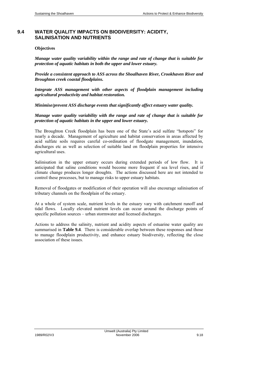## **9.4 WATER QUALITY IMPACTS ON BIODIVERSITY: ACIDITY, SALINISATION AND NUTRIENTS**

#### **Objectives**

*Manage water quality variability within the range and rate of change that is suitable for protection of aquatic habitats in both the upper and lower estuary.* 

*Provide a consistent approach to ASS across the Shoalhaven River, Crookhaven River and Broughton creek coastal floodplains.* 

*Integrate ASS management with other aspects of floodplain management including agricultural productivity and habitat restoration.* 

*Minimise/prevent ASS discharge events that significantly affect estuary water quality.* 

*Manage water quality variability with the range and rate of change that is suitable for protection of aquatic habitats in the upper and lower estuary.* 

The Broughton Creek floodplain has been one of the State's acid sulfate "hotspots" for nearly a decade. Management of agriculture and habitat conservation in areas affected by acid sulfate soils requires careful co-ordination of floodgate management, inundation, discharges etc as well as selection of suitable land on floodplain properties for intensive agricultural uses.

Salinisation in the upper estuary occurs during extended periods of low flow. It is anticipated that saline conditions would become more frequent if sea level rises, and if climate change produces longer droughts. The actions discussed here are not intended to control these processes, but to manage risks to upper estuary habitats.

Removal of floodgates or modification of their operation will also encourage salinisation of tributary channels on the floodplain of the estuary.

At a whole of system scale, nutrient levels in the estuary vary with catchment runoff and tidal flows. Locally elevated nutrient levels can occur around the discharge points of specific pollution sources – urban stormwater and licensed discharges.

Actions to address the salinity, nutrient and acidity aspects of estuarine water quality are summarised in **Table 9.4**. There is considerable overlap between these responses and those to manage floodplain productivity, and enhance estuary biodiversity, reflecting the close association of these issues.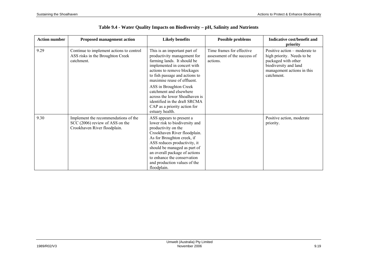| <b>Action number</b> | <b>Proposed management action</b>                                                                       | <b>Likely benefits</b>                                                                                                                                                                                                                                                                                                         | <b>Possible problems</b>                                              | Indicative cost/benefit and<br>priority                                                                                                                 |
|----------------------|---------------------------------------------------------------------------------------------------------|--------------------------------------------------------------------------------------------------------------------------------------------------------------------------------------------------------------------------------------------------------------------------------------------------------------------------------|-----------------------------------------------------------------------|---------------------------------------------------------------------------------------------------------------------------------------------------------|
| 9.29                 | Continue to implement actions to control<br>ASS risks in the Broughton Creek<br>catchment.              | This is an important part of<br>productivity management for<br>farming lands. It should be<br>implemented in concert with<br>actions to remove blockages<br>to fish passage and actions to<br>maximise reuse of effluent.                                                                                                      | Time frames for effective<br>assessment of the success of<br>actions. | Positive action – moderate to<br>high priority. Needs to be<br>packaged with other<br>biodiversity and land<br>management actions in this<br>catchment. |
|                      |                                                                                                         | ASS in Broughton Creek<br>catchment and elsewhere<br>across the lower Shoalhaven is<br>identified in the draft SRCMA<br>CAP as a priority action for<br>estuary health.                                                                                                                                                        |                                                                       |                                                                                                                                                         |
| 9.30                 | Implement the recommendations of the<br>SCC (2006) review of ASS on the<br>Crookhaven River floodplain. | ASS appears to present a<br>lower risk to biodiversity and<br>productivity on the<br>Crookhaven River floodplain.<br>As for Broughton creek, if<br>ASS reduces productivity, it<br>should be managed as part of<br>an overall package of actions<br>to enhance the conservation<br>and production values of the<br>floodplain. |                                                                       | Positive action, moderate<br>priority.                                                                                                                  |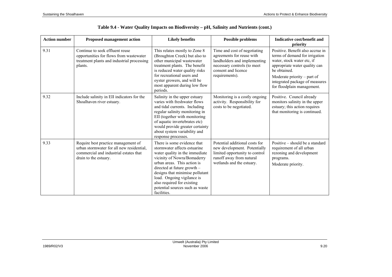| <b>Action number</b> | <b>Proposed management action</b>                                                                                                                   | <b>Likely benefits</b>                                                                                                                                                                                                                                                                                                                        | <b>Possible problems</b>                                                                                                                                          | Indicative cost/benefit and<br>priority                                                                                                                                                                                                            |
|----------------------|-----------------------------------------------------------------------------------------------------------------------------------------------------|-----------------------------------------------------------------------------------------------------------------------------------------------------------------------------------------------------------------------------------------------------------------------------------------------------------------------------------------------|-------------------------------------------------------------------------------------------------------------------------------------------------------------------|----------------------------------------------------------------------------------------------------------------------------------------------------------------------------------------------------------------------------------------------------|
| 9.31                 | Continue to seek effluent reuse<br>opportunities for flows from wastewater<br>treatment plants and industrial processing<br>plants.                 | This relates mostly to Zone 8<br>(Broughton Creek) but also to<br>other municipal wastewater<br>treatment plants. The benefit<br>is reduced water quality risks<br>for recreational users and<br>oyster growers, and will be<br>most apparent during low flow<br>periods.                                                                     | Time and cost of negotiating<br>agreements for reuse with<br>landholders and implementing<br>necessary controls (to meet<br>consent and licence<br>requirements). | Positive. Benefit also accrue in<br>terms of demand for irrigation<br>water, stock water etc, if<br>appropriate water quality can<br>be obtained.<br>Moderate priority $-$ part of<br>integrated package of measures<br>for floodplain management. |
| 9.32                 | Include salinity in EII indicators for the<br>Shoalhaven river estuary.                                                                             | Salinity in the upper estuary<br>varies with freshwater flows<br>and tidal currents. Including<br>regular salinity monitoring in<br>EII (together with monitoring<br>of aquatic invertebrates etc)<br>would provide greater certainty<br>about system variability and<br>response processes.                                                  | Monitoring is a costly ongoing<br>activity. Responsibility for<br>costs to be negotiated.                                                                         | Positive. Council already<br>monitors salinity in the upper<br>estuary; this action requires<br>that monitoring is continued.                                                                                                                      |
| 9.33                 | Require best practice management of<br>urban stormwater for all new residential,<br>commercial and industrial estates that<br>drain to the estuary. | There is some evidence that<br>stormwater affects estuarine<br>water quality in the immediate<br>vicinity of Nowra/Bomaderry<br>urban areas. This action is<br>directed at future growth $-$<br>designs that minimise pollutant<br>load. Ongoing vigilance is<br>also required for existing<br>potential sources such as waste<br>facilities. | Potential additional costs for<br>new development. Potentially<br>limited opportunity to control<br>runoff away from natural<br>wetlands and the estuary.         | Positive – should be a standard<br>requirement of all urban<br>rezoning and development<br>programs.<br>Moderate priority.                                                                                                                         |

## **Table 9.4 - Water Quality Impacts on Biodiversity – pH, Salinity and Nutrients (cont.)**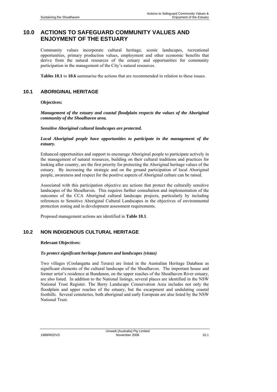# **10.0 ACTIONS TO SAFEGUARD COMMUNITY VALUES AND ENJOYMENT OF THE ESTUARY**

Community values incorporate cultural heritage, scenic landscapes, recreational opportunities, primary production values, employment and other economic benefits that derive from the natural resources of the estuary and opportunities for community participation in the management of the City's natural resources.

**Tables 10.1** to **10.6** summarise the actions that are recommended in relation to these issues.

### **10.1 ABORIGINAL HERITAGE**

#### **Objectives:**

*Management of the estuary and coastal floodplain respects the values of the Aboriginal community of the Shoalhaven area.* 

#### *Sensitive Aboriginal cultural landscapes are protected.*

#### *Local Aboriginal people have opportunities to participate in the management of the estuary.*

Enhanced opportunities and support to encourage Aboriginal people to participate actively in the management of natural resources, building on their cultural traditions and practices for looking after country, are the first priority for protecting the Aboriginal heritage values of the estuary. By increasing the strategic and on the ground participation of local Aboriginal people, awareness and respect for the positive aspects of Aboriginal culture can be raised.

Associated with this participation objective are actions that protect the culturally sensitive landscapes of the Shoalhaven. This requires further consultation and implementation of the outcomes of the CCA Aboriginal cultural landscape projects, particularly by including references to Sensitive Aboriginal Cultural Landscapes in the objectives of environmental protection zoning and in development assessment requirements.

Proposed management actions are identified in **Table 10.1**.

## **10.2 NON INDIGENOUS CULTURAL HERITAGE**

#### **Relevant Objectives:**

#### *To protect significant heritage features and landscapes (vistas)*

Two villages (Coolangatta and Terara) are listed in the Australian Heritage Database as significant elements of the cultural landscape of the Shoalhaven. The important house and former artist's residence at Bundanon, on the upper reaches of the Shoalhaven River estuary, are also listed. In addition to the National listings, several places are identified in the NSW National Trust Register. The Berry Landscape Conservation Area includes not only the floodplain and upper reaches of the estuary, but the escarpment and undulating coastal foothills. Several cemeteries, both aboriginal and early European are also listed by the NSW National Trust.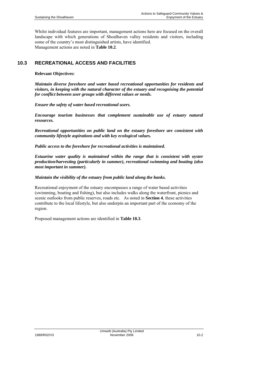Whilst individual features are important, management actions here are focused on the overall landscape with which generations of Shoalhaven valley residents and visitors, including some of the country's most distinguished artists, have identified. Management actions are noted in **Table 10.2**.

## **10.3 RECREATIONAL ACCESS AND FACILITIES**

#### **Relevant Objectives:**

*Maintain diverse foreshore and water based recreational opportunities for residents and visitors, in keeping with the natural character of the estuary and recognising the potential for conflict between user groups with different values or needs.* 

*Ensure the safety of water based recreational users.* 

*Encourage tourism businesses that complement sustainable use of estuary natural resources.* 

*Recreational opportunities on public land on the estuary foreshore are consistent with community lifestyle aspirations and with key ecological values.* 

*Public access to the foreshore for recreational activities is maintained.* 

*Estuarine water quality is maintained within the range that is consistent with oyster production/harvesting (particularly in summer), recreational swimming and boating (also most important in summer).* 

#### *Maintain the visibility of the estuary from public land along the banks.*

Recreational enjoyment of the estuary encompasses a range of water based activities (swimming, boating and fishing), but also includes walks along the waterfront, picnics and scenic outlooks from public reserves, roads etc. As noted in **Section 4**, these activities contribute to the local lifestyle, but also underpin an important part of the economy of the region.

Proposed management actions are identified in **Table 10.3**.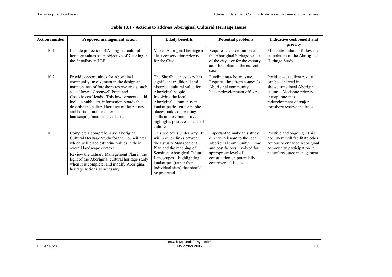| <b>Action number</b> | <b>Proposed management action</b>                                                                                                                                                                                                                                                                                                                                                | <b>Likely benefits</b>                                                                                                                                                                                                                                                                                      | <b>Potential problems</b>                                                                                                                                                                                     | Indicative cost/benefit and<br>priority                                                                                                                                                          |
|----------------------|----------------------------------------------------------------------------------------------------------------------------------------------------------------------------------------------------------------------------------------------------------------------------------------------------------------------------------------------------------------------------------|-------------------------------------------------------------------------------------------------------------------------------------------------------------------------------------------------------------------------------------------------------------------------------------------------------------|---------------------------------------------------------------------------------------------------------------------------------------------------------------------------------------------------------------|--------------------------------------------------------------------------------------------------------------------------------------------------------------------------------------------------|
| 10.1                 | Include protection of Aboriginal cultural<br>heritage values as an objective of 7 zoning in<br>the Shoalhaven LEP                                                                                                                                                                                                                                                                | Makes Aboriginal heritage a<br>clear conservation priority<br>for the City                                                                                                                                                                                                                                  | Requires clear definition of<br>the Aboriginal heritage values<br>of the city – or for the estuary<br>and floodplain in the current<br>case.                                                                  | Moderate – should follow the<br>completion of the Aboriginal<br>Heritage Study.                                                                                                                  |
| 10.2                 | Provide opportunities for Aboriginal<br>community involvement in the design and<br>maintenance of foreshore reserve areas, such<br>as at Nowra, Greenwell Point and<br>Crookhaven Heads. This involvement could<br>include public art, information boards that<br>describe the cultural heritage of the estuary,<br>and horticultural or other<br>landscaping/maintenance tasks. | The Shoalhaven estuary has<br>significant traditional and<br>historical cultural value for<br>Aboriginal people.<br>Involving the local<br>Aboriginal community in<br>landscape design for public<br>places builds on existing<br>skills in the community and<br>highlights positive aspects of<br>culture. | Funding may be an issue.<br>Requires time from council's<br>Aboriginal community<br>liaison/development officer.                                                                                              | Positive – excellent results<br>can be achieved in<br>showcasing local Aboriginal<br>culture. Moderate priority -<br>incorporate into<br>redevelopment of major<br>foreshore reserve facilities. |
| 10.3                 | Complete a comprehensive Aboriginal<br>Cultural Heritage Study for the Council area,<br>which will place estuarine values in their<br>overall landscape context.<br>Review the Estuary Management Plan in the<br>light of the Aboriginal cultural heritage study<br>when it is complete, and modify Aboriginal<br>heritage actions as necessary.                                 | This project is under way. It<br>will provide links between<br>the Estuary Management<br>Plan and the mapping of<br>Sensitive Aboriginal Cultural<br>Landscapes - highlighting<br>landscapes (rather than<br>individual sites) that should<br>be protected.                                                 | Important to make this study<br>directly relevant to the local<br>Aboriginal community. Time<br>and cost factors involved for<br>appropriate level of<br>consultation on potentially<br>controversial issues. | Positive and ongoing. This<br>document will facilitate other<br>actions to enhance Aboriginal<br>community participation in<br>natural resource management.                                      |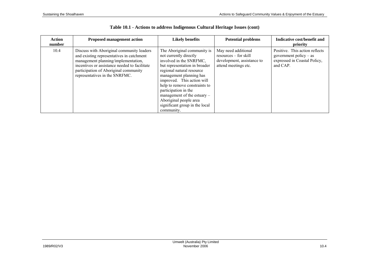| <b>Action</b><br>number | <b>Proposed management action</b>                                                                                                                                                                                                                         | <b>Likely benefits</b>                                                                                                                                                                                                                                                                                                                                                      | <b>Potential problems</b>                                                                            | Indicative cost/benefit and<br>priority                                                                |
|-------------------------|-----------------------------------------------------------------------------------------------------------------------------------------------------------------------------------------------------------------------------------------------------------|-----------------------------------------------------------------------------------------------------------------------------------------------------------------------------------------------------------------------------------------------------------------------------------------------------------------------------------------------------------------------------|------------------------------------------------------------------------------------------------------|--------------------------------------------------------------------------------------------------------|
| 10.4                    | Discuss with Aboriginal community leaders<br>and existing representatives in catchment<br>management planning/implementation,<br>incentives or assistance needed to facilitate<br>participation of Aboriginal community<br>representatives in the SNRFMC. | The Aboriginal community is<br>not currently directly<br>involved in the SNRFMC,<br>but representation in broader<br>regional natural resource<br>management planning has<br>improved. This action will<br>help to remove constraints to<br>participation in the<br>management of the estuary $-$<br>Aboriginal people area<br>significant group in the local<br>community. | May need additional<br>$resources - for skill$<br>development, assistance to<br>attend meetings etc. | Positive. This action reflects<br>government policy $-$ as<br>expressed in Coastal Policy,<br>and CAP. |

|  |  | Table 10.1 - Actions to address Indigenous Cultural Heritage Issues (cont) |  |  |
|--|--|----------------------------------------------------------------------------|--|--|
|--|--|----------------------------------------------------------------------------|--|--|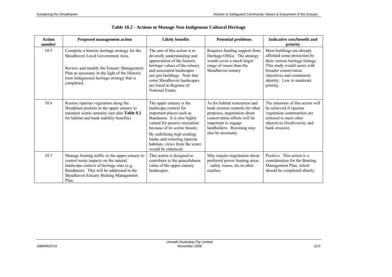| <b>Action</b><br>number | <b>Proposed management action</b>                                                                                                                                                                                                            | <b>Likely benefits</b>                                                                                                                                                                                                                                                                                | <b>Potential problems</b>                                                                                                                                                                                  | Indicative cost/benefit and<br>priority                                                                                                                                                                                     |
|-------------------------|----------------------------------------------------------------------------------------------------------------------------------------------------------------------------------------------------------------------------------------------|-------------------------------------------------------------------------------------------------------------------------------------------------------------------------------------------------------------------------------------------------------------------------------------------------------|------------------------------------------------------------------------------------------------------------------------------------------------------------------------------------------------------------|-----------------------------------------------------------------------------------------------------------------------------------------------------------------------------------------------------------------------------|
| 10.5                    | Complete a historic heritage strategy for the<br>Shoalhaven Local Government Area.<br>Review and modify the Estuary Management<br>Plan as necessary in the light of the Historic<br>(non Indigenous) heritage strategy that is<br>completed. | The aim of this action is to<br>diversify understanding and<br>appreciation of the historic<br>heritage values of the estuary<br>and associated landscapes -<br>not just buildings. Note that<br>some Shoalhaven landscapes<br>are listed in Register of<br>National Estate.                          | Requires funding support from<br>Heritage Office. The strategy<br>would cover a much larger<br>range of issues than the<br>Shoalhaven estuary                                                              | Most buildings are already<br>afforded some protection by<br>their various heritage listings.<br>This study would assist with<br>broader conservation<br>objectives and community<br>identity. Low to moderate<br>priority. |
| 10.6                    | Restore riparian vegetation along the<br>floodplain pockets in the upper estuary to<br>maintain scenic amenity (see also Table 9.2<br>for habitat and bank stability benefits)                                                               | The upper estuary is the<br>landscape context for<br>important places such as<br>Bundanon. It is also highly<br>valued for passive recreation<br>because of its scenic beauty.<br>By stabilising high eroding<br>banks and restoring riparian<br>habitats, views from the water<br>would be enhanced. | As for habitat restoration and<br>bank erosion controls for other<br>purposes, negotiation about<br>conservation offsets will be<br>important to engage<br>landholders. Rezoning may<br>also be necessary. | The intention of this action will<br>be achieved if riparian<br>vegetation communities are<br>restored to meet other<br>objectives (biodiversity and<br>bank erosion).                                                      |
| 10.7                    | Manage boating traffic in the upper estuary to<br>control noise impacts on the natural<br>landscape context of heritage sites (e.g.<br>Bundanon). This will be addressed in the<br>Shoalhaven Estuary Boating Management<br>Plan.            | This action is designed to<br>contribute to the peacefulness<br>value of the upper estuary<br>landscapes.                                                                                                                                                                                             | May require negotiation about<br>preferred power boating areas<br>- safety issues, etc in other<br>reaches.                                                                                                | Positive. This action is a<br>consideration for the Boating<br>Management Plan, which<br>should be completed shortly.                                                                                                       |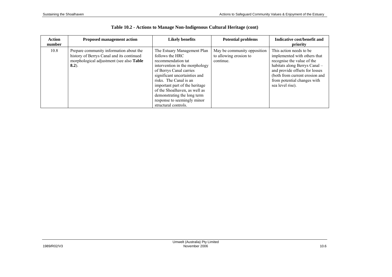| <b>Action</b><br>number | <b>Proposed management action</b>                                                                                                            | <b>Likely benefits</b>                                                                                                                                                                                                                                                                                                                                | <b>Potential problems</b>                                          | Indicative cost/benefit and<br>priority                                                                                                                                                                                                        |
|-------------------------|----------------------------------------------------------------------------------------------------------------------------------------------|-------------------------------------------------------------------------------------------------------------------------------------------------------------------------------------------------------------------------------------------------------------------------------------------------------------------------------------------------------|--------------------------------------------------------------------|------------------------------------------------------------------------------------------------------------------------------------------------------------------------------------------------------------------------------------------------|
| 10.8                    | Prepare community information about the<br>history of Berrys Canal and its continued<br>morphological adjustment (see also Table<br>$8.2$ ). | The Estuary Management Plan<br>follows the HRC<br>recommendation tat<br>intervention in the morphology<br>of Berrys Canal carries<br>significant uncertainties and<br>risks. The Canal is an<br>important part of the heritage<br>of the Shoalhaven, as well as<br>demonstrating the long term<br>response to seemingly minor<br>structural controls. | May be community opposition<br>to allowing erosion to<br>continue. | This action needs to be.<br>implemented with others that<br>recognise the value of the<br>habitats along Berrys Canal -<br>and provide offsets for losses<br>(both from current erosion and<br>from potential changes with<br>sea level rise). |

| Table 10.2 - Actions to Manage Non-Indigenous Cultural Heritage (cont) |  |  |  |  |
|------------------------------------------------------------------------|--|--|--|--|
|------------------------------------------------------------------------|--|--|--|--|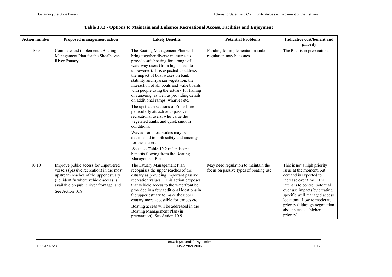| <b>Action number</b> | <b>Proposed management action</b>                                                                                                                                                                                                   | <b>Likely Benefits</b>                                                                                                                                                                                                                                                                                                                                                                                                                                                                                                                                                                                                                                                                                | <b>Potential Problems</b>                                                     | Indicative cost/benefit and<br>priority                                                                                                                                                                                                                                                                                |
|----------------------|-------------------------------------------------------------------------------------------------------------------------------------------------------------------------------------------------------------------------------------|-------------------------------------------------------------------------------------------------------------------------------------------------------------------------------------------------------------------------------------------------------------------------------------------------------------------------------------------------------------------------------------------------------------------------------------------------------------------------------------------------------------------------------------------------------------------------------------------------------------------------------------------------------------------------------------------------------|-------------------------------------------------------------------------------|------------------------------------------------------------------------------------------------------------------------------------------------------------------------------------------------------------------------------------------------------------------------------------------------------------------------|
| 10.9                 | Complete and implement a Boating<br>Management Plan for the Shoalhaven<br>River Estuary.                                                                                                                                            | The Boating Management Plan will<br>bring together diverse measures to<br>provide safe boating for a range of<br>waterway users (from high speed to<br>unpowered). It is expected to address<br>the impact of boat wakes on bank<br>stability and riparian vegetation, the<br>interaction of ski boats and wake boards<br>with people using the estuary for fishing<br>or canoeing, as well as providing details<br>on additional ramps, wharves etc.<br>The upstream sections of Zone 1 are<br>particularly attractive to passive<br>recreational users, who value the<br>vegetated banks and quiet, smooth<br>conditions.<br>Waves from boat wakes may be<br>detrimental to both safety and amenity | Funding for implementation and/or<br>regulation may be issues.                | The Plan is in preparation.                                                                                                                                                                                                                                                                                            |
|                      |                                                                                                                                                                                                                                     | for these users.<br>See also Table 10.2 re landscape<br>benefits flowing from the Boating<br>Management Plan.                                                                                                                                                                                                                                                                                                                                                                                                                                                                                                                                                                                         |                                                                               |                                                                                                                                                                                                                                                                                                                        |
| 10.10                | Improve public access for unpowered<br>vessels (passive recreation) in the most<br>upstream reaches of the upper estuary<br>(i.e. identify where vehicle access is<br>available on public river frontage land).<br>See Action 10.9. | The Estuary Management Plan<br>recognises the upper reaches of the<br>estuary as providing important passive<br>recreation values. This action proposes<br>that vehicle access to the waterfront be<br>provided in a few additional locations in<br>the upper estuary to make the upper<br>estuary more accessible for canoes etc.<br>Boating access will be addressed in the<br>Boating Management Plan (in<br>preparation). See Action 10.9.                                                                                                                                                                                                                                                        | May need regulation to maintain the<br>focus on passive types of boating use. | This is not a high priority<br>issue at the moment, but<br>demand is expected to<br>increase over time. The<br>intent is to control potential<br>over use impacts by creating<br>specific well managed access<br>locations. Low to moderate<br>priority (although negotiation<br>about sites is a higher<br>priority). |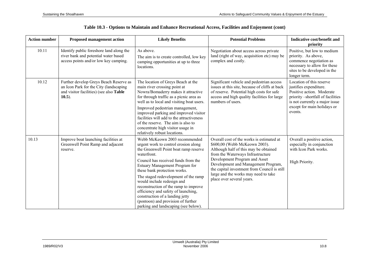| <b>Action number</b> | <b>Proposed management action</b>                                                                                                                 | <b>Likely Benefits</b>                                                                                                                                                                                                                                                                                                                                                                                                                                                                                        | <b>Potential Problems</b>                                                                                                                                                                                                                                                                                                                             | Indicative cost/benefit and<br>priority                                                                                                                                                          |
|----------------------|---------------------------------------------------------------------------------------------------------------------------------------------------|---------------------------------------------------------------------------------------------------------------------------------------------------------------------------------------------------------------------------------------------------------------------------------------------------------------------------------------------------------------------------------------------------------------------------------------------------------------------------------------------------------------|-------------------------------------------------------------------------------------------------------------------------------------------------------------------------------------------------------------------------------------------------------------------------------------------------------------------------------------------------------|--------------------------------------------------------------------------------------------------------------------------------------------------------------------------------------------------|
| 10.11                | Identify public foreshore land along the<br>river bank and potential water based<br>access points and/or low key camping.                         | As above.<br>The aim is to create controlled, low key<br>camping opportunities at up to three<br>locations.                                                                                                                                                                                                                                                                                                                                                                                                   | Negotiation about access across private<br>land (right of way, acquisition etc) may be<br>complex and costly.                                                                                                                                                                                                                                         | Positive, but low to medium<br>priority. As above,<br>commence negotiation as<br>necessary to allow for these<br>sites to be developed in the<br>longer term.                                    |
| 10.12                | Further develop Greys Beach Reserve as<br>an Icon Park for the City (landscaping)<br>and visitor facilities) (see also <b>Table</b><br>$(10.5)$ . | The location of Greys Beach at the<br>main river crossing point at<br>Nowra/Bomaderry makes it attractive<br>for through traffic as a picnic area as<br>well as to local and visiting boat users.<br>Improved pedestrian management,<br>improved parking and improved visitor<br>facilities will add to the attractiveness<br>of the reserve. The aim is also to<br>concentrate high visitor usage in<br>relatively robust locations.                                                                         | Significant vehicle and pedestrian access<br>issues at this site, because of cliffs at back<br>of reserve. Potential high costs for safe<br>access and high quality facilities for large<br>numbers of users.                                                                                                                                         | Location of this reserve<br>justifies expenditure.<br>Positive action. Moderate<br>priority -shortfall of facilities<br>is not currently a major issue<br>except for main holidays or<br>events. |
| 10.13                | Improve boat launching facilities at<br>Greenwell Point Ramp and adjacent<br>reserve.                                                             | Webb McKeown 2003 recommended<br>urgent work to control erosion along<br>the Greenwell Point boat ramp reserve<br>waterfront.<br>Council has received funds from the<br>Estuary Management Program for<br>these bank protection works.<br>The staged redevelopment of the ramp<br>would include redesign and<br>reconstruction of the ramp to improve<br>efficiency and safety of launching,<br>construction of a landing jetty<br>(pontoon) and provision of further<br>parking and landscaping (see below). | Overall cost of the works is estimated at<br>\$600,00 (Webb McKeown 2003).<br>Although half of this may be obtained<br>from the Waterways Infrastructure<br>Development Program and Asset<br>Development and Management Program,<br>the capital investment from Council is still<br>large and the works may need to take<br>place over several years. | Overall a positive action,<br>especially in conjunction<br>with Icon Park works.<br>High Priority.                                                                                               |

**Table 10.3 - Options to Maintain and Enhance Recreational Access, Facilities and Enjoyment (cont)**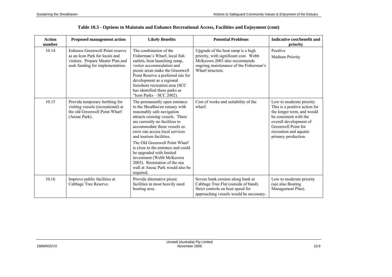| <b>Action</b><br>number | <b>Proposed management action</b>                                                                                                          | <b>Likely Benefits</b>                                                                                                                                                                                                                                                                                                                                                                                                                                                            | <b>Potential Problems</b>                                                                                                                                                 | Indicative cost/benefit and<br>priority                                                                                                                                                                              |
|-------------------------|--------------------------------------------------------------------------------------------------------------------------------------------|-----------------------------------------------------------------------------------------------------------------------------------------------------------------------------------------------------------------------------------------------------------------------------------------------------------------------------------------------------------------------------------------------------------------------------------------------------------------------------------|---------------------------------------------------------------------------------------------------------------------------------------------------------------------------|----------------------------------------------------------------------------------------------------------------------------------------------------------------------------------------------------------------------|
| 10.14                   | Enhance Greenwell Point reserve<br>as an Icon Park for locals and<br>visitors. Prepare Master Plan and<br>seek funding for implementation. | The combination of the<br>Fisherman's Wharf, local fish<br>outlets, boat launching ramp,<br>visitor accommodation and<br>picnic areas make the Greenwell<br>Point Reserve a preferred site for<br>development as a regional<br>foreshore recreation area (SCC<br>has identified these parks as<br>"Icon Parks - SCC 2002).                                                                                                                                                        | Upgrade of the boat ramp is a high<br>priority, with significant cost. Webb<br>McKeown 2003 also recommends<br>ongoing maintenance of the Fisherman's<br>Wharf structure. | Positive<br>Medium Priority                                                                                                                                                                                          |
| 10.15                   | Provide temporary berthing for<br>visiting vessels (recreational) at<br>the old Greenwell Point Wharf<br>(Anzac Park).                     | The permanently open entrance<br>to the Shoalhaven estuary with<br>reasonably safe navigation<br>attracts cruising vessels. There<br>are currently no facilities to<br>accommodate these vessels so<br>crew can access local services<br>and tourism facilities.<br>The Old Greenwell Point Wharf<br>is close to the entrance and could<br>be upgraded with limited<br>investment (Webb McKeown<br>2003). Restoration of the sea<br>wall at Anzac Park would also be<br>required. | Cost of works and suitability of the<br>wharf.                                                                                                                            | Low to moderate priority.<br>This is a positive action for<br>the longer term, and would<br>be consistent with the<br>overall development of<br>Greenwell Point for<br>recreation and aquatic<br>primary production. |
| 10.16                   | Improve public facilities at<br>Cabbage Tree Reserve.                                                                                      | Provide alternative picnic<br>facilities in most heavily used<br>boating area.                                                                                                                                                                                                                                                                                                                                                                                                    | Severe bank erosion along bank at<br>Cabbage Tree Flat (outside of band).<br>Strict controls on boat speed for<br>approaching vessels would be necessary.                 | Low to moderate priority<br>(see also Boating)<br>Management Plan).                                                                                                                                                  |

|  | Table 10.3 - Options to Maintain and Enhance Recreational Access, Facilities and Enjoyment (cont) |  |  |  |
|--|---------------------------------------------------------------------------------------------------|--|--|--|
|  |                                                                                                   |  |  |  |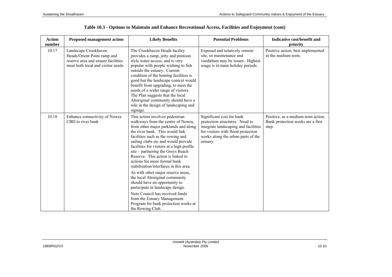| <b>Action</b><br>number | <b>Proposed management action</b>                                                                                              | <b>Likely Benefits</b>                                                                                                                                                                                                                                                                                                                                                                                                                                                                                                                                                                                                                                                                                   | <b>Potential Problems</b>                                                                                                                                                                   | Indicative cost/benefit and<br>priority                                          |
|-------------------------|--------------------------------------------------------------------------------------------------------------------------------|----------------------------------------------------------------------------------------------------------------------------------------------------------------------------------------------------------------------------------------------------------------------------------------------------------------------------------------------------------------------------------------------------------------------------------------------------------------------------------------------------------------------------------------------------------------------------------------------------------------------------------------------------------------------------------------------------------|---------------------------------------------------------------------------------------------------------------------------------------------------------------------------------------------|----------------------------------------------------------------------------------|
| 10.17                   | Landscape Crookhaven<br>Heads/Orient Point ramp and<br>reserve area and ensure facilities<br>meet both local and visitor needs | The Crookhaven Heads facility<br>provides a ramp, jetty and pontoon<br>style water access, and is very<br>popular with people wishing to fish<br>outside the estuary. Current<br>condition of the boating facilities is<br>good but the landscape context would<br>benefit from upgrading, to meet the<br>needs of a wider range of visitors.<br>The Plan suggests that the local<br>Aboriginal community should have a<br>role in the design of landscaping and<br>signage.                                                                                                                                                                                                                             | Exposed and relatively remote<br>site, so maintenance and<br>vandalism may be issues. Highest<br>usage is in main holiday periods.                                                          | Positive action, best implemented<br>in the medium term.                         |
| 10.18                   | Enhance connectivity of Nowra<br>CBD to river bank                                                                             | This action involves pedestrian<br>walkways from the centre of Nowra,<br>from other major parklands and along<br>the river bank. This would link<br>facilities such as the rowing and<br>sailing clubs etc and would provide<br>facilities for visitors at a high profile<br>site – partnering the Greys Beach<br>Reserve. This action is linked to<br>actions for more formal bank<br>stabilisation/interfaces in this area.<br>As with other major reserve areas,<br>the local Aboriginal community<br>should have an opportunity to<br>participate in landscape design.<br>Note Council has received funds<br>from the Estuary Management<br>Program for bank protection works at<br>the Rowing Club. | Significant cost for bank<br>protection structures. Need to<br>integrate landscaping and facilities<br>for visitors with flood protection<br>works along the urban parts of the<br>estuary. | Positive, as a medium term action.<br>Bank protection works are a first<br>step. |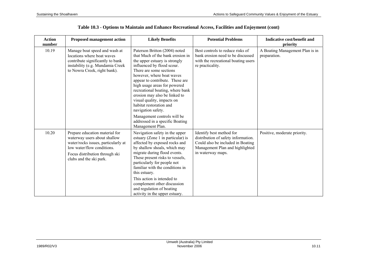| <b>Action</b><br>number | <b>Proposed management action</b>                                                                                                                                                                | <b>Likely Benefits</b>                                                                                                                                                                                                                                                                                                                                                                                                                                                            | <b>Potential Problems</b>                                                                                                                                    | Indicative cost/benefit and<br>priority         |
|-------------------------|--------------------------------------------------------------------------------------------------------------------------------------------------------------------------------------------------|-----------------------------------------------------------------------------------------------------------------------------------------------------------------------------------------------------------------------------------------------------------------------------------------------------------------------------------------------------------------------------------------------------------------------------------------------------------------------------------|--------------------------------------------------------------------------------------------------------------------------------------------------------------|-------------------------------------------------|
| 10.19                   | Manage boat speed and wash at<br>locations where boat waves<br>contribute significantly to bank<br>instability (e.g. Mundamia Creek<br>to Nowra Creek, right bank).                              | Paterson Britton (2004) noted<br>that Much of the bank erosion in<br>the upper estuary is strongly<br>influenced by flood scour.<br>There are some sections<br>however, where boat waves<br>appear to contribute. These are<br>high usage areas for powered<br>recreational boating, where bank<br>erosion may also be linked to<br>visual quality, impacts on<br>habitat restoration and<br>navigation safety.<br>Management controls will be<br>addressed in a specific Boating | Best controls to reduce risks of<br>bank erosion need to be discussed<br>with the recreational boating users<br>re practicality.                             | A Boating Management Plan is in<br>preparation. |
| 10.20                   | Prepare education material for<br>waterway users about shallow<br>water/rocks issues, particularly at<br>low water/flow conditions.<br>Focus distribution through ski<br>clubs and the ski park. | Management Plan.<br>Navigation safety in the upper<br>estuary (Zone 1 in particular) is<br>affected by exposed rocks and<br>by shallow shoals, which may<br>migrate during flood events.<br>These present risks to vessels,<br>particularly for people not<br>familiar with the conditions in<br>this estuary.<br>This action is intended to<br>complement other discussion<br>and regulation of boating<br>activity in the upper estuary.                                        | Identify best method for<br>distribution of safety information.<br>Could also be included in Boating<br>Management Plan and highlighted<br>in waterway maps. | Positive, moderate priority.                    |

| Table 10.3 - Options to Maintain and Enhance Recreational Access, Facilities and Enjoyment (cont) |  |  |
|---------------------------------------------------------------------------------------------------|--|--|
|---------------------------------------------------------------------------------------------------|--|--|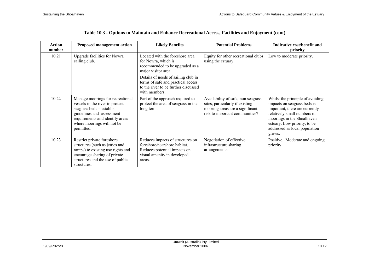| <b>Action</b><br>number | <b>Proposed management action</b>                                                                                                                                                                            | <b>Likely Benefits</b>                                                                                                                    | <b>Potential Problems</b>                                                                                                                  | Indicative cost/benefit and<br>priority                                                                                                                                                                                                   |
|-------------------------|--------------------------------------------------------------------------------------------------------------------------------------------------------------------------------------------------------------|-------------------------------------------------------------------------------------------------------------------------------------------|--------------------------------------------------------------------------------------------------------------------------------------------|-------------------------------------------------------------------------------------------------------------------------------------------------------------------------------------------------------------------------------------------|
| 10.21                   | <b>Upgrade facilities for Nowra</b><br>sailing club.                                                                                                                                                         | Located with the foreshore area<br>for Nowra, which is<br>recommended to be upgraded as a<br>major visitor area.                          | Equity for other recreational clubs<br>using the estuary.                                                                                  | Low to moderate priority.                                                                                                                                                                                                                 |
|                         |                                                                                                                                                                                                              | Details of needs of sailing club in<br>terms of safe and practical access<br>to the river to be further discussed<br>with members.        |                                                                                                                                            |                                                                                                                                                                                                                                           |
| 10.22                   | Manage moorings for recreational<br>vessels in the river to protect<br>seagrass beds - establish<br>guidelines and assessment<br>requirements and identify areas<br>where moorings will not be<br>permitted. | Part of the approach required to<br>protect the area of seagrass in the<br>long term.                                                     | Availability of safe, non seagrass<br>sites, particularly if existing<br>mooring areas are a significant<br>risk to important communities? | Whilst the principle of avoiding<br>impacts on seagrass beds is<br>important, there are currently<br>relatively small numbers of<br>moorings in the Shoalhaven<br>estuary. Low priority, to be<br>addressed as local population<br>grows. |
| 10.23                   | Restrict private foreshore<br>structures (such as jetties and<br>ramps) to existing use rights and<br>encourage sharing of private<br>structures and the use of public<br>structures.                        | Reduces impacts of structures on<br>foreshore/nearshore habitat.<br>Reduces potential impacts on<br>visual amenity in developed<br>areas. | Negotiation of effective<br>infrastructure sharing<br>arrangements.                                                                        | Positive. Moderate and ongoing<br>priority.                                                                                                                                                                                               |

|  |  | Table 10.3 - Options to Maintain and Enhance Recreational Access, Facilities and Enjoyment (cont) |
|--|--|---------------------------------------------------------------------------------------------------|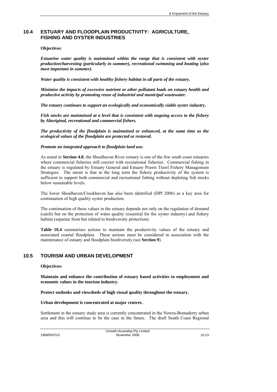## **10.4 ESTUARY AND FLOODPLAIN PRODUCTIVITY: AGRICULTURE, FISHING AND OYSTER INDUSTRIES**

#### **Objectives**:

*Estuarine water quality is maintained within the range that is consistent with oyster production/harvesting (particularly in summer), recreational swimming and boating (also most important in summer).* 

*Water quality is consistent with healthy fishery habitat in all parts of the estuary.* 

*Minimise the impacts of excessive nutrient or other pollutant loads on estuary health and productive activity by promoting reuse of industrial and municipal wastewater.* 

*The estuary continues to support an ecologically and economically viable oyster industry.* 

*Fish stocks are maintained at a level that is consistent with ongoing access to the fishery by Aboriginal, recreational and commercial fishers.* 

*The productivity of the floodplain is maintained or enhanced, at the same time as the ecological values of the floodplain are protected or restored.* 

#### *Promote an integrated approach to floodplain land use.*

As noted in **Section 4.8**, the Shoalhaven River estuary is one of the few south coast estuaries where commercial fisheries still coexist with recreational fisheries. Commercial fishing in the estuary is regulated by Estuary General and Estuary Prawn Trawl Fishery Management Strategies. The intent is that in the long term the fishery productivity of the system is sufficient to support both commercial and recreational fishing without depleting fish stocks below sustainable levels.

The lower Shoalhaven/Crookhaven has also been identified (DPI 2006) as a key area for continuation of high quality oyster production.

The continuation of these values in the estuary depends not only on the regulation of demand (catch) but on the protection of water quality (essential for the oyster industry) and fishery habitat (separate from but related to biodiversity protection).

**Table 10.4** summarises actions to maintain the productivity values of the estuary and associated coastal floodplain. These actions must be considered in association with the maintenance of estuary and floodplain biodiversity (see **Section 9**).

### **10.5 TOURISM AND URBAN DEVELOPMENT**

#### **Objectives:**

**Maintain and enhance the contribution of estuary based activities to employment and economic values in the tourism industry.** 

**Protect outlooks and viewsheds of high visual quality throughout the estuary.** 

#### **Urban development is concentrated at major centres.**

Settlement in the estuary study area is currently concentrated in the Nowra-Bomaderry urban area and this will continue to be the case in the future. The draft South Coast Regional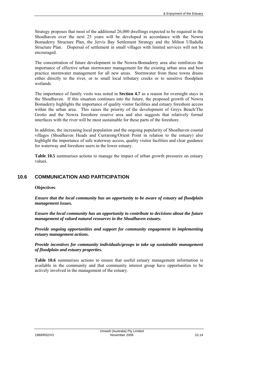Strategy proposes that most of the additional 26,000 dwellings expected to be required in the Shoalhaven over the next 25 years will be developed in accordance with the Nowra Bomaderry Structure Plan, the Jervis Bay Settlement Strategy and the Milton Ulladulla Structure Plan. Dispersal of settlement in small villages with limited services will not be encouraged.

The concentration of future development in the Nowra-Bomaderry area also reinforces the importance of effective urban stormwater management for the existing urban area and best practice stormwater management for all new areas. Stormwater from these towns drains either directly to the river, or to small local tributary creeks or to sensitive floodplain wetlands.

The importance of family visits was noted in **Section 4.7** as a reason for overnight stays in the Shoalhaven. If this situation continues into the future, the proposed growth of Nowra Bomaderry highlights the importance of quality visitor facilities and estuary foreshore access within the urban area. This raises the priority of the development of Greys Beach/The Grotto and the Nowra foreshore reserve area and also suggests that relatively formal interfaces with the river will be most sustainable for these parts of the foreshore.

In addition, the increasing local population and the ongoing popularity of Shoalhaven coastal villages (Shoalhaven Heads and Currarong/Orient Point in relation to the estuary) also highlight the importance of safe waterway access, quality visitor facilities and clear guidance for waterway and foreshore users in the lower estuary.

**Table 10.5** summarises actions to manage the impact of urban growth pressures on estuary values.

## **10.6 COMMUNICATION AND PARTICIPATION**

**Objectives**:

*Ensure that the local community has an opportunity to be aware of estuary ad floodplain management issues.* 

*Ensure the local community has an opportunity to contribute to decisions about the future management of valued natural resources in the Shoalhaven estuary.* 

*Provide ongoing opportunities and support for community engagement in implementing estuary management actions.* 

*Provide incentives for community individuals/groups to take up sustainable management of floodplain and estuary properties.* 

**Table 10.6** summarises actions to ensure that useful estuary management information is available in the community and that community interest group have opportunities to be actively involved in the management of the estuary.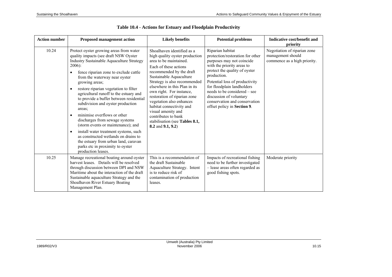| <b>Action number</b> | <b>Proposed management action</b>                                                                                                                                                                                                                                                                                                                                                                                                                                                                                                                                                                                                                                                                                                                                       | <b>Likely benefits</b>                                                                                                                                                                                                                                                                                                                                                                                                                                          | <b>Potential problems</b>                                                                                                                                                                                                                                                                                                                                  | Indicative cost/benefit and<br>priority                                           |
|----------------------|-------------------------------------------------------------------------------------------------------------------------------------------------------------------------------------------------------------------------------------------------------------------------------------------------------------------------------------------------------------------------------------------------------------------------------------------------------------------------------------------------------------------------------------------------------------------------------------------------------------------------------------------------------------------------------------------------------------------------------------------------------------------------|-----------------------------------------------------------------------------------------------------------------------------------------------------------------------------------------------------------------------------------------------------------------------------------------------------------------------------------------------------------------------------------------------------------------------------------------------------------------|------------------------------------------------------------------------------------------------------------------------------------------------------------------------------------------------------------------------------------------------------------------------------------------------------------------------------------------------------------|-----------------------------------------------------------------------------------|
| 10.24                | Protect oyster growing areas from water<br>quality impacts (see draft NSW Oyster<br><b>Industry Sustainable Aquaculture Strategy</b><br>$2006$ :<br>fence riparian zone to exclude cattle<br>$\bullet$<br>from the waterway near oyster<br>growing areas;<br>restore riparian vegetation to filter<br>$\bullet$<br>agricultural runoff to the estuary and<br>to provide a buffer between residential<br>subdivision and oyster production<br>areas;<br>minimise overflows or other<br>$\bullet$<br>discharges from sewage systems<br>(storm events or maintenance); and<br>install water treatment systems, such<br>$\bullet$<br>as constructed wetlands on drains to<br>the estuary from urban land, caravan<br>parks etc in proximity to oyster<br>production leases. | Shoalhaven identified as a<br>high quality oyster production<br>area to be maintained.<br>Each of these actions<br>recommended by the draft<br>Sustainable Aquaculture<br>Strategy is also recommended<br>elsewhere in this Plan in its<br>own right. For instance,<br>restoration of riparian zone<br>vegetation also enhances<br>habitat connectivity and<br>visual amenity and<br>contributes to bank<br>stabilisation (see Tables 8.1,<br>8.2 and 9.1, 9.2) | Riparian habitat<br>protection/restoration for other<br>purposes may not coincide<br>with the priority areas to<br>protect the quality of oyster<br>production.<br>Potential loss of productivity<br>for floodplain landholders<br>needs to be considered – see<br>discussion of voluntary<br>conservation and conservation<br>offset policy in Section 9. | Negotiation of riparian zone<br>management should<br>commence as a high priority. |
| 10.25                | Manage recreational boating around oyster<br>harvest leases. Details will be resolved<br>through discussion between DPI and NSW<br>Maritime about the interaction of the draft<br>Sustainable aquaculture Strategy and the<br>Shoalhaven River Estuary Boating<br>Management Plan.                                                                                                                                                                                                                                                                                                                                                                                                                                                                                      | This is a recommendation of<br>the draft Sustainable<br>Aquaculture Strategy. Intent<br>is to reduce risk of<br>contamination of production<br>leases.                                                                                                                                                                                                                                                                                                          | Impacts of recreational fishing<br>need to be further investigated<br>- lease areas often regarded as<br>good fishing spots.                                                                                                                                                                                                                               | Moderate priority                                                                 |

|  |  | Table 10.4 - Actions for Estuary and Floodplain Productivity |
|--|--|--------------------------------------------------------------|
|  |  |                                                              |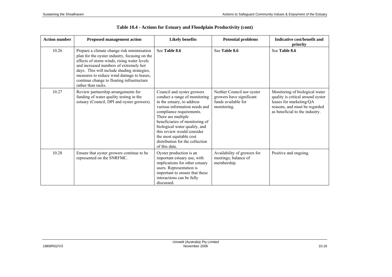| <b>Action number</b> | <b>Proposed management action</b>                                                                                                                                                                                                                                                                                                                    | <b>Likely benefits</b>                                                                                                                                                                                                                                                                                                                                       | <b>Potential problems</b>                                                                    | Indicative cost/benefit and<br>priority                                                                                                                           |
|----------------------|------------------------------------------------------------------------------------------------------------------------------------------------------------------------------------------------------------------------------------------------------------------------------------------------------------------------------------------------------|--------------------------------------------------------------------------------------------------------------------------------------------------------------------------------------------------------------------------------------------------------------------------------------------------------------------------------------------------------------|----------------------------------------------------------------------------------------------|-------------------------------------------------------------------------------------------------------------------------------------------------------------------|
| 10.26                | Prepare a climate change risk minimisation<br>plan for the oyster industry, focusing on the<br>effects of storm winds, rising water levels<br>and increased numbers of extremely hot<br>days. This will include shading strategies,<br>measures to reduce wind damage to leases,<br>continue change to floating infrastructure<br>rather than racks. | See Table 8.6                                                                                                                                                                                                                                                                                                                                                | See Table 8.6                                                                                | See Table 8.6                                                                                                                                                     |
| 10.27                | Review partnership arrangements for<br>funding of water quality testing in the<br>estuary (Council, DPI and oyster growers).                                                                                                                                                                                                                         | Council and oyster growers<br>conduct a range of monitoring<br>in the estuary, to address<br>various information needs and<br>compliance requirements.<br>There are multiple<br>beneficiaries of monitoring of<br>biological water quality, and<br>this review would consider<br>the most equitable cost<br>distribution for the collection<br>of this data. | Neither Council nor oyster<br>growers have significant<br>funds available for<br>monitoring. | Monitoring of biological water<br>quality is critical around oyster<br>leases for marketing/QA<br>reasons, and must be regarded<br>as beneficial to the industry. |
| 10.28                | Ensure that oyster growers continue to be<br>represented on the SNRFMC.                                                                                                                                                                                                                                                                              | Oyster production is an<br>important estuary use, with<br>implications for other estuary<br>users. Representation is<br>important to ensure that these<br>interactions can be fully<br>discussed.                                                                                                                                                            | Availability of growers for<br>meetings; balance of<br>membership.                           | Positive and ongoing.                                                                                                                                             |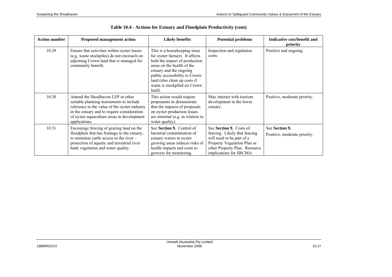| <b>Action number</b> | <b>Proposed management action</b>                                                                                                                                                                                                            | <b>Likely benefits</b>                                                                                                                                                                                                                                              | <b>Potential problems</b>                                                                                                                                                       | Indicative cost/benefit and<br>priority        |
|----------------------|----------------------------------------------------------------------------------------------------------------------------------------------------------------------------------------------------------------------------------------------|---------------------------------------------------------------------------------------------------------------------------------------------------------------------------------------------------------------------------------------------------------------------|---------------------------------------------------------------------------------------------------------------------------------------------------------------------------------|------------------------------------------------|
| 10.29                | Ensure that activities within oyster leases<br>(e.g. waste stockpiles) do not encroach on<br>adjoining Crown land that is managed for<br>community benefit.                                                                                  | This is a housekeeping issue<br>for oyster farmers. It affects<br>both the impact of production<br>areas on the health of the<br>estuary and the ongoing<br>public accessibility to Crown<br>land (also clean up costs if<br>waste is stockpiled on Crown<br>land). | Inspection and regulation<br>costs.                                                                                                                                             | Positive and ongoing.                          |
| 10.30                | Amend the Shoalhaven LEP or other<br>suitable planning instruments to include<br>reference to the value of the oyster industry<br>in the estuary and to require consideration<br>of oyster aquaculture areas in development<br>applications. | This action would require<br>proponents to demonstrate<br>that the impacts of proposals<br>on oyster production leases<br>are minimal (e.g. in relation to<br>water quality).                                                                                       | May interact with tourism<br>development in the lower<br>estuary.                                                                                                               | Positive, moderate priority.                   |
| 10.31                | Encourage fencing of grazing land on the<br>floodplain that has frontage to the estuary,<br>to minimise cattle access to the river $-$<br>protection of aquatic and terrestrial river<br>bank vegetation and water quality.                  | See Section 9. Control of<br>bacterial contamination of<br>estuary waters in oyster<br>growing areas reduces risks of<br>health impacts and costs to<br>growers for monitoring.                                                                                     | See Section 9. Costs of<br>fencing. Likely that fencing<br>will need to be part of a<br>Property Vegetation Plan or<br>other Property Plan. Resource<br>implications for SRCMA. | See Section 9.<br>Positive, moderate priority. |

**Table 10.4 - Actions for Estuary and Floodplain Productivity (cont)**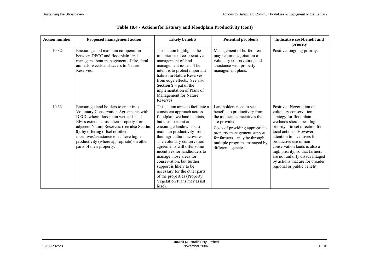| <b>Action number</b> | <b>Proposed management action</b>                                                                                                                                                                                                                                                                                                                                    | <b>Likely benefits</b>                                                                                                                                                                                                                                                                                                                                                                                                                                                                                     | <b>Potential problems</b>                                                                                                                                                                                                                                           | Indicative cost/benefit and<br>priority                                                                                                                                                                                                                                                                                                                                                                |
|----------------------|----------------------------------------------------------------------------------------------------------------------------------------------------------------------------------------------------------------------------------------------------------------------------------------------------------------------------------------------------------------------|------------------------------------------------------------------------------------------------------------------------------------------------------------------------------------------------------------------------------------------------------------------------------------------------------------------------------------------------------------------------------------------------------------------------------------------------------------------------------------------------------------|---------------------------------------------------------------------------------------------------------------------------------------------------------------------------------------------------------------------------------------------------------------------|--------------------------------------------------------------------------------------------------------------------------------------------------------------------------------------------------------------------------------------------------------------------------------------------------------------------------------------------------------------------------------------------------------|
| 10.32                | Encourage and maintain co-operation<br>between DECC and floodplain land<br>managers about management of fire, feral<br>animals, weeds and access to Nature<br>Reserves.                                                                                                                                                                                              | This action highlights the<br>importance of co-operative<br>management of land<br>management issues. The<br>intent is to protect important<br>habitat in Nature Reserves<br>from edge effects. See also<br><b>Section 9</b> – pat of the<br>implementation of Plans of<br>Management for Nature<br>Reserves.                                                                                                                                                                                               | Management of buffer areas<br>may require negotiation of<br>voluntary conservation, and<br>assistance with property<br>management plans.                                                                                                                            | Positive, ongoing priority.                                                                                                                                                                                                                                                                                                                                                                            |
| 10.33                | Encourage land holders to enter into<br>Voluntary Conservation Agreements with<br>DECC where floodplain wetlands and<br>EECs extend across their property from<br>adjacent Nature Reserves. (see also Section<br>9), by offering offset or other<br>incentives/assistance to achieve higher<br>productivity (where appropriate) on other<br>parts of their property. | This action aims to facilitate a<br>consistent approach across<br>floodplain wetland habitats,<br>but also to assist ad<br>encourage landowners to<br>maintain productivity from<br>their agricultural activities.<br>The voluntary conservation<br>agreements will offer some<br>incentives for landholders to<br>manage those areas for<br>conservation, but further<br>support is likely to be<br>necessary for the other parts<br>of the properties (Property<br>Vegetation Plans may assist<br>here). | Landholders need to see<br>benefits to productivity from<br>the assistance/incentives that<br>are provided.<br>Costs of providing appropriate<br>property management support<br>for farmers – may be through<br>multiple programs managed by<br>different agencies. | Positive. Negotiation of<br>voluntary conservation<br>strategy for floodplain<br>wetlands should be a high<br>priority – to set direction for<br>local actions. However,<br>attention to incentives for<br>productive use of non<br>conservation lands is also a<br>high priority, so that farmers<br>are not unfairly disadvantaged<br>by actions that are for broader<br>regional or public benefit. |

| Table 10.4 - Actions for Estuary and Floodplain Productivity (cont) |  |  |  |  |
|---------------------------------------------------------------------|--|--|--|--|
|---------------------------------------------------------------------|--|--|--|--|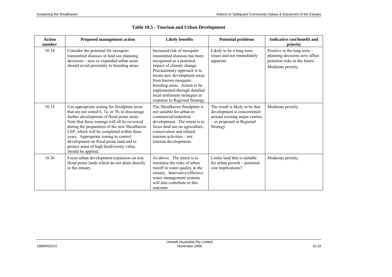| Action<br>number | <b>Proposed management action</b>                                                                                                                                                                                                                                                                                                                                                                                                            | <b>Likely benefits</b>                                                                                                                                                                                                                                                                                                                          | <b>Potential problems</b>                                                                                                                 | Indicative cost/benefit and<br>priority                                                                                |
|------------------|----------------------------------------------------------------------------------------------------------------------------------------------------------------------------------------------------------------------------------------------------------------------------------------------------------------------------------------------------------------------------------------------------------------------------------------------|-------------------------------------------------------------------------------------------------------------------------------------------------------------------------------------------------------------------------------------------------------------------------------------------------------------------------------------------------|-------------------------------------------------------------------------------------------------------------------------------------------|------------------------------------------------------------------------------------------------------------------------|
| 10.34            | Consider the potential for mosquito<br>transmitted diseases in land use planning<br>decisions – new or expanded urban areas<br>should avoid proximity to breeding areas.                                                                                                                                                                                                                                                                     | Increased risk of mosquito<br>transmitted diseases has been<br>recognised as a potential<br>impact of climate change.<br>Precautionary approach is to<br>locate new development away<br>from known mosquito<br>breeding areas. Action to be<br>implemented through detailed<br>local settlement strategies in<br>response to Regional Strategy. | Likely to be a long term<br>issues and not immediately<br>apparent.                                                                       | Positive in the long term $-$<br>planning decisions now affect<br>potential risks in the future.<br>Moderate priority. |
| 10.35            | Use appropriate zoning for floodplain areas<br>that are not zoned 6, 7a, or 7b, to discourage<br>further development of flood prone areas.<br>Note that these zonings will all be reviewed<br>during the preparation of the new Shoalhaven<br>LEP, which will be completed within three<br>years. Appropriate zoning to control<br>development on flood prone land and to<br>protect areas of high biodiversity value,<br>should be applied. | The Shoalhaven floodplain is<br>not suitable for urban or<br>commercial/industrial<br>development. The intent is to<br>focus land use on agriculture,<br>conservation and related<br>tourism activities – not<br>tourism developments.                                                                                                          | The result is likely to be that<br>development is concentrated<br>around existing major centres<br>- as proposed in Regional<br>Strategy. | Moderate priority.                                                                                                     |
| 10.36            | Focus urban development/expansion on non<br>flood prone lands which do not drain directly<br>to the estuary.                                                                                                                                                                                                                                                                                                                                 | As above. The intent is to<br>minimise the risks of urban<br>runoff to water quality in the<br>estuary. Innovative/effective<br>water management systems<br>will also contribute to this<br>outcome.                                                                                                                                            | Limits land that is suitable<br>for urban growth – potential<br>cost implications?                                                        | Moderate priority.                                                                                                     |

## **Table 10.5 - Tourism and Urban Development**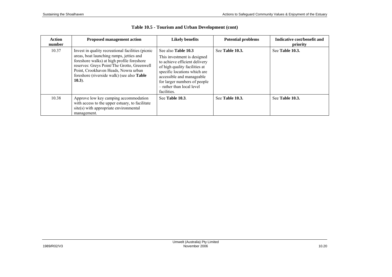| <b>Action</b><br>number | <b>Proposed management action</b>                                                                                                                                                                                                                                                                       | <b>Likely benefits</b>                                                                                                                                                                                                                                               | <b>Potential problems</b> | Indicative cost/benefit and<br>priority |
|-------------------------|---------------------------------------------------------------------------------------------------------------------------------------------------------------------------------------------------------------------------------------------------------------------------------------------------------|----------------------------------------------------------------------------------------------------------------------------------------------------------------------------------------------------------------------------------------------------------------------|---------------------------|-----------------------------------------|
| 10.37                   | Invest in quality recreational facilities (picnic<br>areas, boat launching ramps, jetties and<br>foreshore walks) at high profile foreshore<br>reserves: Greys Point/The Grotto, Greenwell<br>Point, Crookhaven Heads, Nowra urban<br>foreshore (riverside walk) (see also <b>Table</b> )<br>$(10.3)$ . | See also <b>Table 10.3</b><br>This investment is designed<br>to achieve efficient delivery<br>of high quality facilities at<br>specific locations which are<br>accessible and manageable<br>for larger numbers of people<br>- rather than local level<br>facilities. | See Table 10.3.           | See Table 10.3.                         |
| 10.38                   | Approve low key camping accommodation<br>with access to the upper estuary, to facilitate<br>site(s) with appropriate environmental<br>management.                                                                                                                                                       | See Table 10.3                                                                                                                                                                                                                                                       | See Table 10.3.           | See Table 10.3.                         |

## **Table 10.5 - Tourism and Urban Development (cont)**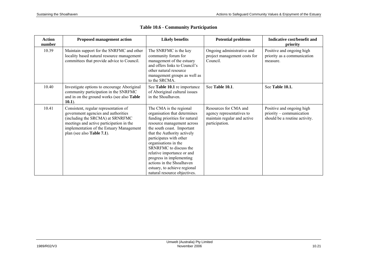| <b>Action</b><br>number | <b>Proposed management action</b>                                                                                                                                                                                                              | <b>Likely benefits</b>                                                                                                                                                                                                                                                                                                                                                                                                   | <b>Potential problems</b>                                                                           | Indicative cost/benefit and<br>priority                                                |
|-------------------------|------------------------------------------------------------------------------------------------------------------------------------------------------------------------------------------------------------------------------------------------|--------------------------------------------------------------------------------------------------------------------------------------------------------------------------------------------------------------------------------------------------------------------------------------------------------------------------------------------------------------------------------------------------------------------------|-----------------------------------------------------------------------------------------------------|----------------------------------------------------------------------------------------|
| 10.39                   | Maintain support for the SNRFMC and other<br>locality based natural resource management<br>committees that provide advice to Council.                                                                                                          | The SNRFMC is the key<br>community forum for<br>management of the estuary<br>and offers links to Council's<br>other natural resource<br>management groups as well as<br>to the SRCMA.                                                                                                                                                                                                                                    | Ongoing administrative and<br>project management costs for<br>Council.                              | Positive and ongoing high<br>priority as a communication<br>measure.                   |
| 10.40                   | Investigate options to encourage Aboriginal<br>community participation in the SNRFMC<br>and in on the ground works (see also <b>Table</b> )<br>$(10.1)$ .                                                                                      | See Table 10.1 re importance<br>of Aboriginal cultural issues<br>in the Shoalhaven.                                                                                                                                                                                                                                                                                                                                      | See Table 10.1.                                                                                     | See Table 10.1.                                                                        |
| 10.41                   | Consistent, regular representation of<br>government agencies and authorities<br>(including the SRCMA) at SRNRFMC<br>meetings and active participation in the<br>implementation of the Estuary Management<br>plan (see also <b>Table 7.1</b> ). | The CMA is the regional<br>organisation that determines<br>funding priorities for natural<br>resource management across<br>the south coast. Important<br>that the Authority actively<br>participates with other<br>organisations in the<br>SRNRFMC to discuss the<br>relative importance or and<br>progress in implementing<br>actions in the Shoalhaven<br>estuary, to achieve regional<br>natural resource objectives. | Resources for CMA and<br>agency representatives to<br>maintain regular and active<br>participation. | Positive and ongoing high<br>priority – communication<br>should be a routine activity. |

## **Table 10.6 - Community Participation**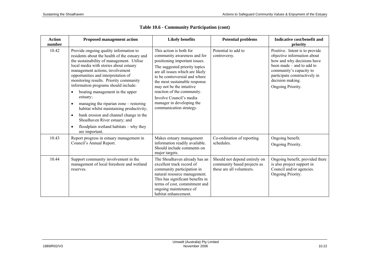| <b>Action</b><br>number | <b>Proposed management action</b>                                                                                                                                                                                                                                                                                                                                                                                                                                                                                                                                                                                                                                            | <b>Likely benefits</b>                                                                                                                                                                                                                                                                                                                                                     | <b>Potential problems</b>                                                                 | Indicative cost/benefit and<br>priority                                                                                                                                                                                         |
|-------------------------|------------------------------------------------------------------------------------------------------------------------------------------------------------------------------------------------------------------------------------------------------------------------------------------------------------------------------------------------------------------------------------------------------------------------------------------------------------------------------------------------------------------------------------------------------------------------------------------------------------------------------------------------------------------------------|----------------------------------------------------------------------------------------------------------------------------------------------------------------------------------------------------------------------------------------------------------------------------------------------------------------------------------------------------------------------------|-------------------------------------------------------------------------------------------|---------------------------------------------------------------------------------------------------------------------------------------------------------------------------------------------------------------------------------|
| 10.42                   | Provide ongoing quality information to<br>residents about the health of the estuary and<br>the sustainability of management. Utilise<br>local media with stories about estuary<br>management actions, involvement<br>opportunities and interpretation of<br>monitoring results. Priority community<br>information programs should include:<br>boating management in the upper<br>$\bullet$<br>estuary;<br>managing the riparian zone – restoring<br>$\bullet$<br>habitat whilst maintaining productivity;<br>bank erosion and channel change in the<br>$\bullet$<br>Shoalhaven River estuary; and<br>floodplain wetland habitats $-$ why they<br>$\bullet$<br>are important. | This action is both for<br>community awareness and for<br>positioning important issues.<br>The suggested priority topics<br>are all issues which are likely<br>to be controversial and where<br>the most sustainable response<br>may not be the intuitive<br>reaction of the community.<br>Involve Council's media<br>manager in developing the<br>communication strategy. | Potential to add to<br>controversy.                                                       | Positive. Intent is to provide<br>objective information about<br>how and why decisions have<br>been made $-$ and to add to<br>community's capacity to<br>participate constructively in<br>decision making.<br>Ongoing Priority. |
| 10.43                   | Report progress in estuary management in<br>Council's Annual Report.                                                                                                                                                                                                                                                                                                                                                                                                                                                                                                                                                                                                         | Makes estuary management<br>information readily available.<br>Should include comments on<br>major targets.                                                                                                                                                                                                                                                                 | Co-ordination of reporting<br>schedules.                                                  | Ongoing benefit.<br>Ongoing Priority.                                                                                                                                                                                           |
| 10.44                   | Support community involvement in the<br>management of local foreshore and wetland<br>reserves.                                                                                                                                                                                                                                                                                                                                                                                                                                                                                                                                                                               | The Shoalhaven already has an<br>excellent track record of<br>community participation in<br>natural resource management.<br>This has significant benefits in<br>terms of cost, commitment and<br>ongoing maintenance of<br>habitat enhancement.                                                                                                                            | Should not depend entirely on<br>community based projects as<br>these are all volunteers. | Ongoing benefit, provided there<br>is also project support in<br>Council and/or agencies.<br>Ongoing Priority.                                                                                                                  |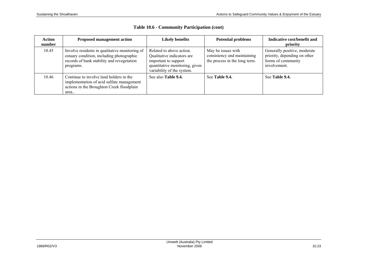| Action<br>number | <b>Proposed management action</b>                                                                                                                      | <b>Likely benefits</b>                                                                                                                         | <b>Potential problems</b>                                                          | Indicative cost/benefit and<br>priority                                                            |
|------------------|--------------------------------------------------------------------------------------------------------------------------------------------------------|------------------------------------------------------------------------------------------------------------------------------------------------|------------------------------------------------------------------------------------|----------------------------------------------------------------------------------------------------|
| 10.45            | Involve residents in qualitative monitoring of<br>estuary condition, including photographic<br>records of bank stability and revegetation<br>programs. | Related to above action.<br>Qualitative indicators are<br>important to support<br>quantitative monitoring, given<br>variability of the system. | May be issues with<br>consistency and maintaining<br>the process in the long term. | Generally positive, moderate<br>priority, depending on other<br>forms of community<br>involvement. |
| 10.46            | Continue to involve land holders in the<br>implementation of acid sulfate management<br>actions in the Broughton Creek floodplain<br>area              | See also Table 9.4.                                                                                                                            | See Table 9.4.                                                                     | See Table 9.4.                                                                                     |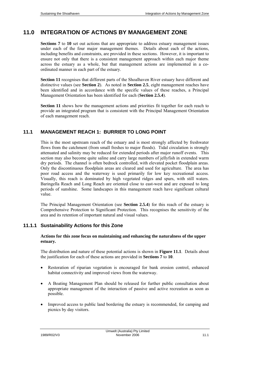# **11.0 INTEGRATION OF ACTIONS BY MANAGEMENT ZONE**

**Sections 7** to **10** set out actions that are appropriate to address estuary management issues under each of the four major management themes. Details about each of the actions, including benefits and constraints, are provided in these sections. However, it is important to ensure not only that there is a consistent management approach within each major theme across the estuary as a whole, but that management actions are implemented in a coordinated manner in each part of the estuary.

**Section 11** recognises that different parts of the Shoalhaven River estuary have different and distinctive values (see **Section 2**). As noted in **Section 2.5**, eight management reaches have been identified and in accordance with the specific values of these reaches, a Principal Management Orientation has been identified for each (**Section 2.5.4**).

**Section 11** shows how the management actions and priorities fit together for each reach to provide an integrated program that is consistent with the Principal Management Orientation of each management reach.

#### **11.1 MANAGEMENT REACH 1: BURRIER TO LONG POINT**

This is the most upstream reach of the estuary and is most strongly affected by freshwater flows from the catchment (from small freshes to major floods). Tidal circulation is strongly attenuated and salinity may be reduced for extended periods after major runoff events. This section may also become quite saline and carry large numbers of jellyfish in extended warm dry periods. The channel is often bedrock controlled, with elevated pocket floodplain areas. Only the discontinuous floodplain areas are cleared and used for agriculture. The area has poor road access and the waterway is used primarily for low key recreational access. Visually, this reach is dominated by high vegetated ridges and spurs, with still waters. Baringella Reach and Long Reach are oriented close to east-west and are exposed to long periods of sunshine. Some landscapes in this management reach have significant cultural value.

The Principal Management Orientation (see **Section 2.5.4**) for this reach of the estuary is Comprehensive Protection to Significant Protection. This recognises the sensitivity of the area and its retention of important natural and visual values.

#### **11.1.1 Sustainability Actions for this Zone**

#### **Actions for this zone focus on maintaining and enhancing the naturalness of the upper estuary.**

The distribution and nature of these potential actions is shown in **Figure 11.1**. Details about the justification for each of these actions are provided in **Sections 7** to **10**.

- Restoration of riparian vegetation is encouraged for bank erosion control, enhanced habitat connectivity and improved views from the waterway.
- A Boating Management Plan should be released for further public consultation about appropriate management of the interaction of passive and active recreation as soon as possible.
- Improved access to public land bordering the estuary is recommended, for camping and picnics by day visitors.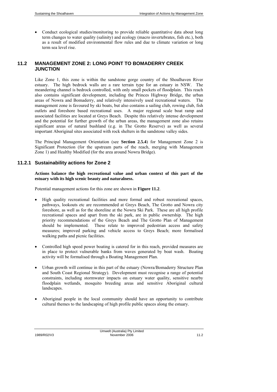• Conduct ecological studies/monitoring to provide reliable quantitative data about long term changes to water quality (salinity) and ecology (macro invertebrates, fish etc.), both as a result of modified environmental flow rules and due to climate variation or long term sea level rise.

## **11.2 MANAGEMENT ZONE 2: LONG POINT TO BOMADERRY CREEK JUNCTION**

Like Zone 1, this zone is within the sandstone gorge country of the Shoalhaven River estuary. The high bedrock walls are a rare terrain type for an estuary in NSW. The meandering channel is bedrock controlled, with only small pockets of floodplain. This reach also contains significant development, including the Princes Highway Bridge, the urban areas of Nowra and Bomaderry, and relatively intensively used recreational waters. The management zone is favoured by ski boats, but also contains a sailing club, rowing club, fish outlets and foreshore based recreational uses. A major regional scale boat ramp and associated facilities are located at Greys Beach. Despite this relatively intense development and the potential for further growth of the urban areas, the management zone also retains significant areas of natural bushland (e.g. in The Grotto Reserve) as well as several important Aboriginal sites associated with rock shelters in the sandstone valley sides.

The Principal Management Orientation (see **Section 2.5.4**) for Management Zone 2 is Significant Protection (for the upstream parts of the reach, merging with Management Zone 1) and Healthy Modified (for the area around Nowra Bridge).

#### **11.2.1 Sustainability actions for Zone 2**

**Actions balance the high recreational value and urban context of this part of the estuary with its high scenic beauty and naturalness.** 

Potential management actions for this zone are shown in **Figure 11.2**.

- High quality recreational facilities and more formal and robust recreational spaces, pathways, lookouts etc are recommended at Greys Beach, The Grotto and Nowra city foreshore, as well as for the shoreline at the Nowra Ski Park. These are all high profile recreational spaces and apart from the ski park, are in public ownership. The high priority recommendations of the Greys Beach and The Grotto Plan of Management should be implemented. These relate to improved pedestrian access and safety measures; improved parking and vehicle access to Greys Beach; more formalised walking paths and picnic facilities.
- Controlled high speed power boating is catered for in this reach, provided measures are in place to protect vulnerable banks from waves generated by boat wash. Boating activity will be formalised through a Boating Management Plan.
- Urban growth will continue in this part of the estuary (Nowra/Bomaderry Structure Plan and South Coast Regional Strategy). Development must recognise a range of potential constraints, including stormwater impacts on estuary water quality, sensitive nearby floodplain wetlands, mosquito breeding areas and sensitive Aboriginal cultural landscapes.
- Aboriginal people in the local community should have an opportunity to contribute cultural themes to the landscaping of high profile public spaces along the estuary.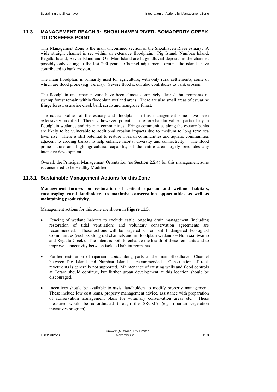## **11.3 MANAGEMENT REACH 3: SHOALHAVEN RIVER- BOMADERRY CREEK TO O'KEEFES POINT**

This Management Zone is the main unconfined section of the Shoalhaven River estuary. A wide straight channel is set within an extensive floodplain. Pig Island, Numbaa Island, Regatta Island, Bevan Island and Old Man Island are large alluvial deposits in the channel, possibly only dating to the last 200 years. Channel adjustments around the islands have contributed to bank erosion.

The main floodplain is primarily used for agriculture, with only rural settlements, some of which are flood prone (e.g. Terara). Severe flood scour also contributes to bank erosion.

The floodplain and riparian zone have been almost completely cleared, but remnants of swamp forest remain within floodplain wetland areas. There are also small areas of estuarine fringe forest, estuarine creek bank scrub and mangrove forest.

The natural values of the estuary and floodplain in this management zone have been extensively modified. There is, however, potential to restore habitat values, particularly in floodplain wetlands and riparian communities. Fringe communities along the estuary banks are likely to be vulnerable to additional erosion impacts due to medium to long term sea level rise. There is still potential to restore riparian communities and aquatic communities adjacent to eroding banks, to help enhance habitat diversity and connectivity. The flood prone nature and high agricultural capability of the entire area largely precludes any intensive development.

Overall, the Principal Management Orientation (se **Section 2.5.4**) for this management zone is considered to be Healthy Modified.

#### **11.3.1 Sustainable Management Actions for this Zone**

**Management focuses on restoration of critical riparian and wetland habitats, encouraging rural landholders to maximise conservation opportunities as well as maintaining productivity.** 

Management actions for this zone are shown in **Figure 11.3**.

- Fencing of wetland habitats to exclude cattle, ongoing drain management (including restoration of tidal ventilation) and voluntary conservation agreements are recommended. These actions will be targeted at remnant Endangered Ecological Communities (such as along old channels and in floodplain wetlands – Numbaa Swamp and Regatta Creek). The intent is both to enhance the health of these remnants and to improve connectivity between isolated habitat remnants.
- Further restoration of riparian habitat along parts of the main Shoalhaven Channel between Pig Island and Numbaa Island is recommended. Construction of rock revetments is generally not supported. Maintenance of existing walls and flood controls at Terara should continue, but further urban development at this location should be discouraged.
- Incentives should be available to assist landholders to modify property management. These include low cost loans, property management advice, assistance with preparation of conservation management plans for voluntary conservation areas etc. These measures would be co-ordinated through the SRCMA (e.g. riparian vegetation incentives program).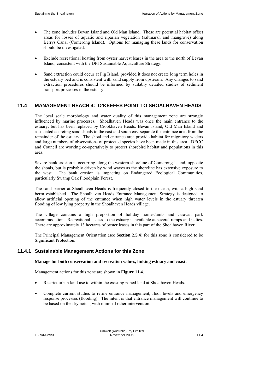- The zone includes Bevan Island and Old Man Island. These are potential habitat offset areas for losses of aquatic and riparian vegetation (saltmarsh and mangrove) along Berrys Canal (Comerong Island). Options for managing these lands for conservation should be investigated.
- Exclude recreational boating from oyster harvest leases in the area to the north of Bevan Island, consistent with the DPI Sustainable Aquaculture Strategy.
- Sand extraction could occur at Pig Island, provided it does not create long term holes in the estuary bed and is consistent with sand supply from upstream. Any changes to sand extraction procedures should be informed by suitably detailed studies of sediment transport processes in the estuary.

#### **11.4 MANAGEMENT REACH 4: O'KEEFES POINT TO SHOALHAVEN HEADS**

The local scale morphology and water quality of this management zone are strongly influenced by marine processes. Shoalhaven Heads was once the main entrance to the estuary, but has been replaced by Crookhaven Heads. Bevan Island, Old Man Island and associated accreting sand shoals to the east and south east separate the entrance area from the remainder of the estuary. The shoal and entrance area provide habitat for migratory waders and large numbers of observations of protected species have been made in this area. DECC and Council are working co-operatively to protect shorebird habitat and populations in this area.

Severe bank erosion is occurring along the western shoreline of Comerong Island, opposite the shoals, but is probably driven by wind waves as the shoreline has extensive exposure to the west. The bank erosion is impacting on Endangered Ecological Communities, particularly Swamp Oak Floodplain Forest.

The sand barrier at Shoalhaven Heads is frequently closed to the ocean, with a high sand berm established. The Shoalhaven Heads Entrance Management Strategy is designed to allow artificial opening of the entrance when high water levels in the estuary threaten flooding of low lying property in the Shoalhaven Heads village.

The village contains a high proportion of holiday homes/units and caravan park accommodation. Recreational access to the estuary is available at several ramps and jetties. There are approximately 13 hectares of oyster leases in this part of the Shoalhaven River.

The Principal Management Orientation (see **Section 2.5.4**) for this zone is considered to be Significant Protection.

#### **11.4.1 Sustainable Management Actions for this Zone**

#### **Manage for both conservation and recreation values, linking estuary and coast.**

Management actions for this zone are shown in **Figure 11.4**.

- Restrict urban land use to within the existing zoned land at Shoalhaven Heads.
- Complete current studies to refine entrance management, floor levels and emergency response processes (flooding). The intent is that entrance management will continue to be based on the dry notch, with minimal other intervention.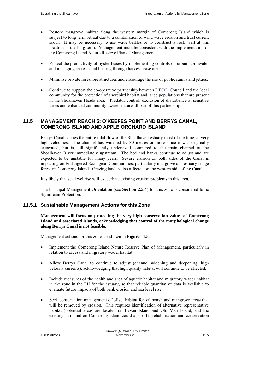- Restore mangrove habitat along the western margin of Comerong Island which is subject to long term retreat due to a combination of wind wave erosion and tidal current scour. It may be necessary to use wave baffles or to construct a rock wall at this location in the long term. Management must be consistent with the implementation of the Comerong Island Nature Reserve Plan of Management.
- Protect the productivity of oyster leases by implementing controls on urban stormwater and managing recreational boating through harvest lease areas.
- Minimise private foreshore structures and encourage the use of public ramps and jetties.
- Continue to support the co-operative partnership between DECC, Council and the local community for the protection of shorebird habitat and large populations that are present in the Shoalhaven Heads area. Predator control, exclusion of disturbance at sensitive times and enhanced community awareness are all part of this partnership.

## **11.5 MANAGEMENT REACH 5: O'KEEFES POINT AND BERRYS CANAL, COMERONG ISLAND AND APPLE ORCHARD ISLAND**

Berrys Canal carries the entire tidal flow of the Shoalhaven estuary most of the time, at very high velocities. The channel has widened by 80 metres or more since it was originally excavated, but is still significantly undersized compared to the main channel of the Shoalhaven River immediately upstream. The bed and banks continue to adjust and are expected to be unstable for many years. Severe erosion on both sides of the Canal is impacting on Endangered Ecological Communities, particularly mangrove and estuary fringe forest on Comerong Island. Grazing land is also affected on the western side of the Canal.

It is likely that sea level rise will exacerbate existing erosion problems in this area.

The Principal Management Orientation (see **Section 2.5.4**) for this zone is considered to be Significant Protection.

#### **11.5.1 Sustainable Management Actions for this Zone**

**Management will focus on protecting the very high conservation values of Comerong Island and associated islands, acknowledging that control of the morphological change along Berrys Canal is not feasible.** 

Management actions for this zone are shown in **Figure 11.5**.

- Implement the Comerong Island Nature Reserve Plan of Management, particularly in relation to access and migratory wader habitat.
- Allow Berrys Canal to continue to adjust (channel widening and deepening, high velocity currents), acknowledging that high quality habitat will continue to be affected.
- Include measures of the health and area of aquatic habitat and migratory wader habitat in the zone in the EII for the estuary, so that reliable quantitative data is available to evaluate future impacts of both bank erosion and sea level rise.
- Seek conservation management of offset habitat for saltmarsh and mangrove areas that will be removed by erosion. This requires identification of alternative representative habitat (potential areas are located on Bevan Island and Old Man Island, and the existing farmland on Comerong Island could also offer rehabilitation and conservation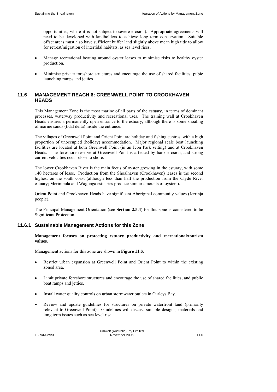opportunities, where it is not subject to severe erosion). Appropriate agreements will need to be developed with landholders to achieve long term conservation. Suitable offset areas must also have sufficient buffer land slightly above mean high tide to allow for retreat/migration of intertidal habitats, as sea level rises.

- Manage recreational boating around oyster leases to minimise risks to healthy oyster production.
- Minimise private foreshore structures and encourage the use of shared facilities, pubic launching ramps and jetties.

## **11.6 MANAGEMENT REACH 6: GREENWELL POINT TO CROOKHAVEN HEADS**

This Management Zone is the most marine of all parts of the estuary, in terms of dominant processes, waterway productivity and recreational uses. The training wall at Crookhaven Heads ensures a permanently open entrance to the estuary, although there is some shoaling of marine sands (tidal delta) inside the entrance.

The villages of Greenwell Point and Orient Point are holiday and fishing centres, with a high proportion of unoccupied (holiday) accommodation. Major regional scale boat launching facilities are located at both Greenwell Point (in an Icon Park setting) and at Crookhaven Heads. The foreshore reserve at Greenwell Point is affected by bank erosion, and strong current velocities occur close to shore.

The lower Crookhaven River is the main focus of oyster growing in the estuary, with some 140 hectares of lease. Production from the Shoalhaven (Crookhaven) leases is the second highest on the south coast (although less than half the production from the Clyde River estuary; Merimbula and Wagonga estuaries produce similar amounts of oysters).

Orient Point and Crookhaven Heads have significant Aboriginal community values (Jerrinja people).

The Principal Management Orientation (see **Section 2.5.4**) for this zone is considered to be Significant Protection.

#### **11.6.1 Sustainable Management Actions for this Zone**

**Management focuses on protecting estuary productivity and recreational/tourism values.** 

Management actions for this zone are shown in **Figure 11.6**.

- Restrict urban expansion at Greenwell Point and Orient Point to within the existing zoned area.
- Limit private foreshore structures and encourage the use of shared facilities, and public boat ramps and jetties.
- Install water quality controls on urban stormwater outlets in Curleys Bay.
- Review and update guidelines for structures on private waterfront land (primarily relevant to Greenwell Point). Guidelines will discuss suitable designs, materials and long term issues such as sea level rise.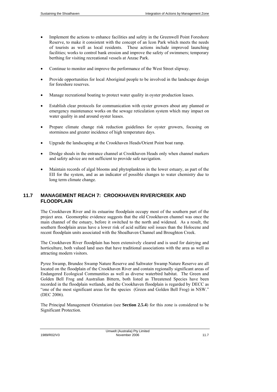- Implement the actions to enhance facilities and safety in the Greenwell Point Foreshore Reserve, to make it consistent with the concept of an Icon Park which meets the needs of tourists as well as local residents. These actions include improved launching facilities; works to control bank erosion and improve the safety of swimmers; temporary berthing for visiting recreational vessels at Anzac Park.
- Continue to monitor and improve the performance of the West Street slipway.
- Provide opportunities for local Aboriginal people to be involved in the landscape design for foreshore reserves.
- Manage recreational boating to protect water quality in oyster production leases.
- Establish clear protocols for communication with oyster growers about any planned or emergency maintenance works on the sewage reticulation system which may impact on water quality in and around oyster leases.
- Prepare climate change risk reduction guidelines for oyster growers, focusing on storminess and greater incidence of high temperature days.
- Upgrade the landscaping at the Crookhaven Heads/Orient Point boat ramp.
- Dredge shoals in the entrance channel at Crookhaven Heads only when channel markers and safety advice are not sufficient to provide safe navigation.
- Maintain records of algal blooms and phytoplankton in the lower estuary, as part of the EII for the system, and as an indicator of possible changes to water chemistry due to long term climate change.

## **11.7 MANAGEMENT REACH 7: CROOKHAVEN RIVER/CREEK AND FLOODPLAIN**

The Crookhaven River and its estuarine floodplain occupy most of the southern part of the project area. Geomorphic evidence suggests that the old Crookhaven channel was once the main channel of the estuary, before it switched to the north and widened. As a result, the southern floodplain areas have a lower risk of acid sulfate soil issues than the Holocene and recent floodplain units associated with the Shoalhaven Channel and Broughton Creek.

The Crookhaven River floodplain has been extensively cleared and is used for dairying and horticulture, both valued land uses that have traditional associations with the area as well as attracting modern visitors.

Pyree Swamp, Brundee Swamp Nature Reserve and Saltwater Swamp Nature Reserve are all located on the floodplain of the Crookhaven River and contain regionally significant areas of Endangered Ecological Communities as well as diverse waterbird habitat. The Green and Golden Bell Frog and Australian Bittern, both listed as Threatened Species have been recorded in the floodplain wetlands, and the Crookhaven floodplain is regarded by DECC as "one of the most significant areas for the species (Green and Golden Bell Frog) in NSW." (DEC 2006).

The Principal Management Orientation (see **Section 2.5.4**) for this zone is considered to be Significant Protection.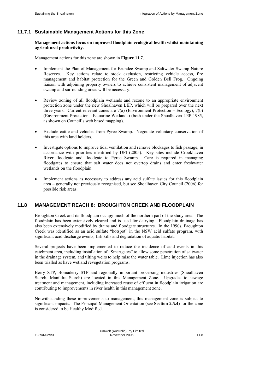#### **11.7.1 Sustainable Management Actions for this Zone**

#### **Management actions focus on improved floodplain ecological health whilst maintaining agricultural productivity.**

Management actions for this zone are shown in **Figure 11.7**.

- Implement the Plan of Management for Brundee Swamp and Saltwater Swamp Nature Reserves. Key actions relate to stock exclusion, restricting vehicle access, fire management and habitat protection for the Green and Golden Bell Frog. Ongoing liaison with adjoining property owners to achieve consistent management of adjacent swamp and surrounding areas will be necessary.
- Review zoning of all floodplain wetlands and rezone to an appropriate environment protection zone under the new Shoalhaven LEP, which will be prepared over the next three years. Current relevant zones are 7(a) (Environment Protection – Ecology), 7(b) (Environment Protection - Estuarine Wetlands) (both under the Shoalhaven LEP 1985, as shown on Council's web based mapping).
- Exclude cattle and vehicles from Pyree Swamp. Negotiate voluntary conservation of this area with land holders.
- Investigate options to improve tidal ventilation and remove blockages to fish passage, in accordance with priorities identified by DPI (2005). Key sites include Crookhaven River floodgate and floodgate to Pyree Swamp. Care is required in managing floodgates to ensure that salt water does not overtop drains and enter freshwater wetlands on the floodplain.
- Implement actions as necessary to address any acid sulfate issues for this floodplain area – generally not previously recognised, but see Shoalhaven City Council (2006) for possible risk areas.

#### **11.8 MANAGEMENT REACH 8: BROUGHTON CREEK AND FLOODPLAIN**

Broughton Creek and its floodplain occupy much of the northern part of the study area. The floodplain has been extensively cleared and is used for dairying. Floodplain drainage has also been extensively modified by drains and floodgate structures. In the 1990s, Broughton Creek was identified as an acid sulfate "hotspot" in the NSW acid sulfate program, with significant acid discharge events, fish kills and degradation of aquatic habitat.

Several projects have been implemented to reduce the incidence of acid events in this catchment area, including installation of "Smartgates" to allow some penetration of saltwater in the drainage system, and tilting weirs to help raise the water table. Lime injection has also been trialled as have wetland revegetation programs.

Berry STP, Bomaderry STP and regionally important processing industries (Shoalhaven Starch, Manildra Starch) are located in this Management Zone. Upgrades to sewage treatment and management, including increased reuse of effluent in floodplain irrigation are contributing to improvements in river health in this management zone.

Notwithstanding these improvements to management, this management zone is subject to significant impacts. The Principal Management Orientation (see **Section 2.5.4**) for the zone is considered to be Healthy Modified.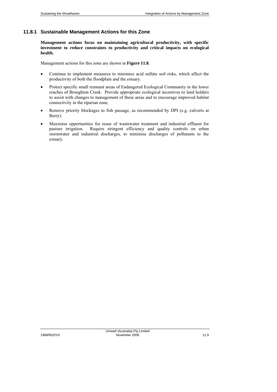#### **11.8.1 Sustainable Management Actions for this Zone**

**Management actions focus on maintaining agricultural productivity, with specific investment to reduce constraints to productivity and critical impacts on ecological health.** 

Management actions for this zone are shown in **Figure 11.8**.

- Continue to implement measures to minimise acid sulfate soil risks, which affect the productivity of both the floodplain and the estuary.
- Protect specific small remnant areas of Endangered Ecological Community in the lower reaches of Broughton Creek. Provide appropriate ecological incentives to land holders to assist with changes to management of these areas and to encourage improved habitat connectivity in the riparian zone.
- Remove priority blockages to fish passage, as recommended by DPI (e.g. culverts at Berry).
- Maximise opportunities for reuse of wastewater treatment and industrial effluent for pasture irrigation. Require stringent efficiency and quality controls on urban stormwater and industrial discharges, to minimise discharges of pollutants to the estuary.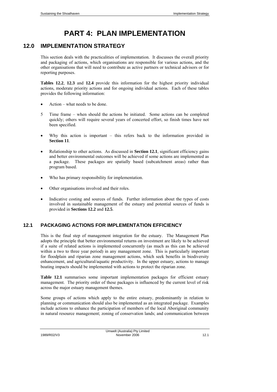# **PART 4: PLAN IMPLEMENTATION**

# **12.0 IMPLEMENTATION STRATEGY**

This section deals with the practicalities of implementation. It discusses the overall priority and packaging of actions, which organisations are responsible for various actions, and the other organisations that will need to contribute as active partners or technical advisors or for reporting purposes.

**Tables 12.2, 12.3** and 12.4 provide this information for the highest priority individual actions, moderate priority actions and for ongoing individual actions. Each of these tables provides the following information:

- Action what needs to be done.
- 5 Time frame when should the actions be initiated. Some actions can be completed quickly; others will require several years of concerted effort, so finish times have not been specified.
- Why this action is important  $-$  this refers back to the information provided in **Section 11**.
- Relationship to other actions. As discussed in **Section 12.1**, significant efficiency gains and better environmental outcomes will be achieved if some actions are implemented as a package. These packages are spatially based (subcatchment areas) rather than program based.
- Who has primary responsibility for implementation.
- Other organisations involved and their roles.
- Indicative costing and sources of funds. Further information about the types of costs involved in sustainable management of the estuary and potential sources of funds is provided in **Sections 12.2** and **12.5**.

## **12.1 PACKAGING ACTIONS FOR IMPLEMENTATION EFFICIENCY**

This is the final step of management integration for the estuary. The Management Plan adopts the principle that better environmental returns on investment are likely to be achieved if a suite of related actions is implemented concurrently (as much as this can be achieved within a two to three year period) in any management zone. This is particularly important for floodplain and riparian zone management actions, which seek benefits in biodiversity enhancement, and agricultural/aquatic productivity. In the upper estuary, actions to manage boating impacts should be implemented with actions to protect the riparian zone.

Table 12.1 summarises some important implementation packages for efficient estuary management. The priority order of these packages is influenced by the current level of risk across the major estuary management themes.

Some groups of actions which apply to the entire estuary, predominantly in relation to planning or communication should also be implemented as an integrated package. Examples include actions to enhance the participation of members of the local Aboriginal community in natural resource management; zoning of conservation lands; and communication between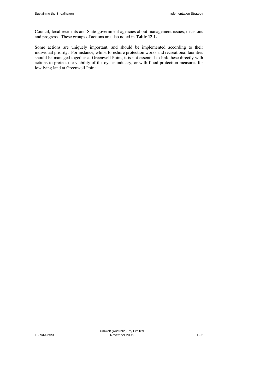Council, local residents and State government agencies about management issues, decisions and progress. These groups of actions are also noted in **Table 12.1.**

Some actions are uniquely important, and should be implemented according to their individual priority. For instance, whilst foreshore protection works and recreational facilities should be managed together at Greenwell Point, it is not essential to link these directly with actions to protect the viability of the oyster industry, or with flood protection measures for low lying land at Greenwell Point.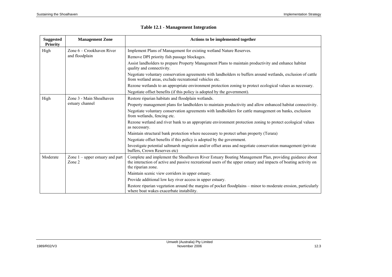| <b>Suggested</b><br><b>Priority</b> | <b>Management Zone</b>                      | Actions to be implemented together                                                                                                                                                                                                              |
|-------------------------------------|---------------------------------------------|-------------------------------------------------------------------------------------------------------------------------------------------------------------------------------------------------------------------------------------------------|
| Zone 6 – Crookhaven River<br>High   |                                             | Implement Plans of Management for existing wetland Nature Reserves.                                                                                                                                                                             |
|                                     | and floodplain                              | Remove DPI priority fish passage blockages.                                                                                                                                                                                                     |
|                                     |                                             | Assist landholders to prepare Property Management Plans to maintain productivity and enhance habitat<br>quality and connectivity.                                                                                                               |
|                                     |                                             | Negotiate voluntary conservation agreements with landholders re buffers around wetlands, exclusion of cattle<br>from wetland areas, exclude recreational vehicles etc.                                                                          |
|                                     |                                             | Rezone wetlands to an appropriate environment protection zoning to protect ecological values as necessary.                                                                                                                                      |
|                                     |                                             | Negotiate offset benefits (if this policy is adopted by the government).                                                                                                                                                                        |
| High                                | Zone 3 - Main Shoalhaven                    | Restore riparian habitats and floodplain wetlands.                                                                                                                                                                                              |
|                                     | estuary channel                             | Property management plans for landholders to maintain productivity and allow enhanced habitat connectivity.                                                                                                                                     |
|                                     |                                             | Negotiate voluntary conservation agreements with landholders for cattle management on banks, exclusion<br>from wetlands, fencing etc.                                                                                                           |
|                                     |                                             | Rezone wetland and river bank to an appropriate environment protection zoning to protect ecological values<br>as necessary.                                                                                                                     |
|                                     |                                             | Maintain structural bank protection where necessary to protect urban property (Terara)                                                                                                                                                          |
|                                     |                                             | Negotiate offset benefits if this policy is adopted by the government.                                                                                                                                                                          |
|                                     |                                             | Investigate potential saltmarsh migration and/or offset areas and negotiate conservation management (private<br>buffers. Crown Reserves etc)                                                                                                    |
| Moderate                            | Zone $1$ – upper estuary and part<br>Zone 2 | Complete and implement the Shoalhaven River Estuary Boating Management Plan, providing guidance about<br>the interaction of active and passive recreational users of the upper estuary and impacts of boating activity on<br>the riparian zone. |
|                                     |                                             | Maintain scenic view corridors in upper estuary.                                                                                                                                                                                                |
|                                     |                                             | Provide additional low key river access in upper estuary.                                                                                                                                                                                       |
|                                     |                                             | Restore riparian vegetation around the margins of pocket floodplains – minor to moderate erosion, particularly<br>where boat wakes exacerbate instability.                                                                                      |

## **Table 12.1 - Management Integration**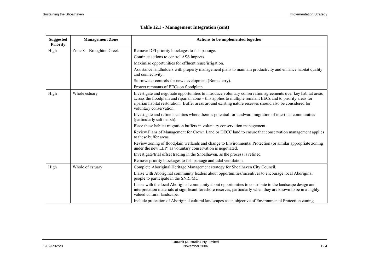| <b>Suggested</b><br><b>Priority</b> | <b>Management Zone</b>   | Actions to be implemented together                                                                                                                                                                                                                                                                                                                                |
|-------------------------------------|--------------------------|-------------------------------------------------------------------------------------------------------------------------------------------------------------------------------------------------------------------------------------------------------------------------------------------------------------------------------------------------------------------|
| High                                | Zone 8 – Broughton Creek | Remove DPI priority blockages to fish passage.                                                                                                                                                                                                                                                                                                                    |
|                                     |                          | Continue actions to control ASS impacts.                                                                                                                                                                                                                                                                                                                          |
|                                     |                          | Maximise opportunities for effluent reuse/irrigation.                                                                                                                                                                                                                                                                                                             |
|                                     |                          | Assistance landholders with property management plans to maintain productivity and enhance habitat quality<br>and connectivity.                                                                                                                                                                                                                                   |
|                                     |                          | Stormwater controls for new development (Bomaderry).                                                                                                                                                                                                                                                                                                              |
|                                     |                          | Protect remnants of EECs on floodplain.                                                                                                                                                                                                                                                                                                                           |
| High                                | Whole estuary            | Investigate and negotiate opportunities to introduce voluntary conservation agreements over key habitat areas<br>across the floodplain and riparian zone – this applies to multiple remnant EECs and to priority areas for<br>riparian habitat restoration. Buffer areas around existing nature reserves should also be considered for<br>voluntary conservation. |
|                                     |                          | Investigate and refine localities where there is potential for landward migration of intertidal communities<br>(particularly salt marsh).                                                                                                                                                                                                                         |
|                                     |                          | Place these habitat migration buffers in voluntary conservation management.                                                                                                                                                                                                                                                                                       |
|                                     |                          | Review Plans of Management for Crown Land or DECC land to ensure that conservation management applies<br>to these buffer areas.                                                                                                                                                                                                                                   |
|                                     |                          | Review zoning of floodplain wetlands and change to Environmental Protection (or similar appropriate zoning<br>under the new LEP) as voluntary conservation is negotiated.                                                                                                                                                                                         |
|                                     |                          | Investigate/trial offset trading in the Shoalhaven, as the process is refined.                                                                                                                                                                                                                                                                                    |
|                                     |                          | Remove priority blockages to fish passage and tidal ventilation.                                                                                                                                                                                                                                                                                                  |
| High                                | Whole of estuary         | Complete Aboriginal Heritage Management strategy for Shoalhaven City Council.                                                                                                                                                                                                                                                                                     |
|                                     |                          | Liaise with Aboriginal community leaders about opportunities/incentives to encourage local Aboriginal<br>people to participate in the SNRFMC.                                                                                                                                                                                                                     |
|                                     |                          | Liaise with the local Aboriginal community about opportunities to contribute to the landscape design and<br>interpretation materials at significant foreshore reserves, particularly when they are known to be in a highly<br>valued cultural landscape.                                                                                                          |
|                                     |                          | Include protection of Aboriginal cultural landscapes as an objective of Environmental Protection zoning                                                                                                                                                                                                                                                           |

|  |  | <b>Table 12.1 - Management Integration (cont)</b> |
|--|--|---------------------------------------------------|
|--|--|---------------------------------------------------|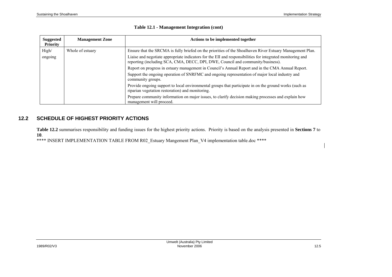| <b>Suggested</b><br><b>Priority</b> | <b>Management Zone</b> | Actions to be implemented together                                                                                                                                                                                                                                                                         |
|-------------------------------------|------------------------|------------------------------------------------------------------------------------------------------------------------------------------------------------------------------------------------------------------------------------------------------------------------------------------------------------|
| High/<br>ongoing                    | Whole of estuary       | Ensure that the SRCMA is fully briefed on the priorities of the Shoalhaven River Estuary Management Plan.<br>Liaise and negotiate appropriate indicators for the EII and responsibilities for integrated monitoring and<br>reporting (including SCA, CMA, DECC, DPI, DWE, Council and community/business). |
|                                     |                        | Report on progress in estuary management in Council's Annual Report and in the CMA Annual Report.                                                                                                                                                                                                          |
|                                     |                        | Support the ongoing operation of SNRFMC and ongoing representation of major local industry and<br>community groups.                                                                                                                                                                                        |
|                                     |                        | Provide ongoing support to local environmental groups that participate in on the ground works (such as<br>riparian vegetation restoration) and monitoring.                                                                                                                                                 |
|                                     |                        | Prepare community information on major issues, to clarify decision making processes and explain how<br>management will proceed.                                                                                                                                                                            |

### **Table 12.1 - Management Integration (cont)**

# **12.2 SCHEDULE OF HIGHEST PRIORITY ACTIONS**

**Table 12.2** summarises responsibility and funding issues for the highest priority actions. Priority is based on the analysis presented in **Sections 7** to **10**.<br>\*\*\*\* INSERT IMPLEMENTATION TABLE FROM R02 Estuary Mangement Plan V4 implementation table.doc \*\*\*\*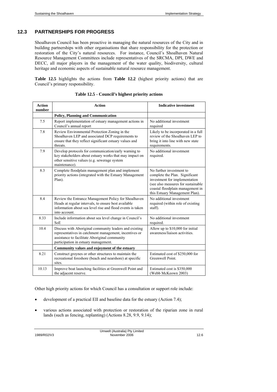## **12.3 PARTNERSHIPS FOR PROGRESS**

Shoalhaven Council has been proactive in managing the natural resources of the City and in building partnerships with other organisations that share responsibility for the protection or restoration of the City's natural resources. For instance, Council's Shoalhaven Natural Resource Management Committees include representatives of the SRCMA, DPI, DWE and DECC, all major players in the management of the water quality, biodiversity, cultural heritage and economic aspects of sustainable natural resource management.

**Table 12.5** highlights the actions from **Table 12.2** (highest priority actions) that are Council's primary responsibility.

| <b>Action</b><br>number | <b>Action</b>                                                                                                                                                                                             | <b>Indicative investment</b>                                                                                                                                                                            |
|-------------------------|-----------------------------------------------------------------------------------------------------------------------------------------------------------------------------------------------------------|---------------------------------------------------------------------------------------------------------------------------------------------------------------------------------------------------------|
|                         | <b>Policy, Planning and Communication</b>                                                                                                                                                                 |                                                                                                                                                                                                         |
| 7.5                     | Report implementation of estuary management actions in<br>Council's annual report                                                                                                                         | No additional investment<br>required                                                                                                                                                                    |
| 7.8                     | Review Environmental Protection Zoning in the<br>Shoalhaven LEP and associated DCP requirements to<br>ensure that they reflect significant estuary values and<br>threats.                                 | Likely to be incorporated in a full<br>review of the Shoalhaven LEP to<br>bring it into line with new state<br>requirements.                                                                            |
| 7.9                     | Develop protocols for communication/early warning to<br>key stakeholders about estuary works that may impact on<br>other sensitive values (e.g. sewerage system<br>maintenance).                          | No additional investment<br>required.                                                                                                                                                                   |
| 8.3                     | Complete floodplain management plan and implement<br>priority actions (integrated with the Estuary Management<br>Plan).                                                                                   | No further investment to<br>complete the Plan. Significant<br>investment for implementation<br>(see also measures for sustainable<br>coastal floodplain management in<br>this Estuary Management Plan). |
| 8.4                     | Review the Entrance Management Policy for Shoalhaven<br>Heads at regular intervals, to ensure best available<br>information about sea level rise and flood events is taken<br>into account.               | No additional investment<br>required (within role of existing<br>staff).                                                                                                                                |
| 8.33                    | Include information about sea level change in Council's<br><b>SoE</b>                                                                                                                                     | No additional investment<br>required.                                                                                                                                                                   |
| 10.4                    | Discuss with Aboriginal community leaders and existing<br>representatives in catchment management, incentives or<br>assistance to facilitate Aboriginal community<br>participation in estuary management. | Allow up to \$10,000 for initial<br>awareness/liaison activities.                                                                                                                                       |
|                         | Community values and enjoyment of the estuary                                                                                                                                                             |                                                                                                                                                                                                         |
| 8.21                    | Construct groynes or other structures to maintain the<br>recreational foreshore (beach and nearshore) at specific<br>sites.                                                                               | Estimated cost of \$250,000 for<br>Greenwell Point.                                                                                                                                                     |
| 10.13                   | Improve boat launching facilities at Greenwell Point and<br>the adjacent reserve.                                                                                                                         | Estimated cost is \$350,000<br>(Webb McKeown 2003)                                                                                                                                                      |

**Table 12.5 - Council's highest priority actions** 

Other high priority actions for which Council has a consultation or support role include:

- development of a practical EII and baseline data for the estuary (Action 7.4);
- various actions associated with protection or restoration of the riparian zone in rural lands (such as fencing, replanting) (Actions 8.28, 9.9, 9.14);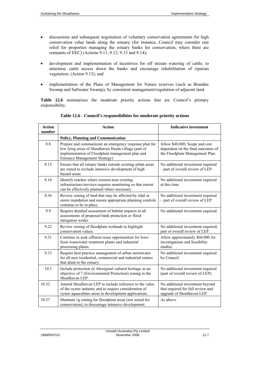- discussions and subsequent negotiation of voluntary conservation agreements for high conservation value lands along the estuary (for instance, Council may consider rate relief for properties managing the estuary banks for conservation, where there are remnants of EEC) (Actions 9.11, 9.12, 9.13 and 9.14);
- development and implementation of incentives for off stream watering of cattle, to minimise cattle access down the banks and encourage rehabilitation of riparian vegetation; (Action 9.12); and
- implementation of the Plans of Management for Nature reserves (such as Brundee Swamp and Saltwater Swamp), by consistent management/regulation of adjacent land.

Table 12.6 summarises the moderate priority actions that are Council's primary responsibility.

| <b>Action</b><br>number | <b>Action</b>                                                                                                                                                                                              | <b>Indicative investment</b>                                                                            |
|-------------------------|------------------------------------------------------------------------------------------------------------------------------------------------------------------------------------------------------------|---------------------------------------------------------------------------------------------------------|
|                         | <b>Policy, Planning and Communication</b>                                                                                                                                                                  |                                                                                                         |
| 8.8                     | Prepare and communicate an emergency response plan for<br>low lying areas of Shoalhaven Heads village (part of<br>implementation of Floodplain management plan and<br><b>Entrance Management Strategy)</b> | Allow \$40,000; Scope and cost<br>dependent on the final outcomes of<br>the Floodplain Management Plan. |
| 8.15                    | Ensure that all estuary banks outside existing urban areas<br>are zoned to exclude intensive development of high<br>hazard areas.                                                                          | No additional investment required<br>- part of overall review of LEP.                                   |
| 8.16                    | Identify reaches where erosion near existing<br>infrastructure/services requires monitoring so that retreat<br>can be effectively planned where necessary.                                                 | No additional investment required<br>at this time.                                                      |
| 8.36                    | Review zoning of land that may be affected by tidal or<br>storm inundation and ensure appropriate planning controls<br>continue to be in place.                                                            | No additional investment required<br>- part of overall review of LEP.                                   |
| 9.9                     | Require detailed assessment of habitat impacts in all<br>assessments of proposed bank protection or flood<br>mitigation works.                                                                             | No additional investment required.                                                                      |
| 9.22                    | Review zoning of floodplain wetlands to highlight<br>conservation values.                                                                                                                                  | No additional investment required,<br>part of overall review of LEP.                                    |
| 9.31                    | Continue to seek effluent reuse opportunities for lows<br>from wastewater treatment plants and industrial<br>processing plants.                                                                            | Allow approximately \$60,000 for<br>investigations and feasibility<br>studies.                          |
| 9.33                    | Require best practice management of urban stormwater<br>for all new residential, commercial and industrial estates<br>that drain to the estuary.                                                           | No additional investment required<br>by Council.                                                        |
| 10.1                    | Include protection of Aboriginal cultural heritage as an<br>objective of 7 (Environmental Protection) zoning in the<br>Shoalhaven LEP.                                                                     | No additional investment required<br>(part of overall review of LEP).                                   |
| 10.32                   | Amend Shoalhaven LEP to include reference to the value<br>of the oyster industry and to require consideration of<br>oyster aquaculture areas in development applications.                                  | No additional investment beyond<br>that required for full review and<br>upgrade of Shoalhaven LEP.      |
| 10.37                   | Maintain 1g zoning for floodplain areas (not zoned for<br>conservation), to discourage intensive development.                                                                                              | As above.                                                                                               |

**Table 12.6 - Council's responsibilities for moderate priority actions**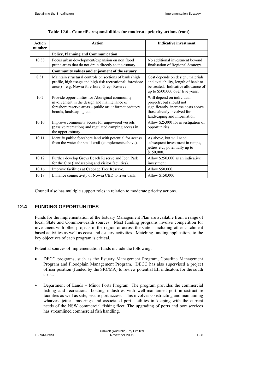| <b>Action</b><br>number | <b>Action</b>                                                                                                                                                                         | <b>Indicative investment</b>                                                                                                                             |
|-------------------------|---------------------------------------------------------------------------------------------------------------------------------------------------------------------------------------|----------------------------------------------------------------------------------------------------------------------------------------------------------|
|                         | <b>Policy, Planning and Communication</b>                                                                                                                                             |                                                                                                                                                          |
| 10.38                   | Focus urban development/expansion on non flood<br>prone areas that do not drain directly to the estuary.                                                                              | No additional investment beyond<br>finalisation of Regional Strategy.                                                                                    |
|                         | Community values and enjoyment of the estuary                                                                                                                                         |                                                                                                                                                          |
| 8.31                    | Maintain structural controls on sections of bank (high<br>profile, high usage and high risk recreational; foreshore<br>areas) - e.g. Nowra foreshore, Greys Reserve.                  | Cost depends on design, materials<br>and availability, length of bank to<br>be treated. Indicative allowance of<br>up to \$500,000 over five years.      |
| 10.2                    | Provide opportunities for Aboriginal community<br>involvement in the design and maintenance of<br>foreshore reserve areas - public art, information/story<br>boards, landscaping etc. | Will depend on individual<br>projects, but should not<br>significantly increase costs above<br>those already involved for<br>landscaping and information |
| 10.10                   | Improve community access for unpowered vessels<br>(passive recreation) and regulated camping access in<br>the upper estuary                                                           | Allow \$25,000 for investigation of<br>opportunities.                                                                                                    |
| 10.11                   | Identify public foreshore land with potential for access<br>from the water for small craft (complements above).                                                                       | As above, but will need<br>subsequent investment in ramps,<br>jetties etc., potentially up to<br>\$150,000.                                              |
| 10.12                   | Further develop Greys Beach Reserve and Icon Park<br>for the City (landscaping and visitor facilities).                                                                               | Allow \$250,000 as an indicative<br>investment.                                                                                                          |
| 10.16                   | Improve facilities at Cabbage Tree Reserve.                                                                                                                                           | Allow \$50,000.                                                                                                                                          |
| 10.18                   | Enhance connectivity of Nowra CBD to river bank.                                                                                                                                      | Allow \$150,000                                                                                                                                          |

| Table 12.6 - Council's responsibilities for moderate priority actions (cont) |  |  |
|------------------------------------------------------------------------------|--|--|
|                                                                              |  |  |

Council also has multiple support roles in relation to moderate priority actions.

#### **12.4 FUNDING OPPORTUNITIES**

Funds for the implementation of the Estuary Management Plan are available from a range of local, State and Commonwealth sources. Most funding programs involve competition for investment with other projects in the region or across the state – including other catchment based activities as well as coast and estuary activities. Matching funding applications to the key objectives of each program is critical.

Potential sources of implementation funds include the following:

- DECC programs, such as the Estuary Management Program, Coastline Management Program and Floodplain Management Program. DECC has also supervised a project officer position (funded by the SRCMA) to review potential EII indicators for the south coast.
- Department of Lands Minor Ports Program. The program provides the commercial fishing and recreational boating industries with well-maintained port infrastructure facilities as well as safe, secure port access. This involves constructing and maintaining wharves, jetties, moorings and associated port facilities in keeping with the current needs of the NSW commercial fishing fleet. The upgrading of ports and port services has streamlined commercial fish handling.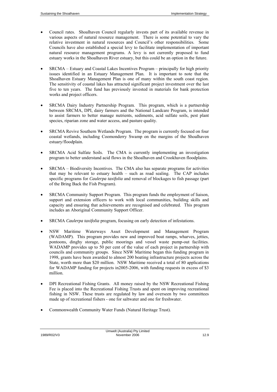- Council rates. Shoalhaven Council regularly invests part of its available revenue in various aspects of natural resource management. There is some potential to vary the relative investment in natural resources and Council's other responsibilities. Some Councils have also established a special levy to facilitate implementation of important natural resource management programs. A levy is not currently proposed to fund estuary works in the Shoalhaven River estuary, but this could be an option in the future.
- SRCMA Estuary and Coastal Lakes Incentives Program principally for high priority issues identified in an Estuary Management Plan. It is important to note that the Shoalhaven Estuary Management Plan is one of many within the south coast region. The sensitivity of coastal lakes has attracted significant project investment over the last five to ten years. The fund has previously invested in materials for bank protection works and project officers.
- SRCMA Dairy Industry Partnership Program. This program, which is a partnership between SRCMA, DPI, dairy farmers and the National Landcare Program, is intended to assist farmers to better manage nutrients, sediments, acid sulfate soils, pest plant species, riparian zone and water access, and pasture quality.
- SRCMA Revive Southern Wetlands Program. The program is currently focused on four coastal wetlands, including Coomonderry Swamp on the margins of the Shoalhaven estuary/floodplain.
- SRCMA Acid Sulfate Soils. The CMA is currently implementing an investigation program to better understand acid flows in the Shoalhaven and Crookhaven floodplains.
- SRCMA Biodiversity Incentives. The CMA also has separate programs for activities that may be relevant to estuary health – such as road sealing. The CAP includes specific programs for *Caulerpa taxifolia* and removal of blockages to fish passage (part of the Bring Back the Fish Program).
- SRCMA Community Support Program. This program funds the employment of liaison, support and extension officers to work with local communities, building skills and capacity and ensuring that achievements are recognised and celebrated. This program includes an Aboriginal Community Support Officer.
- SRCMA *Caulerpa taxifolia* program, focusing on early detection of infestations.
- NSW Maritime Waterways Asset Development and Management Program (WADAMP). This program provides new and improved boat ramps, wharves, jetties, pontoons, dinghy storage, public moorings and vessel waste pump-out facilities. WADAMP provides up to 50 per cent of the value of each project in partnership with councils and community groups. Since NSW Maritime began this funding program in 1998, grants have been awarded to almost 200 boating infrastructure projects across the State, worth more than \$20 million. NSW Maritime received a total of 80 applications for WADAMP funding for projects in2005-2006, with funding requests in excess of \$3 million.
- DPI Recreational Fishing Grants. All money raised by the NSW Recreational Fishing Fee is placed into the Recreational Fishing Trusts and spent on improving recreational fishing in NSW. These trusts are regulated by law and overseen by two committees made up of recreational fishers - one for saltwater and one for freshwater.
- Commonwealth Community Water Funds (Natural Heritage Trust).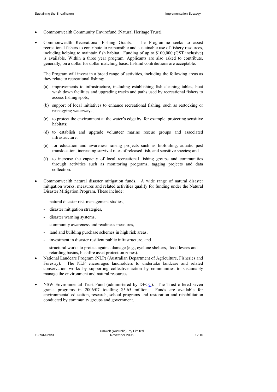- Commonwealth Community Envirofund (Natural Heritage Trust).
- Commonwealth Recreational Fishing Grants. The Programme seeks to assist recreational fishers to contribute to responsible and sustainable use of fishery resources, including helping to maintain fish habitat. Funding of up to \$100,000 (GST inclusive) is available. Within a three year program. Applicants are also asked to contribute, generally, on a dollar for dollar matching basis. In-kind contributions are acceptable.

The Program will invest in a broad range of activities, including the following areas as they relate to recreational fishing:

- (a) improvements to infrastructure, including establishing fish cleaning tables, boat wash down facilities and upgrading tracks and paths used by recreational fishers to access fishing spots;
- (b) support of local initiatives to enhance recreational fishing, such as restocking or resnagging waterways;
- (c) to protect the environment at the water's edge by, for example, protecting sensitive habitats;
- (d) to establish and upgrade volunteer marine rescue groups and associated infrastructure;
- (e) for education and awareness raising projects such as biofouling, aquatic pest translocation, increasing survival rates of released fish, and sensitive species; and
- (f) to increase the capacity of local recreational fishing groups and communities through activities such as monitoring programs, tagging projects and data collection.
- Commonwealth natural disaster mitigation funds. A wide range of natural disaster mitigation works, measures and related activities qualify for funding under the Natural Disaster Mitigation Program. These include:
	- natural disaster risk management studies,
	- disaster mitigation strategies,
	- disaster warning systems,
	- community awareness and readiness measures,
	- land and building purchase schemes in high risk areas,
	- investment in disaster resilient public infrastructure, and
	- structural works to protect against damage (e.g., cyclone shelters, flood levees and retarding basins, bushfire asset protection zones).
- National Landcare Program (NLP) (Australian Department of Agriculture, Fisheries and Forestry). The NLP encourages landholders to undertake landcare and related conservation works by supporting collective action by communities to sustainably manage the environment and natural resources.
- NSW Environmental Trust Fund (administered by DECC). The Trust offered seven grants programs in 2006/07 totalling \$5.65 million. Funds are available for environmental education, research, school programs and restoration and rehabilitation conducted by community groups and government.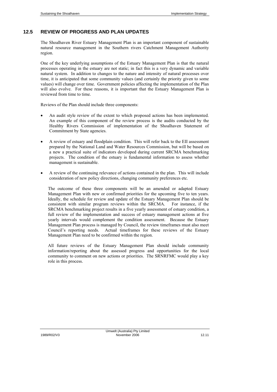## **12.5 REVIEW OF PROGRESS AND PLAN UPDATES**

The Shoalhaven River Estuary Management Plan is an important component of sustainable natural resource management in the Southern rivers Catchment Management Authority region.

One of the key underlying assumptions of the Estuary Management Plan is that the natural processes operating in the estuary are not static; in fact this is a very dynamic and variable natural system. In addition to changes to the nature and intensity of natural processes over time, it is anticipated that some community values (and certainly the priority given to some values) will change over time. Government policies affecting the implementation of the Plan will also evolve. For these reasons, it is important that the Estuary Management Plan is reviewed from time to time.

Reviews of the Plan should include three components:

- An audit style review of the extent to which proposed actions has been implemented. An example of this component of the review process is the audits conducted by the Healthy Rivers Commission of implementation of the Shoalhaven Statement of Commitment by State agencies.
- A review of estuary and floodplain condition. This will refer back to the EII assessment prepared by the National Land and Water Resources Commission, but will be based on a new a practical suite of indicators developed during current SRCMA benchmarking projects. The condition of the estuary is fundamental information to assess whether management is sustainable.
- A review of the continuing relevance of actions contained in the plan. This will include consideration of new policy directions, changing community preferences etc.

The outcome of these three components will be an amended or adapted Estuary Management Plan with new or confirmed priorities for the upcoming five to ten years. Ideally, the schedule for review and update of the Estuary Management Plan should be consistent with similar program reviews within the SRCMA. For instance, if the SRCMA benchmarking project results in a five yearly assessment of estuary condition, a full review of the implementation and success of estuary management actions at five yearly intervals would complement the condition assessment. Because the Estuary Management Plan process is managed by Council, the review timeframes must also meet Council's reporting needs. Actual timeframes for these reviews of the Estuary Management Plan need to be confirmed within the region.

All future reviews of the Estuary Management Plan should include community information/reporting about the assessed progress and opportunities for the local community to comment on new actions or priorities. The SRNRFMC would play a key role in this process.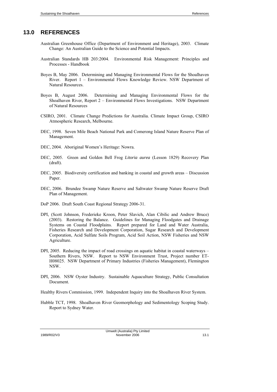## **13.0 REFERENCES**

- Australian Greenhouse Office (Department of Environment and Heritage), 2003. Climate Change: An Australian Guide to the Science and Potential Impacts.
- Australian Standards HB 203:2004. Environmental Risk Management: Principles and Processes - Handbook
- Boyes B, May 2006. Determining and Managing Environmental Flows for the Shoalhaven River. Report 1 – Environmental Flows Knowledge Review. NSW Department of Natural Resources.
- Boyes B, August 2006. Determining and Managing Environmental Flows for the Shoalhaven River, Report 2 – Environmental Flows Investigations. NSW Department of Natural Resources
- CSIRO, 2001. Climate Change Predictions for Australia. Climate Impact Group, CSIRO Atmospheric Research, Melbourne.
- DEC, 1998. Seven Mile Beach National Park and Comerong Island Nature Reserve Plan of Management.
- DEC, 2004. Aboriginal Women's Heritage: Nowra.
- DEC, 2005. Green and Golden Bell Frog *Litoria aurea* (Lesson 1829) Recovery Plan (draft).
- DEC, 2005. Biodiversity certification and banking in coastal and growth areas Discussion Paper.
- DEC, 2006. Brundee Swamp Nature Reserve and Saltwater Swamp Nature Reserve Draft Plan of Management.
- DoP 2006. Draft South Coast Regional Strategy 2006-31.
- DPI, (Scott Johnson, Frederieke Kroon, Peter Slavich, Alan Cibilic and Andrew Bruce) (2003). Restoring the Balance. Guidelines for Managing Floodgates and Drainage Systems on Coastal Floodplains. Report prepared for Land and Water Australia, Fisheries Research and Development Corporation, Sugar Research and Development Corporation, Acid Sulfate Soils Program, Acid Soil Action, NSW Fisheries and NSW Agriculture.
- DPI, 2005. Reducing the impact of road crossings on aquatic habitat in coastal waterways Southern Rivers, NSW. Report to NSW Environment Trust, Project number ET-H08025. NSW Department of Primary Industries (Fisheries Management), Flemington NSW.
- DPI, 2006. NSW Oyster Industry. Sustainable Aquaculture Strategy, Public Consultation Document.
- Healthy Rivers Commission, 1999. Independent Inquiry into the Shoalhaven River System.
- Hubble TCT, 1998. Shoalhaven River Geomorphology and Sedimentology Scoping Study. Report to Sydney Water.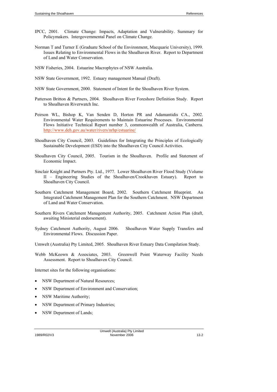- IPCC, 2001. Climate Change: Impacts, Adaptation and Vulnerability. Summary for Policymakers. Intergovernmental Panel on Climate Change.
- Norman T and Turner E (Graduate School of the Environment, Macquarie University), 1999. Issues Relating to Environmental Flows in the Shoalhaven River. Report to Department of Land and Water Conservation.
- NSW Fisheries, 2004. Estuarine Macrophytes of NSW Australia.
- NSW State Government, 1992. Estuary management Manual (Draft).
- NSW State Government, 2000. Statement of Intent for the Shoalhaven River System.
- Patterson Britton & Partners, 2004. Shoalhaven River Foreshore Definition Study. Report to Shoalhaven Riverwatch Inc.
- Peirson WL, Bishop K, Van Senden D, Horton PR and Adamantidis CA., 2002. Environmental Water Requirements to Maintain Estuarine Processes. Environmental Flows Initiative Technical Report number 3, commonwealth of Australia, Canberra. <http://www.deh.gov.au/water/rivers/nrhp/estuarine/>
- Shoalhaven City Council, 2003. Guidelines for Integrating the Principles of Ecologically Sustainable Development (ESD) into the Shoalhaven City Council Activities.
- Shoalhaven City Council, 2005. Tourism in the Shoalhaven. Profile and Statement of Economic Impact.
- Sinclair Knight and Partners Pty. Ltd., 1977. Lower Shoalhaven River Flood Study (Volume II – Engineering Studies of the Shoalhaven/Crookhaven Estuary). Report to Shoalhaven City Council.
- Southern Catchment Management Board, 2002. Southern Catchment Blueprint. An Integrated Catchment Management Plan for the Southern Catchment. NSW Department of Land and Water Conservation.
- Southern Rivers Catchment Management Authority, 2005. Catchment Action Plan (draft, awaiting Ministerial endorsement).
- Sydney Catchment Authority, August 2006. Shoalhaven Water Supply Transfers and Environmental Flows. Discussion Paper.

Umwelt (Australia) Pty Limited, 2005. Shoalhaven River Estuary Data Compilation Study.

Webb McKeown & Associates, 2003. Greenwell Point Waterway Facility Needs Assessment. Report to Shoalhaven City Council.

Internet sites for the following organisations:

- NSW Department of Natural Resources;
- NSW Department of Environment and Conservation:
- NSW Maritime Authority;
- NSW Department of Primary Industries;
- NSW Department of Lands;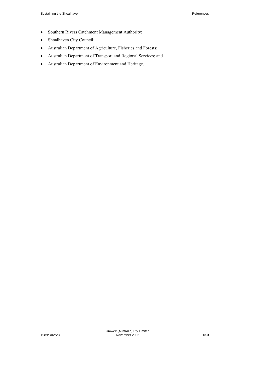- Southern Rivers Catchment Management Authority;
- Shoalhaven City Council;
- Australian Department of Agriculture, Fisheries and Forests;
- Australian Department of Transport and Regional Services; and
- Australian Department of Environment and Heritage.